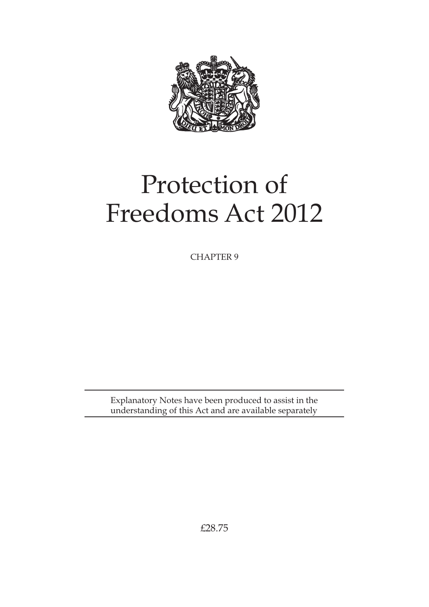

# Protection of Freedoms Act 2012

CHAPTER 9

Explanatory Notes have been produced to assist in the understanding of this Act and are available separately

£28.75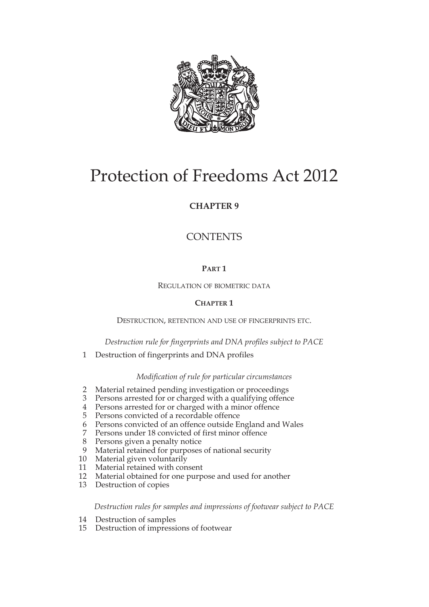

# Protection of Freedoms Act 2012

# **CHAPTER 9**

# **CONTENTS**

# **PART 1**

REGULATION OF BIOMETRIC DATA

# **CHAPTER 1**

DESTRUCTION, RETENTION AND USE OF FINGERPRINTS ETC.

*Destruction rule for fingerprints and DNA profiles subject to PACE*

1 Destruction of fingerprints and DNA profiles

# *Modification of rule for particular circumstances*

- 2 Material retained pending investigation or proceedings
- 3 Persons arrested for or charged with a qualifying offence
- 4 Persons arrested for or charged with a minor offence
- 5 Persons convicted of a recordable offence
- 6 Persons convicted of an offence outside England and Wales<br>7 Persons under 18 convicted of first minor offence
- Persons under 18 convicted of first minor offence
- 8 Persons given a penalty notice
- 9 Material retained for purposes of national security
- 10 Material given voluntarily
- 11 Material retained with consent
- 12 Material obtained for one purpose and used for another
- 13 Destruction of copies

*Destruction rules for samples and impressions of footwear subject to PACE*

- 14 Destruction of samples
- 15 Destruction of impressions of footwear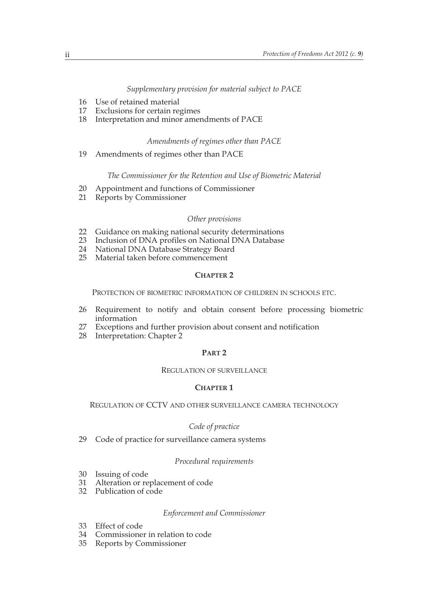#### *Supplementary provision for material subject to PACE*

- 16 Use of retained material
- 17 Exclusions for certain regimes
- 18 Interpretation and minor amendments of PACE

#### *Amendments of regimes other than PACE*

19 Amendments of regimes other than PACE

#### *The Commissioner for the Retention and Use of Biometric Material*

- 20 Appointment and functions of Commissioner<br>21 Reports by Commissioner
- Reports by Commissioner

#### *Other provisions*

- 22 Guidance on making national security determinations
- 23 Inclusion of DNA profiles on National DNA Database
- 24 National DNA Database Strategy Board
- 25 Material taken before commencement

#### **CHAPTER 2**

PROTECTION OF BIOMETRIC INFORMATION OF CHILDREN IN SCHOOLS ETC.

- 26 Requirement to notify and obtain consent before processing biometric information
- 27 Exceptions and further provision about consent and notification<br>28 Interpretation: Chapter 2
- Interpretation: Chapter 2

# **PART 2**

#### REGULATION OF SURVEILLANCE

# **CHAPTER 1**

#### REGULATION OF CCTV AND OTHER SURVEILLANCE CAMERA TECHNOLOGY

# *Code of practice*

29 Code of practice for surveillance camera systems

#### *Procedural requirements*

- 30 Issuing of code
- 31 Alteration or replacement of code
- 32 Publication of code

#### *Enforcement and Commissioner*

- 33 Effect of code
- 34 Commissioner in relation to code
- 35 Reports by Commissioner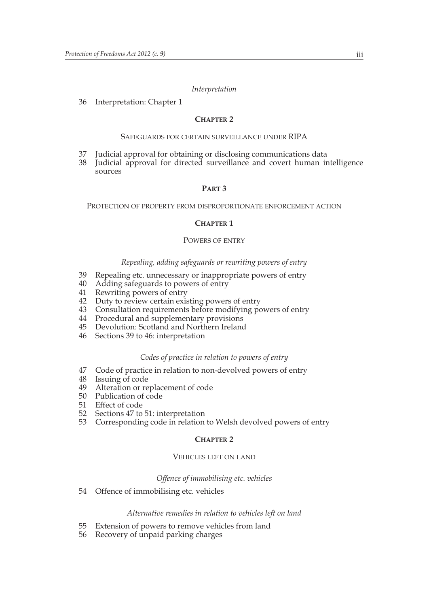#### *Interpretation*

36 Interpretation: Chapter 1

# **CHAPTER 2**

#### SAFEGUARDS FOR CERTAIN SURVEILLANCE UNDER RIPA

- 37 Judicial approval for obtaining or disclosing communications data
- Judicial approval for directed surveillance and covert human intelligence sources

#### **PART 3**

PROTECTION OF PROPERTY FROM DISPROPORTIONATE ENFORCEMENT ACTION

#### **CHAPTER 1**

#### POWERS OF ENTRY

#### *Repealing, adding safeguards or rewriting powers of entry*

- 39 Repealing etc. unnecessary or inappropriate powers of entry<br>40 Adding safeguards to powers of entry
- 40 Adding safeguards to powers of entry<br>41 Rewriting powers of entry
- Rewriting powers of entry
- 42 Duty to review certain existing powers of entry<br>43 Consultation requirements before modifying po
- 43 Consultation requirements before modifying powers of entry<br>44 Procedural and supplementary provisions
- 44 Procedural and supplementary provisions<br>45 Devolution: Scotland and Northern Ireland
- Devolution: Scotland and Northern Ireland
- 46 Sections 39 to 46: interpretation

#### *Codes of practice in relation to powers of entry*

- 47 Code of practice in relation to non-devolved powers of entry
- 48 Issuing of code
- 49 Alteration or replacement of code
- 50 Publication of code
- 51 Effect of code
- 52 Sections 47 to 51: interpretation
- 53 Corresponding code in relation to Welsh devolved powers of entry

#### **CHAPTER 2**

#### VEHICLES LEFT ON LAND

### *Offence of immobilising etc. vehicles*

54 Offence of immobilising etc. vehicles

#### *Alternative remedies in relation to vehicles left on land*

- 55 Extension of powers to remove vehicles from land<br>56 Recovery of unpaid parking charges
- Recovery of unpaid parking charges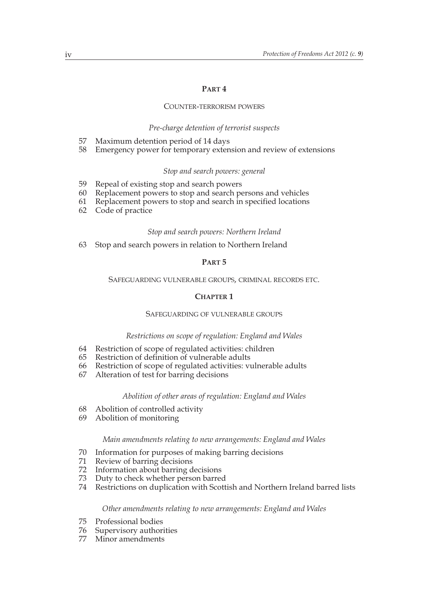#### **PART 4**

#### COUNTER-TERRORISM POWERS

#### *Pre-charge detention of terrorist suspects*

- 57 Maximum detention period of 14 days<br>58 Emergency power for temporary exten
- Emergency power for temporary extension and review of extensions

#### *Stop and search powers: general*

- 59 Repeal of existing stop and search powers<br>60 Replacement powers to stop and search pe
- 60 Replacement powers to stop and search persons and vehicles<br>61 Replacement powers to stop and search in specified locations
- Replacement powers to stop and search in specified locations
- 62 Code of practice

#### *Stop and search powers: Northern Ireland*

63 Stop and search powers in relation to Northern Ireland

#### **PART 5**

#### SAFEGUARDING VULNERABLE GROUPS, CRIMINAL RECORDS ETC.

#### **CHAPTER 1**

#### SAFEGUARDING OF VULNERABLE GROUPS

#### *Restrictions on scope of regulation: England and Wales*

- 64 Restriction of scope of regulated activities: children
- 65 Restriction of definition of vulnerable adults
- 66 Restriction of scope of regulated activities: vulnerable adults
- 67 Alteration of test for barring decisions

#### *Abolition of other areas of regulation: England and Wales*

- 68 Abolition of controlled activity<br>69 Abolition of monitoring
- Abolition of monitoring

#### *Main amendments relating to new arrangements: England and Wales*

- 70 Information for purposes of making barring decisions
- 71 Review of barring decisions
- 72 Information about barring decisions
- 73 Duty to check whether person barred
- 74 Restrictions on duplication with Scottish and Northern Ireland barred lists

#### *Other amendments relating to new arrangements: England and Wales*

- 75 Professional bodies
- 76 Supervisory authorities
- 77 Minor amendments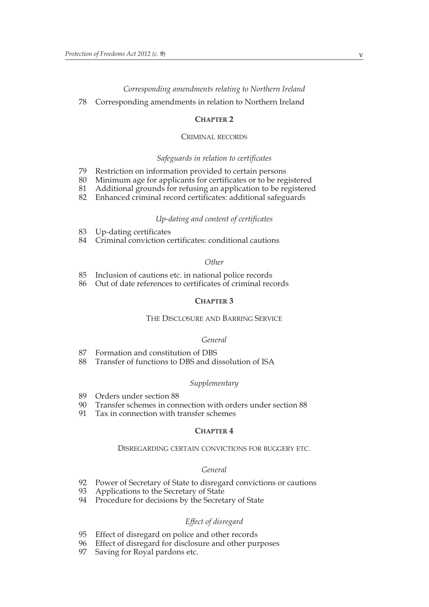#### *Corresponding amendments relating to Northern Ireland*

#### 78 Corresponding amendments in relation to Northern Ireland

#### **CHAPTER 2**

#### CRIMINAL RECORDS

#### *Safeguards in relation to certificates*

- 79 Restriction on information provided to certain persons
- 80 Minimum age for applicants for certificates or to be registered<br>81 Additional grounds for refusing an application to be registered
- 81 Additional grounds for refusing an application to be registered<br>82 Enhanced criminal record certificates: additional safeguards
- Enhanced criminal record certificates: additional safeguards

#### *Up-dating and content of certificates*

- 83 Up-dating certificates<br>84 Criminal conviction co
- Criminal conviction certificates: conditional cautions

#### *Other*

- 85 Inclusion of cautions etc. in national police records<br>86 Out of date references to certificates of criminal rec
- Out of date references to certificates of criminal records

#### **CHAPTER 3**

#### THE DISCLOSURE AND BARRING SERVICE

#### *General*

- 87 Formation and constitution of DBS
- 88 Transfer of functions to DBS and dissolution of ISA

#### *Supplementary*

- 89 Orders under section 88<br>90 Transfer schemes in con
- 90 Transfer schemes in connection with orders under section 88<br>91 Tax in connection with transfer schemes
- Tax in connection with transfer schemes

#### **CHAPTER 4**

#### DISREGARDING CERTAIN CONVICTIONS FOR BUGGERY ETC.

#### *General*

- 92 Power of Secretary of State to disregard convictions or cautions
- 93 Applications to the Secretary of State
- 94 Procedure for decisions by the Secretary of State

#### *Effect of disregard*

- 95 Effect of disregard on police and other records<br>96 Effect of disregard for disclosure and other pur
- 96 Effect of disregard for disclosure and other purposes<br>97 Saving for Royal pardons etc.
- Saving for Royal pardons etc.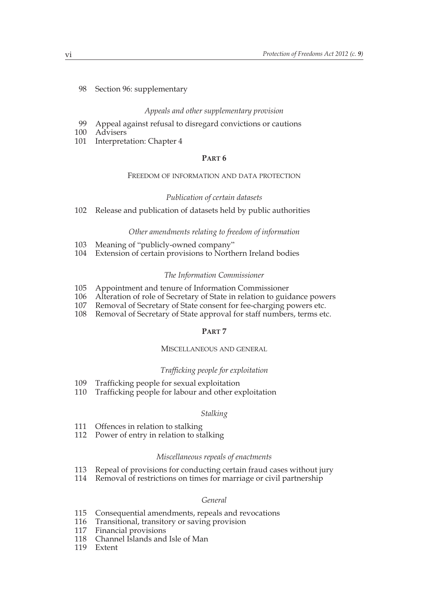# 98 Section 96: supplementary

#### *Appeals and other supplementary provision*

- 99 Appeal against refusal to disregard convictions or cautions
- 100 Advisers
- 101 Interpretation: Chapter 4

#### **PART 6**

#### FREEDOM OF INFORMATION AND DATA PROTECTION

#### *Publication of certain datasets*

102 Release and publication of datasets held by public authorities

#### *Other amendments relating to freedom of information*

- 103 Meaning of "publicly-owned company"<br>104 Extension of certain provisions to North
- Extension of certain provisions to Northern Ireland bodies

#### *The Information Commissioner*

- 105 Appointment and tenure of Information Commissioner<br>106 Alteration of role of Secretary of State in relation to guid
- 106 Alteration of role of Secretary of State in relation to guidance powers<br>107 Removal of Secretary of State consent for fee-charging powers etc.
- 107 Removal of Secretary of State consent for fee-charging powers etc.<br>108 Removal of Secretary of State approval for staff numbers, terms etc.
- Removal of Secretary of State approval for staff numbers, terms etc.

### **PART 7**

# MISCELLANEOUS AND GENERAL

#### *Trafficking people for exploitation*

- 109 Trafficking people for sexual exploitation<br>110 Trafficking people for labour and other ex
- Trafficking people for labour and other exploitation

#### *Stalking*

- 111 Offences in relation to stalking
- 112 Power of entry in relation to stalking

#### *Miscellaneous repeals of enactments*

- 113 Repeal of provisions for conducting certain fraud cases without jury<br>114 Removal of restrictions on times for marriage or civil partnership
- Removal of restrictions on times for marriage or civil partnership

#### *General*

- 115 Consequential amendments, repeals and revocations
- 116 Transitional, transitory or saving provision<br>117 Financial provisions
- Financial provisions
- 118 Channel Islands and Isle of Man
- 119 Extent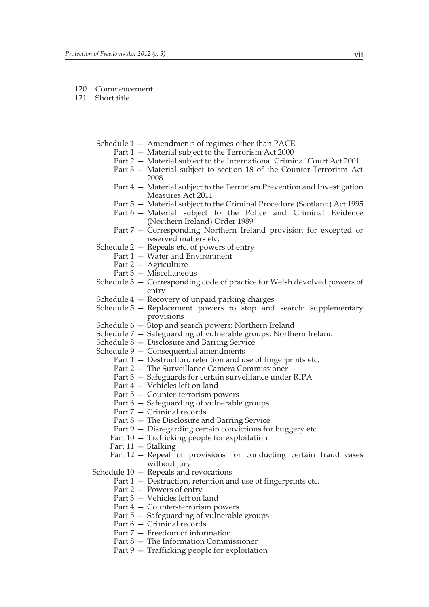120 Commencement

121 Short title

- Schedule 1 Amendments of regimes other than PACE
	- Part 1 Material subject to the Terrorism Act 2000
	- Part 2 Material subject to the International Criminal Court Act 2001
	- Part 3 Material subject to section 18 of the Counter-Terrorism Act 2008
	- Part 4 Material subject to the Terrorism Prevention and Investigation Measures Act 2011
	- Part 5 Material subject to the Criminal Procedure (Scotland) Act 1995
	- Part 6 Material subject to the Police and Criminal Evidence (Northern Ireland) Order 1989
	- Part 7 Corresponding Northern Ireland provision for excepted or reserved matters etc.
- Schedule 2 Repeals etc. of powers of entry
	- Part 1 Water and Environment
	- Part 2 Agriculture
	- Part 3 Miscellaneous
- Schedule 3 Corresponding code of practice for Welsh devolved powers of entry
- Schedule 4 Recovery of unpaid parking charges
- Schedule 5 Replacement powers to stop and search: supplementary provisions
- Schedule 6 Stop and search powers: Northern Ireland
- Schedule 7 Safeguarding of vulnerable groups: Northern Ireland
- Schedule 8 Disclosure and Barring Service
- Schedule 9 Consequential amendments
	- Part 1 Destruction, retention and use of fingerprints etc.
	- Part 2 The Surveillance Camera Commissioner
	- Part 3 Safeguards for certain surveillance under RIPA
	- Part 4 Vehicles left on land
	- Part 5 Counter-terrorism powers
	- Part 6 Safeguarding of vulnerable groups
	- Part 7 Criminal records
	- Part 8 The Disclosure and Barring Service
	- Part 9 Disregarding certain convictions for buggery etc.
	- Part 10 Trafficking people for exploitation
	- Part 11 Stalking
	- Part 12 Repeal of provisions for conducting certain fraud cases without jury
- Schedule 10 Repeals and revocations
	- Part 1 Destruction, retention and use of fingerprints etc.
	- Part 2 Powers of entry
	- Part 3 Vehicles left on land
	- Part 4 Counter-terrorism powers
	- Part 5 Safeguarding of vulnerable groups
	- Part 6 Criminal records
	- Part 7 Freedom of information
	- Part 8 The Information Commissioner
	- Part 9 Trafficking people for exploitation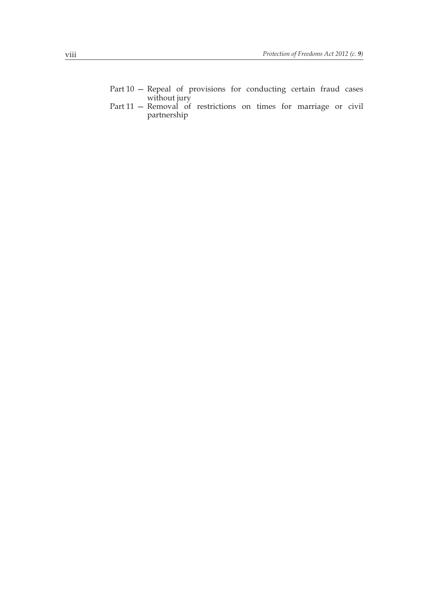- Part 10 Repeal of provisions for conducting certain fraud cases without jury
- Part 11 Removal of restrictions on times for marriage or civil partnership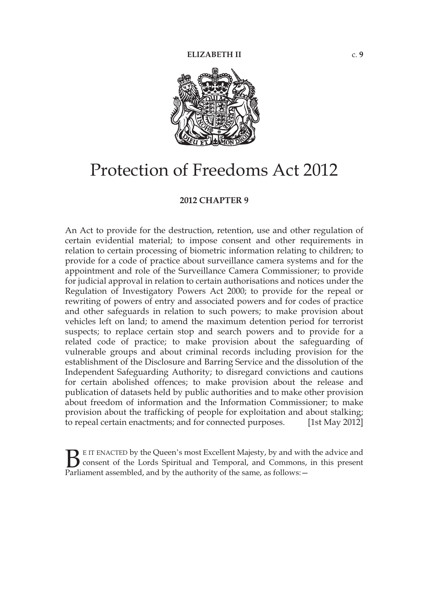

# Protection of Freedoms Act 2012

# **2012 CHAPTER 9**

An Act to provide for the destruction, retention, use and other regulation of certain evidential material; to impose consent and other requirements in relation to certain processing of biometric information relating to children; to provide for a code of practice about surveillance camera systems and for the appointment and role of the Surveillance Camera Commissioner; to provide for judicial approval in relation to certain authorisations and notices under the Regulation of Investigatory Powers Act 2000; to provide for the repeal or rewriting of powers of entry and associated powers and for codes of practice and other safeguards in relation to such powers; to make provision about vehicles left on land; to amend the maximum detention period for terrorist suspects; to replace certain stop and search powers and to provide for a related code of practice; to make provision about the safeguarding of vulnerable groups and about criminal records including provision for the establishment of the Disclosure and Barring Service and the dissolution of the Independent Safeguarding Authority; to disregard convictions and cautions for certain abolished offences; to make provision about the release and publication of datasets held by public authorities and to make other provision about freedom of information and the Information Commissioner; to make provision about the trafficking of people for exploitation and about stalking; to repeal certain enactments; and for connected purposes. [1st May 2012]

E IT ENACTED by the Queen's most Excellent Majesty, by and with the advice and consent of the Lords Spiritual and Temporal, and Commons, in this present Parliament assembled, and by the authority of the same, as follows: -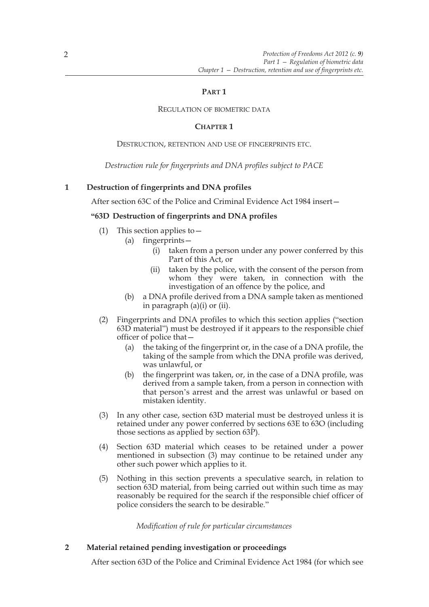# **PART 1**

## REGULATION OF BIOMETRIC DATA

# **CHAPTER 1**

DESTRUCTION, RETENTION AND USE OF FINGERPRINTS ETC.

*Destruction rule for fingerprints and DNA profiles subject to PACE*

# **1 Destruction of fingerprints and DNA profiles**

After section 63C of the Police and Criminal Evidence Act 1984 insert—

# **"63D Destruction of fingerprints and DNA profiles**

- (1) This section applies to—
	- (a) fingerprints—
		- (i) taken from a person under any power conferred by this Part of this Act, or
		- (ii) taken by the police, with the consent of the person from whom they were taken, in connection with the investigation of an offence by the police, and
	- (b) a DNA profile derived from a DNA sample taken as mentioned in paragraph (a)(i) or (ii).
- (2) Fingerprints and DNA profiles to which this section applies ("section 63D material") must be destroyed if it appears to the responsible chief officer of police that—
	- (a) the taking of the fingerprint or, in the case of a DNA profile, the taking of the sample from which the DNA profile was derived, was unlawful, or
	- (b) the fingerprint was taken, or, in the case of a DNA profile, was derived from a sample taken, from a person in connection with that person's arrest and the arrest was unlawful or based on mistaken identity.
- (3) In any other case, section 63D material must be destroyed unless it is retained under any power conferred by sections 63E to 63O (including those sections as applied by section 63P).
- (4) Section 63D material which ceases to be retained under a power mentioned in subsection (3) may continue to be retained under any other such power which applies to it.
- (5) Nothing in this section prevents a speculative search, in relation to section 63D material, from being carried out within such time as may reasonably be required for the search if the responsible chief officer of police considers the search to be desirable."

*Modification of rule for particular circumstances*

# **2 Material retained pending investigation or proceedings**

After section 63D of the Police and Criminal Evidence Act 1984 (for which see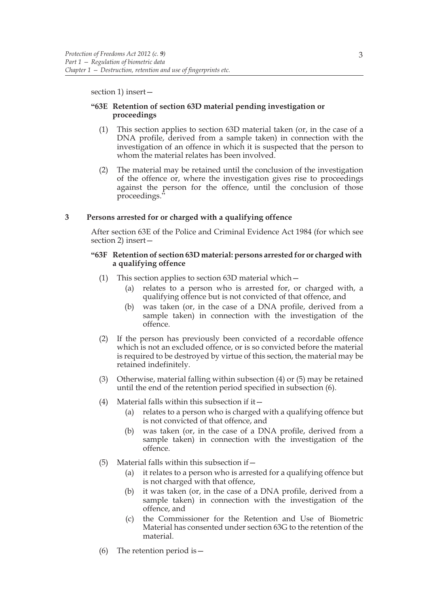section 1) insert—

# **"63E Retention of section 63D material pending investigation or proceedings**

- (1) This section applies to section 63D material taken (or, in the case of a DNA profile, derived from a sample taken) in connection with the investigation of an offence in which it is suspected that the person to whom the material relates has been involved.
- (2) The material may be retained until the conclusion of the investigation of the offence or, where the investigation gives rise to proceedings against the person for the offence, until the conclusion of those proceedings."

## **3 Persons arrested for or charged with a qualifying offence**

After section 63E of the Police and Criminal Evidence Act 1984 (for which see section 2) insert—

## **"63F Retention of section 63D material: persons arrested for or charged with a qualifying offence**

- (1) This section applies to section 63D material which—
	- (a) relates to a person who is arrested for, or charged with, a qualifying offence but is not convicted of that offence, and
	- (b) was taken (or, in the case of a DNA profile, derived from a sample taken) in connection with the investigation of the offence.
- (2) If the person has previously been convicted of a recordable offence which is not an excluded offence, or is so convicted before the material is required to be destroyed by virtue of this section, the material may be retained indefinitely.
- (3) Otherwise, material falling within subsection (4) or (5) may be retained until the end of the retention period specified in subsection (6).
- (4) Material falls within this subsection if it—
	- (a) relates to a person who is charged with a qualifying offence but is not convicted of that offence, and
	- (b) was taken (or, in the case of a DNA profile, derived from a sample taken) in connection with the investigation of the offence.
- (5) Material falls within this subsection if  $-$ 
	- (a) it relates to a person who is arrested for a qualifying offence but is not charged with that offence,
	- (b) it was taken (or, in the case of a DNA profile, derived from a sample taken) in connection with the investigation of the offence, and
	- (c) the Commissioner for the Retention and Use of Biometric Material has consented under section 63G to the retention of the material.
- (6) The retention period is  $-$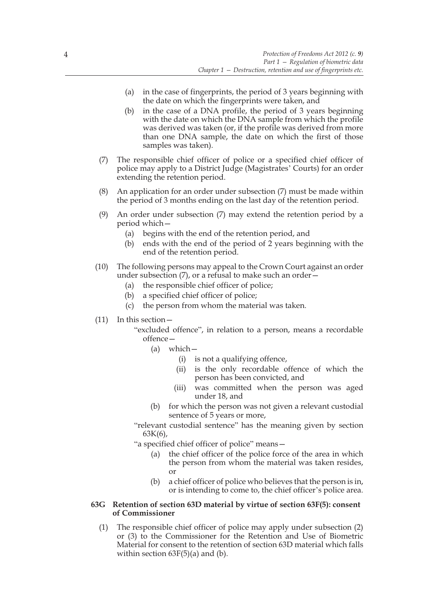- (a) in the case of fingerprints, the period of 3 years beginning with the date on which the fingerprints were taken, and
- (b) in the case of a DNA profile, the period of 3 years beginning with the date on which the DNA sample from which the profile was derived was taken (or, if the profile was derived from more than one DNA sample, the date on which the first of those samples was taken).
- (7) The responsible chief officer of police or a specified chief officer of police may apply to a District Judge (Magistrates' Courts) for an order extending the retention period.
- (8) An application for an order under subsection (7) must be made within the period of 3 months ending on the last day of the retention period.
- (9) An order under subsection (7) may extend the retention period by a period which—
	- (a) begins with the end of the retention period, and
	- (b) ends with the end of the period of 2 years beginning with the end of the retention period.
- (10) The following persons may appeal to the Crown Court against an order under subsection (7), or a refusal to make such an order—
	- (a) the responsible chief officer of police;
	- (b) a specified chief officer of police;
	- (c) the person from whom the material was taken.
- (11) In this section—
	- "excluded offence", in relation to a person, means a recordable offence—
		- (a) which—
			- (i) is not a qualifying offence,
			- (ii) is the only recordable offence of which the person has been convicted, and
			- (iii) was committed when the person was aged under 18, and
		- (b) for which the person was not given a relevant custodial sentence of 5 years or more,
	- "relevant custodial sentence" has the meaning given by section 63K(6),
	- "a specified chief officer of police" means
		- the chief officer of the police force of the area in which the person from whom the material was taken resides, or
		- (b) a chief officer of police who believes that the person is in, or is intending to come to, the chief officer's police area.

#### **63G Retention of section 63D material by virtue of section 63F(5): consent of Commissioner**

(1) The responsible chief officer of police may apply under subsection (2) or (3) to the Commissioner for the Retention and Use of Biometric Material for consent to the retention of section 63D material which falls within section  $63F(5)(a)$  and  $(b)$ .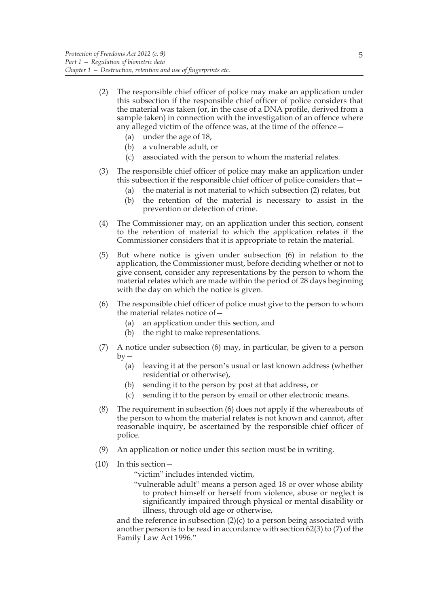- (2) The responsible chief officer of police may make an application under this subsection if the responsible chief officer of police considers that the material was taken (or, in the case of a DNA profile, derived from a sample taken) in connection with the investigation of an offence where any alleged victim of the offence was, at the time of the offence—
	- (a) under the age of 18,
	- (b) a vulnerable adult, or
	- (c) associated with the person to whom the material relates.
- (3) The responsible chief officer of police may make an application under this subsection if the responsible chief officer of police considers that—
	- (a) the material is not material to which subsection (2) relates, but
	- (b) the retention of the material is necessary to assist in the prevention or detection of crime.
- (4) The Commissioner may, on an application under this section, consent to the retention of material to which the application relates if the Commissioner considers that it is appropriate to retain the material.
- (5) But where notice is given under subsection (6) in relation to the application, the Commissioner must, before deciding whether or not to give consent, consider any representations by the person to whom the material relates which are made within the period of 28 days beginning with the day on which the notice is given.
- (6) The responsible chief officer of police must give to the person to whom the material relates notice of—
	- (a) an application under this section, and
	- (b) the right to make representations.
- (7) A notice under subsection (6) may, in particular, be given to a person  $by -$ 
	- (a) leaving it at the person's usual or last known address (whether residential or otherwise),
	- (b) sending it to the person by post at that address, or
	- (c) sending it to the person by email or other electronic means.
- (8) The requirement in subsection (6) does not apply if the whereabouts of the person to whom the material relates is not known and cannot, after reasonable inquiry, be ascertained by the responsible chief officer of police.
- (9) An application or notice under this section must be in writing.
- (10) In this section—

"victim" includes intended victim,

"vulnerable adult" means a person aged 18 or over whose ability to protect himself or herself from violence, abuse or neglect is significantly impaired through physical or mental disability or illness, through old age or otherwise,

and the reference in subsection  $(2)(c)$  to a person being associated with another person is to be read in accordance with section 62(3) to (7) of the Family Law Act 1996."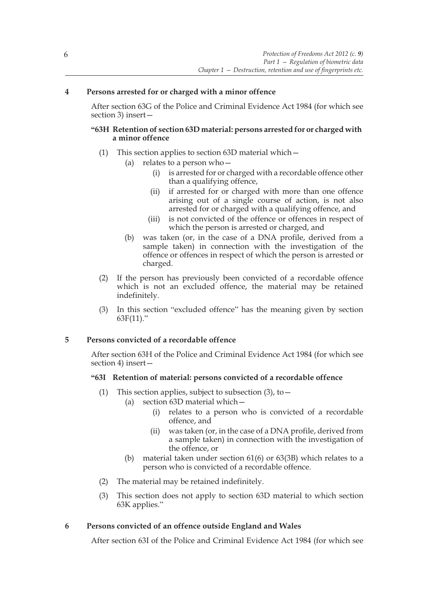# **4 Persons arrested for or charged with a minor offence**

After section 63G of the Police and Criminal Evidence Act 1984 (for which see section 3) insert—

# **"63H Retention of section 63D material: persons arrested for or charged with a minor offence**

- (1) This section applies to section 63D material which—
	- (a) relates to a person who—
		- (i) is arrested for or charged with a recordable offence other than a qualifying offence,
		- (ii) if arrested for or charged with more than one offence arising out of a single course of action, is not also arrested for or charged with a qualifying offence, and
		- (iii) is not convicted of the offence or offences in respect of which the person is arrested or charged, and
	- (b) was taken (or, in the case of a DNA profile, derived from a sample taken) in connection with the investigation of the offence or offences in respect of which the person is arrested or charged.
- (2) If the person has previously been convicted of a recordable offence which is not an excluded offence, the material may be retained indefinitely.
- (3) In this section "excluded offence" has the meaning given by section  $63F(11)$ ."

# **5 Persons convicted of a recordable offence**

After section 63H of the Police and Criminal Evidence Act 1984 (for which see section 4) insert—

# **"63I Retention of material: persons convicted of a recordable offence**

- (1) This section applies, subject to subsection (3), to  $-$ 
	- (a) section 63D material which—
		- (i) relates to a person who is convicted of a recordable offence, and
		- (ii) was taken (or, in the case of a DNA profile, derived from a sample taken) in connection with the investigation of the offence, or
	- (b) material taken under section 61(6) or 63(3B) which relates to a person who is convicted of a recordable offence.
- (2) The material may be retained indefinitely.
- (3) This section does not apply to section 63D material to which section 63K applies."

# **6 Persons convicted of an offence outside England and Wales**

After section 63I of the Police and Criminal Evidence Act 1984 (for which see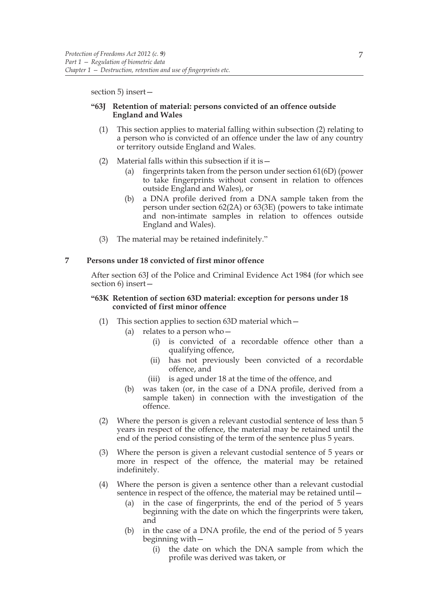section 5) insert—

# **"63J Retention of material: persons convicted of an offence outside England and Wales**

- (1) This section applies to material falling within subsection (2) relating to a person who is convicted of an offence under the law of any country or territory outside England and Wales.
- (2) Material falls within this subsection if it is—
	- (a) fingerprints taken from the person under section 61(6D) (power to take fingerprints without consent in relation to offences outside England and Wales), or
	- (b) a DNA profile derived from a DNA sample taken from the person under section 62(2A) or 63(3E) (powers to take intimate and non-intimate samples in relation to offences outside England and Wales).
- (3) The material may be retained indefinitely."

## **7 Persons under 18 convicted of first minor offence**

After section 63J of the Police and Criminal Evidence Act 1984 (for which see section 6) insert—

#### **"63K Retention of section 63D material: exception for persons under 18 convicted of first minor offence**

- (1) This section applies to section 63D material which—
	- (a) relates to a person who—
		- (i) is convicted of a recordable offence other than a qualifying offence,
		- (ii) has not previously been convicted of a recordable offence, and
		- (iii) is aged under 18 at the time of the offence, and
	- (b) was taken (or, in the case of a DNA profile, derived from a sample taken) in connection with the investigation of the offence.
- (2) Where the person is given a relevant custodial sentence of less than 5 years in respect of the offence, the material may be retained until the end of the period consisting of the term of the sentence plus 5 years.
- (3) Where the person is given a relevant custodial sentence of 5 years or more in respect of the offence, the material may be retained indefinitely.
- (4) Where the person is given a sentence other than a relevant custodial sentence in respect of the offence, the material may be retained until—
	- (a) in the case of fingerprints, the end of the period of 5 years beginning with the date on which the fingerprints were taken, and
	- (b) in the case of a DNA profile, the end of the period of 5 years beginning with—
		- (i) the date on which the DNA sample from which the profile was derived was taken, or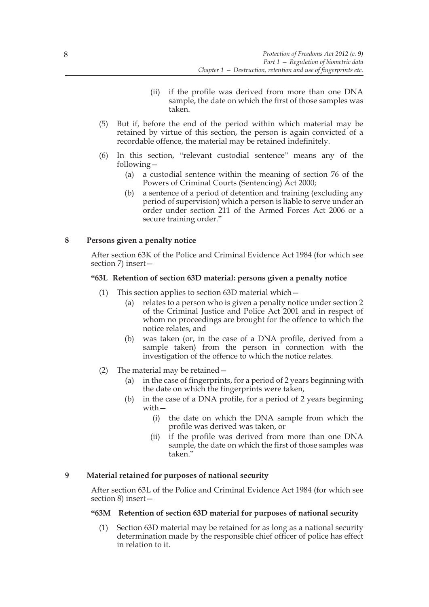- (ii) if the profile was derived from more than one DNA sample, the date on which the first of those samples was taken.
- (5) But if, before the end of the period within which material may be retained by virtue of this section, the person is again convicted of a recordable offence, the material may be retained indefinitely.
- (6) In this section, "relevant custodial sentence" means any of the following—
	- (a) a custodial sentence within the meaning of section 76 of the Powers of Criminal Courts (Sentencing) Act 2000;
	- (b) a sentence of a period of detention and training (excluding any period of supervision) which a person is liable to serve under an order under section 211 of the Armed Forces Act 2006 or a secure training order."

# **8 Persons given a penalty notice**

After section 63K of the Police and Criminal Evidence Act 1984 (for which see section 7) insert—

# **"63L Retention of section 63D material: persons given a penalty notice**

- (1) This section applies to section 63D material which—
	- (a) relates to a person who is given a penalty notice under section 2 of the Criminal Justice and Police Act 2001 and in respect of whom no proceedings are brought for the offence to which the notice relates, and
	- (b) was taken (or, in the case of a DNA profile, derived from a sample taken) from the person in connection with the investigation of the offence to which the notice relates.
- (2) The material may be retained—
	- (a) in the case of fingerprints, for a period of 2 years beginning with the date on which the fingerprints were taken,
	- (b) in the case of a DNA profile, for a period of 2 years beginning with—
		- (i) the date on which the DNA sample from which the profile was derived was taken, or
		- (ii) if the profile was derived from more than one DNA sample, the date on which the first of those samples was taken."

# **9 Material retained for purposes of national security**

After section 63L of the Police and Criminal Evidence Act 1984 (for which see section 8) insert—

#### **"63M Retention of section 63D material for purposes of national security**

(1) Section 63D material may be retained for as long as a national security determination made by the responsible chief officer of police has effect in relation to it.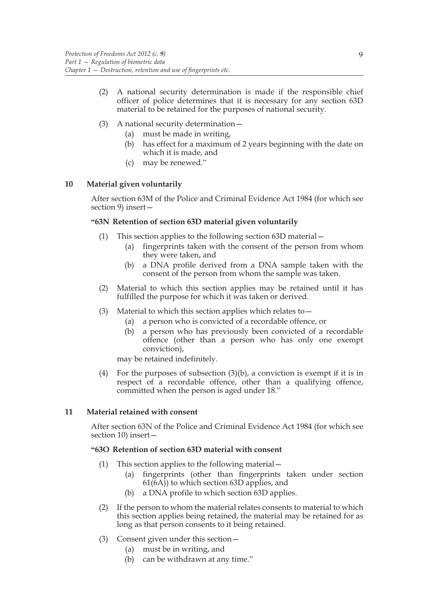- (2) A national security determination is made if the responsible chief officer of police determines that it is necessary for any section 63D material to be retained for the purposes of national security.
- (3) A national security determination—
	- (a) must be made in writing,
	- (b) has effect for a maximum of 2 years beginning with the date on which it is made, and
	- (c) may be renewed."

# **10 Material given voluntarily**

After section 63M of the Police and Criminal Evidence Act 1984 (for which see section 9) insert—

# **"63N Retention of section 63D material given voluntarily**

- (1) This section applies to the following section 63D material—
	- (a) fingerprints taken with the consent of the person from whom they were taken, and
	- (b) a DNA profile derived from a DNA sample taken with the consent of the person from whom the sample was taken.
- (2) Material to which this section applies may be retained until it has fulfilled the purpose for which it was taken or derived.
- (3) Material to which this section applies which relates to—
	- (a) a person who is convicted of a recordable offence, or
	- (b) a person who has previously been convicted of a recordable offence (other than a person who has only one exempt conviction),

may be retained indefinitely.

(4) For the purposes of subsection (3)(b), a conviction is exempt if it is in respect of a recordable offence, other than a qualifying offence, committed when the person is aged under 18."

# **11 Material retained with consent**

After section 63N of the Police and Criminal Evidence Act 1984 (for which see section 10) insert—

# **"63O Retention of section 63D material with consent**

- (1) This section applies to the following material—
	- (a) fingerprints (other than fingerprints taken under section  $61(6)$ ) to which section 63D applies, and
	- (b) a DNA profile to which section 63D applies.
- (2) If the person to whom the material relates consents to material to which this section applies being retained, the material may be retained for as long as that person consents to it being retained.
- (3) Consent given under this section—
	- (a) must be in writing, and
	- (b) can be withdrawn at any time."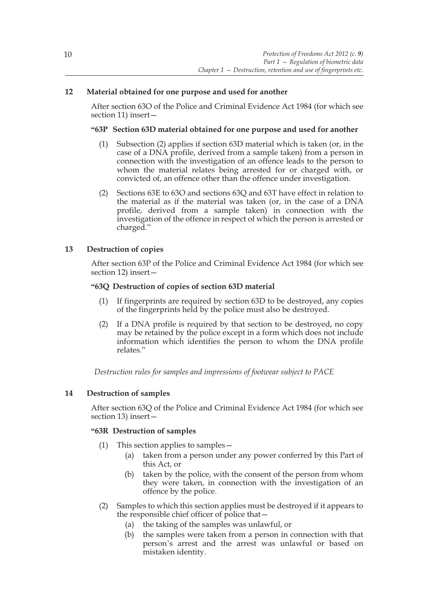# **12 Material obtained for one purpose and used for another**

After section 63O of the Police and Criminal Evidence Act 1984 (for which see section 11) insert—

# **"63P Section 63D material obtained for one purpose and used for another**

- (1) Subsection (2) applies if section 63D material which is taken (or, in the case of a DNA profile, derived from a sample taken) from a person in connection with the investigation of an offence leads to the person to whom the material relates being arrested for or charged with, or convicted of, an offence other than the offence under investigation.
- (2) Sections 63E to 63O and sections 63Q and 63T have effect in relation to the material as if the material was taken (or, in the case of a DNA profile, derived from a sample taken) in connection with the investigation of the offence in respect of which the person is arrested or charged."

# **13 Destruction of copies**

After section 63P of the Police and Criminal Evidence Act 1984 (for which see section 12) insert—

# **"63Q Destruction of copies of section 63D material**

- (1) If fingerprints are required by section 63D to be destroyed, any copies of the fingerprints held by the police must also be destroyed.
- (2) If a DNA profile is required by that section to be destroyed, no copy may be retained by the police except in a form which does not include information which identifies the person to whom the DNA profile relates."

*Destruction rules for samples and impressions of footwear subject to PACE*

# **14 Destruction of samples**

After section 63Q of the Police and Criminal Evidence Act 1984 (for which see section 13) insert—

# **"63R Destruction of samples**

- (1) This section applies to samples—
	- (a) taken from a person under any power conferred by this Part of this Act, or
	- (b) taken by the police, with the consent of the person from whom they were taken, in connection with the investigation of an offence by the police.
- (2) Samples to which this section applies must be destroyed if it appears to the responsible chief officer of police that—
	- (a) the taking of the samples was unlawful, or
	- (b) the samples were taken from a person in connection with that person's arrest and the arrest was unlawful or based on mistaken identity.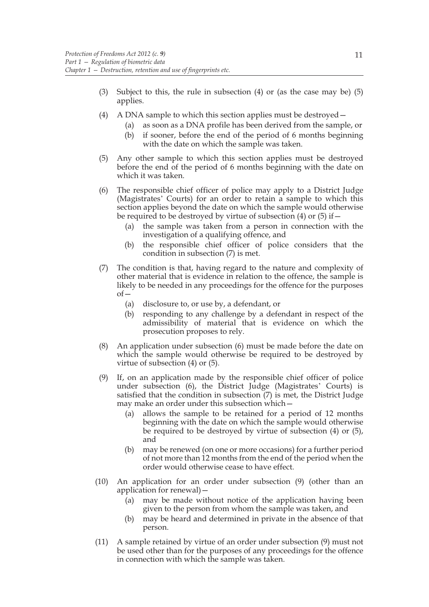- (3) Subject to this, the rule in subsection (4) or (as the case may be) (5) applies.
- (4) A DNA sample to which this section applies must be destroyed—
	- (a) as soon as a DNA profile has been derived from the sample, or
	- (b) if sooner, before the end of the period of 6 months beginning with the date on which the sample was taken.
- (5) Any other sample to which this section applies must be destroyed before the end of the period of 6 months beginning with the date on which it was taken.
- (6) The responsible chief officer of police may apply to a District Judge (Magistrates' Courts) for an order to retain a sample to which this section applies beyond the date on which the sample would otherwise be required to be destroyed by virtue of subsection (4) or (5) if—
	- (a) the sample was taken from a person in connection with the investigation of a qualifying offence, and
	- (b) the responsible chief officer of police considers that the condition in subsection (7) is met.
- (7) The condition is that, having regard to the nature and complexity of other material that is evidence in relation to the offence, the sample is likely to be needed in any proceedings for the offence for the purposes  $of-$ 
	- (a) disclosure to, or use by, a defendant, or
	- (b) responding to any challenge by a defendant in respect of the admissibility of material that is evidence on which the prosecution proposes to rely.
- (8) An application under subsection (6) must be made before the date on which the sample would otherwise be required to be destroyed by virtue of subsection (4) or (5).
- (9) If, on an application made by the responsible chief officer of police under subsection (6), the District Judge (Magistrates' Courts) is satisfied that the condition in subsection (7) is met, the District Judge may make an order under this subsection which—
	- (a) allows the sample to be retained for a period of 12 months beginning with the date on which the sample would otherwise be required to be destroyed by virtue of subsection (4) or (5), and
	- (b) may be renewed (on one or more occasions) for a further period of not more than 12 months from the end of the period when the order would otherwise cease to have effect.
- (10) An application for an order under subsection (9) (other than an application for renewal)—
	- (a) may be made without notice of the application having been given to the person from whom the sample was taken, and
	- (b) may be heard and determined in private in the absence of that person.
- (11) A sample retained by virtue of an order under subsection (9) must not be used other than for the purposes of any proceedings for the offence in connection with which the sample was taken.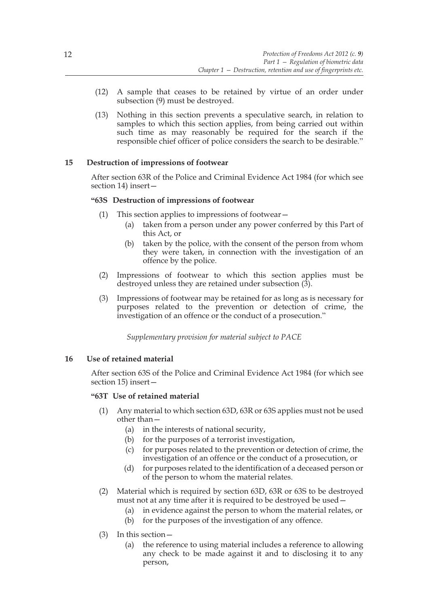- (12) A sample that ceases to be retained by virtue of an order under subsection (9) must be destroyed.
- (13) Nothing in this section prevents a speculative search, in relation to samples to which this section applies, from being carried out within such time as may reasonably be required for the search if the responsible chief officer of police considers the search to be desirable."

# **15 Destruction of impressions of footwear**

After section 63R of the Police and Criminal Evidence Act 1984 (for which see section 14) insert—

#### **"63S Destruction of impressions of footwear**

- (1) This section applies to impressions of footwear—
	- (a) taken from a person under any power conferred by this Part of this Act, or
	- (b) taken by the police, with the consent of the person from whom they were taken, in connection with the investigation of an offence by the police.
- (2) Impressions of footwear to which this section applies must be destroyed unless they are retained under subsection (3).
- (3) Impressions of footwear may be retained for as long as is necessary for purposes related to the prevention or detection of crime, the investigation of an offence or the conduct of a prosecution."

*Supplementary provision for material subject to PACE*

# **16 Use of retained material**

After section 63S of the Police and Criminal Evidence Act 1984 (for which see section 15) insert—

## **"63T Use of retained material**

- (1) Any material to which section 63D, 63R or 63S applies must not be used other than—
	- (a) in the interests of national security,
	- (b) for the purposes of a terrorist investigation,
	- (c) for purposes related to the prevention or detection of crime, the investigation of an offence or the conduct of a prosecution, or
	- (d) for purposes related to the identification of a deceased person or of the person to whom the material relates.
- (2) Material which is required by section 63D, 63R or 63S to be destroyed must not at any time after it is required to be destroyed be used—
	- (a) in evidence against the person to whom the material relates, or
	- (b) for the purposes of the investigation of any offence.
- (3) In this section—
	- (a) the reference to using material includes a reference to allowing any check to be made against it and to disclosing it to any person,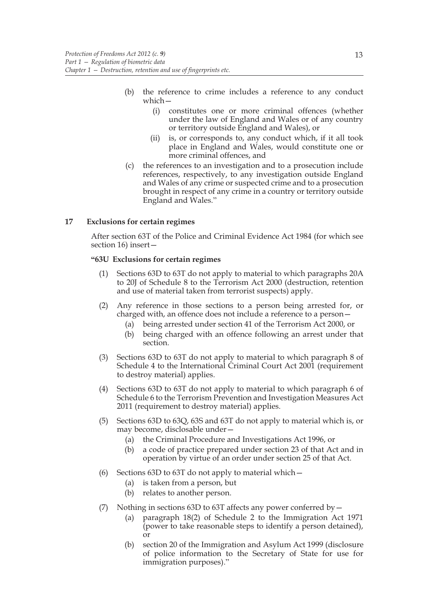- (b) the reference to crime includes a reference to any conduct which—
	- (i) constitutes one or more criminal offences (whether under the law of England and Wales or of any country or territory outside England and Wales), or
	- (ii) is, or corresponds to, any conduct which, if it all took place in England and Wales, would constitute one or more criminal offences, and
- (c) the references to an investigation and to a prosecution include references, respectively, to any investigation outside England and Wales of any crime or suspected crime and to a prosecution brought in respect of any crime in a country or territory outside England and Wales."

# **17 Exclusions for certain regimes**

After section 63T of the Police and Criminal Evidence Act 1984 (for which see section 16) insert—

## **"63U Exclusions for certain regimes**

- (1) Sections 63D to 63T do not apply to material to which paragraphs 20A to 20J of Schedule 8 to the Terrorism Act 2000 (destruction, retention and use of material taken from terrorist suspects) apply.
- (2) Any reference in those sections to a person being arrested for, or charged with, an offence does not include a reference to a person—
	- (a) being arrested under section 41 of the Terrorism Act 2000, or
	- (b) being charged with an offence following an arrest under that section.
- (3) Sections 63D to 63T do not apply to material to which paragraph 8 of Schedule 4 to the International Criminal Court Act 2001 (requirement to destroy material) applies.
- (4) Sections 63D to 63T do not apply to material to which paragraph 6 of Schedule 6 to the Terrorism Prevention and Investigation Measures Act 2011 (requirement to destroy material) applies.
- (5) Sections 63D to 63Q, 63S and 63T do not apply to material which is, or may become, disclosable under—
	- (a) the Criminal Procedure and Investigations Act 1996, or
	- (b) a code of practice prepared under section 23 of that Act and in operation by virtue of an order under section 25 of that Act.
- (6) Sections 63D to 63T do not apply to material which  $-$ 
	- (a) is taken from a person, but
	- (b) relates to another person.
- (7) Nothing in sections 63D to 63T affects any power conferred by  $-$ 
	- (a) paragraph 18(2) of Schedule 2 to the Immigration Act 1971 (power to take reasonable steps to identify a person detained), or
	- (b) section 20 of the Immigration and Asylum Act 1999 (disclosure of police information to the Secretary of State for use for immigration purposes)."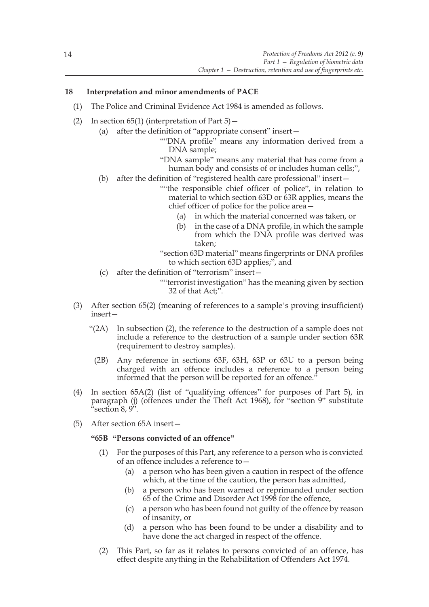# **18 Interpretation and minor amendments of PACE**

- (1) The Police and Criminal Evidence Act 1984 is amended as follows.
- (2) In section  $65(1)$  (interpretation of Part  $5$ )
	- (a) after the definition of "appropriate consent" insert—
		- ""DNA profile" means any information derived from a DNA sample;
		- "DNA sample" means any material that has come from a human body and consists of or includes human cells;",
	- (b) after the definition of "registered health care professional" insert—
		- ""the responsible chief officer of police", in relation to material to which section 63D or 63R applies, means the chief officer of police for the police area—
			- (a) in which the material concerned was taken, or
			- (b) in the case of a DNA profile, in which the sample from which the DNA profile was derived was taken;

"section 63D material" means fingerprints or DNA profiles to which section 63D applies;", and

(c) after the definition of "terrorism" insert—

""terrorist investigation" has the meaning given by section 32 of that Act;".

- (3) After section 65(2) (meaning of references to a sample's proving insufficient) insert—
	- "(2A) In subsection (2), the reference to the destruction of a sample does not include a reference to the destruction of a sample under section 63R (requirement to destroy samples).
		- (2B) Any reference in sections 63F, 63H, 63P or 63U to a person being charged with an offence includes a reference to a person being informed that the person will be reported for an offence."
- (4) In section 65A(2) (list of "qualifying offences" for purposes of Part 5), in paragraph (j) (offences under the Theft Act 1968), for "section 9" substitute "section  $8, 9$ ".
- (5) After section 65A insert—

# **"65B "Persons convicted of an offence"**

- (1) For the purposes of this Part, any reference to a person who is convicted of an offence includes a reference to—
	- (a) a person who has been given a caution in respect of the offence which, at the time of the caution, the person has admitted,
	- (b) a person who has been warned or reprimanded under section 65 of the Crime and Disorder Act 1998 for the offence,
	- (c) a person who has been found not guilty of the offence by reason of insanity, or
	- (d) a person who has been found to be under a disability and to have done the act charged in respect of the offence.
- (2) This Part, so far as it relates to persons convicted of an offence, has effect despite anything in the Rehabilitation of Offenders Act 1974.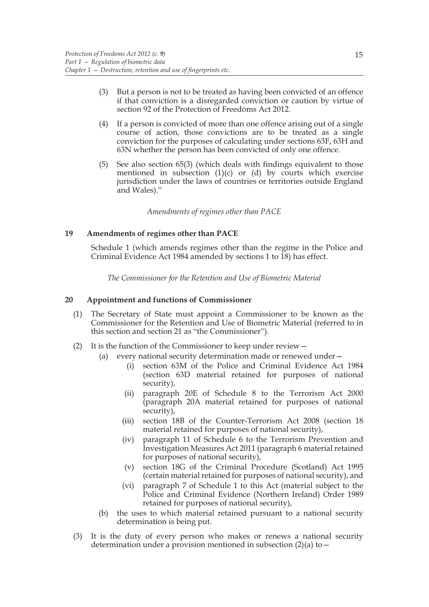- (3) But a person is not to be treated as having been convicted of an offence if that conviction is a disregarded conviction or caution by virtue of section 92 of the Protection of Freedoms Act 2012.
- (4) If a person is convicted of more than one offence arising out of a single course of action, those convictions are to be treated as a single conviction for the purposes of calculating under sections 63F, 63H and 63N whether the person has been convicted of only one offence.
- (5) See also section 65(3) (which deals with findings equivalent to those mentioned in subsection  $(1)(c)$  or  $(d)$  by courts which exercise jurisdiction under the laws of countries or territories outside England and Wales)."

*Amendments of regimes other than PACE*

# **19 Amendments of regimes other than PACE**

Schedule 1 (which amends regimes other than the regime in the Police and Criminal Evidence Act 1984 amended by sections 1 to 18) has effect.

*The Commissioner for the Retention and Use of Biometric Material*

#### **20 Appointment and functions of Commissioner**

- (1) The Secretary of State must appoint a Commissioner to be known as the Commissioner for the Retention and Use of Biometric Material (referred to in this section and section 21 as "the Commissioner").
- (2) It is the function of the Commissioner to keep under review—
	- (a) every national security determination made or renewed under—
		- (i) section 63M of the Police and Criminal Evidence Act 1984 (section 63D material retained for purposes of national security),
		- (ii) paragraph 20E of Schedule 8 to the Terrorism Act 2000 (paragraph 20A material retained for purposes of national security),
		- (iii) section 18B of the Counter-Terrorism Act 2008 (section 18 material retained for purposes of national security),
		- (iv) paragraph 11 of Schedule 6 to the Terrorism Prevention and Investigation Measures Act 2011 (paragraph 6 material retained for purposes of national security),
		- (v) section 18G of the Criminal Procedure (Scotland) Act 1995 (certain material retained for purposes of national security), and
		- (vi) paragraph 7 of Schedule 1 to this Act (material subject to the Police and Criminal Evidence (Northern Ireland) Order 1989 retained for purposes of national security),
	- (b) the uses to which material retained pursuant to a national security determination is being put.
- (3) It is the duty of every person who makes or renews a national security determination under a provision mentioned in subsection  $(2)(a)$  to -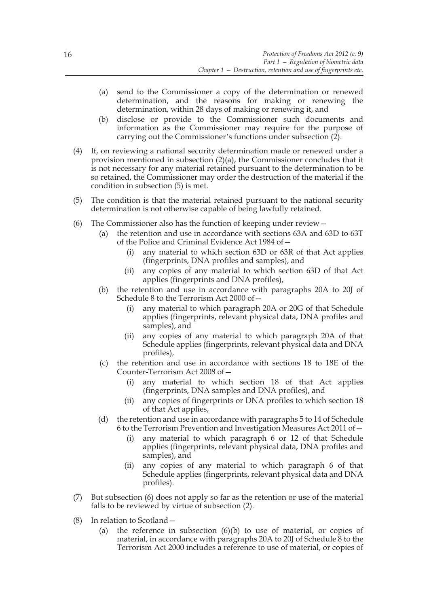- (a) send to the Commissioner a copy of the determination or renewed determination, and the reasons for making or renewing the determination, within 28 days of making or renewing it, and
- (b) disclose or provide to the Commissioner such documents and information as the Commissioner may require for the purpose of carrying out the Commissioner's functions under subsection (2).
- (4) If, on reviewing a national security determination made or renewed under a provision mentioned in subsection  $(2)(a)$ , the Commissioner concludes that it is not necessary for any material retained pursuant to the determination to be so retained, the Commissioner may order the destruction of the material if the condition in subsection (5) is met.
- (5) The condition is that the material retained pursuant to the national security determination is not otherwise capable of being lawfully retained.
- (6) The Commissioner also has the function of keeping under review—
	- (a) the retention and use in accordance with sections 63A and 63D to 63T of the Police and Criminal Evidence Act 1984 of—
		- (i) any material to which section 63D or 63R of that Act applies (fingerprints, DNA profiles and samples), and
		- (ii) any copies of any material to which section 63D of that Act applies (fingerprints and DNA profiles),
	- (b) the retention and use in accordance with paragraphs 20A to 20J of Schedule 8 to the Terrorism Act 2000 of—
		- (i) any material to which paragraph 20A or 20G of that Schedule applies (fingerprints, relevant physical data, DNA profiles and samples), and
		- (ii) any copies of any material to which paragraph 20A of that Schedule applies (fingerprints, relevant physical data and DNA profiles),
	- (c) the retention and use in accordance with sections 18 to 18E of the Counter-Terrorism Act 2008 of
		- any material to which section 18 of that Act applies (fingerprints, DNA samples and DNA profiles), and
		- (ii) any copies of fingerprints or DNA profiles to which section 18 of that Act applies,
	- (d) the retention and use in accordance with paragraphs 5 to 14 of Schedule 6 to the Terrorism Prevention and Investigation Measures Act 2011 of—
		- (i) any material to which paragraph 6 or 12 of that Schedule applies (fingerprints, relevant physical data, DNA profiles and samples), and
		- (ii) any copies of any material to which paragraph 6 of that Schedule applies (fingerprints, relevant physical data and DNA profiles).
- (7) But subsection (6) does not apply so far as the retention or use of the material falls to be reviewed by virtue of subsection (2).
- (8) In relation to Scotland—
	- (a) the reference in subsection  $(6)(b)$  to use of material, or copies of material, in accordance with paragraphs 20A to 20J of Schedule 8 to the Terrorism Act 2000 includes a reference to use of material, or copies of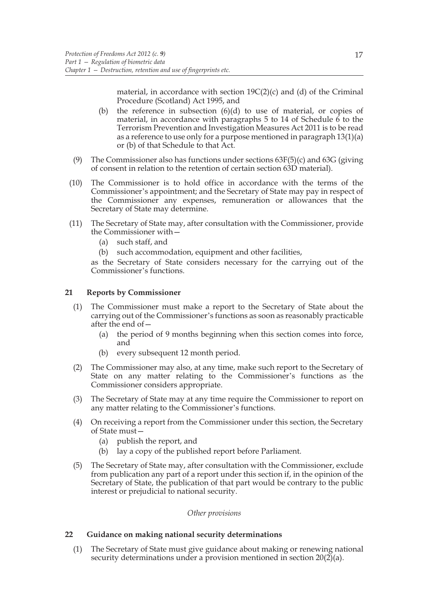material, in accordance with section  $19C(2)(c)$  and (d) of the Criminal Procedure (Scotland) Act 1995, and

- (b) the reference in subsection  $(6)(d)$  to use of material, or copies of material, in accordance with paragraphs  $5$  to  $14$  of Schedule  $6$  to the Terrorism Prevention and Investigation Measures Act 2011 is to be read as a reference to use only for a purpose mentioned in paragraph 13(1)(a) or (b) of that Schedule to that Act.
- (9) The Commissioner also has functions under sections  $63F(5)(c)$  and  $63G$  (giving of consent in relation to the retention of certain section 63D material).
- (10) The Commissioner is to hold office in accordance with the terms of the Commissioner's appointment; and the Secretary of State may pay in respect of the Commissioner any expenses, remuneration or allowances that the Secretary of State may determine.
- (11) The Secretary of State may, after consultation with the Commissioner, provide the Commissioner with—
	- (a) such staff, and
	- (b) such accommodation, equipment and other facilities,

as the Secretary of State considers necessary for the carrying out of the Commissioner's functions.

# **21 Reports by Commissioner**

- (1) The Commissioner must make a report to the Secretary of State about the carrying out of the Commissioner's functions as soon as reasonably practicable after the end of—
	- (a) the period of 9 months beginning when this section comes into force, and
	- (b) every subsequent 12 month period.
- (2) The Commissioner may also, at any time, make such report to the Secretary of State on any matter relating to the Commissioner's functions as the Commissioner considers appropriate.
- (3) The Secretary of State may at any time require the Commissioner to report on any matter relating to the Commissioner's functions.
- (4) On receiving a report from the Commissioner under this section, the Secretary of State must—
	- (a) publish the report, and
	- (b) lay a copy of the published report before Parliament.
- (5) The Secretary of State may, after consultation with the Commissioner, exclude from publication any part of a report under this section if, in the opinion of the Secretary of State, the publication of that part would be contrary to the public interest or prejudicial to national security.

# *Other provisions*

# **22 Guidance on making national security determinations**

(1) The Secretary of State must give guidance about making or renewing national security determinations under a provision mentioned in section 20(2)(a).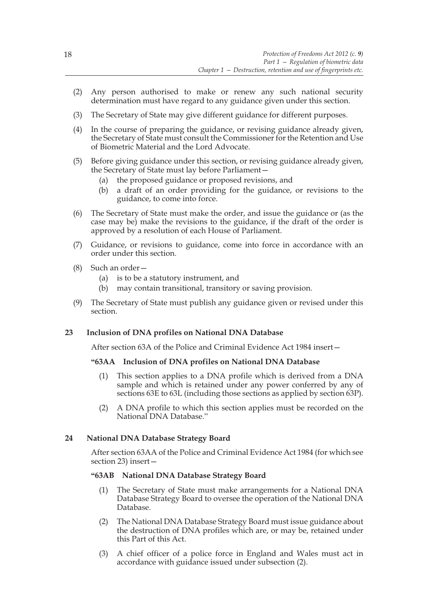- (2) Any person authorised to make or renew any such national security determination must have regard to any guidance given under this section.
- (3) The Secretary of State may give different guidance for different purposes.
- (4) In the course of preparing the guidance, or revising guidance already given, the Secretary of State must consult the Commissioner for the Retention and Use of Biometric Material and the Lord Advocate.
- (5) Before giving guidance under this section, or revising guidance already given, the Secretary of State must lay before Parliament—
	- (a) the proposed guidance or proposed revisions, and
	- (b) a draft of an order providing for the guidance, or revisions to the guidance, to come into force.
- (6) The Secretary of State must make the order, and issue the guidance or (as the case may be) make the revisions to the guidance, if the draft of the order is approved by a resolution of each House of Parliament.
- (7) Guidance, or revisions to guidance, come into force in accordance with an order under this section.
- (8) Such an order—
	- (a) is to be a statutory instrument, and
	- (b) may contain transitional, transitory or saving provision.
- (9) The Secretary of State must publish any guidance given or revised under this section.

# **23 Inclusion of DNA profiles on National DNA Database**

After section 63A of the Police and Criminal Evidence Act 1984 insert—

# **"63AA Inclusion of DNA profiles on National DNA Database**

- (1) This section applies to a DNA profile which is derived from a DNA sample and which is retained under any power conferred by any of sections 63E to 63L (including those sections as applied by section 63P).
- (2) A DNA profile to which this section applies must be recorded on the National DNA Database."

# **24 National DNA Database Strategy Board**

After section 63AA of the Police and Criminal Evidence Act 1984 (for which see section 23) insert—

## **"63AB National DNA Database Strategy Board**

- (1) The Secretary of State must make arrangements for a National DNA Database Strategy Board to oversee the operation of the National DNA Database.
- (2) The National DNA Database Strategy Board must issue guidance about the destruction of DNA profiles which are, or may be, retained under this Part of this Act.
- (3) A chief officer of a police force in England and Wales must act in accordance with guidance issued under subsection (2).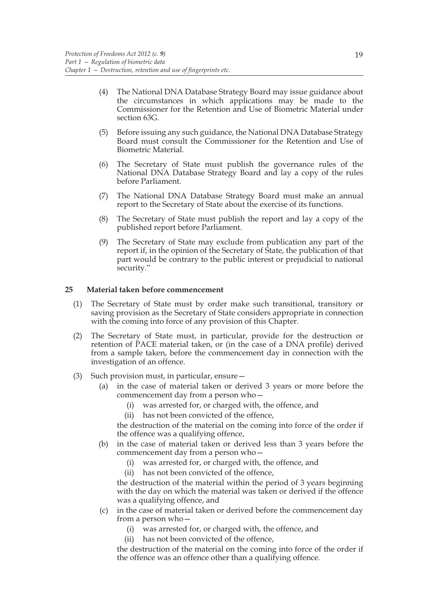- (4) The National DNA Database Strategy Board may issue guidance about the circumstances in which applications may be made to the Commissioner for the Retention and Use of Biometric Material under section 63G.
- (5) Before issuing any such guidance, the National DNA Database Strategy Board must consult the Commissioner for the Retention and Use of Biometric Material.
- (6) The Secretary of State must publish the governance rules of the National DNA Database Strategy Board and lay a copy of the rules before Parliament.
- (7) The National DNA Database Strategy Board must make an annual report to the Secretary of State about the exercise of its functions.
- (8) The Secretary of State must publish the report and lay a copy of the published report before Parliament.
- (9) The Secretary of State may exclude from publication any part of the report if, in the opinion of the Secretary of State, the publication of that part would be contrary to the public interest or prejudicial to national security."

# **25 Material taken before commencement**

- (1) The Secretary of State must by order make such transitional, transitory or saving provision as the Secretary of State considers appropriate in connection with the coming into force of any provision of this Chapter.
- (2) The Secretary of State must, in particular, provide for the destruction or retention of PACE material taken, or (in the case of a DNA profile) derived from a sample taken, before the commencement day in connection with the investigation of an offence.
- (3) Such provision must, in particular, ensure—
	- (a) in the case of material taken or derived 3 years or more before the commencement day from a person who—
		- (i) was arrested for, or charged with, the offence, and
		- (ii) has not been convicted of the offence,

the destruction of the material on the coming into force of the order if the offence was a qualifying offence,

- (b) in the case of material taken or derived less than 3 years before the commencement day from a person who
	- was arrested for, or charged with, the offence, and
	- (ii) has not been convicted of the offence,

the destruction of the material within the period of 3 years beginning with the day on which the material was taken or derived if the offence was a qualifying offence, and

- (c) in the case of material taken or derived before the commencement day from a person who—
	- (i) was arrested for, or charged with, the offence, and
	- (ii) has not been convicted of the offence,

the destruction of the material on the coming into force of the order if the offence was an offence other than a qualifying offence.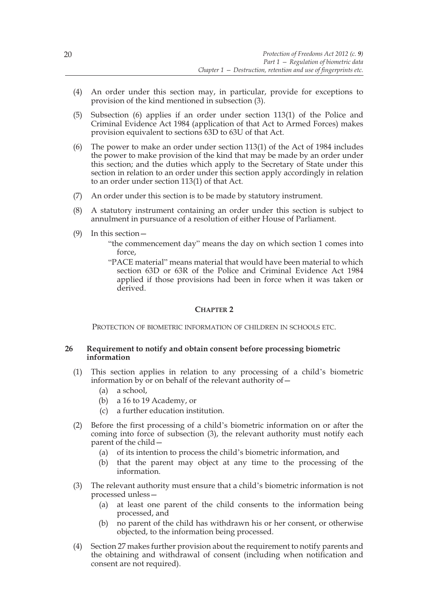- (4) An order under this section may, in particular, provide for exceptions to provision of the kind mentioned in subsection (3).
- (5) Subsection (6) applies if an order under section 113(1) of the Police and Criminal Evidence Act 1984 (application of that Act to Armed Forces) makes provision equivalent to sections 63D to 63U of that Act.
- (6) The power to make an order under section 113(1) of the Act of 1984 includes the power to make provision of the kind that may be made by an order under this section; and the duties which apply to the Secretary of State under this section in relation to an order under this section apply accordingly in relation to an order under section 113(1) of that Act.
- (7) An order under this section is to be made by statutory instrument.
- (8) A statutory instrument containing an order under this section is subject to annulment in pursuance of a resolution of either House of Parliament.
- (9) In this section—

"the commencement day" means the day on which section 1 comes into force,

"PACE material" means material that would have been material to which section 63D or 63R of the Police and Criminal Evidence Act 1984 applied if those provisions had been in force when it was taken or derived.

#### **CHAPTER 2**

PROTECTION OF BIOMETRIC INFORMATION OF CHILDREN IN SCHOOLS ETC.

## **26 Requirement to notify and obtain consent before processing biometric information**

- (1) This section applies in relation to any processing of a child's biometric information by or on behalf of the relevant authority of—
	- (a) a school,
	- (b) a 16 to 19 Academy, or
	- (c) a further education institution.
- (2) Before the first processing of a child's biometric information on or after the coming into force of subsection (3), the relevant authority must notify each parent of the child—
	- (a) of its intention to process the child's biometric information, and
	- (b) that the parent may object at any time to the processing of the information.
- (3) The relevant authority must ensure that a child's biometric information is not processed unless—
	- (a) at least one parent of the child consents to the information being processed, and
	- (b) no parent of the child has withdrawn his or her consent, or otherwise objected, to the information being processed.
- (4) Section 27 makes further provision about the requirement to notify parents and the obtaining and withdrawal of consent (including when notification and consent are not required).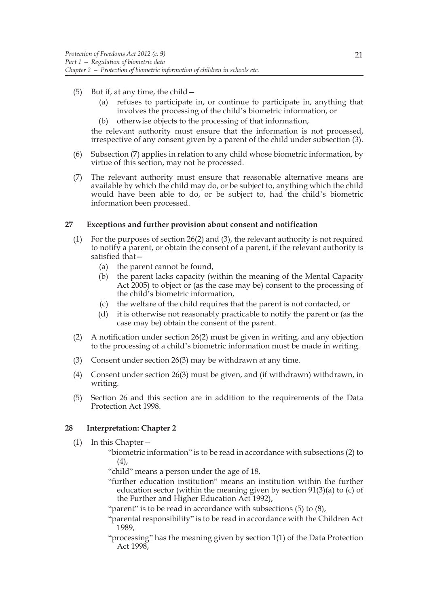- (5) But if, at any time, the child—
	- (a) refuses to participate in, or continue to participate in, anything that involves the processing of the child's biometric information, or
	- (b) otherwise objects to the processing of that information,

the relevant authority must ensure that the information is not processed, irrespective of any consent given by a parent of the child under subsection (3).

- (6) Subsection (7) applies in relation to any child whose biometric information, by virtue of this section, may not be processed.
- (7) The relevant authority must ensure that reasonable alternative means are available by which the child may do, or be subject to, anything which the child would have been able to do, or be subject to, had the child's biometric information been processed.

# **27 Exceptions and further provision about consent and notification**

- (1) For the purposes of section 26(2) and (3), the relevant authority is not required to notify a parent, or obtain the consent of a parent, if the relevant authority is satisfied that—
	- (a) the parent cannot be found,
	- (b) the parent lacks capacity (within the meaning of the Mental Capacity Act 2005) to object or (as the case may be) consent to the processing of the child's biometric information,
	- (c) the welfare of the child requires that the parent is not contacted, or
	- (d) it is otherwise not reasonably practicable to notify the parent or (as the case may be) obtain the consent of the parent.
- (2) A notification under section 26(2) must be given in writing, and any objection to the processing of a child's biometric information must be made in writing.
- (3) Consent under section 26(3) may be withdrawn at any time.
- (4) Consent under section 26(3) must be given, and (if withdrawn) withdrawn, in writing.
- (5) Section 26 and this section are in addition to the requirements of the Data Protection Act 1998.

# **28 Interpretation: Chapter 2**

- (1) In this Chapter—
	- "biometric information" is to be read in accordance with subsections (2) to  $(4),$
	- "child" means a person under the age of 18,
	- "further education institution" means an institution within the further education sector (within the meaning given by section 91(3)(a) to (c) of the Further and Higher Education Act 1992),
	- "parent" is to be read in accordance with subsections (5) to (8),
	- "parental responsibility" is to be read in accordance with the Children Act 1989,
	- "processing" has the meaning given by section 1(1) of the Data Protection Act 1998,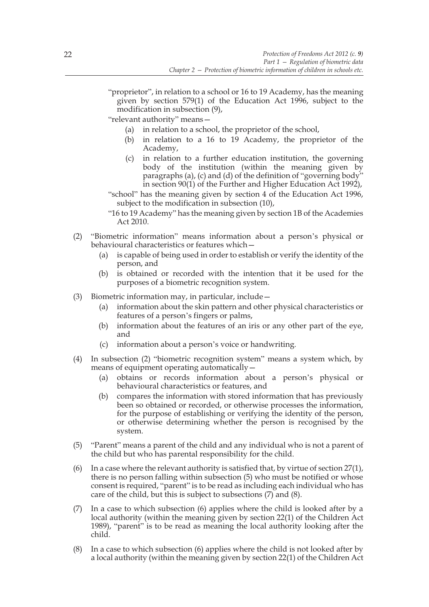"proprietor", in relation to a school or 16 to 19 Academy, has the meaning given by section 579(1) of the Education Act 1996, subject to the modification in subsection (9),

"relevant authority" means—

- (a) in relation to a school, the proprietor of the school,
- (b) in relation to a 16 to 19 Academy, the proprietor of the Academy,
- (c) in relation to a further education institution, the governing body of the institution (within the meaning given by paragraphs (a), (c) and (d) of the definition of "governing body" in section 90(1) of the Further and Higher Education Act 1992),
- "school" has the meaning given by section 4 of the Education Act 1996, subject to the modification in subsection (10),
- "16 to 19 Academy" has the meaning given by section 1B of the Academies Act 2010.
- (2) "Biometric information" means information about a person's physical or behavioural characteristics or features which—
	- (a) is capable of being used in order to establish or verify the identity of the person, and
	- (b) is obtained or recorded with the intention that it be used for the purposes of a biometric recognition system.
- (3) Biometric information may, in particular, include—
	- (a) information about the skin pattern and other physical characteristics or features of a person's fingers or palms,
	- (b) information about the features of an iris or any other part of the eye, and
	- (c) information about a person's voice or handwriting.
- (4) In subsection (2) "biometric recognition system" means a system which, by means of equipment operating automatically—
	- (a) obtains or records information about a person's physical or behavioural characteristics or features, and
	- (b) compares the information with stored information that has previously been so obtained or recorded, or otherwise processes the information, for the purpose of establishing or verifying the identity of the person, or otherwise determining whether the person is recognised by the system.
- (5) "Parent" means a parent of the child and any individual who is not a parent of the child but who has parental responsibility for the child.
- (6) In a case where the relevant authority is satisfied that, by virtue of section  $27(1)$ , there is no person falling within subsection (5) who must be notified or whose consent is required, "parent" is to be read as including each individual who has care of the child, but this is subject to subsections (7) and (8).
- (7) In a case to which subsection (6) applies where the child is looked after by a local authority (within the meaning given by section 22(1) of the Children Act 1989), "parent" is to be read as meaning the local authority looking after the child.
- (8) In a case to which subsection (6) applies where the child is not looked after by a local authority (within the meaning given by section 22(1) of the Children Act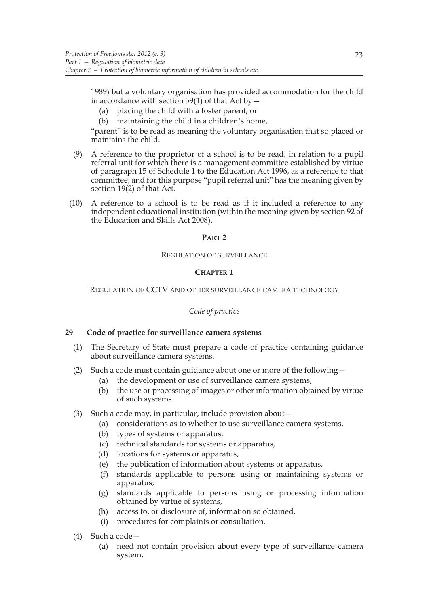1989) but a voluntary organisation has provided accommodation for the child in accordance with section 59(1) of that Act by  $-$ 

- (a) placing the child with a foster parent, or
- (b) maintaining the child in a children's home,

"parent" is to be read as meaning the voluntary organisation that so placed or maintains the child.

- (9) A reference to the proprietor of a school is to be read, in relation to a pupil referral unit for which there is a management committee established by virtue of paragraph 15 of Schedule 1 to the Education Act 1996, as a reference to that committee; and for this purpose "pupil referral unit" has the meaning given by section 19(2) of that Act.
- (10) A reference to a school is to be read as if it included a reference to any independent educational institution (within the meaning given by section 92 of the Education and Skills Act 2008).

# **PART 2**

## REGULATION OF SURVEILLANCE

# **CHAPTER 1**

# REGULATION OF CCTV AND OTHER SURVEILLANCE CAMERA TECHNOLOGY

# *Code of practice*

# **29 Code of practice for surveillance camera systems**

- (1) The Secretary of State must prepare a code of practice containing guidance about surveillance camera systems.
- (2) Such a code must contain guidance about one or more of the following—
	- (a) the development or use of surveillance camera systems,
	- (b) the use or processing of images or other information obtained by virtue of such systems.
- (3) Such a code may, in particular, include provision about—
	- (a) considerations as to whether to use surveillance camera systems,
	- (b) types of systems or apparatus,
	- (c) technical standards for systems or apparatus,
	- (d) locations for systems or apparatus,
	- (e) the publication of information about systems or apparatus,
	- (f) standards applicable to persons using or maintaining systems or apparatus,
	- (g) standards applicable to persons using or processing information obtained by virtue of systems,
	- (h) access to, or disclosure of, information so obtained,
	- (i) procedures for complaints or consultation.
- (4) Such a code—
	- (a) need not contain provision about every type of surveillance camera system,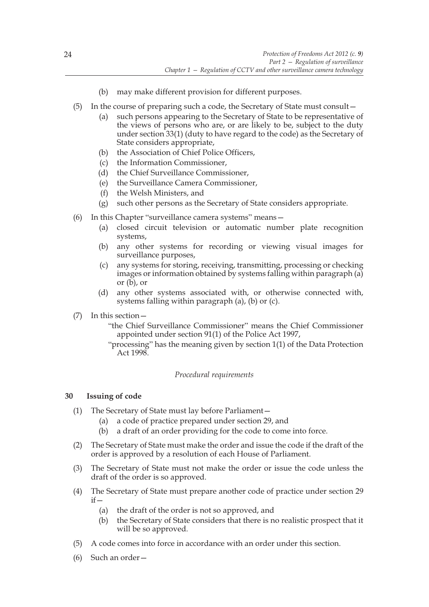- (b) may make different provision for different purposes.
- (5) In the course of preparing such a code, the Secretary of State must consult—
	- (a) such persons appearing to the Secretary of State to be representative of the views of persons who are, or are likely to be, subject to the duty under section 33(1) (duty to have regard to the code) as the Secretary of State considers appropriate,
	- (b) the Association of Chief Police Officers,
	- (c) the Information Commissioner,
	- (d) the Chief Surveillance Commissioner,
	- (e) the Surveillance Camera Commissioner,
	- (f) the Welsh Ministers, and
	- (g) such other persons as the Secretary of State considers appropriate.
- (6) In this Chapter "surveillance camera systems" means—
	- (a) closed circuit television or automatic number plate recognition systems,
	- (b) any other systems for recording or viewing visual images for surveillance purposes,
	- (c) any systems for storing, receiving, transmitting, processing or checking images or information obtained by systems falling within paragraph (a) or (b), or
	- (d) any other systems associated with, or otherwise connected with, systems falling within paragraph (a), (b) or (c).
- (7) In this section—
	- "the Chief Surveillance Commissioner" means the Chief Commissioner appointed under section 91(1) of the Police Act 1997,
	- "processing" has the meaning given by section 1(1) of the Data Protection Act 1998.

# *Procedural requirements*

# **30 Issuing of code**

- (1) The Secretary of State must lay before Parliament—
	- (a) a code of practice prepared under section 29, and
	- (b) a draft of an order providing for the code to come into force.
- (2) The Secretary of State must make the order and issue the code if the draft of the order is approved by a resolution of each House of Parliament.
- (3) The Secretary of State must not make the order or issue the code unless the draft of the order is so approved.
- (4) The Secretary of State must prepare another code of practice under section 29  $if$ 
	- (a) the draft of the order is not so approved, and
	- (b) the Secretary of State considers that there is no realistic prospect that it will be so approved.
- (5) A code comes into force in accordance with an order under this section.
- (6) Such an order—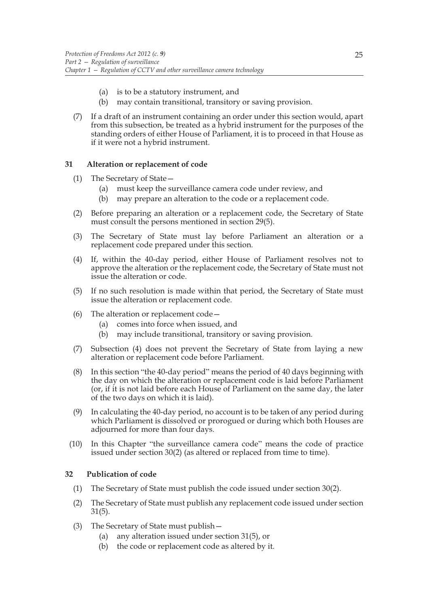- (a) is to be a statutory instrument, and
- (b) may contain transitional, transitory or saving provision.
- (7) If a draft of an instrument containing an order under this section would, apart from this subsection, be treated as a hybrid instrument for the purposes of the standing orders of either House of Parliament, it is to proceed in that House as if it were not a hybrid instrument.

# **31 Alteration or replacement of code**

- (1) The Secretary of State—
	- (a) must keep the surveillance camera code under review, and
	- (b) may prepare an alteration to the code or a replacement code.
- (2) Before preparing an alteration or a replacement code, the Secretary of State must consult the persons mentioned in section 29(5).
- (3) The Secretary of State must lay before Parliament an alteration or a replacement code prepared under this section.
- (4) If, within the 40-day period, either House of Parliament resolves not to approve the alteration or the replacement code, the Secretary of State must not issue the alteration or code.
- (5) If no such resolution is made within that period, the Secretary of State must issue the alteration or replacement code.
- (6) The alteration or replacement code—
	- (a) comes into force when issued, and
	- (b) may include transitional, transitory or saving provision.
- (7) Subsection (4) does not prevent the Secretary of State from laying a new alteration or replacement code before Parliament.
- (8) In this section "the 40-day period" means the period of 40 days beginning with the day on which the alteration or replacement code is laid before Parliament (or, if it is not laid before each House of Parliament on the same day, the later of the two days on which it is laid).
- (9) In calculating the 40-day period, no account is to be taken of any period during which Parliament is dissolved or prorogued or during which both Houses are adjourned for more than four days.
- (10) In this Chapter "the surveillance camera code" means the code of practice issued under section 30(2) (as altered or replaced from time to time).

# **32 Publication of code**

- (1) The Secretary of State must publish the code issued under section 30(2).
- (2) The Secretary of State must publish any replacement code issued under section 31(5).
- (3) The Secretary of State must publish—
	- (a) any alteration issued under section 31(5), or
	- (b) the code or replacement code as altered by it.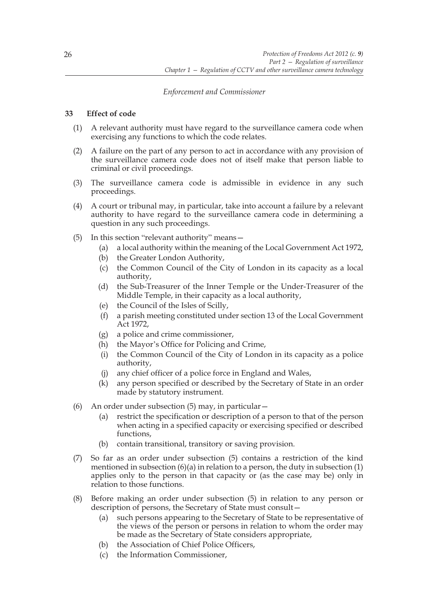# *Enforcement and Commissioner*

# **33 Effect of code**

- (1) A relevant authority must have regard to the surveillance camera code when exercising any functions to which the code relates.
- (2) A failure on the part of any person to act in accordance with any provision of the surveillance camera code does not of itself make that person liable to criminal or civil proceedings.
- (3) The surveillance camera code is admissible in evidence in any such proceedings.
- (4) A court or tribunal may, in particular, take into account a failure by a relevant authority to have regard to the surveillance camera code in determining a question in any such proceedings.
- (5) In this section "relevant authority" means—
	- (a) a local authority within the meaning of the Local Government Act 1972,
	- (b) the Greater London Authority,
	- (c) the Common Council of the City of London in its capacity as a local authority,
	- (d) the Sub-Treasurer of the Inner Temple or the Under-Treasurer of the Middle Temple, in their capacity as a local authority,
	- (e) the Council of the Isles of Scilly,
	- (f) a parish meeting constituted under section 13 of the Local Government Act 1972,
	- (g) a police and crime commissioner,
	- (h) the Mayor's Office for Policing and Crime,
	- (i) the Common Council of the City of London in its capacity as a police authority,
	- (j) any chief officer of a police force in England and Wales,
	- (k) any person specified or described by the Secretary of State in an order made by statutory instrument.
- (6) An order under subsection (5) may, in particular—
	- (a) restrict the specification or description of a person to that of the person when acting in a specified capacity or exercising specified or described functions,
	- (b) contain transitional, transitory or saving provision.
- (7) So far as an order under subsection (5) contains a restriction of the kind mentioned in subsection  $(6)(a)$  in relation to a person, the duty in subsection  $(1)$ applies only to the person in that capacity or (as the case may be) only in relation to those functions.
- (8) Before making an order under subsection (5) in relation to any person or description of persons, the Secretary of State must consult—
	- (a) such persons appearing to the Secretary of State to be representative of the views of the person or persons in relation to whom the order may be made as the Secretary of State considers appropriate,
	- (b) the Association of Chief Police Officers,
	- (c) the Information Commissioner,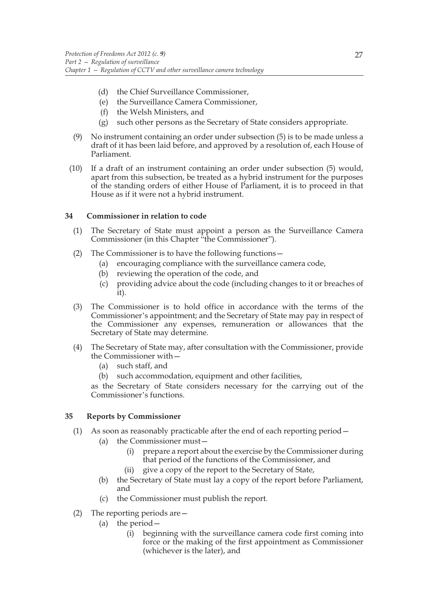- (d) the Chief Surveillance Commissioner,
- (e) the Surveillance Camera Commissioner,
- (f) the Welsh Ministers, and
- (g) such other persons as the Secretary of State considers appropriate.
- (9) No instrument containing an order under subsection (5) is to be made unless a draft of it has been laid before, and approved by a resolution of, each House of Parliament.
- (10) If a draft of an instrument containing an order under subsection (5) would, apart from this subsection, be treated as a hybrid instrument for the purposes of the standing orders of either House of Parliament, it is to proceed in that House as if it were not a hybrid instrument.

# **34 Commissioner in relation to code**

- (1) The Secretary of State must appoint a person as the Surveillance Camera Commissioner (in this Chapter "the Commissioner").
- (2) The Commissioner is to have the following functions—
	- (a) encouraging compliance with the surveillance camera code,
	- (b) reviewing the operation of the code, and
	- (c) providing advice about the code (including changes to it or breaches of it).
- (3) The Commissioner is to hold office in accordance with the terms of the Commissioner's appointment; and the Secretary of State may pay in respect of the Commissioner any expenses, remuneration or allowances that the Secretary of State may determine.
- (4) The Secretary of State may, after consultation with the Commissioner, provide the Commissioner with—
	- (a) such staff, and
	- (b) such accommodation, equipment and other facilities,

as the Secretary of State considers necessary for the carrying out of the Commissioner's functions.

### **35 Reports by Commissioner**

- (1) As soon as reasonably practicable after the end of each reporting period—
	- (a) the Commissioner must—
		- (i) prepare a report about the exercise by the Commissioner during that period of the functions of the Commissioner, and
		- (ii) give a copy of the report to the Secretary of State,
	- (b) the Secretary of State must lay a copy of the report before Parliament, and
	- (c) the Commissioner must publish the report.
- (2) The reporting periods are—
	- (a) the period—
		- (i) beginning with the surveillance camera code first coming into force or the making of the first appointment as Commissioner (whichever is the later), and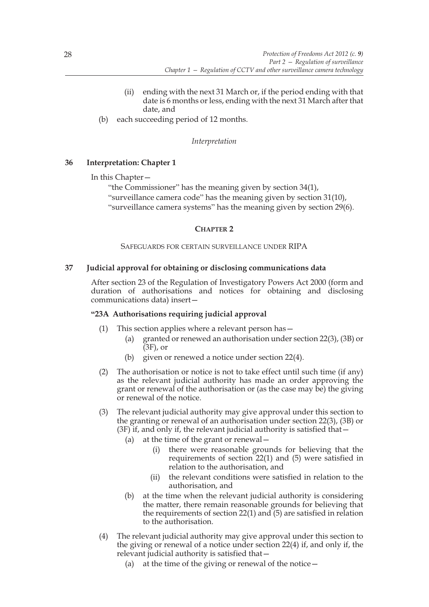- (ii) ending with the next 31 March or, if the period ending with that date is 6 months or less, ending with the next 31 March after that date, and
- (b) each succeeding period of 12 months.

*Interpretation*

# **36 Interpretation: Chapter 1**

In this Chapter—

"the Commissioner" has the meaning given by section 34(1), "surveillance camera code" has the meaning given by section 31(10), "surveillance camera systems" has the meaning given by section 29(6).

# **CHAPTER 2**

#### SAFEGUARDS FOR CERTAIN SURVEILLANCE UNDER RIPA

# **37 Judicial approval for obtaining or disclosing communications data**

After section 23 of the Regulation of Investigatory Powers Act 2000 (form and duration of authorisations and notices for obtaining and disclosing communications data) insert—

### **"23A Authorisations requiring judicial approval**

- (1) This section applies where a relevant person has—
	- (a) granted or renewed an authorisation under section 22(3), (3B) or  $(3F)$ , or
	- (b) given or renewed a notice under section 22(4).
- (2) The authorisation or notice is not to take effect until such time (if any) as the relevant judicial authority has made an order approving the grant or renewal of the authorisation or (as the case may be) the giving or renewal of the notice.
- (3) The relevant judicial authority may give approval under this section to the granting or renewal of an authorisation under section 22(3), (3B) or  $(3F)$  if, and only if, the relevant judicial authority is satisfied that  $-$ 
	- (a) at the time of the grant or renewal—
		- (i) there were reasonable grounds for believing that the requirements of section 22(1) and (5) were satisfied in relation to the authorisation, and
		- (ii) the relevant conditions were satisfied in relation to the authorisation, and
	- (b) at the time when the relevant judicial authority is considering the matter, there remain reasonable grounds for believing that the requirements of section 22(1) and (5) are satisfied in relation to the authorisation.
- (4) The relevant judicial authority may give approval under this section to the giving or renewal of a notice under section 22(4) if, and only if, the relevant judicial authority is satisfied that—
	- (a) at the time of the giving or renewal of the notice  $-$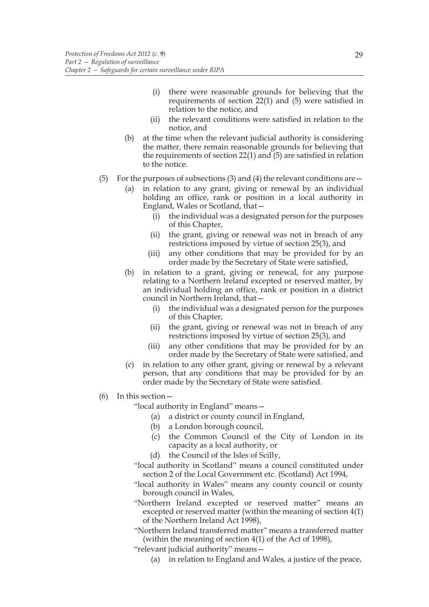- (i) there were reasonable grounds for believing that the requirements of section 22(1) and (5) were satisfied in relation to the notice, and
- (ii) the relevant conditions were satisfied in relation to the notice, and
- (b) at the time when the relevant judicial authority is considering the matter, there remain reasonable grounds for believing that the requirements of section 22(1) and (5) are satisfied in relation to the notice.
- (5) For the purposes of subsections (3) and (4) the relevant conditions are  $-$ 
	- (a) in relation to any grant, giving or renewal by an individual holding an office, rank or position in a local authority in England, Wales or Scotland, that—
		- (i) the individual was a designated person for the purposes of this Chapter,
		- (ii) the grant, giving or renewal was not in breach of any restrictions imposed by virtue of section 25(3), and
		- (iii) any other conditions that may be provided for by an order made by the Secretary of State were satisfied,
	- (b) in relation to a grant, giving or renewal, for any purpose relating to a Northern Ireland excepted or reserved matter, by an individual holding an office, rank or position in a district council in Northern Ireland, that—
		- (i) the individual was a designated person for the purposes of this Chapter,
		- (ii) the grant, giving or renewal was not in breach of any restrictions imposed by virtue of section 25(3), and
		- (iii) any other conditions that may be provided for by an order made by the Secretary of State were satisfied, and
	- (c) in relation to any other grant, giving or renewal by a relevant person, that any conditions that may be provided for by an order made by the Secretary of State were satisfied.
- (6) In this section—

"local authority in England" means—

- (a) a district or county council in England,
- (b) a London borough council,
- (c) the Common Council of the City of London in its capacity as a local authority, or
- (d) the Council of the Isles of Scilly,
- "local authority in Scotland" means a council constituted under section 2 of the Local Government etc. (Scotland) Act 1994,
- "local authority in Wales" means any county council or county borough council in Wales,
- "Northern Ireland excepted or reserved matter" means an excepted or reserved matter (within the meaning of section 4(1) of the Northern Ireland Act 1998),
- "Northern Ireland transferred matter" means a transferred matter (within the meaning of section 4(1) of the Act of 1998),

"relevant judicial authority" means—

(a) in relation to England and Wales, a justice of the peace,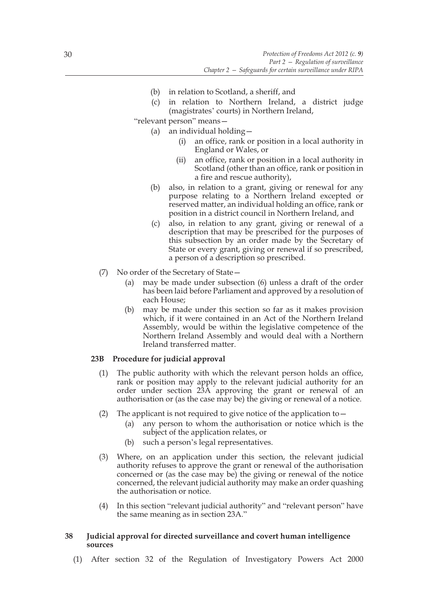- (b) in relation to Scotland, a sheriff, and
- (c) in relation to Northern Ireland, a district judge (magistrates' courts) in Northern Ireland,

"relevant person" means—

- (a) an individual holding—
	- (i) an office, rank or position in a local authority in England or Wales, or
	- (ii) an office, rank or position in a local authority in Scotland (other than an office, rank or position in a fire and rescue authority),
- (b) also, in relation to a grant, giving or renewal for any purpose relating to a Northern Ireland excepted or reserved matter, an individual holding an office, rank or position in a district council in Northern Ireland, and
- (c) also, in relation to any grant, giving or renewal of a description that may be prescribed for the purposes of this subsection by an order made by the Secretary of State or every grant, giving or renewal if so prescribed, a person of a description so prescribed.
- (7) No order of the Secretary of State—
	- (a) may be made under subsection (6) unless a draft of the order has been laid before Parliament and approved by a resolution of each House;
	- (b) may be made under this section so far as it makes provision which, if it were contained in an Act of the Northern Ireland Assembly, would be within the legislative competence of the Northern Ireland Assembly and would deal with a Northern Ireland transferred matter.

# **23B Procedure for judicial approval**

- (1) The public authority with which the relevant person holds an office, rank or position may apply to the relevant judicial authority for an order under section 23A approving the grant or renewal of an authorisation or (as the case may be) the giving or renewal of a notice.
- (2) The applicant is not required to give notice of the application to  $-$ 
	- (a) any person to whom the authorisation or notice which is the subject of the application relates, or
	- (b) such a person's legal representatives.
- (3) Where, on an application under this section, the relevant judicial authority refuses to approve the grant or renewal of the authorisation concerned or (as the case may be) the giving or renewal of the notice concerned, the relevant judicial authority may make an order quashing the authorisation or notice.
- (4) In this section "relevant judicial authority" and "relevant person" have the same meaning as in section 23A."

### **38 Judicial approval for directed surveillance and covert human intelligence sources**

(1) After section 32 of the Regulation of Investigatory Powers Act 2000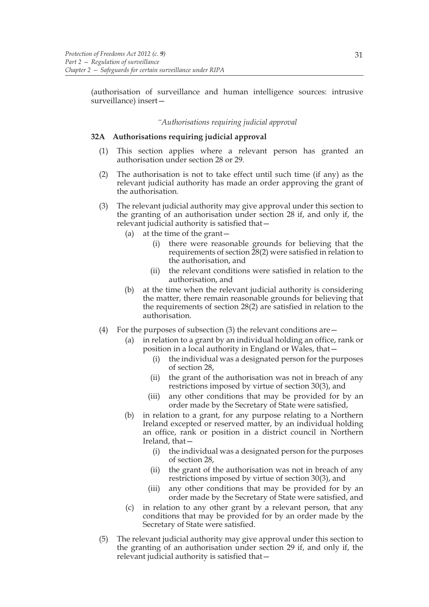(authorisation of surveillance and human intelligence sources: intrusive surveillance) insert—

#### *"Authorisations requiring judicial approval*

#### **32A Authorisations requiring judicial approval**

- (1) This section applies where a relevant person has granted an authorisation under section 28 or 29.
- (2) The authorisation is not to take effect until such time (if any) as the relevant judicial authority has made an order approving the grant of the authorisation.
- (3) The relevant judicial authority may give approval under this section to the granting of an authorisation under section 28 if, and only if, the relevant judicial authority is satisfied that—
	- (a) at the time of the grant—
		- (i) there were reasonable grounds for believing that the requirements of section 28(2) were satisfied in relation to the authorisation, and
		- (ii) the relevant conditions were satisfied in relation to the authorisation, and
	- (b) at the time when the relevant judicial authority is considering the matter, there remain reasonable grounds for believing that the requirements of section 28(2) are satisfied in relation to the authorisation.
- (4) For the purposes of subsection (3) the relevant conditions are  $-$ 
	- (a) in relation to a grant by an individual holding an office, rank or position in a local authority in England or Wales, that—
		- (i) the individual was a designated person for the purposes of section 28,
		- (ii) the grant of the authorisation was not in breach of any restrictions imposed by virtue of section 30(3), and
		- (iii) any other conditions that may be provided for by an order made by the Secretary of State were satisfied,
	- (b) in relation to a grant, for any purpose relating to a Northern Ireland excepted or reserved matter, by an individual holding an office, rank or position in a district council in Northern Ireland, that—
		- (i) the individual was a designated person for the purposes of section 28,
		- (ii) the grant of the authorisation was not in breach of any restrictions imposed by virtue of section 30(3), and
		- (iii) any other conditions that may be provided for by an order made by the Secretary of State were satisfied, and
	- (c) in relation to any other grant by a relevant person, that any conditions that may be provided for by an order made by the Secretary of State were satisfied.
- (5) The relevant judicial authority may give approval under this section to the granting of an authorisation under section 29 if, and only if, the relevant judicial authority is satisfied that—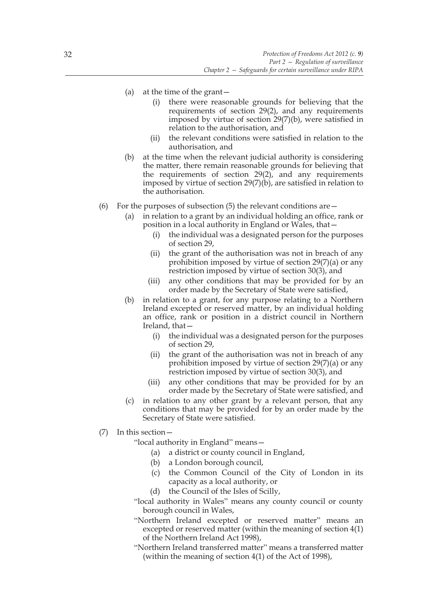- (a) at the time of the grant—
	- (i) there were reasonable grounds for believing that the requirements of section 29(2), and any requirements imposed by virtue of section 29(7)(b), were satisfied in relation to the authorisation, and
	- (ii) the relevant conditions were satisfied in relation to the authorisation, and
- (b) at the time when the relevant judicial authority is considering the matter, there remain reasonable grounds for believing that the requirements of section 29(2), and any requirements imposed by virtue of section 29(7)(b), are satisfied in relation to the authorisation.
- (6) For the purposes of subsection  $(5)$  the relevant conditions are  $-$ 
	- (a) in relation to a grant by an individual holding an office, rank or position in a local authority in England or Wales, that—
		- (i) the individual was a designated person for the purposes of section 29,
		- (ii) the grant of the authorisation was not in breach of any prohibition imposed by virtue of section 29(7)(a) or any restriction imposed by virtue of section 30(3), and
		- (iii) any other conditions that may be provided for by an order made by the Secretary of State were satisfied,
	- (b) in relation to a grant, for any purpose relating to a Northern Ireland excepted or reserved matter, by an individual holding an office, rank or position in a district council in Northern Ireland, that—
		- (i) the individual was a designated person for the purposes of section 29,
		- (ii) the grant of the authorisation was not in breach of any prohibition imposed by virtue of section 29(7)(a) or any restriction imposed by virtue of section 30(3), and
		- (iii) any other conditions that may be provided for by an order made by the Secretary of State were satisfied, and
	- (c) in relation to any other grant by a relevant person, that any conditions that may be provided for by an order made by the Secretary of State were satisfied.
- (7) In this section—

"local authority in England" means—

- (a) a district or county council in England,
- (b) a London borough council,
- (c) the Common Council of the City of London in its capacity as a local authority, or
- (d) the Council of the Isles of Scilly,
- "local authority in Wales" means any county council or county borough council in Wales,
- "Northern Ireland excepted or reserved matter" means an excepted or reserved matter (within the meaning of section 4(1) of the Northern Ireland Act 1998),
- "Northern Ireland transferred matter" means a transferred matter (within the meaning of section 4(1) of the Act of 1998),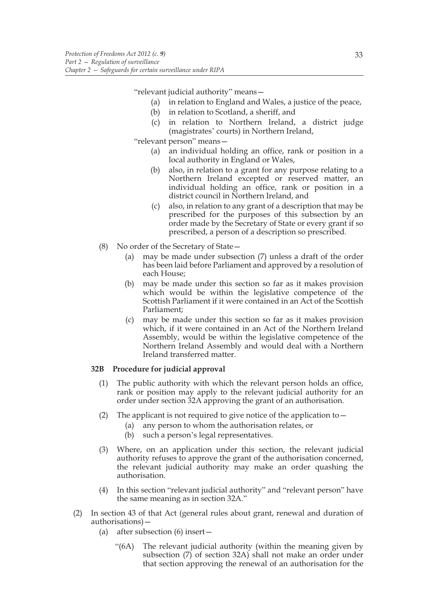"relevant judicial authority" means—

- (a) in relation to England and Wales, a justice of the peace,
- (b) in relation to Scotland, a sheriff, and
- (c) in relation to Northern Ireland, a district judge (magistrates' courts) in Northern Ireland,

"relevant person" means—

- (a) an individual holding an office, rank or position in a local authority in England or Wales,
- (b) also, in relation to a grant for any purpose relating to a Northern Ireland excepted or reserved matter, an individual holding an office, rank or position in a district council in Northern Ireland, and
- (c) also, in relation to any grant of a description that may be prescribed for the purposes of this subsection by an order made by the Secretary of State or every grant if so prescribed, a person of a description so prescribed.
- (8) No order of the Secretary of State—
	- (a) may be made under subsection (7) unless a draft of the order has been laid before Parliament and approved by a resolution of each House;
	- (b) may be made under this section so far as it makes provision which would be within the legislative competence of the Scottish Parliament if it were contained in an Act of the Scottish Parliament;
	- (c) may be made under this section so far as it makes provision which, if it were contained in an Act of the Northern Ireland Assembly, would be within the legislative competence of the Northern Ireland Assembly and would deal with a Northern Ireland transferred matter.

### **32B Procedure for judicial approval**

- (1) The public authority with which the relevant person holds an office, rank or position may apply to the relevant judicial authority for an order under section 32A approving the grant of an authorisation.
- (2) The applicant is not required to give notice of the application to  $-$ 
	- (a) any person to whom the authorisation relates, or
	- (b) such a person's legal representatives.
- (3) Where, on an application under this section, the relevant judicial authority refuses to approve the grant of the authorisation concerned, the relevant judicial authority may make an order quashing the authorisation.
- (4) In this section "relevant judicial authority" and "relevant person" have the same meaning as in section 32A."
- (2) In section 43 of that Act (general rules about grant, renewal and duration of authorisations)—
	- (a) after subsection (6) insert—
		- "(6A) The relevant judicial authority (within the meaning given by subsection (7) of section 32A) shall not make an order under that section approving the renewal of an authorisation for the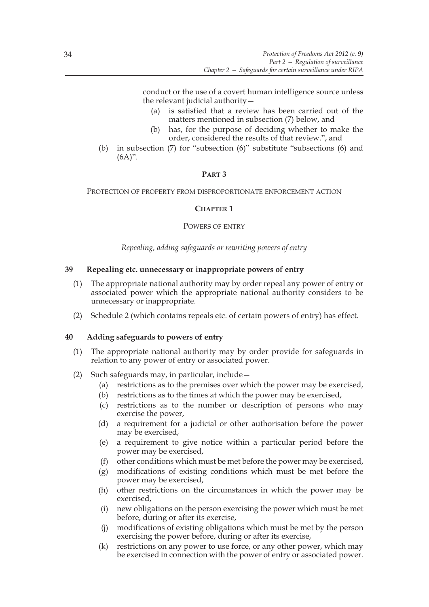conduct or the use of a covert human intelligence source unless the relevant judicial authority—

- (a) is satisfied that a review has been carried out of the matters mentioned in subsection (7) below, and
- (b) has, for the purpose of deciding whether to make the order, considered the results of that review.", and
- (b) in subsection (7) for "subsection (6)" substitute "subsections (6) and  $(6A)$ ".

#### **PART 3**

PROTECTION OF PROPERTY FROM DISPROPORTIONATE ENFORCEMENT ACTION

#### **CHAPTER 1**

#### POWERS OF ENTRY

*Repealing, adding safeguards or rewriting powers of entry*

#### **39 Repealing etc. unnecessary or inappropriate powers of entry**

- (1) The appropriate national authority may by order repeal any power of entry or associated power which the appropriate national authority considers to be unnecessary or inappropriate.
- (2) Schedule 2 (which contains repeals etc. of certain powers of entry) has effect.

#### **40 Adding safeguards to powers of entry**

- (1) The appropriate national authority may by order provide for safeguards in relation to any power of entry or associated power.
- (2) Such safeguards may, in particular, include—
	- (a) restrictions as to the premises over which the power may be exercised,
	- (b) restrictions as to the times at which the power may be exercised,
	- (c) restrictions as to the number or description of persons who may exercise the power,
	- (d) a requirement for a judicial or other authorisation before the power may be exercised,
	- (e) a requirement to give notice within a particular period before the power may be exercised,
	- (f) other conditions which must be met before the power may be exercised,
	- (g) modifications of existing conditions which must be met before the power may be exercised,
	- (h) other restrictions on the circumstances in which the power may be exercised,
	- (i) new obligations on the person exercising the power which must be met before, during or after its exercise,
	- (j) modifications of existing obligations which must be met by the person exercising the power before, during or after its exercise,
	- (k) restrictions on any power to use force, or any other power, which may be exercised in connection with the power of entry or associated power.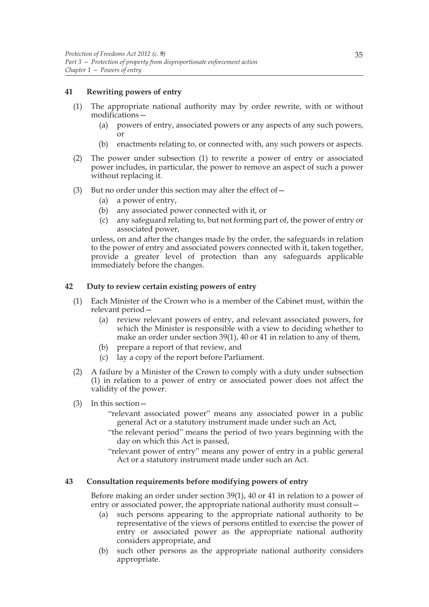# **41 Rewriting powers of entry**

- (1) The appropriate national authority may by order rewrite, with or without modifications—
	- (a) powers of entry, associated powers or any aspects of any such powers, or
	- (b) enactments relating to, or connected with, any such powers or aspects.
- (2) The power under subsection (1) to rewrite a power of entry or associated power includes, in particular, the power to remove an aspect of such a power without replacing it.
- (3) But no order under this section may alter the effect of  $-$ 
	- (a) a power of entry,
	- (b) any associated power connected with it, or
	- (c) any safeguard relating to, but not forming part of, the power of entry or associated power,

unless, on and after the changes made by the order, the safeguards in relation to the power of entry and associated powers connected with it, taken together, provide a greater level of protection than any safeguards applicable immediately before the changes.

# **42 Duty to review certain existing powers of entry**

- (1) Each Minister of the Crown who is a member of the Cabinet must, within the relevant period—
	- (a) review relevant powers of entry, and relevant associated powers, for which the Minister is responsible with a view to deciding whether to make an order under section 39(1), 40 or 41 in relation to any of them,
	- (b) prepare a report of that review, and
	- (c) lay a copy of the report before Parliament.
- (2) A failure by a Minister of the Crown to comply with a duty under subsection (1) in relation to a power of entry or associated power does not affect the validity of the power.
- (3) In this section—
	- "relevant associated power" means any associated power in a public general Act or a statutory instrument made under such an Act,
	- "the relevant period" means the period of two years beginning with the day on which this Act is passed,
	- "relevant power of entry" means any power of entry in a public general Act or a statutory instrument made under such an Act.

### **43 Consultation requirements before modifying powers of entry**

Before making an order under section 39(1), 40 or 41 in relation to a power of entry or associated power, the appropriate national authority must consult—

- (a) such persons appearing to the appropriate national authority to be representative of the views of persons entitled to exercise the power of entry or associated power as the appropriate national authority considers appropriate, and
- (b) such other persons as the appropriate national authority considers appropriate.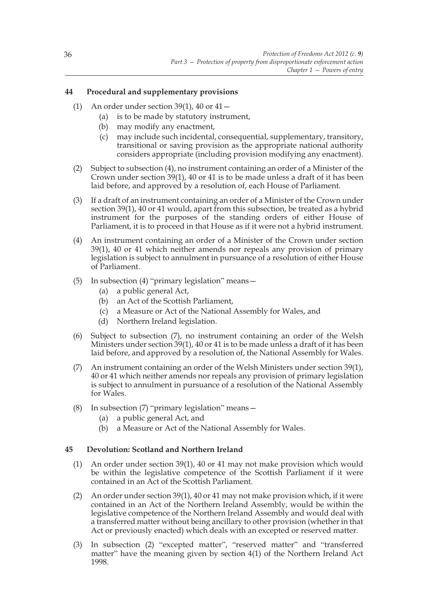# **44 Procedural and supplementary provisions**

- (1) An order under section  $39(1)$ , 40 or  $41-$ 
	- (a) is to be made by statutory instrument,
	- (b) may modify any enactment,
	- (c) may include such incidental, consequential, supplementary, transitory, transitional or saving provision as the appropriate national authority considers appropriate (including provision modifying any enactment).
- (2) Subject to subsection (4), no instrument containing an order of a Minister of the Crown under section 39(1), 40 or 41 is to be made unless a draft of it has been laid before, and approved by a resolution of, each House of Parliament.
- (3) If a draft of an instrument containing an order of a Minister of the Crown under section 39(1), 40 or 41 would, apart from this subsection, be treated as a hybrid instrument for the purposes of the standing orders of either House of Parliament, it is to proceed in that House as if it were not a hybrid instrument.
- (4) An instrument containing an order of a Minister of the Crown under section 39(1), 40 or 41 which neither amends nor repeals any provision of primary legislation is subject to annulment in pursuance of a resolution of either House of Parliament.
- (5) In subsection (4) "primary legislation" means—
	- (a) a public general Act,
	- (b) an Act of the Scottish Parliament,
	- (c) a Measure or Act of the National Assembly for Wales, and
	- (d) Northern Ireland legislation.
- (6) Subject to subsection (7), no instrument containing an order of the Welsh Ministers under section 39(1), 40 or 41 is to be made unless a draft of it has been laid before, and approved by a resolution of, the National Assembly for Wales.
- (7) An instrument containing an order of the Welsh Ministers under section 39(1), 40 or 41 which neither amends nor repeals any provision of primary legislation is subject to annulment in pursuance of a resolution of the National Assembly for Wales.
- (8) In subsection (7) "primary legislation" means—
	- (a) a public general Act, and
	- (b) a Measure or Act of the National Assembly for Wales.

### **45 Devolution: Scotland and Northern Ireland**

- (1) An order under section 39(1), 40 or 41 may not make provision which would be within the legislative competence of the Scottish Parliament if it were contained in an Act of the Scottish Parliament.
- (2) An order under section 39(1), 40 or 41 may not make provision which, if it were contained in an Act of the Northern Ireland Assembly, would be within the legislative competence of the Northern Ireland Assembly and would deal with a transferred matter without being ancillary to other provision (whether in that Act or previously enacted) which deals with an excepted or reserved matter.
- (3) In subsection (2) "excepted matter", "reserved matter" and "transferred matter" have the meaning given by section 4(1) of the Northern Ireland Act 1998.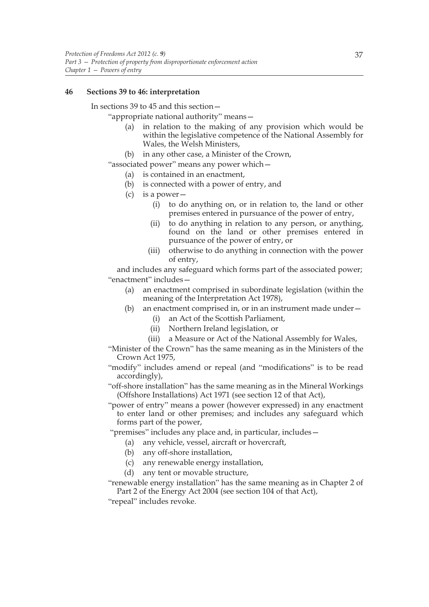#### **46 Sections 39 to 46: interpretation**

In sections 39 to 45 and this section—

"appropriate national authority" means—

- (a) in relation to the making of any provision which would be within the legislative competence of the National Assembly for Wales, the Welsh Ministers,
- (b) in any other case, a Minister of the Crown,

"associated power" means any power which—

- (a) is contained in an enactment,
- (b) is connected with a power of entry, and
- (c) is a power—
	- (i) to do anything on, or in relation to, the land or other premises entered in pursuance of the power of entry,
	- (ii) to do anything in relation to any person, or anything, found on the land or other premises entered in pursuance of the power of entry, or
	- (iii) otherwise to do anything in connection with the power of entry,

and includes any safeguard which forms part of the associated power; "enactment" includes—

- (a) an enactment comprised in subordinate legislation (within the meaning of the Interpretation Act 1978),
- (b) an enactment comprised in, or in an instrument made under—
	- (i) an Act of the Scottish Parliament,
	- (ii) Northern Ireland legislation, or
	- (iii) a Measure or Act of the National Assembly for Wales,

"Minister of the Crown" has the same meaning as in the Ministers of the Crown Act 1975,

- "modify" includes amend or repeal (and "modifications" is to be read accordingly),
- "off-shore installation" has the same meaning as in the Mineral Workings (Offshore Installations) Act 1971 (see section 12 of that Act),

"power of entry" means a power (however expressed) in any enactment to enter land or other premises; and includes any safeguard which forms part of the power,

"premises" includes any place and, in particular, includes—

- (a) any vehicle, vessel, aircraft or hovercraft,
- (b) any off-shore installation,
- (c) any renewable energy installation,
- (d) any tent or movable structure,

"renewable energy installation" has the same meaning as in Chapter 2 of Part 2 of the Energy Act 2004 (see section 104 of that Act),

"repeal" includes revoke.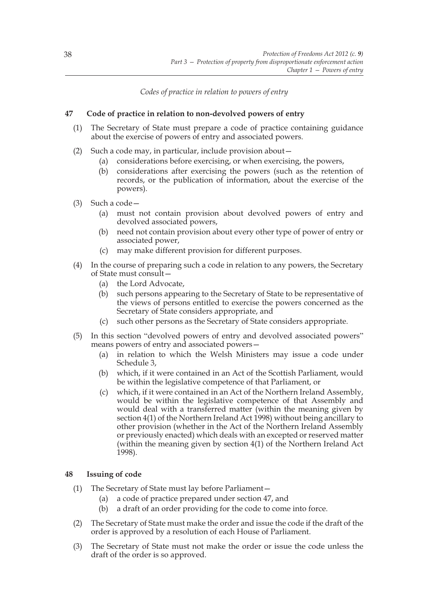# *Codes of practice in relation to powers of entry*

# **47 Code of practice in relation to non-devolved powers of entry**

- (1) The Secretary of State must prepare a code of practice containing guidance about the exercise of powers of entry and associated powers.
- (2) Such a code may, in particular, include provision about—
	- (a) considerations before exercising, or when exercising, the powers,
	- (b) considerations after exercising the powers (such as the retention of records, or the publication of information, about the exercise of the powers).
- (3) Such a code—
	- (a) must not contain provision about devolved powers of entry and devolved associated powers,
	- (b) need not contain provision about every other type of power of entry or associated power,
	- (c) may make different provision for different purposes.
- (4) In the course of preparing such a code in relation to any powers, the Secretary of State must consult—
	- (a) the Lord Advocate,
	- (b) such persons appearing to the Secretary of State to be representative of the views of persons entitled to exercise the powers concerned as the Secretary of State considers appropriate, and
	- (c) such other persons as the Secretary of State considers appropriate.
- (5) In this section "devolved powers of entry and devolved associated powers" means powers of entry and associated powers—
	- (a) in relation to which the Welsh Ministers may issue a code under Schedule 3,
	- (b) which, if it were contained in an Act of the Scottish Parliament, would be within the legislative competence of that Parliament, or
	- (c) which, if it were contained in an Act of the Northern Ireland Assembly, would be within the legislative competence of that Assembly and would deal with a transferred matter (within the meaning given by section 4(1) of the Northern Ireland Act 1998) without being ancillary to other provision (whether in the Act of the Northern Ireland Assembly or previously enacted) which deals with an excepted or reserved matter (within the meaning given by section 4(1) of the Northern Ireland Act 1998).

## **48 Issuing of code**

- (1) The Secretary of State must lay before Parliament—
	- (a) a code of practice prepared under section 47, and
	- (b) a draft of an order providing for the code to come into force.
- (2) The Secretary of State must make the order and issue the code if the draft of the order is approved by a resolution of each House of Parliament.
- (3) The Secretary of State must not make the order or issue the code unless the draft of the order is so approved.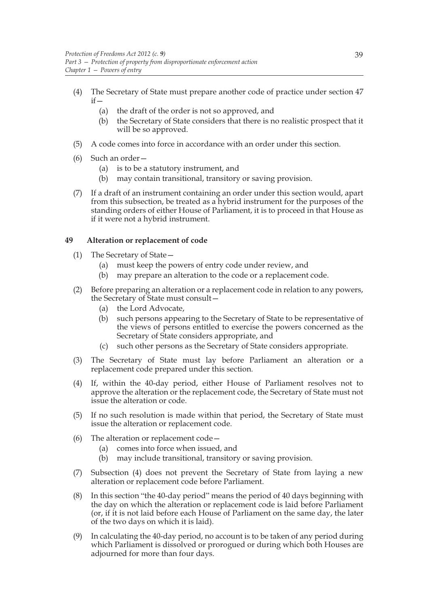- (4) The Secretary of State must prepare another code of practice under section 47  $if$ 
	- (a) the draft of the order is not so approved, and
	- (b) the Secretary of State considers that there is no realistic prospect that it will be so approved.
- (5) A code comes into force in accordance with an order under this section.
- (6) Such an order—
	- (a) is to be a statutory instrument, and
	- (b) may contain transitional, transitory or saving provision.
- (7) If a draft of an instrument containing an order under this section would, apart from this subsection, be treated as a hybrid instrument for the purposes of the standing orders of either House of Parliament, it is to proceed in that House as if it were not a hybrid instrument.

# **49 Alteration or replacement of code**

- (1) The Secretary of State—
	- (a) must keep the powers of entry code under review, and
	- (b) may prepare an alteration to the code or a replacement code.
- (2) Before preparing an alteration or a replacement code in relation to any powers, the Secretary of State must consult—
	- (a) the Lord Advocate,
	- (b) such persons appearing to the Secretary of State to be representative of the views of persons entitled to exercise the powers concerned as the Secretary of State considers appropriate, and
	- (c) such other persons as the Secretary of State considers appropriate.
- (3) The Secretary of State must lay before Parliament an alteration or a replacement code prepared under this section.
- (4) If, within the 40-day period, either House of Parliament resolves not to approve the alteration or the replacement code, the Secretary of State must not issue the alteration or code.
- (5) If no such resolution is made within that period, the Secretary of State must issue the alteration or replacement code.
- (6) The alteration or replacement code—
	- (a) comes into force when issued, and
	- (b) may include transitional, transitory or saving provision.
- (7) Subsection (4) does not prevent the Secretary of State from laying a new alteration or replacement code before Parliament.
- (8) In this section "the 40-day period" means the period of 40 days beginning with the day on which the alteration or replacement code is laid before Parliament (or, if it is not laid before each House of Parliament on the same day, the later of the two days on which it is laid).
- (9) In calculating the 40-day period, no account is to be taken of any period during which Parliament is dissolved or prorogued or during which both Houses are adjourned for more than four days.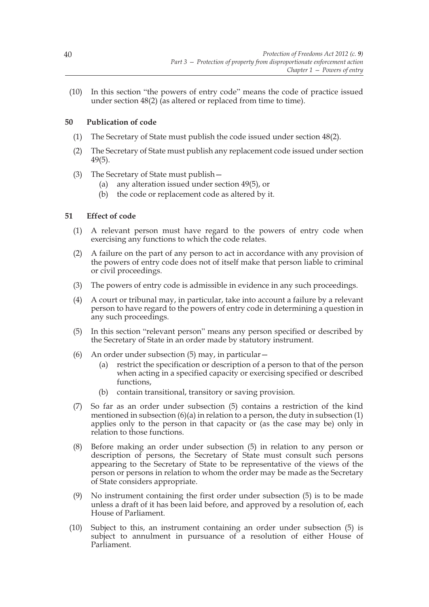(10) In this section "the powers of entry code" means the code of practice issued under section 48(2) (as altered or replaced from time to time).

# **50 Publication of code**

- (1) The Secretary of State must publish the code issued under section 48(2).
- (2) The Secretary of State must publish any replacement code issued under section 49(5).
- (3) The Secretary of State must publish—
	- (a) any alteration issued under section 49(5), or
	- (b) the code or replacement code as altered by it.

# **51 Effect of code**

- (1) A relevant person must have regard to the powers of entry code when exercising any functions to which the code relates.
- (2) A failure on the part of any person to act in accordance with any provision of the powers of entry code does not of itself make that person liable to criminal or civil proceedings.
- (3) The powers of entry code is admissible in evidence in any such proceedings.
- (4) A court or tribunal may, in particular, take into account a failure by a relevant person to have regard to the powers of entry code in determining a question in any such proceedings.
- (5) In this section "relevant person" means any person specified or described by the Secretary of State in an order made by statutory instrument.
- (6) An order under subsection  $(5)$  may, in particular  $-$ 
	- (a) restrict the specification or description of a person to that of the person when acting in a specified capacity or exercising specified or described functions,
	- (b) contain transitional, transitory or saving provision.
- (7) So far as an order under subsection (5) contains a restriction of the kind mentioned in subsection  $(6)(a)$  in relation to a person, the duty in subsection  $(1)$ applies only to the person in that capacity or (as the case may be) only in relation to those functions.
- (8) Before making an order under subsection (5) in relation to any person or description of persons, the Secretary of State must consult such persons appearing to the Secretary of State to be representative of the views of the person or persons in relation to whom the order may be made as the Secretary of State considers appropriate.
- (9) No instrument containing the first order under subsection (5) is to be made unless a draft of it has been laid before, and approved by a resolution of, each House of Parliament.
- (10) Subject to this, an instrument containing an order under subsection (5) is subject to annulment in pursuance of a resolution of either House of Parliament.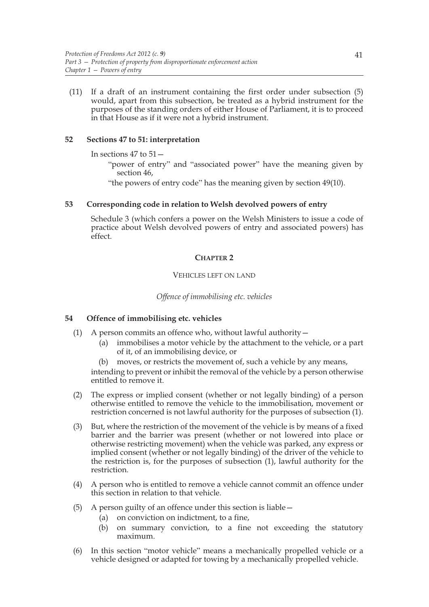(11) If a draft of an instrument containing the first order under subsection (5) would, apart from this subsection, be treated as a hybrid instrument for the purposes of the standing orders of either House of Parliament, it is to proceed in that House as if it were not a hybrid instrument.

### **52 Sections 47 to 51: interpretation**

In sections 47 to 51—

"power of entry" and "associated power" have the meaning given by section 46,

"the powers of entry code" has the meaning given by section 49(10).

### **53 Corresponding code in relation to Welsh devolved powers of entry**

Schedule 3 (which confers a power on the Welsh Ministers to issue a code of practice about Welsh devolved powers of entry and associated powers) has effect.

# **CHAPTER 2**

#### VEHICLES LEFT ON LAND

### *Offence of immobilising etc. vehicles*

### **54 Offence of immobilising etc. vehicles**

- (1) A person commits an offence who, without lawful authority  $-$ 
	- (a) immobilises a motor vehicle by the attachment to the vehicle, or a part of it, of an immobilising device, or
	- (b) moves, or restricts the movement of, such a vehicle by any means, intending to prevent or inhibit the removal of the vehicle by a person otherwise entitled to remove it.
- (2) The express or implied consent (whether or not legally binding) of a person otherwise entitled to remove the vehicle to the immobilisation, movement or restriction concerned is not lawful authority for the purposes of subsection (1).
- (3) But, where the restriction of the movement of the vehicle is by means of a fixed barrier and the barrier was present (whether or not lowered into place or otherwise restricting movement) when the vehicle was parked, any express or implied consent (whether or not legally binding) of the driver of the vehicle to the restriction is, for the purposes of subsection (1), lawful authority for the restriction.
- (4) A person who is entitled to remove a vehicle cannot commit an offence under this section in relation to that vehicle.
- (5) A person guilty of an offence under this section is liable—
	- (a) on conviction on indictment, to a fine,
	- (b) on summary conviction, to a fine not exceeding the statutory maximum.
- (6) In this section "motor vehicle" means a mechanically propelled vehicle or a vehicle designed or adapted for towing by a mechanically propelled vehicle.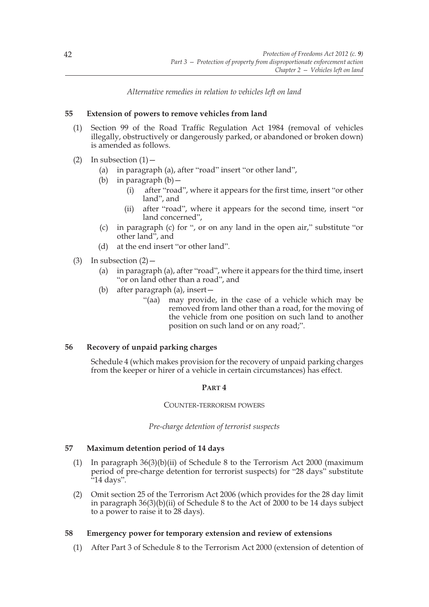## *Alternative remedies in relation to vehicles left on land*

# **55 Extension of powers to remove vehicles from land**

- (1) Section 99 of the Road Traffic Regulation Act 1984 (removal of vehicles illegally, obstructively or dangerously parked, or abandoned or broken down) is amended as follows.
- $(2)$  In subsection  $(1)$ 
	- (a) in paragraph (a), after "road" insert "or other land",
	- (b) in paragraph  $(b)$  -
		- (i) after "road", where it appears for the first time, insert "or other land", and
		- (ii) after "road", where it appears for the second time, insert "or land concerned",
	- (c) in paragraph (c) for ", or on any land in the open air," substitute "or other land", and
	- (d) at the end insert "or other land".
- (3) In subsection  $(2)$ 
	- (a) in paragraph (a), after "road", where it appears for the third time, insert "or on land other than a road", and
	- (b) after paragraph (a), insert—
		- "(aa) may provide, in the case of a vehicle which may be removed from land other than a road, for the moving of the vehicle from one position on such land to another position on such land or on any road;".

# **56 Recovery of unpaid parking charges**

Schedule 4 (which makes provision for the recovery of unpaid parking charges from the keeper or hirer of a vehicle in certain circumstances) has effect.

# **PART 4**

### COUNTER-TERRORISM POWERS

*Pre-charge detention of terrorist suspects*

### **57 Maximum detention period of 14 days**

- (1) In paragraph  $36(3)(b)(ii)$  of Schedule 8 to the Terrorism Act 2000 (maximum period of pre-charge detention for terrorist suspects) for "28 days" substitute "14 days".
- (2) Omit section 25 of the Terrorism Act 2006 (which provides for the 28 day limit in paragraph 36(3)(b)(ii) of Schedule 8 to the Act of 2000 to be 14 days subject to a power to raise it to 28 days).

### **58 Emergency power for temporary extension and review of extensions**

(1) After Part 3 of Schedule 8 to the Terrorism Act 2000 (extension of detention of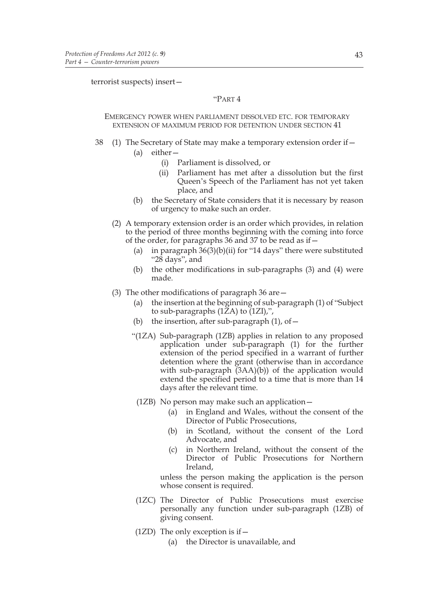terrorist suspects) insert—

#### "PART 4

EMERGENCY POWER WHEN PARLIAMENT DISSOLVED ETC. FOR TEMPORARY EXTENSION OF MAXIMUM PERIOD FOR DETENTION UNDER SECTION 41

- 38 (1) The Secretary of State may make a temporary extension order if— (a) either—
	- - (i) Parliament is dissolved, or
		- (ii) Parliament has met after a dissolution but the first Queen's Speech of the Parliament has not yet taken place, and
	- (b) the Secretary of State considers that it is necessary by reason of urgency to make such an order.
	- (2) A temporary extension order is an order which provides, in relation to the period of three months beginning with the coming into force of the order, for paragraphs 36 and 37 to be read as if—
		- (a) in paragraph 36(3)(b)(ii) for "14 days" there were substituted "28 days", and
		- (b) the other modifications in sub-paragraphs (3) and (4) were made.
	- (3) The other modifications of paragraph 36 are—
		- (a) the insertion at the beginning of sub-paragraph (1) of "Subject to sub-paragraphs (1ZA) to (1ZI),",
		- (b) the insertion, after sub-paragraph  $(1)$ , of  $-$
		- "(1ZA) Sub-paragraph (1ZB) applies in relation to any proposed application under sub-paragraph (1) for the further extension of the period specified in a warrant of further detention where the grant (otherwise than in accordance with sub-paragraph (3AA)(b)) of the application would extend the specified period to a time that is more than 14 days after the relevant time.
		- (1ZB) No person may make such an application—
			- (a) in England and Wales, without the consent of the Director of Public Prosecutions,
			- (b) in Scotland, without the consent of the Lord Advocate, and
			- (c) in Northern Ireland, without the consent of the Director of Public Prosecutions for Northern Ireland,

unless the person making the application is the person whose consent is required.

- (1ZC) The Director of Public Prosecutions must exercise personally any function under sub-paragraph (1ZB) of giving consent.
- (1ZD) The only exception is if  $-$ 
	- (a) the Director is unavailable, and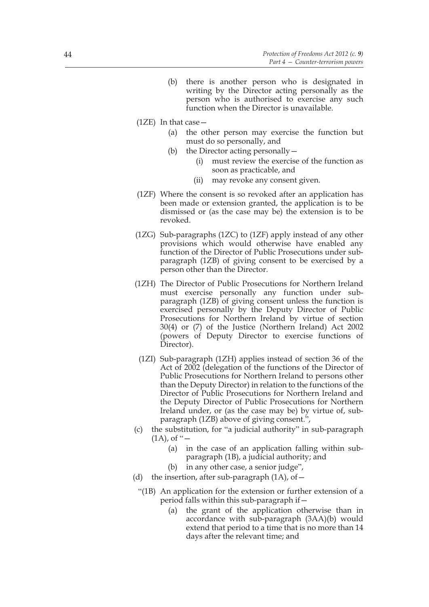- (b) there is another person who is designated in writing by the Director acting personally as the person who is authorised to exercise any such function when the Director is unavailable.
- (1ZE) In that case—
	- (a) the other person may exercise the function but must do so personally, and
	- (b) the Director acting personally  $-$ 
		- (i) must review the exercise of the function as soon as practicable, and
		- (ii) may revoke any consent given.
- (1ZF) Where the consent is so revoked after an application has been made or extension granted, the application is to be dismissed or (as the case may be) the extension is to be revoked.
- (1ZG) Sub-paragraphs (1ZC) to (1ZF) apply instead of any other provisions which would otherwise have enabled any function of the Director of Public Prosecutions under subparagraph (1ZB) of giving consent to be exercised by a person other than the Director.
- (1ZH) The Director of Public Prosecutions for Northern Ireland must exercise personally any function under subparagraph (1ZB) of giving consent unless the function is exercised personally by the Deputy Director of Public Prosecutions for Northern Ireland by virtue of section 30(4) or (7) of the Justice (Northern Ireland) Act 2002 (powers of Deputy Director to exercise functions of Director).
- (1ZI) Sub-paragraph (1ZH) applies instead of section 36 of the Act of 2002 (delegation of the functions of the Director of Public Prosecutions for Northern Ireland to persons other than the Deputy Director) in relation to the functions of the Director of Public Prosecutions for Northern Ireland and the Deputy Director of Public Prosecutions for Northern Ireland under, or (as the case may be) by virtue of, subparagraph (1ZB) above of giving consent.",
- (c) the substitution, for "a judicial authority" in sub-paragraph  $(1A)$ , of " $-$ 
	- (a) in the case of an application falling within subparagraph (1B), a judicial authority; and
	- (b) in any other case, a senior judge",
- (d) the insertion, after sub-paragraph  $(1A)$ , of  $-$
- "(1B) An application for the extension or further extension of a period falls within this sub-paragraph if—
	- (a) the grant of the application otherwise than in accordance with sub-paragraph (3AA)(b) would extend that period to a time that is no more than 14 days after the relevant time; and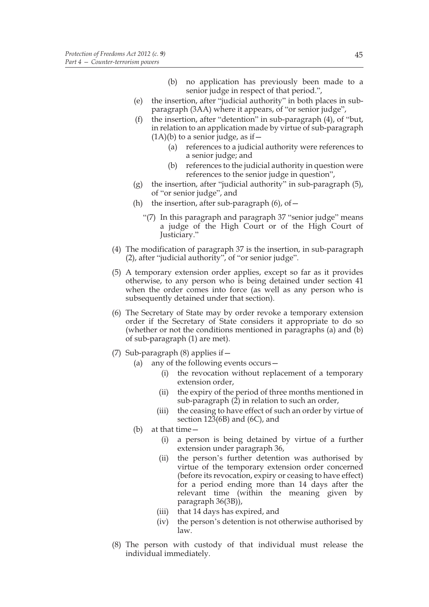- (b) no application has previously been made to a senior judge in respect of that period.",
- (e) the insertion, after "judicial authority" in both places in subparagraph (3AA) where it appears, of "or senior judge",
- (f) the insertion, after "detention" in sub-paragraph (4), of "but, in relation to an application made by virtue of sub-paragraph  $(1A)(b)$  to a senior judge, as if  $-$ 
	- (a) references to a judicial authority were references to a senior judge; and
	- (b) references to the judicial authority in question were references to the senior judge in question",
- (g) the insertion, after "judicial authority" in sub-paragraph (5), of "or senior judge", and
- (h) the insertion, after sub-paragraph  $(6)$ , of  $-$ 
	- "(7) In this paragraph and paragraph 37 "senior judge" means a judge of the High Court or of the High Court of Justiciary."
- (4) The modification of paragraph 37 is the insertion, in sub-paragraph (2), after "judicial authority", of "or senior judge".
- (5) A temporary extension order applies, except so far as it provides otherwise, to any person who is being detained under section 41 when the order comes into force (as well as any person who is subsequently detained under that section).
- (6) The Secretary of State may by order revoke a temporary extension order if the Secretary of State considers it appropriate to do so (whether or not the conditions mentioned in paragraphs (a) and (b) of sub-paragraph (1) are met).
- (7) Sub-paragraph (8) applies if—
	- (a) any of the following events occurs—
		- (i) the revocation without replacement of a temporary extension order,
		- (ii) the expiry of the period of three months mentioned in sub-paragraph (2) in relation to such an order,
		- (iii) the ceasing to have effect of such an order by virtue of section 123(6B) and (6C), and
	- (b) at that time—
		- (i) a person is being detained by virtue of a further extension under paragraph 36,
		- (ii) the person's further detention was authorised by virtue of the temporary extension order concerned (before its revocation, expiry or ceasing to have effect) for a period ending more than 14 days after the relevant time (within the meaning given by paragraph 36(3B)),
		- (iii) that 14 days has expired, and
		- (iv) the person's detention is not otherwise authorised by law.
- (8) The person with custody of that individual must release the individual immediately.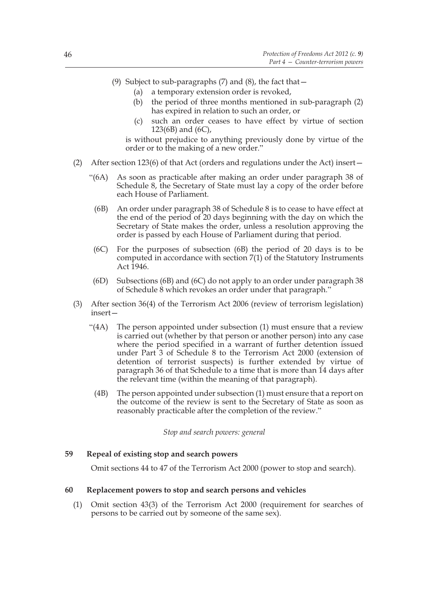- (9) Subject to sub-paragraphs  $(7)$  and  $(8)$ , the fact that  $-$ 
	- (a) a temporary extension order is revoked,
	- (b) the period of three months mentioned in sub-paragraph (2) has expired in relation to such an order, or
	- (c) such an order ceases to have effect by virtue of section 123(6B) and (6C),

is without prejudice to anything previously done by virtue of the order or to the making of a new order."

- (2) After section 123(6) of that Act (orders and regulations under the Act) insert—
	- "(6A) As soon as practicable after making an order under paragraph 38 of Schedule 8, the Secretary of State must lay a copy of the order before each House of Parliament.
		- (6B) An order under paragraph 38 of Schedule 8 is to cease to have effect at the end of the period of 20 days beginning with the day on which the Secretary of State makes the order, unless a resolution approving the order is passed by each House of Parliament during that period.
	- (6C) For the purposes of subsection (6B) the period of 20 days is to be computed in accordance with section 7(1) of the Statutory Instruments Act 1946.
	- (6D) Subsections (6B) and (6C) do not apply to an order under paragraph 38 of Schedule 8 which revokes an order under that paragraph."
- (3) After section 36(4) of the Terrorism Act 2006 (review of terrorism legislation) insert—
	- " $(4A)$  The person appointed under subsection  $(1)$  must ensure that a review is carried out (whether by that person or another person) into any case where the period specified in a warrant of further detention issued under Part 3 of Schedule 8 to the Terrorism Act 2000 (extension of detention of terrorist suspects) is further extended by virtue of paragraph 36 of that Schedule to a time that is more than 14 days after the relevant time (within the meaning of that paragraph).
		- (4B) The person appointed under subsection (1) must ensure that a report on the outcome of the review is sent to the Secretary of State as soon as reasonably practicable after the completion of the review."

*Stop and search powers: general*

# **59 Repeal of existing stop and search powers**

Omit sections 44 to 47 of the Terrorism Act 2000 (power to stop and search).

### **60 Replacement powers to stop and search persons and vehicles**

(1) Omit section 43(3) of the Terrorism Act 2000 (requirement for searches of persons to be carried out by someone of the same sex).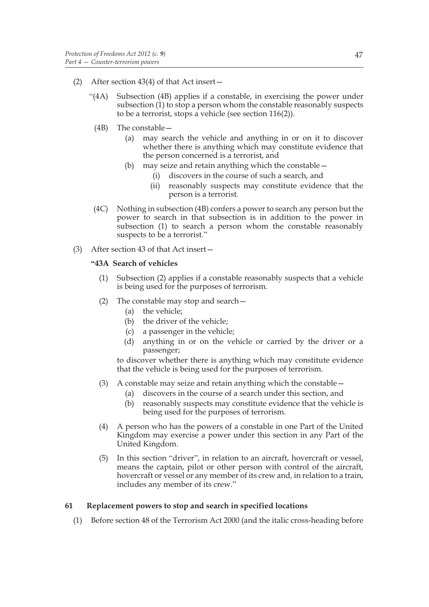- (2) After section 43(4) of that Act insert—
	- "(4A) Subsection (4B) applies if a constable, in exercising the power under subsection (1) to stop a person whom the constable reasonably suspects to be a terrorist, stops a vehicle (see section 116(2)).
		- (4B) The constable—
			- (a) may search the vehicle and anything in or on it to discover whether there is anything which may constitute evidence that the person concerned is a terrorist, and
			- (b) may seize and retain anything which the constable—
				- (i) discovers in the course of such a search, and
				- (ii) reasonably suspects may constitute evidence that the person is a terrorist.
	- (4C) Nothing in subsection (4B) confers a power to search any person but the power to search in that subsection is in addition to the power in subsection (1) to search a person whom the constable reasonably suspects to be a terrorist."
- (3) After section 43 of that Act insert—

### **"43A Search of vehicles**

- (1) Subsection (2) applies if a constable reasonably suspects that a vehicle is being used for the purposes of terrorism.
- (2) The constable may stop and search—
	- (a) the vehicle;
	- (b) the driver of the vehicle;
	- (c) a passenger in the vehicle;
	- (d) anything in or on the vehicle or carried by the driver or a passenger;

to discover whether there is anything which may constitute evidence that the vehicle is being used for the purposes of terrorism.

- (3) A constable may seize and retain anything which the constable—
	- (a) discovers in the course of a search under this section, and
	- (b) reasonably suspects may constitute evidence that the vehicle is being used for the purposes of terrorism.
- (4) A person who has the powers of a constable in one Part of the United Kingdom may exercise a power under this section in any Part of the United Kingdom.
- (5) In this section "driver", in relation to an aircraft, hovercraft or vessel, means the captain, pilot or other person with control of the aircraft, hovercraft or vessel or any member of its crew and, in relation to a train, includes any member of its crew."

### **61 Replacement powers to stop and search in specified locations**

(1) Before section 48 of the Terrorism Act 2000 (and the italic cross-heading before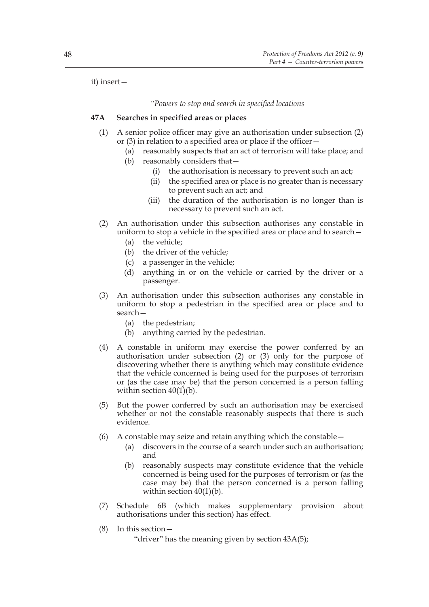#### it) insert—

#### *"Powers to stop and search in specified locations*

## **47A Searches in specified areas or places**

- (1) A senior police officer may give an authorisation under subsection (2) or (3) in relation to a specified area or place if the officer—
	- (a) reasonably suspects that an act of terrorism will take place; and
	- (b) reasonably considers that—
		- (i) the authorisation is necessary to prevent such an act;
		- (ii) the specified area or place is no greater than is necessary to prevent such an act; and
		- (iii) the duration of the authorisation is no longer than is necessary to prevent such an act.
- (2) An authorisation under this subsection authorises any constable in uniform to stop a vehicle in the specified area or place and to search—
	- (a) the vehicle;
	- (b) the driver of the vehicle;
	- (c) a passenger in the vehicle;
	- (d) anything in or on the vehicle or carried by the driver or a passenger.
- (3) An authorisation under this subsection authorises any constable in uniform to stop a pedestrian in the specified area or place and to search—
	- (a) the pedestrian;
	- (b) anything carried by the pedestrian.
- (4) A constable in uniform may exercise the power conferred by an authorisation under subsection (2) or (3) only for the purpose of discovering whether there is anything which may constitute evidence that the vehicle concerned is being used for the purposes of terrorism or (as the case may be) that the person concerned is a person falling within section  $40(1)(b)$ .
- (5) But the power conferred by such an authorisation may be exercised whether or not the constable reasonably suspects that there is such evidence.
- (6) A constable may seize and retain anything which the constable—
	- (a) discovers in the course of a search under such an authorisation; and
	- (b) reasonably suspects may constitute evidence that the vehicle concerned is being used for the purposes of terrorism or (as the case may be) that the person concerned is a person falling within section  $40(1)(b)$ .
- (7) Schedule 6B (which makes supplementary provision about authorisations under this section) has effect.
- (8) In this section—

"driver" has the meaning given by section 43A(5);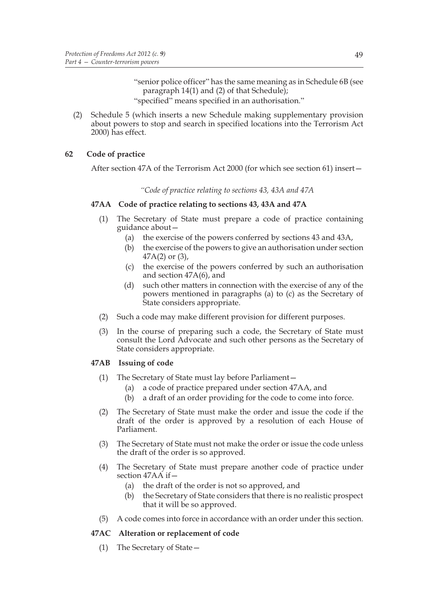"senior police officer" has the same meaning as in Schedule 6B (see paragraph 14(1) and (2) of that Schedule); "specified" means specified in an authorisation."

(2) Schedule 5 (which inserts a new Schedule making supplementary provision about powers to stop and search in specified locations into the Terrorism Act 2000) has effect.

# **62 Code of practice**

After section 47A of the Terrorism Act 2000 (for which see section 61) insert—

*"Code of practice relating to sections 43, 43A and 47A*

# **47AA Code of practice relating to sections 43, 43A and 47A**

- (1) The Secretary of State must prepare a code of practice containing guidance about—
	- (a) the exercise of the powers conferred by sections 43 and 43A,
	- (b) the exercise of the powers to give an authorisation under section 47A(2) or (3),
	- (c) the exercise of the powers conferred by such an authorisation and section 47A(6), and
	- (d) such other matters in connection with the exercise of any of the powers mentioned in paragraphs (a) to (c) as the Secretary of State considers appropriate.
- (2) Such a code may make different provision for different purposes.
- (3) In the course of preparing such a code, the Secretary of State must consult the Lord Advocate and such other persons as the Secretary of State considers appropriate.

# **47AB Issuing of code**

- (1) The Secretary of State must lay before Parliament—
	- (a) a code of practice prepared under section 47AA, and
	- (b) a draft of an order providing for the code to come into force.
- (2) The Secretary of State must make the order and issue the code if the draft of the order is approved by a resolution of each House of Parliament.
- (3) The Secretary of State must not make the order or issue the code unless the draft of the order is so approved.
- (4) The Secretary of State must prepare another code of practice under section 47AA if—
	- (a) the draft of the order is not so approved, and
	- (b) the Secretary of State considers that there is no realistic prospect that it will be so approved.
- (5) A code comes into force in accordance with an order under this section.

# **47AC Alteration or replacement of code**

(1) The Secretary of State—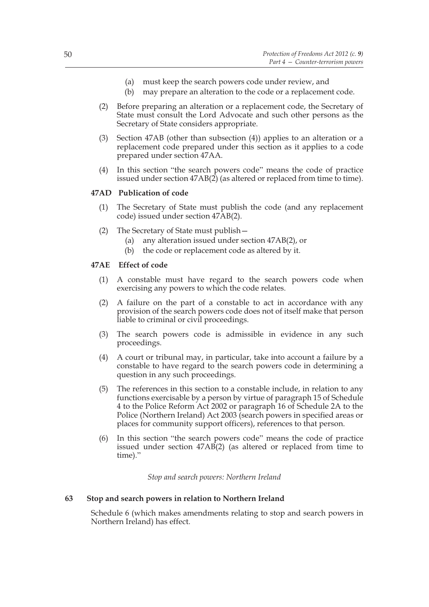- (a) must keep the search powers code under review, and
- (b) may prepare an alteration to the code or a replacement code.
- (2) Before preparing an alteration or a replacement code, the Secretary of State must consult the Lord Advocate and such other persons as the Secretary of State considers appropriate.
- (3) Section 47AB (other than subsection (4)) applies to an alteration or a replacement code prepared under this section as it applies to a code prepared under section 47AA.
- (4) In this section "the search powers code" means the code of practice issued under section  $47AB(2)$  (as altered or replaced from time to time).

### **47AD Publication of code**

- (1) The Secretary of State must publish the code (and any replacement code) issued under section 47AB(2).
- (2) The Secretary of State must publish—
	- (a) any alteration issued under section 47AB(2), or
	- (b) the code or replacement code as altered by it.

### **47AE Effect of code**

- (1) A constable must have regard to the search powers code when exercising any powers to which the code relates.
- (2) A failure on the part of a constable to act in accordance with any provision of the search powers code does not of itself make that person liable to criminal or civil proceedings.
- (3) The search powers code is admissible in evidence in any such proceedings.
- (4) A court or tribunal may, in particular, take into account a failure by a constable to have regard to the search powers code in determining a question in any such proceedings.
- (5) The references in this section to a constable include, in relation to any functions exercisable by a person by virtue of paragraph 15 of Schedule 4 to the Police Reform Act 2002 or paragraph 16 of Schedule 2A to the Police (Northern Ireland) Act 2003 (search powers in specified areas or places for community support officers), references to that person.
- (6) In this section "the search powers code" means the code of practice issued under section 47AB(2) (as altered or replaced from time to time)."

*Stop and search powers: Northern Ireland*

#### **63 Stop and search powers in relation to Northern Ireland**

Schedule 6 (which makes amendments relating to stop and search powers in Northern Ireland) has effect.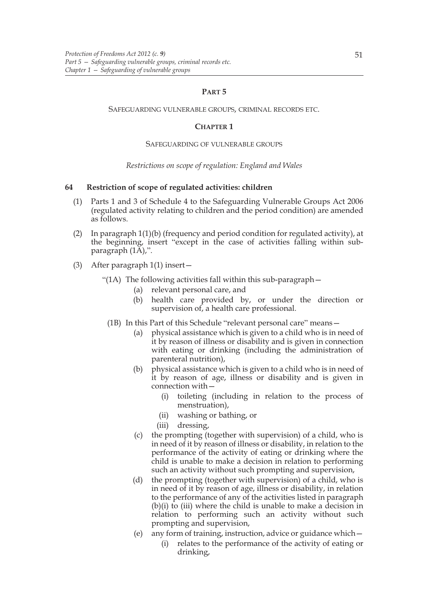#### **PART 5**

#### SAFEGUARDING VULNERABLE GROUPS, CRIMINAL RECORDS ETC.

#### **CHAPTER 1**

#### SAFEGUARDING OF VULNERABLE GROUPS

#### *Restrictions on scope of regulation: England and Wales*

#### **64 Restriction of scope of regulated activities: children**

- (1) Parts 1 and 3 of Schedule 4 to the Safeguarding Vulnerable Groups Act 2006 (regulated activity relating to children and the period condition) are amended as follows.
- (2) In paragraph 1(1)(b) (frequency and period condition for regulated activity), at the beginning, insert "except in the case of activities falling within subparagraph (1A),".
- (3) After paragraph 1(1) insert—
	- "(1A) The following activities fall within this sub-paragraph—
		- (a) relevant personal care, and
		- (b) health care provided by, or under the direction or supervision of, a health care professional.
		- (1B) In this Part of this Schedule "relevant personal care" means—
			- (a) physical assistance which is given to a child who is in need of it by reason of illness or disability and is given in connection with eating or drinking (including the administration of parenteral nutrition),
			- (b) physical assistance which is given to a child who is in need of it by reason of age, illness or disability and is given in connection with—
				- (i) toileting (including in relation to the process of menstruation),
				- (ii) washing or bathing, or
				- (iii) dressing,
			- (c) the prompting (together with supervision) of a child, who is in need of it by reason of illness or disability, in relation to the performance of the activity of eating or drinking where the child is unable to make a decision in relation to performing such an activity without such prompting and supervision,
			- (d) the prompting (together with supervision) of a child, who is in need of it by reason of age, illness or disability, in relation to the performance of any of the activities listed in paragraph (b)(i) to (iii) where the child is unable to make a decision in relation to performing such an activity without such prompting and supervision,
			- (e) any form of training, instruction, advice or guidance which—
				- (i) relates to the performance of the activity of eating or drinking,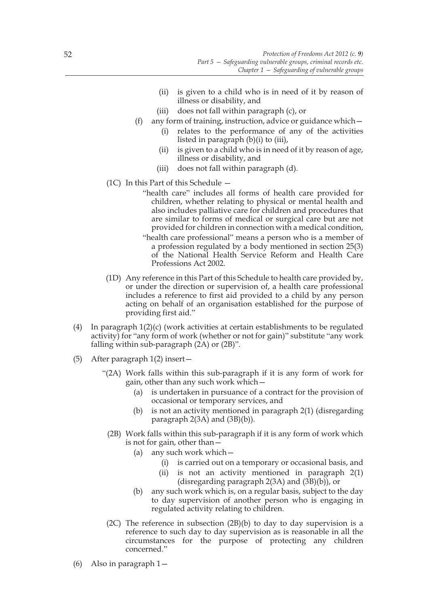- (ii) is given to a child who is in need of it by reason of illness or disability, and
- (iii) does not fall within paragraph (c), or
- (f) any form of training, instruction, advice or guidance which  $-$ 
	- (i) relates to the performance of any of the activities listed in paragraph (b)(i) to (iii),
	- (ii) is given to a child who is in need of it by reason of age, illness or disability, and
	- (iii) does not fall within paragraph (d).
- (1C) In this Part of this Schedule
	- "health care" includes all forms of health care provided for children, whether relating to physical or mental health and also includes palliative care for children and procedures that are similar to forms of medical or surgical care but are not provided for children in connection with a medical condition,
	- "health care professional" means a person who is a member of a profession regulated by a body mentioned in section 25(3) of the National Health Service Reform and Health Care Professions Act 2002.
- (1D) Any reference in this Part of this Schedule to health care provided by, or under the direction or supervision of, a health care professional includes a reference to first aid provided to a child by any person acting on behalf of an organisation established for the purpose of providing first aid."
- (4) In paragraph  $1(2)(c)$  (work activities at certain establishments to be regulated activity) for "any form of work (whether or not for gain)" substitute "any work falling within sub-paragraph (2A) or (2B)".
- (5) After paragraph 1(2) insert—
	- "(2A) Work falls within this sub-paragraph if it is any form of work for gain, other than any such work which—
		- (a) is undertaken in pursuance of a contract for the provision of occasional or temporary services, and
		- (b) is not an activity mentioned in paragraph 2(1) (disregarding paragraph 2(3A) and (3B)(b)).
		- (2B) Work falls within this sub-paragraph if it is any form of work which is not for gain, other than—
			- (a) any such work which—
				- (i) is carried out on a temporary or occasional basis, and
				- (ii) is not an activity mentioned in paragraph 2(1) (disregarding paragraph 2(3A) and (3B)(b)), or
			- (b) any such work which is, on a regular basis, subject to the day to day supervision of another person who is engaging in regulated activity relating to children.
	- (2C) The reference in subsection (2B)(b) to day to day supervision is a reference to such day to day supervision as is reasonable in all the circumstances for the purpose of protecting any children concerned."

(6) Also in paragraph 1—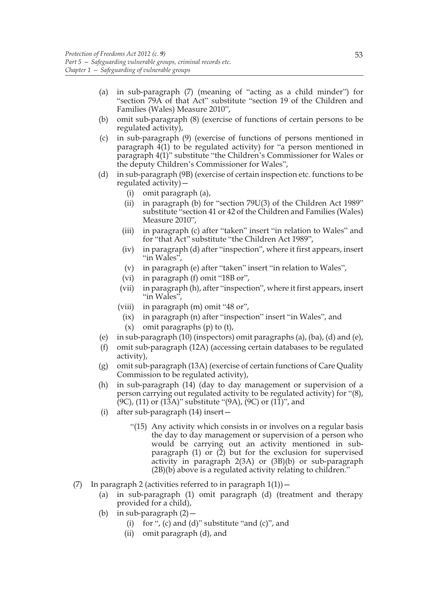- (a) in sub-paragraph (7) (meaning of "acting as a child minder") for "section 79A of that Act" substitute "section 19 of the Children and Families (Wales) Measure 2010",
- (b) omit sub-paragraph (8) (exercise of functions of certain persons to be regulated activity),
- (c) in sub-paragraph (9) (exercise of functions of persons mentioned in paragraph 4(1) to be regulated activity) for "a person mentioned in paragraph 4(1)" substitute "the Children's Commissioner for Wales or the deputy Children's Commissioner for Wales",
- (d) in sub-paragraph (9B) (exercise of certain inspection etc. functions to be regulated activity)—
	- (i) omit paragraph (a),
	- (ii) in paragraph (b) for "section 79U(3) of the Children Act 1989" substitute "section 41 or 42 of the Children and Families (Wales) Measure 2010",
	- (iii) in paragraph (c) after "taken" insert "in relation to Wales" and for "that Act" substitute "the Children Act 1989",
	- (iv) in paragraph (d) after "inspection", where it first appears, insert "in Wales",
	- (v) in paragraph (e) after "taken" insert "in relation to Wales",
	- (vi) in paragraph (f) omit "18B or",
	- (vii) in paragraph (h), after "inspection", where it first appears, insert "in Wales",
	- (viii) in paragraph (m) omit "48 or",
	- (ix) in paragraph (n) after "inspection" insert "in Wales", and
	- (x) omit paragraphs (p) to (t),
- (e) in sub-paragraph (10) (inspectors) omit paragraphs (a), (ba), (d) and (e),
- (f) omit sub-paragraph (12A) (accessing certain databases to be regulated activity),
- (g) omit sub-paragraph (13A) (exercise of certain functions of Care Quality Commission to be regulated activity),
- (h) in sub-paragraph (14) (day to day management or supervision of a person carrying out regulated activity to be regulated activity) for "(8), (9C), (11) or (13A)" substitute "(9A), (9C) or (11)", and
- (i) after sub-paragraph (14) insert—
	- "(15) Any activity which consists in or involves on a regular basis the day to day management or supervision of a person who would be carrying out an activity mentioned in subparagraph (1) or  $(\check{2})$  but for the exclusion for supervised activity in paragraph 2(3A) or (3B)(b) or sub-paragraph (2B)(b) above is a regulated activity relating to children."
- (7) In paragraph 2 (activities referred to in paragraph  $1(1)$ )
	- (a) in sub-paragraph (1) omit paragraph (d) (treatment and therapy provided for a child),
	- (b) in sub-paragraph  $(2)$  -
		- (i) for ", (c) and (d)" substitute "and (c)", and
		- (ii) omit paragraph (d), and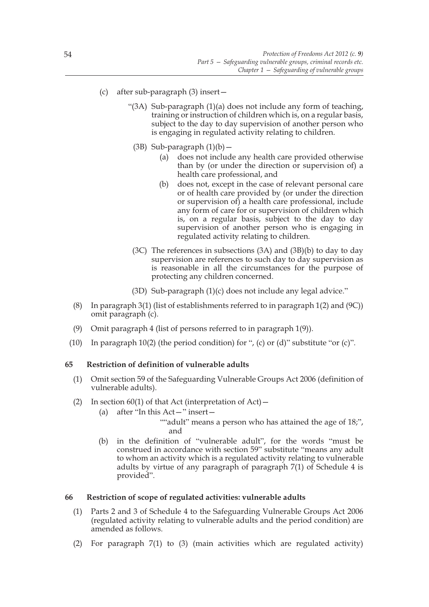- (c) after sub-paragraph (3) insert—
	- "(3A) Sub-paragraph (1)(a) does not include any form of teaching, training or instruction of children which is, on a regular basis, subject to the day to day supervision of another person who is engaging in regulated activity relating to children.
		- (3B) Sub-paragraph  $(1)(b)$  -
			- (a) does not include any health care provided otherwise than by (or under the direction or supervision of) a health care professional, and
			- (b) does not, except in the case of relevant personal care or of health care provided by (or under the direction or supervision of) a health care professional, include any form of care for or supervision of children which is, on a regular basis, subject to the day to day supervision of another person who is engaging in regulated activity relating to children.
	- (3C) The references in subsections (3A) and (3B)(b) to day to day supervision are references to such day to day supervision as is reasonable in all the circumstances for the purpose of protecting any children concerned.
	- (3D) Sub-paragraph (1)(c) does not include any legal advice."
- (8) In paragraph 3(1) (list of establishments referred to in paragraph 1(2) and (9C)) omit paragraph (c).
- (9) Omit paragraph 4 (list of persons referred to in paragraph 1(9)).
- (10) In paragraph 10(2) (the period condition) for ", (c) or (d)" substitute "or (c)".

### **65 Restriction of definition of vulnerable adults**

- (1) Omit section 59 of the Safeguarding Vulnerable Groups Act 2006 (definition of vulnerable adults).
- (2) In section 60(1) of that Act (interpretation of Act)  $-$ 
	- (a) after "In this Act—" insert—
		- ""adult" means a person who has attained the age of 18;", and
	- (b) in the definition of "vulnerable adult", for the words "must be construed in accordance with section 59" substitute "means any adult to whom an activity which is a regulated activity relating to vulnerable adults by virtue of any paragraph of paragraph 7(1) of Schedule 4 is provided".

### **66 Restriction of scope of regulated activities: vulnerable adults**

- (1) Parts 2 and 3 of Schedule 4 to the Safeguarding Vulnerable Groups Act 2006 (regulated activity relating to vulnerable adults and the period condition) are amended as follows.
- (2) For paragraph 7(1) to (3) (main activities which are regulated activity)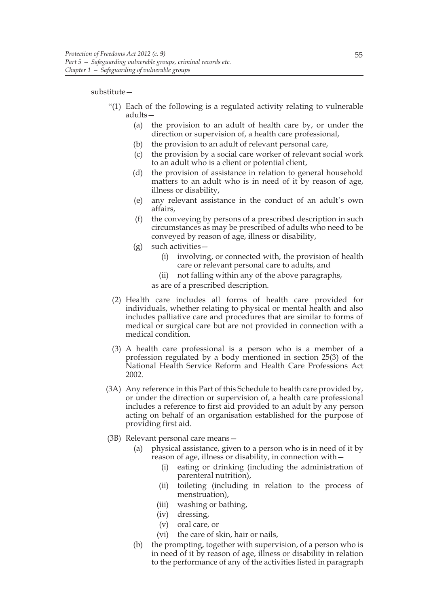#### substitute—

- "(1) Each of the following is a regulated activity relating to vulnerable adults—
	- (a) the provision to an adult of health care by, or under the direction or supervision of, a health care professional,
	- (b) the provision to an adult of relevant personal care,
	- (c) the provision by a social care worker of relevant social work to an adult who is a client or potential client,
	- (d) the provision of assistance in relation to general household matters to an adult who is in need of it by reason of age, illness or disability,
	- (e) any relevant assistance in the conduct of an adult's own affairs,
	- (f) the conveying by persons of a prescribed description in such circumstances as may be prescribed of adults who need to be conveyed by reason of age, illness or disability,
	- (g) such activities—
		- (i) involving, or connected with, the provision of health care or relevant personal care to adults, and
		- (ii) not falling within any of the above paragraphs,

as are of a prescribed description.

- (2) Health care includes all forms of health care provided for individuals, whether relating to physical or mental health and also includes palliative care and procedures that are similar to forms of medical or surgical care but are not provided in connection with a medical condition.
- (3) A health care professional is a person who is a member of a profession regulated by a body mentioned in section 25(3) of the National Health Service Reform and Health Care Professions Act 2002.
- (3A) Any reference in this Part of this Schedule to health care provided by, or under the direction or supervision of, a health care professional includes a reference to first aid provided to an adult by any person acting on behalf of an organisation established for the purpose of providing first aid.
- (3B) Relevant personal care means—
	- (a) physical assistance, given to a person who is in need of it by reason of age, illness or disability, in connection with—
		- (i) eating or drinking (including the administration of parenteral nutrition),
		- (ii) toileting (including in relation to the process of menstruation),
		- (iii) washing or bathing,
		- (iv) dressing,
		- (v) oral care, or
		- (vi) the care of skin, hair or nails,
	- (b) the prompting, together with supervision, of a person who is in need of it by reason of age, illness or disability in relation to the performance of any of the activities listed in paragraph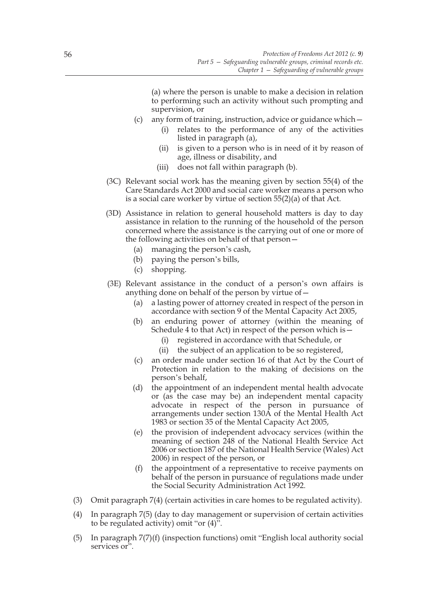(a) where the person is unable to make a decision in relation to performing such an activity without such prompting and supervision, or

- (c) any form of training, instruction, advice or guidance which—
	- (i) relates to the performance of any of the activities listed in paragraph (a),
	- (ii) is given to a person who is in need of it by reason of age, illness or disability, and
	- (iii) does not fall within paragraph (b).
- (3C) Relevant social work has the meaning given by section 55(4) of the Care Standards Act 2000 and social care worker means a person who is a social care worker by virtue of section 55(2)(a) of that Act.
- (3D) Assistance in relation to general household matters is day to day assistance in relation to the running of the household of the person concerned where the assistance is the carrying out of one or more of the following activities on behalf of that person—
	- (a) managing the person's cash,
	- (b) paying the person's bills,
	- (c) shopping.
- (3E) Relevant assistance in the conduct of a person's own affairs is anything done on behalf of the person by virtue of—
	- (a) a lasting power of attorney created in respect of the person in accordance with section 9 of the Mental Capacity Act 2005,
	- (b) an enduring power of attorney (within the meaning of Schedule 4 to that Act) in respect of the person which is—
		- (i) registered in accordance with that Schedule, or
		- (ii) the subject of an application to be so registered,
	- (c) an order made under section 16 of that Act by the Court of Protection in relation to the making of decisions on the person's behalf,
	- (d) the appointment of an independent mental health advocate or (as the case may be) an independent mental capacity advocate in respect of the person in pursuance of arrangements under section 130A of the Mental Health Act 1983 or section 35 of the Mental Capacity Act 2005,
	- (e) the provision of independent advocacy services (within the meaning of section 248 of the National Health Service Act 2006 or section 187 of the National Health Service (Wales) Act 2006) in respect of the person, or
	- (f) the appointment of a representative to receive payments on behalf of the person in pursuance of regulations made under the Social Security Administration Act 1992.
- (3) Omit paragraph 7(4) (certain activities in care homes to be regulated activity).
- (4) In paragraph 7(5) (day to day management or supervision of certain activities to be regulated activity) omit "or (4)".
- (5) In paragraph 7(7)(f) (inspection functions) omit "English local authority social services or".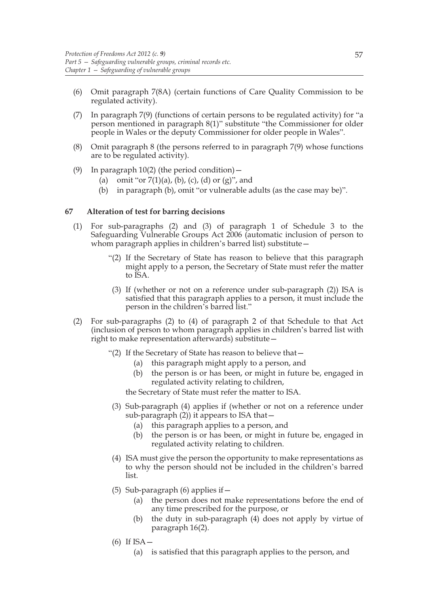- (6) Omit paragraph 7(8A) (certain functions of Care Quality Commission to be regulated activity).
- (7) In paragraph 7(9) (functions of certain persons to be regulated activity) for "a person mentioned in paragraph 8(1)" substitute "the Commissioner for older people in Wales or the deputy Commissioner for older people in Wales".
- (8) Omit paragraph 8 (the persons referred to in paragraph 7(9) whose functions are to be regulated activity).
- (9) In paragraph  $10(2)$  (the period condition)
	- (a) omit "or  $7(1)(a)$ , (b), (c), (d) or (g)", and
	- (b) in paragraph (b), omit "or vulnerable adults (as the case may be)".

#### **67 Alteration of test for barring decisions**

- (1) For sub-paragraphs (2) and (3) of paragraph 1 of Schedule 3 to the Safeguarding Vulnerable Groups Act 2006 (automatic inclusion of person to whom paragraph applies in children's barred list) substitute—
	- "(2) If the Secretary of State has reason to believe that this paragraph might apply to a person, the Secretary of State must refer the matter to ISA.
	- (3) If (whether or not on a reference under sub-paragraph (2)) ISA is satisfied that this paragraph applies to a person, it must include the person in the children's barred list."
- (2) For sub-paragraphs (2) to (4) of paragraph 2 of that Schedule to that Act (inclusion of person to whom paragraph applies in children's barred list with right to make representation afterwards) substitute—
	- "(2) If the Secretary of State has reason to believe that—
		- (a) this paragraph might apply to a person, and
		- (b) the person is or has been, or might in future be, engaged in regulated activity relating to children,

the Secretary of State must refer the matter to ISA.

- (3) Sub-paragraph (4) applies if (whether or not on a reference under sub-paragraph (2)) it appears to ISA that—
	- (a) this paragraph applies to a person, and
	- (b) the person is or has been, or might in future be, engaged in regulated activity relating to children.
- (4) ISA must give the person the opportunity to make representations as to why the person should not be included in the children's barred list.
- (5) Sub-paragraph (6) applies if—
	- (a) the person does not make representations before the end of any time prescribed for the purpose, or
	- (b) the duty in sub-paragraph (4) does not apply by virtue of paragraph 16(2).
- $(6)$  If  $ISA-$ 
	- (a) is satisfied that this paragraph applies to the person, and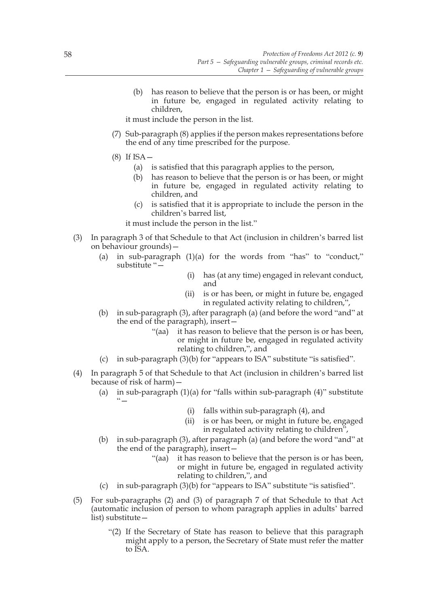(b) has reason to believe that the person is or has been, or might in future be, engaged in regulated activity relating to children,

it must include the person in the list.

- (7) Sub-paragraph (8) applies if the person makes representations before the end of any time prescribed for the purpose.
- $(8)$  If ISA
	- (a) is satisfied that this paragraph applies to the person,
	- (b) has reason to believe that the person is or has been, or might in future be, engaged in regulated activity relating to children, and
	- (c) is satisfied that it is appropriate to include the person in the children's barred list,

it must include the person in the list."

- (3) In paragraph 3 of that Schedule to that Act (inclusion in children's barred list on behaviour grounds)—
	- (a) in sub-paragraph  $(1)(a)$  for the words from "has" to "conduct," substitute "—
		- (i) has (at any time) engaged in relevant conduct, and
		- (ii) is or has been, or might in future be, engaged in regulated activity relating to children,",
	- (b) in sub-paragraph (3), after paragraph (a) (and before the word "and" at the end of the paragraph), insert—
		- "(aa) it has reason to believe that the person is or has been, or might in future be, engaged in regulated activity relating to children,", and
	- (c) in sub-paragraph (3)(b) for "appears to ISA" substitute "is satisfied".
- (4) In paragraph 5 of that Schedule to that Act (inclusion in children's barred list because of risk of harm)—
	- (a) in sub-paragraph (1)(a) for "falls within sub-paragraph (4)" substitute  $66$ 
		- (i) falls within sub-paragraph (4), and
		- (ii) is or has been, or might in future be, engaged in regulated activity relating to children",
	- (b) in sub-paragraph (3), after paragraph (a) (and before the word "and" at the end of the paragraph), insert—
		- "(aa) it has reason to believe that the person is or has been, or might in future be, engaged in regulated activity relating to children,", and
	- (c) in sub-paragraph (3)(b) for "appears to ISA" substitute "is satisfied".
- (5) For sub-paragraphs (2) and (3) of paragraph 7 of that Schedule to that Act (automatic inclusion of person to whom paragraph applies in adults' barred list) substitute—
	- "(2) If the Secretary of State has reason to believe that this paragraph might apply to a person, the Secretary of State must refer the matter to ISA.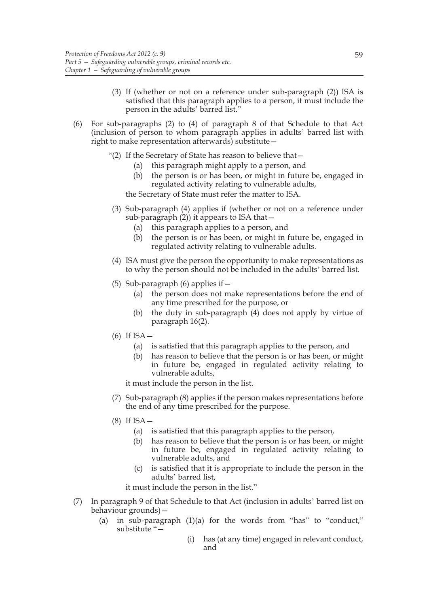- (3) If (whether or not on a reference under sub-paragraph (2)) ISA is satisfied that this paragraph applies to a person, it must include the person in the adults' barred list."
- (6) For sub-paragraphs (2) to (4) of paragraph 8 of that Schedule to that Act (inclusion of person to whom paragraph applies in adults' barred list with right to make representation afterwards) substitute—
	- "(2) If the Secretary of State has reason to believe that—
		- (a) this paragraph might apply to a person, and
		- (b) the person is or has been, or might in future be, engaged in regulated activity relating to vulnerable adults,

the Secretary of State must refer the matter to ISA.

- (3) Sub-paragraph (4) applies if (whether or not on a reference under sub-paragraph  $(2)$ ) it appears to ISA that  $-$ 
	- (a) this paragraph applies to a person, and
	- (b) the person is or has been, or might in future be, engaged in regulated activity relating to vulnerable adults.
- (4) ISA must give the person the opportunity to make representations as to why the person should not be included in the adults' barred list.
- (5) Sub-paragraph (6) applies if—
	- (a) the person does not make representations before the end of any time prescribed for the purpose, or
	- (b) the duty in sub-paragraph (4) does not apply by virtue of paragraph 16(2).
- $(6)$  If ISA
	- (a) is satisfied that this paragraph applies to the person, and
	- (b) has reason to believe that the person is or has been, or might in future be, engaged in regulated activity relating to vulnerable adults,

it must include the person in the list.

- (7) Sub-paragraph (8) applies if the person makes representations before the end of any time prescribed for the purpose.
- $(8)$  If ISA
	- (a) is satisfied that this paragraph applies to the person,
	- (b) has reason to believe that the person is or has been, or might in future be, engaged in regulated activity relating to vulnerable adults, and
	- (c) is satisfied that it is appropriate to include the person in the adults' barred list,

it must include the person in the list."

- (7) In paragraph 9 of that Schedule to that Act (inclusion in adults' barred list on behaviour grounds)—
	- (a) in sub-paragraph (1)(a) for the words from "has" to "conduct," substitute "—
		- (i) has (at any time) engaged in relevant conduct, and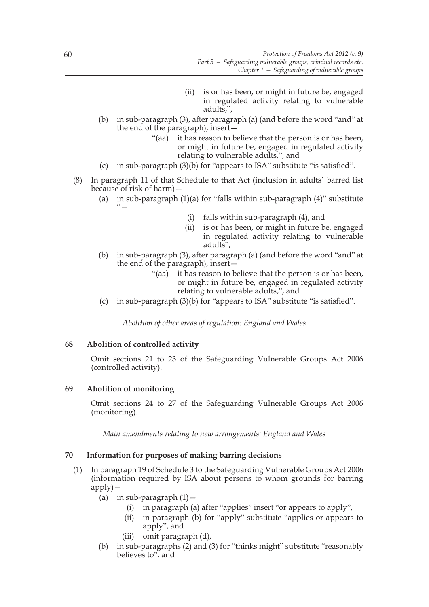- (ii) is or has been, or might in future be, engaged in regulated activity relating to vulnerable adults,",
- (b) in sub-paragraph (3), after paragraph (a) (and before the word "and" at the end of the paragraph), insert—
	- "(aa) it has reason to believe that the person is or has been, or might in future be, engaged in regulated activity relating to vulnerable adults,", and
- (c) in sub-paragraph (3)(b) for "appears to ISA" substitute "is satisfied".
- (8) In paragraph 11 of that Schedule to that Act (inclusion in adults' barred list because of risk of harm)—
	- (a) in sub-paragraph (1)(a) for "falls within sub-paragraph (4)" substitute  $\mathsf{G}(\mathsf{G})$ 
		- (i) falls within sub-paragraph (4), and
		- (ii) is or has been, or might in future be, engaged in regulated activity relating to vulnerable adults",
	- (b) in sub-paragraph (3), after paragraph (a) (and before the word "and" at the end of the paragraph), insert—
		- "(aa) it has reason to believe that the person is or has been, or might in future be, engaged in regulated activity relating to vulnerable adults,", and
	- (c) in sub-paragraph (3)(b) for "appears to ISA" substitute "is satisfied".

*Abolition of other areas of regulation: England and Wales*

### **68 Abolition of controlled activity**

Omit sections 21 to 23 of the Safeguarding Vulnerable Groups Act 2006 (controlled activity).

### **69 Abolition of monitoring**

Omit sections 24 to 27 of the Safeguarding Vulnerable Groups Act 2006 (monitoring).

*Main amendments relating to new arrangements: England and Wales*

#### **70 Information for purposes of making barring decisions**

- (1) In paragraph 19 of Schedule 3 to the Safeguarding Vulnerable Groups Act 2006 (information required by ISA about persons to whom grounds for barring apply)—
	- (a) in sub-paragraph  $(1)$  -
		- (i) in paragraph (a) after "applies" insert "or appears to apply",
		- (ii) in paragraph (b) for "apply" substitute "applies or appears to apply", and
		- (iii) omit paragraph (d),
	- (b) in sub-paragraphs (2) and (3) for "thinks might" substitute "reasonably believes to", and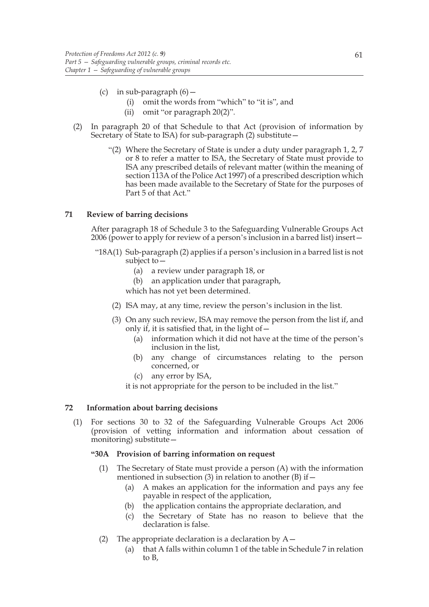- (c) in sub-paragraph  $(6)$  -
	- (i) omit the words from "which" to "it is", and
	- (ii) omit "or paragraph 20(2)".
- (2) In paragraph 20 of that Schedule to that Act (provision of information by Secretary of State to ISA) for sub-paragraph (2) substitute—
	- "(2) Where the Secretary of State is under a duty under paragraph 1, 2, 7 or 8 to refer a matter to ISA, the Secretary of State must provide to ISA any prescribed details of relevant matter (within the meaning of section 113A of the Police Act 1997) of a prescribed description which has been made available to the Secretary of State for the purposes of Part 5 of that Act."

### **71 Review of barring decisions**

After paragraph 18 of Schedule 3 to the Safeguarding Vulnerable Groups Act 2006 (power to apply for review of a person's inclusion in a barred list) insert—

- "18A(1) Sub-paragraph (2) applies if a person's inclusion in a barred list is not subject to—
	- (a) a review under paragraph 18, or
	- (b) an application under that paragraph,

which has not yet been determined.

- (2) ISA may, at any time, review the person's inclusion in the list.
- (3) On any such review, ISA may remove the person from the list if, and only if, it is satisfied that, in the light of  $-$ 
	- (a) information which it did not have at the time of the person's inclusion in the list,
	- (b) any change of circumstances relating to the person concerned, or
	- (c) any error by ISA,

it is not appropriate for the person to be included in the list."

### **72 Information about barring decisions**

(1) For sections 30 to 32 of the Safeguarding Vulnerable Groups Act 2006 (provision of vetting information and information about cessation of monitoring) substitute—

### **"30A Provision of barring information on request**

- (1) The Secretary of State must provide a person (A) with the information mentioned in subsection (3) in relation to another (B) if  $-$ 
	- (a) A makes an application for the information and pays any fee payable in respect of the application,
	- (b) the application contains the appropriate declaration, and
	- (c) the Secretary of State has no reason to believe that the declaration is false.
- (2) The appropriate declaration is a declaration by  $A-$ 
	- (a) that A falls within column 1 of the table in Schedule 7 in relation to B,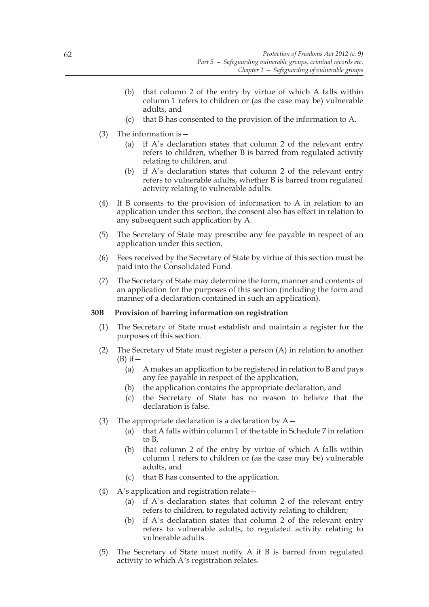- (b) that column 2 of the entry by virtue of which A falls within column 1 refers to children or (as the case may be) vulnerable adults, and
- (c) that B has consented to the provision of the information to A.
- (3) The information is—
	- (a) if A's declaration states that column 2 of the relevant entry refers to children, whether B is barred from regulated activity relating to children, and
	- (b) if A's declaration states that column 2 of the relevant entry refers to vulnerable adults, whether B is barred from regulated activity relating to vulnerable adults.
- (4) If B consents to the provision of information to A in relation to an application under this section, the consent also has effect in relation to any subsequent such application by A.
- (5) The Secretary of State may prescribe any fee payable in respect of an application under this section.
- (6) Fees received by the Secretary of State by virtue of this section must be paid into the Consolidated Fund.
- (7) The Secretary of State may determine the form, manner and contents of an application for the purposes of this section (including the form and manner of a declaration contained in such an application).

### **30B Provision of barring information on registration**

- (1) The Secretary of State must establish and maintain a register for the purposes of this section.
- (2) The Secretary of State must register a person (A) in relation to another  $(B)$  if  $-$ 
	- (a) A makes an application to be registered in relation to B and pays any fee payable in respect of the application,
	- (b) the application contains the appropriate declaration, and
	- (c) the Secretary of State has no reason to believe that the declaration is false.
- (3) The appropriate declaration is a declaration by  $A-$ 
	- (a) that A falls within column 1 of the table in Schedule 7 in relation to B,
	- (b) that column 2 of the entry by virtue of which A falls within column 1 refers to children or (as the case may be) vulnerable adults, and
	- (c) that B has consented to the application.
- (4) A's application and registration relate—
	- (a) if A's declaration states that column 2 of the relevant entry refers to children, to regulated activity relating to children;
	- (b) if A's declaration states that column 2 of the relevant entry refers to vulnerable adults, to regulated activity relating to vulnerable adults.
- (5) The Secretary of State must notify A if B is barred from regulated activity to which A's registration relates.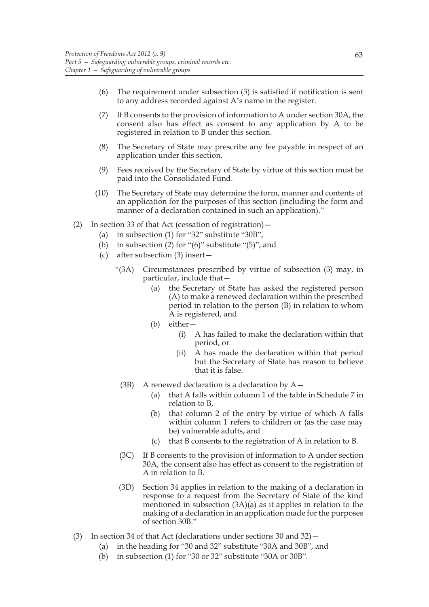- (6) The requirement under subsection (5) is satisfied if notification is sent to any address recorded against A's name in the register.
- (7) If B consents to the provision of information to A under section 30A, the consent also has effect as consent to any application by A to be registered in relation to B under this section.
- (8) The Secretary of State may prescribe any fee payable in respect of an application under this section.
- (9) Fees received by the Secretary of State by virtue of this section must be paid into the Consolidated Fund.
- (10) The Secretary of State may determine the form, manner and contents of an application for the purposes of this section (including the form and manner of a declaration contained in such an application)."
- (2) In section 33 of that Act (cessation of registration)—
	- (a) in subsection (1) for "32" substitute "30B",
	- (b) in subsection (2) for " $(6)$ " substitute " $(5)$ ", and
	- (c) after subsection (3) insert—
		- "(3A) Circumstances prescribed by virtue of subsection (3) may, in particular, include that—
			- (a) the Secretary of State has asked the registered person (A) to make a renewed declaration within the prescribed period in relation to the person (B) in relation to whom A is registered, and
			- (b) either—
				- (i) A has failed to make the declaration within that period, or
				- (ii) A has made the declaration within that period but the Secretary of State has reason to believe that it is false.
			- (3B) A renewed declaration is a declaration by  $A-$ 
				- (a) that A falls within column 1 of the table in Schedule 7 in relation to B,
				- (b) that column 2 of the entry by virtue of which A falls within column 1 refers to children or (as the case may be) vulnerable adults, and
				- (c) that B consents to the registration of A in relation to B.
		- (3C) If B consents to the provision of information to A under section 30A, the consent also has effect as consent to the registration of A in relation to B.
		- (3D) Section 34 applies in relation to the making of a declaration in response to a request from the Secretary of State of the kind mentioned in subsection (3A)(a) as it applies in relation to the making of a declaration in an application made for the purposes of section 30B."
- (3) In section 34 of that Act (declarations under sections 30 and 32)—
	- (a) in the heading for "30 and 32" substitute "30A and 30B", and
	- (b) in subsection (1) for "30 or 32" substitute "30A or 30B".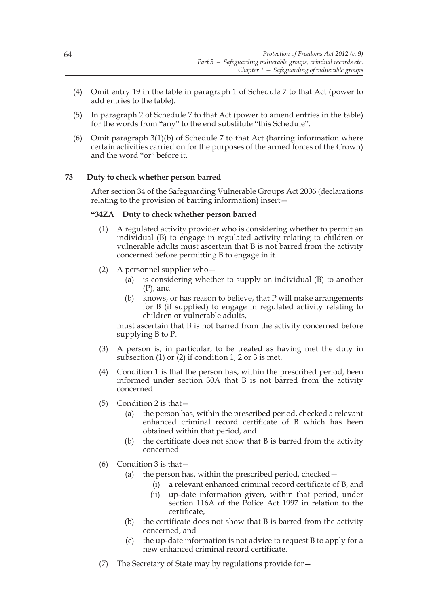- (4) Omit entry 19 in the table in paragraph 1 of Schedule 7 to that Act (power to add entries to the table).
- (5) In paragraph 2 of Schedule 7 to that Act (power to amend entries in the table) for the words from "any" to the end substitute "this Schedule".
- (6) Omit paragraph 3(1)(b) of Schedule 7 to that Act (barring information where certain activities carried on for the purposes of the armed forces of the Crown) and the word "or" before it.

#### **73 Duty to check whether person barred**

After section 34 of the Safeguarding Vulnerable Groups Act 2006 (declarations relating to the provision of barring information) insert—

#### **"34ZA Duty to check whether person barred**

- (1) A regulated activity provider who is considering whether to permit an individual (B) to engage in regulated activity relating to children or vulnerable adults must ascertain that B is not barred from the activity concerned before permitting B to engage in it.
- (2) A personnel supplier who—
	- (a) is considering whether to supply an individual (B) to another (P), and
	- (b) knows, or has reason to believe, that P will make arrangements for B (if supplied) to engage in regulated activity relating to children or vulnerable adults,

must ascertain that B is not barred from the activity concerned before supplying B to P.

- (3) A person is, in particular, to be treated as having met the duty in subsection (1) or (2) if condition 1, 2 or 3 is met.
- (4) Condition 1 is that the person has, within the prescribed period, been informed under section 30A that B is not barred from the activity concerned.
- (5) Condition 2 is that—
	- (a) the person has, within the prescribed period, checked a relevant enhanced criminal record certificate of B which has been obtained within that period, and
	- (b) the certificate does not show that B is barred from the activity concerned.
- (6) Condition 3 is that—
	- (a) the person has, within the prescribed period, checked—
		- (i) a relevant enhanced criminal record certificate of B, and
		- (ii) up-date information given, within that period, under section 116A of the Police Act 1997 in relation to the certificate,
	- (b) the certificate does not show that B is barred from the activity concerned, and
	- (c) the up-date information is not advice to request B to apply for a new enhanced criminal record certificate.
- (7) The Secretary of State may by regulations provide for—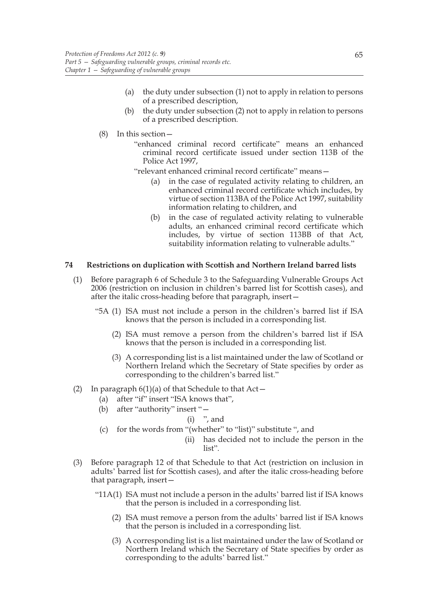- (a) the duty under subsection (1) not to apply in relation to persons of a prescribed description,
- (b) the duty under subsection (2) not to apply in relation to persons of a prescribed description.
- (8) In this section—
	- "enhanced criminal record certificate" means an enhanced criminal record certificate issued under section 113B of the Police Act 1997,

"relevant enhanced criminal record certificate" means—

- (a) in the case of regulated activity relating to children, an enhanced criminal record certificate which includes, by virtue of section 113BA of the Police Act 1997, suitability information relating to children, and
- (b) in the case of regulated activity relating to vulnerable adults, an enhanced criminal record certificate which includes, by virtue of section 113BB of that Act, suitability information relating to vulnerable adults."

#### **74 Restrictions on duplication with Scottish and Northern Ireland barred lists**

- (1) Before paragraph 6 of Schedule 3 to the Safeguarding Vulnerable Groups Act 2006 (restriction on inclusion in children's barred list for Scottish cases), and after the italic cross-heading before that paragraph, insert—
	- "5A (1) ISA must not include a person in the children's barred list if ISA knows that the person is included in a corresponding list.
		- (2) ISA must remove a person from the children's barred list if ISA knows that the person is included in a corresponding list.
		- (3) A corresponding list is a list maintained under the law of Scotland or Northern Ireland which the Secretary of State specifies by order as corresponding to the children's barred list."
- (2) In paragraph  $6(1)(a)$  of that Schedule to that Act -
	- (a) after "if" insert "ISA knows that",
	- (b) after "authority" insert "—

#### $(i)$  ", and

- (c) for the words from "(whether" to "list)" substitute ", and
	- (ii) has decided not to include the person in the list".
- (3) Before paragraph 12 of that Schedule to that Act (restriction on inclusion in adults' barred list for Scottish cases), and after the italic cross-heading before that paragraph, insert—
	- "11A(1) ISA must not include a person in the adults' barred list if ISA knows that the person is included in a corresponding list.
		- (2) ISA must remove a person from the adults' barred list if ISA knows that the person is included in a corresponding list.
		- (3) A corresponding list is a list maintained under the law of Scotland or Northern Ireland which the Secretary of State specifies by order as corresponding to the adults' barred list."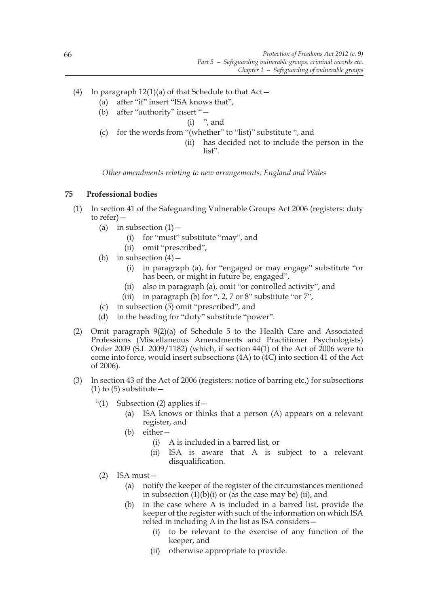- (4) In paragraph  $12(1)(a)$  of that Schedule to that Act-
	- (a) after "if" insert "ISA knows that",
	- (b) after "authority" insert "—

 $(i)$  ", and

- (c) for the words from "(whether" to "list)" substitute ", and
	- (ii) has decided not to include the person in the list".

*Other amendments relating to new arrangements: England and Wales*

## **75 Professional bodies**

- (1) In section 41 of the Safeguarding Vulnerable Groups Act 2006 (registers: duty to refer)—
	- (a) in subsection  $(1)$  -
		- (i) for "must" substitute "may", and
		- (ii) omit "prescribed",
	- (b) in subsection  $(4)$ 
		- (i) in paragraph (a), for "engaged or may engage" substitute "or has been, or might in future be, engaged",
		- (ii) also in paragraph (a), omit "or controlled activity", and
		- (iii) in paragraph (b) for ", 2, 7 or 8" substitute "or 7",
	- (c) in subsection (5) omit "prescribed", and
	- (d) in the heading for "duty" substitute "power".
- (2) Omit paragraph 9(2)(a) of Schedule 5 to the Health Care and Associated Professions (Miscellaneous Amendments and Practitioner Psychologists) Order 2009 (S.I. 2009/1182) (which, if section 44(1) of the Act of 2006 were to come into force, would insert subsections (4A) to (4C) into section 41 of the Act of 2006).
- (3) In section 43 of the Act of 2006 (registers: notice of barring etc.) for subsections (1) to  $(5)$  substitute –
	- "(1) Subsection (2) applies if  $-$ 
		- (a) ISA knows or thinks that a person (A) appears on a relevant register, and
		- (b) either—
			- (i) A is included in a barred list, or
			- (ii) ISA is aware that A is subject to a relevant disqualification.
	- (2) ISA must—
		- (a) notify the keeper of the register of the circumstances mentioned in subsection  $(1)(b)(i)$  or (as the case may be) (ii), and
		- (b) in the case where A is included in a barred list, provide the keeper of the register with such of the information on which ISA relied in including A in the list as ISA considers—
			- (i) to be relevant to the exercise of any function of the keeper, and
			- (ii) otherwise appropriate to provide.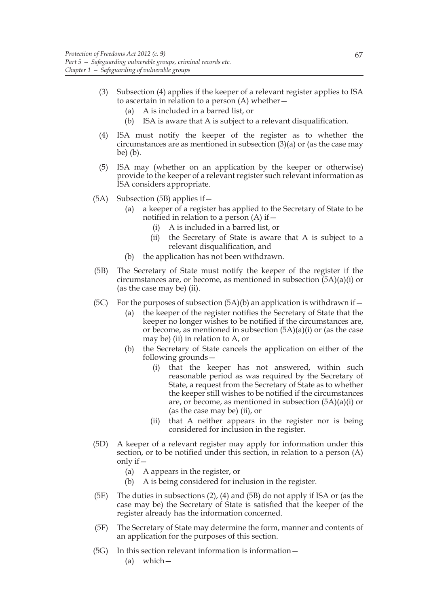- (3) Subsection (4) applies if the keeper of a relevant register applies to ISA to ascertain in relation to a person (A) whether—
	- (a) A is included in a barred list, or
	- (b) ISA is aware that A is subject to a relevant disqualification.
- (4) ISA must notify the keeper of the register as to whether the circumstances are as mentioned in subsection  $(3)(a)$  or (as the case may be) (b).
- (5) ISA may (whether on an application by the keeper or otherwise) provide to the keeper of a relevant register such relevant information as ISA considers appropriate.
- (5A) Subsection (5B) applies if—
	- (a) a keeper of a register has applied to the Secretary of State to be notified in relation to a person  $(A)$  if  $-$ 
		- (i) A is included in a barred list, or
		- (ii) the Secretary of State is aware that A is subject to a relevant disqualification, and
	- (b) the application has not been withdrawn.
- (5B) The Secretary of State must notify the keeper of the register if the circumstances are, or become, as mentioned in subsection  $(5A)(a)(i)$  or (as the case may be) (ii).
- (5C) For the purposes of subsection  $(5A)(b)$  an application is withdrawn if  $-$ 
	- (a) the keeper of the register notifies the Secretary of State that the keeper no longer wishes to be notified if the circumstances are, or become, as mentioned in subsection  $(5A)(a)(i)$  or (as the case may be) (ii) in relation to A, or
	- (b) the Secretary of State cancels the application on either of the following grounds—
		- (i) that the keeper has not answered, within such reasonable period as was required by the Secretary of State, a request from the Secretary of State as to whether the keeper still wishes to be notified if the circumstances are, or become, as mentioned in subsection (5A)(a)(i) or (as the case may be) (ii), or
		- (ii) that A neither appears in the register nor is being considered for inclusion in the register.
- (5D) A keeper of a relevant register may apply for information under this section, or to be notified under this section, in relation to a person (A) only if—
	- (a) A appears in the register, or
	- (b) A is being considered for inclusion in the register.
- (5E) The duties in subsections (2), (4) and (5B) do not apply if ISA or (as the case may be) the Secretary of State is satisfied that the keeper of the register already has the information concerned.
- (5F) The Secretary of State may determine the form, manner and contents of an application for the purposes of this section.
- $(5G)$  In this section relevant information is information  $-$ 
	- (a) which—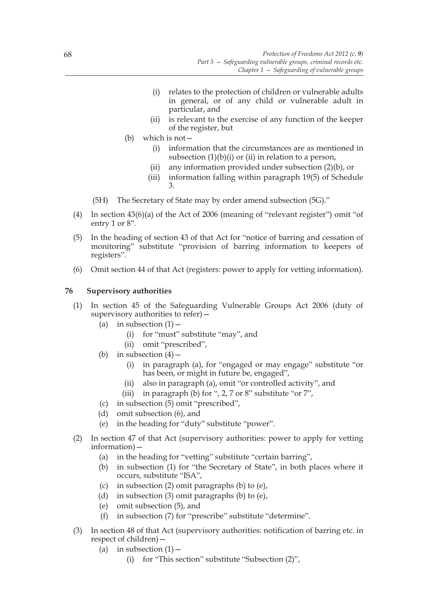- (i) relates to the protection of children or vulnerable adults in general, or of any child or vulnerable adult in particular, and
- (ii) is relevant to the exercise of any function of the keeper of the register, but
- (b) which is not—
	- (i) information that the circumstances are as mentioned in subsection  $(1)(b)(i)$  or  $(ii)$  in relation to a person,
	- (ii) any information provided under subsection (2)(b), or
	- (iii) information falling within paragraph 19(5) of Schedule 3.
- (5H) The Secretary of State may by order amend subsection (5G)."
- (4) In section 43(6)(a) of the Act of 2006 (meaning of "relevant register") omit "of entry 1 or 8".
- (5) In the heading of section 43 of that Act for "notice of barring and cessation of monitoring" substitute "provision of barring information to keepers of registers".
- (6) Omit section 44 of that Act (registers: power to apply for vetting information).

# **76 Supervisory authorities**

- (1) In section 45 of the Safeguarding Vulnerable Groups Act 2006 (duty of supervisory authorities to refer)—
	- (a) in subsection  $(1)$ 
		- (i) for "must" substitute "may", and
		- (ii) omit "prescribed",
	- (b) in subsection  $(4)$ 
		- (i) in paragraph (a), for "engaged or may engage" substitute "or has been, or might in future be, engaged",
		- (ii) also in paragraph (a), omit "or controlled activity", and
		- (iii) in paragraph (b) for ", 2, 7 or 8" substitute "or 7",
	- (c) in subsection (5) omit "prescribed",
	- (d) omit subsection (6), and
	- (e) in the heading for "duty" substitute "power".
- (2) In section 47 of that Act (supervisory authorities: power to apply for vetting information)—
	- (a) in the heading for "vetting" substitute "certain barring",
	- (b) in subsection (1) for "the Secretary of State", in both places where it occurs, substitute "ISA",
	- (c) in subsection (2) omit paragraphs (b) to (e),
	- (d) in subsection (3) omit paragraphs (b) to (e),
	- (e) omit subsection (5), and
	- (f) in subsection (7) for "prescribe" substitute "determine".
- (3) In section 48 of that Act (supervisory authorities: notification of barring etc. in respect of children)—
	- (a) in subsection  $(1)$  -
		- (i) for "This section" substitute "Subsection (2)",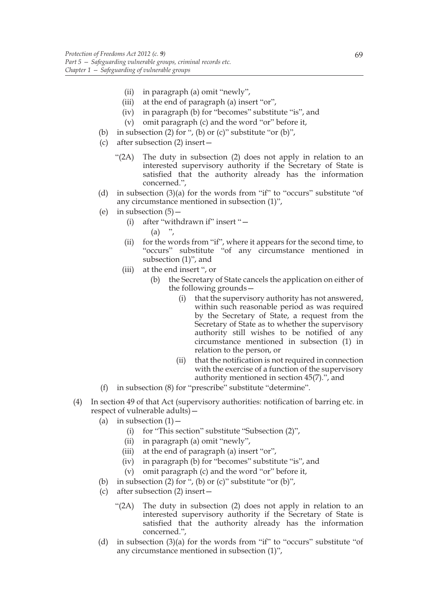- (ii) in paragraph (a) omit "newly",
- (iii) at the end of paragraph (a) insert "or",
- (iv) in paragraph (b) for "becomes" substitute "is", and
- (v) omit paragraph (c) and the word "or" before it,
- (b) in subsection (2) for ", (b) or (c)" substitute "or (b)",
- (c) after subsection (2) insert—
	- "(2A) The duty in subsection (2) does not apply in relation to an interested supervisory authority if the Secretary of State is satisfied that the authority already has the information concerned.",
- (d) in subsection (3)(a) for the words from "if" to "occurs" substitute "of any circumstance mentioned in subsection (1)",
- (e) in subsection  $(5)$ 
	- (i) after "withdrawn if" insert "—
		- $(a)$  ",
	- (ii) for the words from "if", where it appears for the second time, to "occurs" substitute "of any circumstance mentioned in subsection  $(1)$ ", and
	- (iii) at the end insert ", or
		- (b) the Secretary of State cancels the application on either of the following grounds—
			- (i) that the supervisory authority has not answered, within such reasonable period as was required by the Secretary of State, a request from the Secretary of State as to whether the supervisory authority still wishes to be notified of any circumstance mentioned in subsection (1) in relation to the person, or
			- (ii) that the notification is not required in connection with the exercise of a function of the supervisory authority mentioned in section 45(7).", and
- (f) in subsection (8) for "prescribe" substitute "determine".
- (4) In section 49 of that Act (supervisory authorities: notification of barring etc. in respect of vulnerable adults)—
	- (a) in subsection  $(1)$  -
		- (i) for "This section" substitute "Subsection (2)",
		- (ii) in paragraph (a) omit "newly",
		- (iii) at the end of paragraph (a) insert "or",
		- (iv) in paragraph (b) for "becomes" substitute "is", and
		- (v) omit paragraph (c) and the word "or" before it,
	- (b) in subsection (2) for ", (b) or (c)" substitute "or (b)",
	- (c) after subsection (2) insert—
		- "(2A) The duty in subsection (2) does not apply in relation to an interested supervisory authority if the Secretary of State is satisfied that the authority already has the information concerned.",
	- (d) in subsection (3)(a) for the words from "if" to "occurs" substitute "of any circumstance mentioned in subsection (1)",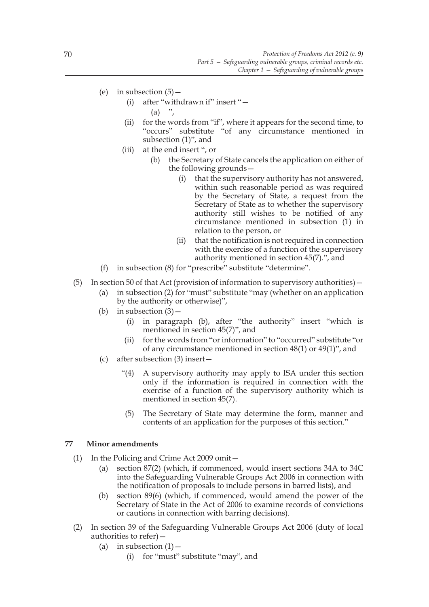- (e) in subsection  $(5)$  -
	- (i) after "withdrawn if" insert "—  $(a)$
	- (ii) for the words from "if", where it appears for the second time, to "occurs" substitute "of any circumstance mentioned in subsection (1)", and
	- (iii) at the end insert ", or
		- (b) the Secretary of State cancels the application on either of the following grounds—
			- (i) that the supervisory authority has not answered, within such reasonable period as was required by the Secretary of State, a request from the Secretary of State as to whether the supervisory authority still wishes to be notified of any circumstance mentioned in subsection (1) in relation to the person, or
			- (ii) that the notification is not required in connection with the exercise of a function of the supervisory authority mentioned in section 45(7).", and
- (f) in subsection (8) for "prescribe" substitute "determine".
- (5) In section 50 of that Act (provision of information to supervisory authorities)—
	- (a) in subsection (2) for "must" substitute "may (whether on an application by the authority or otherwise)",
	- (b) in subsection  $(3)$ 
		- (i) in paragraph (b), after "the authority" insert "which is mentioned in section 45(7)", and
		- (ii) for the words from "or information" to "occurred" substitute "or of any circumstance mentioned in section 48(1) or 49(1)", and
	- (c) after subsection (3) insert—
		- "(4) A supervisory authority may apply to ISA under this section only if the information is required in connection with the exercise of a function of the supervisory authority which is mentioned in section 45(7).
		- (5) The Secretary of State may determine the form, manner and contents of an application for the purposes of this section."

## **77 Minor amendments**

- (1) In the Policing and Crime Act 2009 omit—
	- (a) section 87(2) (which, if commenced, would insert sections 34A to 34C into the Safeguarding Vulnerable Groups Act 2006 in connection with the notification of proposals to include persons in barred lists), and
	- (b) section 89(6) (which, if commenced, would amend the power of the Secretary of State in the Act of 2006 to examine records of convictions or cautions in connection with barring decisions).
- (2) In section 39 of the Safeguarding Vulnerable Groups Act 2006 (duty of local authorities to refer)—
	- (a) in subsection  $(1)$  -
		- (i) for "must" substitute "may", and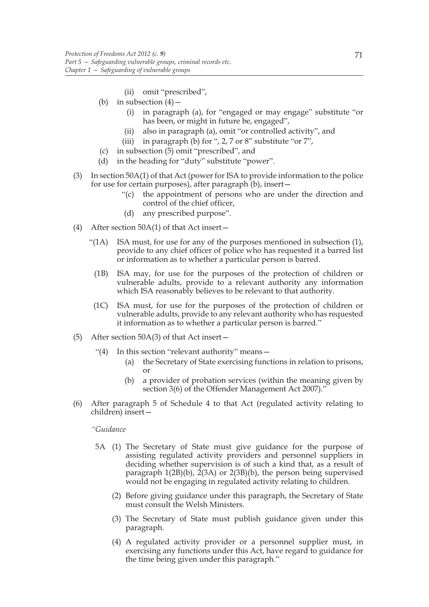- (ii) omit "prescribed",
- (b) in subsection  $(4)$ 
	- (i) in paragraph (a), for "engaged or may engage" substitute "or has been, or might in future be, engaged",
	- (ii) also in paragraph (a), omit "or controlled activity", and
	- (iii) in paragraph (b) for ", 2, 7 or 8" substitute "or 7",
- (c) in subsection (5) omit "prescribed", and
- (d) in the heading for "duty" substitute "power".
- (3) In section 50A(1) of that Act (power for ISA to provide information to the police for use for certain purposes), after paragraph (b), insert—
	- "(c) the appointment of persons who are under the direction and control of the chief officer,
	- (d) any prescribed purpose".
- (4) After section 50A(1) of that Act insert—
	- "(1A) ISA must, for use for any of the purposes mentioned in subsection (1), provide to any chief officer of police who has requested it a barred list or information as to whether a particular person is barred.
		- (1B) ISA may, for use for the purposes of the protection of children or vulnerable adults, provide to a relevant authority any information which ISA reasonably believes to be relevant to that authority.
	- (1C) ISA must, for use for the purposes of the protection of children or vulnerable adults, provide to any relevant authority who has requested it information as to whether a particular person is barred."
- (5) After section 50A(3) of that Act insert—
	- "(4) In this section "relevant authority" means
		- the Secretary of State exercising functions in relation to prisons, or
		- (b) a provider of probation services (within the meaning given by section 3(6) of the Offender Management Act 2007)."
- (6) After paragraph 5 of Schedule 4 to that Act (regulated activity relating to children) insert—

#### *"Guidance*

- 5A (1) The Secretary of State must give guidance for the purpose of assisting regulated activity providers and personnel suppliers in deciding whether supervision is of such a kind that, as a result of paragraph  $1(2B)(b)$ ,  $2(3A)$  or  $2(3B)(b)$ , the person being supervised would not be engaging in regulated activity relating to children.
	- (2) Before giving guidance under this paragraph, the Secretary of State must consult the Welsh Ministers.
	- (3) The Secretary of State must publish guidance given under this paragraph.
	- (4) A regulated activity provider or a personnel supplier must, in exercising any functions under this Act, have regard to guidance for the time being given under this paragraph."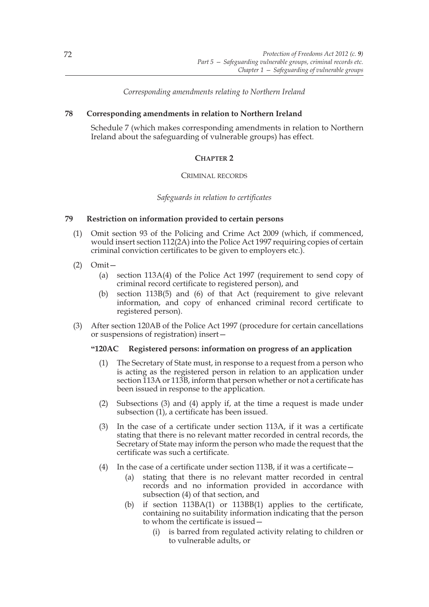*Corresponding amendments relating to Northern Ireland*

## **78 Corresponding amendments in relation to Northern Ireland**

Schedule 7 (which makes corresponding amendments in relation to Northern Ireland about the safeguarding of vulnerable groups) has effect.

# **CHAPTER 2**

## CRIMINAL RECORDS

## *Safeguards in relation to certificates*

#### **79 Restriction on information provided to certain persons**

- (1) Omit section 93 of the Policing and Crime Act 2009 (which, if commenced, would insert section 112(2A) into the Police Act 1997 requiring copies of certain criminal conviction certificates to be given to employers etc.).
- (2) Omit—
	- (a) section 113A(4) of the Police Act 1997 (requirement to send copy of criminal record certificate to registered person), and
	- (b) section 113B(5) and (6) of that Act (requirement to give relevant information, and copy of enhanced criminal record certificate to registered person).
- (3) After section 120AB of the Police Act 1997 (procedure for certain cancellations or suspensions of registration) insert—

## **"120AC Registered persons: information on progress of an application**

- (1) The Secretary of State must, in response to a request from a person who is acting as the registered person in relation to an application under section 113A or 113B, inform that person whether or not a certificate has been issued in response to the application.
- (2) Subsections (3) and (4) apply if, at the time a request is made under subsection (1), a certificate has been issued.
- (3) In the case of a certificate under section 113A, if it was a certificate stating that there is no relevant matter recorded in central records, the Secretary of State may inform the person who made the request that the certificate was such a certificate.
- (4) In the case of a certificate under section 113B, if it was a certificate  $-$ 
	- (a) stating that there is no relevant matter recorded in central records and no information provided in accordance with subsection (4) of that section, and
	- (b) if section 113BA(1) or 113BB(1) applies to the certificate, containing no suitability information indicating that the person to whom the certificate is issued
		- is barred from regulated activity relating to children or to vulnerable adults, or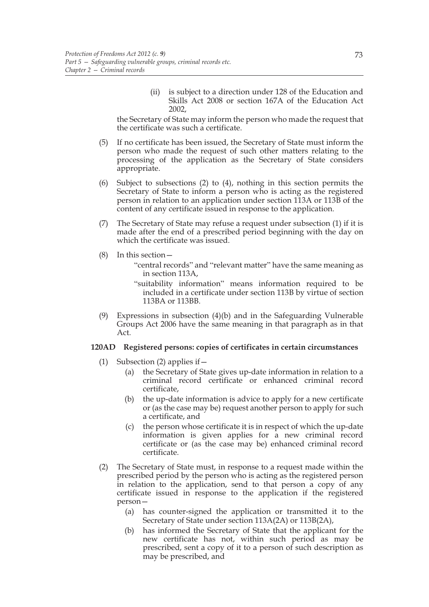(ii) is subject to a direction under 128 of the Education and Skills Act 2008 or section 167A of the Education Act 2002,

the Secretary of State may inform the person who made the request that the certificate was such a certificate.

- (5) If no certificate has been issued, the Secretary of State must inform the person who made the request of such other matters relating to the processing of the application as the Secretary of State considers appropriate.
- (6) Subject to subsections (2) to (4), nothing in this section permits the Secretary of State to inform a person who is acting as the registered person in relation to an application under section 113A or 113B of the content of any certificate issued in response to the application.
- (7) The Secretary of State may refuse a request under subsection (1) if it is made after the end of a prescribed period beginning with the day on which the certificate was issued.
- (8) In this section—
	- "central records" and "relevant matter" have the same meaning as in section 113A,
	- "suitability information" means information required to be included in a certificate under section 113B by virtue of section 113BA or 113BB.
- (9) Expressions in subsection  $(4)(b)$  and in the Safeguarding Vulnerable Groups Act 2006 have the same meaning in that paragraph as in that Act.

## **120AD Registered persons: copies of certificates in certain circumstances**

- (1) Subsection (2) applies if  $-$ 
	- (a) the Secretary of State gives up-date information in relation to a criminal record certificate or enhanced criminal record certificate,
	- (b) the up-date information is advice to apply for a new certificate or (as the case may be) request another person to apply for such a certificate, and
	- (c) the person whose certificate it is in respect of which the up-date information is given applies for a new criminal record certificate or (as the case may be) enhanced criminal record certificate.
- (2) The Secretary of State must, in response to a request made within the prescribed period by the person who is acting as the registered person in relation to the application, send to that person a copy of any certificate issued in response to the application if the registered person—
	- (a) has counter-signed the application or transmitted it to the Secretary of State under section 113A(2A) or 113B(2A),
	- (b) has informed the Secretary of State that the applicant for the new certificate has not, within such period as may be prescribed, sent a copy of it to a person of such description as may be prescribed, and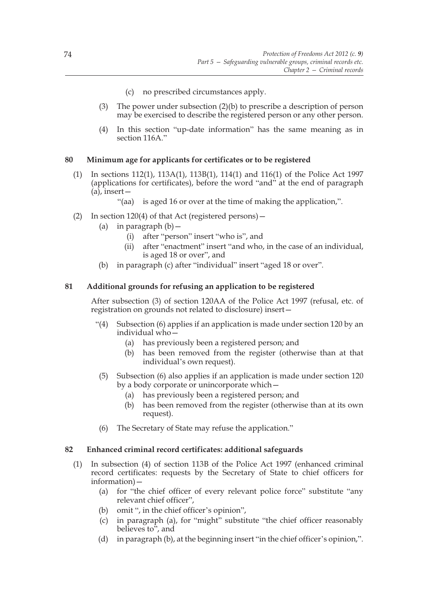- (c) no prescribed circumstances apply.
- (3) The power under subsection (2)(b) to prescribe a description of person may be exercised to describe the registered person or any other person.
- (4) In this section "up-date information" has the same meaning as in section 116A."

## **80 Minimum age for applicants for certificates or to be registered**

(1) In sections 112(1), 113A(1), 113B(1), 114(1) and 116(1) of the Police Act 1997 (applications for certificates), before the word "and" at the end of paragraph (a), insert—

"(aa) is aged 16 or over at the time of making the application,".

- (2) In section 120(4) of that Act (registered persons)—
	- (a) in paragraph  $(b)$  -
		- (i) after "person" insert "who is", and
		- (ii) after "enactment" insert "and who, in the case of an individual, is aged 18 or over", and
	- (b) in paragraph (c) after "individual" insert "aged 18 or over".

# **81 Additional grounds for refusing an application to be registered**

After subsection (3) of section 120AA of the Police Act 1997 (refusal, etc. of registration on grounds not related to disclosure) insert—

- "(4) Subsection (6) applies if an application is made under section 120 by an individual who—
	- (a) has previously been a registered person; and
	- (b) has been removed from the register (otherwise than at that individual's own request).
- (5) Subsection (6) also applies if an application is made under section 120 by a body corporate or unincorporate which—
	- (a) has previously been a registered person; and
	- (b) has been removed from the register (otherwise than at its own request).
- (6) The Secretary of State may refuse the application."

## **82 Enhanced criminal record certificates: additional safeguards**

- (1) In subsection (4) of section 113B of the Police Act 1997 (enhanced criminal record certificates: requests by the Secretary of State to chief officers for information)—
	- (a) for "the chief officer of every relevant police force" substitute "any relevant chief officer",
	- (b) omit ", in the chief officer's opinion",
	- (c) in paragraph (a), for "might" substitute "the chief officer reasonably believes to", and
	- (d) in paragraph (b), at the beginning insert "in the chief officer's opinion,".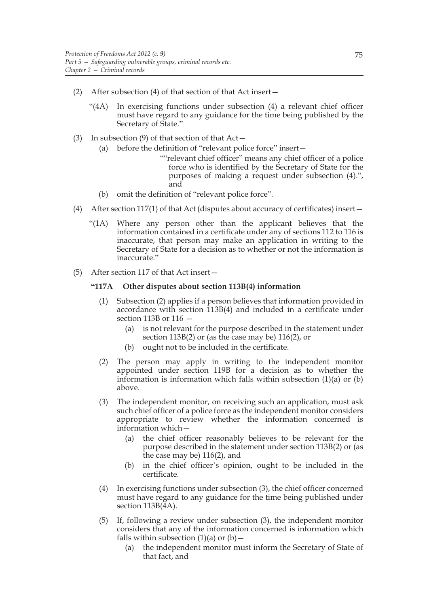- (2) After subsection (4) of that section of that Act insert—
	- "(4A) In exercising functions under subsection (4) a relevant chief officer must have regard to any guidance for the time being published by the Secretary of State."
- (3) In subsection (9) of that section of that Act—
	- (a) before the definition of "relevant police force" insert—
		- ""relevant chief officer" means any chief officer of a police force who is identified by the Secretary of State for the purposes of making a request under subsection (4).", and
		- (b) omit the definition of "relevant police force".
- (4) After section 117(1) of that Act (disputes about accuracy of certificates) insert—
	- "(1A) Where any person other than the applicant believes that the information contained in a certificate under any of sections 112 to 116 is inaccurate, that person may make an application in writing to the Secretary of State for a decision as to whether or not the information is inaccurate."
- (5) After section 117 of that Act insert—

#### **"117A Other disputes about section 113B(4) information**

- (1) Subsection (2) applies if a person believes that information provided in accordance with section 113B(4) and included in a certificate under section 113B or 116 —
	- (a) is not relevant for the purpose described in the statement under section 113B(2) or (as the case may be) 116(2), or
	- (b) ought not to be included in the certificate.
- (2) The person may apply in writing to the independent monitor appointed under section 119B for a decision as to whether the information is information which falls within subsection (1)(a) or (b) above.
- (3) The independent monitor, on receiving such an application, must ask such chief officer of a police force as the independent monitor considers appropriate to review whether the information concerned is information which—
	- (a) the chief officer reasonably believes to be relevant for the purpose described in the statement under section 113B(2) or (as the case may be) 116(2), and
	- (b) in the chief officer's opinion, ought to be included in the certificate.
- (4) In exercising functions under subsection (3), the chief officer concerned must have regard to any guidance for the time being published under section 113B(4A).
- (5) If, following a review under subsection (3), the independent monitor considers that any of the information concerned is information which falls within subsection  $(1)(a)$  or  $(b)$  -
	- (a) the independent monitor must inform the Secretary of State of that fact, and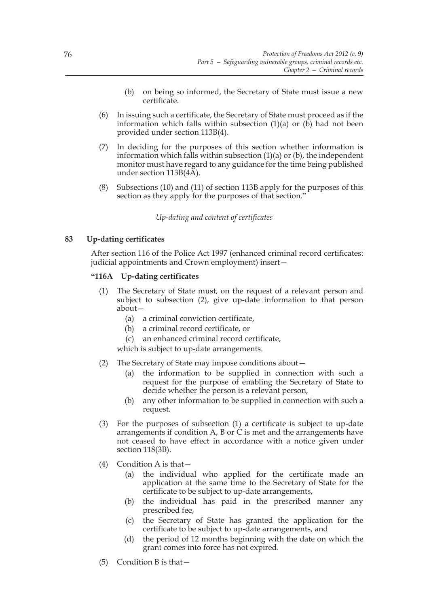- (b) on being so informed, the Secretary of State must issue a new certificate.
- (6) In issuing such a certificate, the Secretary of State must proceed as if the information which falls within subsection  $(1)(a)$  or  $(b)$  had not been provided under section 113B(4).
- (7) In deciding for the purposes of this section whether information is information which falls within subsection (1)(a) or (b), the independent monitor must have regard to any guidance for the time being published under section 113B(4A).
- (8) Subsections (10) and (11) of section 113B apply for the purposes of this section as they apply for the purposes of that section."

*Up-dating and content of certificates*

## **83 Up-dating certificates**

After section 116 of the Police Act 1997 (enhanced criminal record certificates: judicial appointments and Crown employment) insert—

## **"116A Up-dating certificates**

- (1) The Secretary of State must, on the request of a relevant person and subject to subsection (2), give up-date information to that person  $a$ bout—
	- (a) a criminal conviction certificate,
	- (b) a criminal record certificate, or
	- (c) an enhanced criminal record certificate,

which is subject to up-date arrangements.

- (2) The Secretary of State may impose conditions about—
	- (a) the information to be supplied in connection with such a request for the purpose of enabling the Secretary of State to decide whether the person is a relevant person,
	- (b) any other information to be supplied in connection with such a request.
- (3) For the purposes of subsection (1) a certificate is subject to up-date arrangements if condition A, B or C is met and the arrangements have not ceased to have effect in accordance with a notice given under section 118(3B).
- (4) Condition A is that—
	- (a) the individual who applied for the certificate made an application at the same time to the Secretary of State for the certificate to be subject to up-date arrangements,
	- (b) the individual has paid in the prescribed manner any prescribed fee,
	- (c) the Secretary of State has granted the application for the certificate to be subject to up-date arrangements, and
	- (d) the period of 12 months beginning with the date on which the grant comes into force has not expired.
- (5) Condition B is that—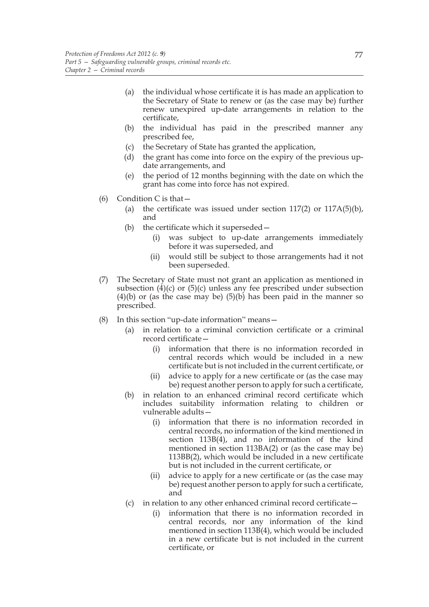- (a) the individual whose certificate it is has made an application to the Secretary of State to renew or (as the case may be) further renew unexpired up-date arrangements in relation to the certificate,
- (b) the individual has paid in the prescribed manner any prescribed fee,
- (c) the Secretary of State has granted the application,
- (d) the grant has come into force on the expiry of the previous update arrangements, and
- (e) the period of 12 months beginning with the date on which the grant has come into force has not expired.
- (6) Condition C is that  $-$ 
	- (a) the certificate was issued under section  $117(2)$  or  $117A(5)(b)$ , and
	- (b) the certificate which it superseded—
		- (i) was subject to up-date arrangements immediately before it was superseded, and
		- (ii) would still be subject to those arrangements had it not been superseded.
- (7) The Secretary of State must not grant an application as mentioned in subsection  $(4)(c)$  or  $(5)(c)$  unless any fee prescribed under subsection  $(4)(b)$  or (as the case may be)  $(5)(b)$  has been paid in the manner so prescribed.
- (8) In this section "up-date information" means—
	- (a) in relation to a criminal conviction certificate or a criminal record certificate—
		- (i) information that there is no information recorded in central records which would be included in a new certificate but is not included in the current certificate, or
		- (ii) advice to apply for a new certificate or (as the case may be) request another person to apply for such a certificate,
	- (b) in relation to an enhanced criminal record certificate which includes suitability information relating to children or vulnerable adults—
		- (i) information that there is no information recorded in central records, no information of the kind mentioned in section 113B(4), and no information of the kind mentioned in section 113BA(2) or (as the case may be) 113BB(2), which would be included in a new certificate but is not included in the current certificate, or
		- (ii) advice to apply for a new certificate or (as the case may be) request another person to apply for such a certificate, and
	- (c) in relation to any other enhanced criminal record certificate—
		- (i) information that there is no information recorded in central records, nor any information of the kind mentioned in section 113B(4), which would be included in a new certificate but is not included in the current certificate, or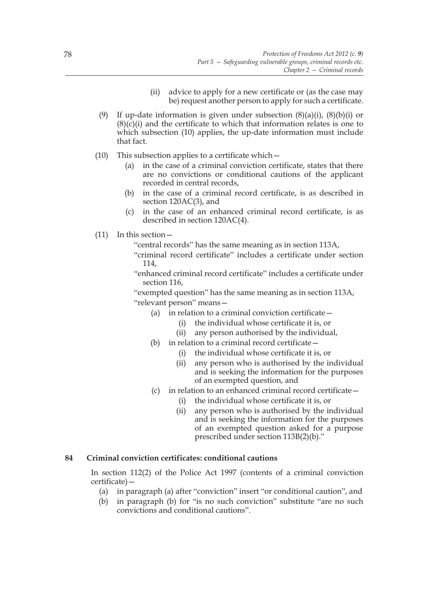- (ii) advice to apply for a new certificate or (as the case may be) request another person to apply for such a certificate.
- (9) If up-date information is given under subsection  $(8)(a)(i)$ ,  $(8)(b)(i)$  or  $(8)(\tilde{c})(i)$  and the certificate to which that information relates is one to which subsection (10) applies, the up-date information must include that fact.
- (10) This subsection applies to a certificate which—
	- (a) in the case of a criminal conviction certificate, states that there are no convictions or conditional cautions of the applicant recorded in central records,
	- (b) in the case of a criminal record certificate, is as described in section 120AC(3), and
	- (c) in the case of an enhanced criminal record certificate, is as described in section 120AC(4).
- (11) In this section—
	- "central records" has the same meaning as in section 113A,
	- "criminal record certificate" includes a certificate under section 114,
	- "enhanced criminal record certificate" includes a certificate under section 116,
	- "exempted question" has the same meaning as in section 113A, "relevant person" means—
		- (a) in relation to a criminal conviction certificate—
			- (i) the individual whose certificate it is, or
			- (ii) any person authorised by the individual,
		- (b) in relation to a criminal record certificate—
			- (i) the individual whose certificate it is, or
			- (ii) any person who is authorised by the individual and is seeking the information for the purposes of an exempted question, and
		- (c) in relation to an enhanced criminal record certificate—
			- (i) the individual whose certificate it is, or
				- (ii) any person who is authorised by the individual and is seeking the information for the purposes of an exempted question asked for a purpose prescribed under section 113B(2)(b)."

# **84 Criminal conviction certificates: conditional cautions**

In section 112(2) of the Police Act 1997 (contents of a criminal conviction certificate)—

- (a) in paragraph (a) after "conviction" insert "or conditional caution", and
- (b) in paragraph (b) for "is no such conviction" substitute "are no such convictions and conditional cautions".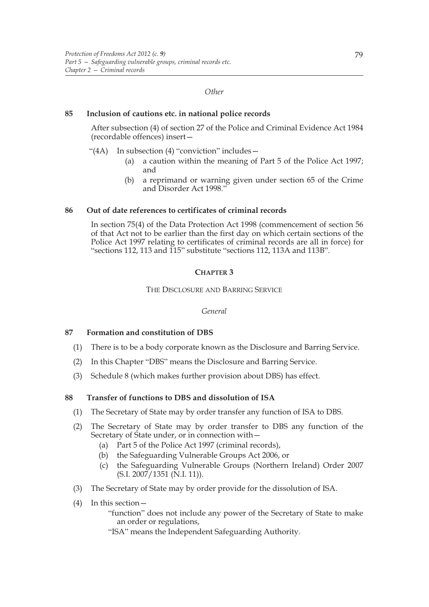## *Other*

#### **85 Inclusion of cautions etc. in national police records**

After subsection (4) of section 27 of the Police and Criminal Evidence Act 1984 (recordable offences) insert—

- "(4A) In subsection (4) "conviction" includes—
	- (a) a caution within the meaning of Part 5 of the Police Act 1997; and
	- (b) a reprimand or warning given under section 65 of the Crime and Disorder Act 1998."

#### **86 Out of date references to certificates of criminal records**

In section 75(4) of the Data Protection Act 1998 (commencement of section 56 of that Act not to be earlier than the first day on which certain sections of the Police Act 1997 relating to certificates of criminal records are all in force) for "sections 112, 113 and 115" substitute "sections 112, 113A and 113B".

#### **CHAPTER 3**

#### THE DISCLOSURE AND BARRING SERVICE

#### *General*

## **87 Formation and constitution of DBS**

- (1) There is to be a body corporate known as the Disclosure and Barring Service.
- (2) In this Chapter "DBS" means the Disclosure and Barring Service.
- (3) Schedule 8 (which makes further provision about DBS) has effect.

#### **88 Transfer of functions to DBS and dissolution of ISA**

- (1) The Secretary of State may by order transfer any function of ISA to DBS.
- (2) The Secretary of State may by order transfer to DBS any function of the Secretary of State under, or in connection with—
	- (a) Part 5 of the Police Act 1997 (criminal records),
	- (b) the Safeguarding Vulnerable Groups Act 2006, or
	- (c) the Safeguarding Vulnerable Groups (Northern Ireland) Order 2007  $(S.I. 2007/1351 (N.I. 11)).$
- (3) The Secretary of State may by order provide for the dissolution of ISA.
- (4) In this section—

"function" does not include any power of the Secretary of State to make an order or regulations,

"ISA" means the Independent Safeguarding Authority.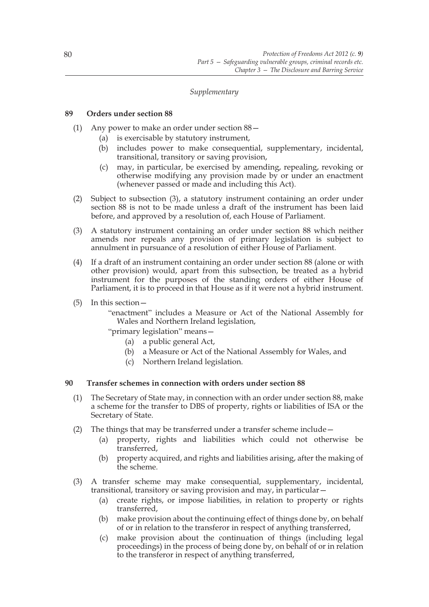# *Supplementary*

# **89 Orders under section 88**

- (1) Any power to make an order under section 88—
	- (a) is exercisable by statutory instrument,
	- (b) includes power to make consequential, supplementary, incidental, transitional, transitory or saving provision,
	- (c) may, in particular, be exercised by amending, repealing, revoking or otherwise modifying any provision made by or under an enactment (whenever passed or made and including this Act).
- (2) Subject to subsection (3), a statutory instrument containing an order under section 88 is not to be made unless a draft of the instrument has been laid before, and approved by a resolution of, each House of Parliament.
- (3) A statutory instrument containing an order under section 88 which neither amends nor repeals any provision of primary legislation is subject to annulment in pursuance of a resolution of either House of Parliament.
- (4) If a draft of an instrument containing an order under section 88 (alone or with other provision) would, apart from this subsection, be treated as a hybrid instrument for the purposes of the standing orders of either House of Parliament, it is to proceed in that House as if it were not a hybrid instrument.
- (5) In this section—
	- "enactment" includes a Measure or Act of the National Assembly for Wales and Northern Ireland legislation,
	- "primary legislation" means—
		- (a) a public general Act,
		- (b) a Measure or Act of the National Assembly for Wales, and
		- (c) Northern Ireland legislation.

## **90 Transfer schemes in connection with orders under section 88**

- (1) The Secretary of State may, in connection with an order under section 88, make a scheme for the transfer to DBS of property, rights or liabilities of ISA or the Secretary of State.
- (2) The things that may be transferred under a transfer scheme include—
	- (a) property, rights and liabilities which could not otherwise be transferred,
	- (b) property acquired, and rights and liabilities arising, after the making of the scheme.
- (3) A transfer scheme may make consequential, supplementary, incidental, transitional, transitory or saving provision and may, in particular—
	- (a) create rights, or impose liabilities, in relation to property or rights transferred,
	- (b) make provision about the continuing effect of things done by, on behalf of or in relation to the transferor in respect of anything transferred,
	- (c) make provision about the continuation of things (including legal proceedings) in the process of being done by, on behalf of or in relation to the transferor in respect of anything transferred,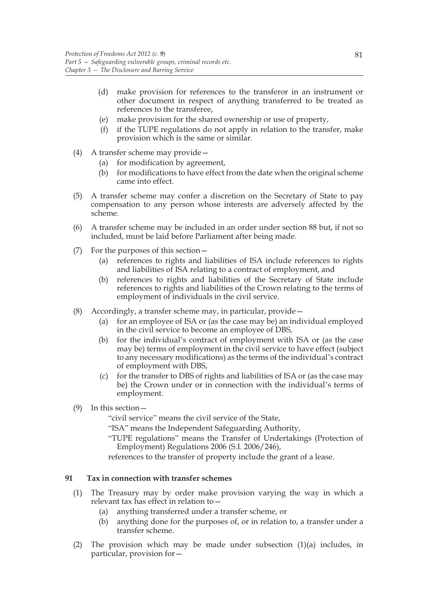- (d) make provision for references to the transferor in an instrument or other document in respect of anything transferred to be treated as references to the transferee,
- (e) make provision for the shared ownership or use of property,
- (f) if the TUPE regulations do not apply in relation to the transfer, make provision which is the same or similar.
- (4) A transfer scheme may provide—
	- (a) for modification by agreement,
	- (b) for modifications to have effect from the date when the original scheme came into effect.
- (5) A transfer scheme may confer a discretion on the Secretary of State to pay compensation to any person whose interests are adversely affected by the scheme.
- (6) A transfer scheme may be included in an order under section 88 but, if not so included, must be laid before Parliament after being made.
- (7) For the purposes of this section—
	- (a) references to rights and liabilities of ISA include references to rights and liabilities of ISA relating to a contract of employment, and
	- (b) references to rights and liabilities of the Secretary of State include references to rights and liabilities of the Crown relating to the terms of employment of individuals in the civil service.
- (8) Accordingly, a transfer scheme may, in particular, provide—
	- (a) for an employee of ISA or (as the case may be) an individual employed in the civil service to become an employee of DBS,
	- (b) for the individual's contract of employment with ISA or (as the case may be) terms of employment in the civil service to have effect (subject to any necessary modifications) as the terms of the individual's contract of employment with DBS,
	- (c) for the transfer to DBS of rights and liabilities of ISA or (as the case may be) the Crown under or in connection with the individual's terms of employment.
- (9) In this section—

"civil service" means the civil service of the State,

"ISA" means the Independent Safeguarding Authority,

- "TUPE regulations" means the Transfer of Undertakings (Protection of Employment) Regulations 2006 (S.I. 2006/246),
- references to the transfer of property include the grant of a lease.

# **91 Tax in connection with transfer schemes**

- (1) The Treasury may by order make provision varying the way in which a relevant tax has effect in relation to—
	- (a) anything transferred under a transfer scheme, or
	- (b) anything done for the purposes of, or in relation to, a transfer under a transfer scheme.
- (2) The provision which may be made under subsection (1)(a) includes, in particular, provision for—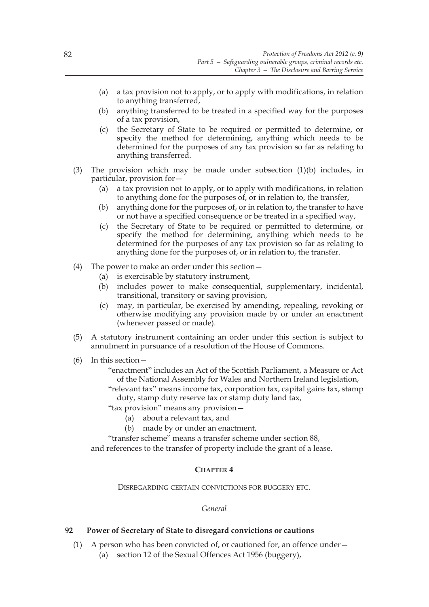- (a) a tax provision not to apply, or to apply with modifications, in relation to anything transferred,
- (b) anything transferred to be treated in a specified way for the purposes of a tax provision,
- (c) the Secretary of State to be required or permitted to determine, or specify the method for determining, anything which needs to be determined for the purposes of any tax provision so far as relating to anything transferred.
- (3) The provision which may be made under subsection (1)(b) includes, in particular, provision for—
	- (a) a tax provision not to apply, or to apply with modifications, in relation to anything done for the purposes of, or in relation to, the transfer,
	- (b) anything done for the purposes of, or in relation to, the transfer to have or not have a specified consequence or be treated in a specified way,
	- (c) the Secretary of State to be required or permitted to determine, or specify the method for determining, anything which needs to be determined for the purposes of any tax provision so far as relating to anything done for the purposes of, or in relation to, the transfer.
- (4) The power to make an order under this section—
	- (a) is exercisable by statutory instrument,
	- (b) includes power to make consequential, supplementary, incidental, transitional, transitory or saving provision,
	- (c) may, in particular, be exercised by amending, repealing, revoking or otherwise modifying any provision made by or under an enactment (whenever passed or made).
- (5) A statutory instrument containing an order under this section is subject to annulment in pursuance of a resolution of the House of Commons.
- (6) In this section—
	- "enactment" includes an Act of the Scottish Parliament, a Measure or Act of the National Assembly for Wales and Northern Ireland legislation,
	- "relevant tax" means income tax, corporation tax, capital gains tax, stamp duty, stamp duty reserve tax or stamp duty land tax,

"tax provision" means any provision—

- (a) about a relevant tax, and
- (b) made by or under an enactment,

"transfer scheme" means a transfer scheme under section 88,

and references to the transfer of property include the grant of a lease.

## **CHAPTER 4**

#### DISREGARDING CERTAIN CONVICTIONS FOR BUGGERY ETC.

#### *General*

## **92 Power of Secretary of State to disregard convictions or cautions**

(1) A person who has been convicted of, or cautioned for, an offence under— (a) section 12 of the Sexual Offences Act 1956 (buggery),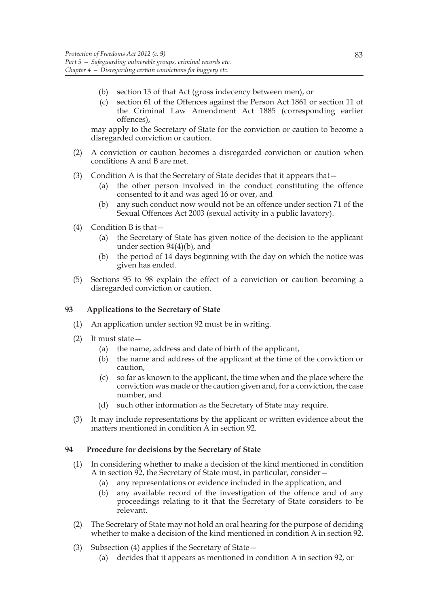- (b) section 13 of that Act (gross indecency between men), or
- (c) section 61 of the Offences against the Person Act 1861 or section 11 of the Criminal Law Amendment Act 1885 (corresponding earlier offences),

may apply to the Secretary of State for the conviction or caution to become a disregarded conviction or caution.

- (2) A conviction or caution becomes a disregarded conviction or caution when conditions A and B are met.
- (3) Condition A is that the Secretary of State decides that it appears that—
	- (a) the other person involved in the conduct constituting the offence consented to it and was aged 16 or over, and
	- (b) any such conduct now would not be an offence under section 71 of the Sexual Offences Act 2003 (sexual activity in a public lavatory).
- (4) Condition B is that—
	- (a) the Secretary of State has given notice of the decision to the applicant under section 94(4)(b), and
	- (b) the period of 14 days beginning with the day on which the notice was given has ended.
- (5) Sections 95 to 98 explain the effect of a conviction or caution becoming a disregarded conviction or caution.

# **93 Applications to the Secretary of State**

- (1) An application under section 92 must be in writing.
- (2) It must state—
	- (a) the name, address and date of birth of the applicant,
	- (b) the name and address of the applicant at the time of the conviction or caution,
	- (c) so far as known to the applicant, the time when and the place where the conviction was made or the caution given and, for a conviction, the case number, and
	- (d) such other information as the Secretary of State may require.
- (3) It may include representations by the applicant or written evidence about the matters mentioned in condition A in section 92.

## **94 Procedure for decisions by the Secretary of State**

- (1) In considering whether to make a decision of the kind mentioned in condition A in section 92, the Secretary of State must, in particular, consider—
	- (a) any representations or evidence included in the application, and
	- (b) any available record of the investigation of the offence and of any proceedings relating to it that the Secretary of State considers to be relevant.
- (2) The Secretary of State may not hold an oral hearing for the purpose of deciding whether to make a decision of the kind mentioned in condition A in section 92.
- (3) Subsection (4) applies if the Secretary of State—
	- (a) decides that it appears as mentioned in condition A in section 92, or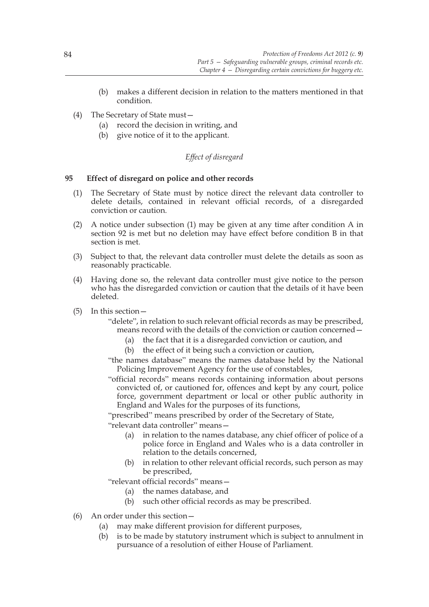- (b) makes a different decision in relation to the matters mentioned in that condition.
- (4) The Secretary of State must—
	- (a) record the decision in writing, and
	- (b) give notice of it to the applicant.

# *Effect of disregard*

# **95 Effect of disregard on police and other records**

- (1) The Secretary of State must by notice direct the relevant data controller to delete details, contained in relevant official records, of a disregarded conviction or caution.
- (2) A notice under subsection (1) may be given at any time after condition A in section 92 is met but no deletion may have effect before condition B in that section is met.
- (3) Subject to that, the relevant data controller must delete the details as soon as reasonably practicable.
- (4) Having done so, the relevant data controller must give notice to the person who has the disregarded conviction or caution that the details of it have been deleted.
- (5) In this section—

"delete", in relation to such relevant official records as may be prescribed, means record with the details of the conviction or caution concerned—

- (a) the fact that it is a disregarded conviction or caution, and
- (b) the effect of it being such a conviction or caution,
- "the names database" means the names database held by the National Policing Improvement Agency for the use of constables,
- "official records" means records containing information about persons convicted of, or cautioned for, offences and kept by any court, police force, government department or local or other public authority in England and Wales for the purposes of its functions,

"prescribed" means prescribed by order of the Secretary of State, "relevant data controller" means—

- (a) in relation to the names database, any chief officer of police of a police force in England and Wales who is a data controller in relation to the details concerned,
- (b) in relation to other relevant official records, such person as may be prescribed,

"relevant official records" means—

- (a) the names database, and
- (b) such other official records as may be prescribed.
- (6) An order under this section—
	- (a) may make different provision for different purposes,
	- (b) is to be made by statutory instrument which is subject to annulment in pursuance of a resolution of either House of Parliament.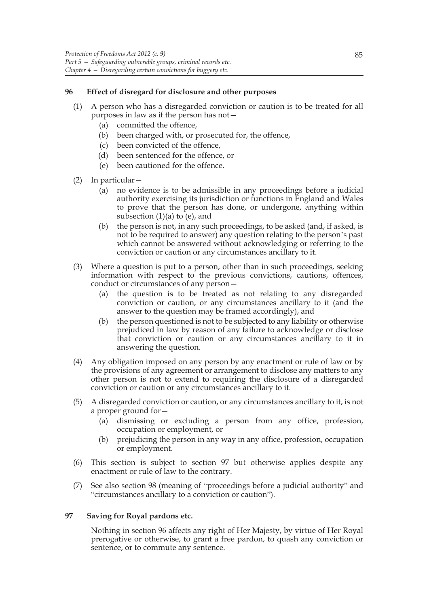## **96 Effect of disregard for disclosure and other purposes**

- (1) A person who has a disregarded conviction or caution is to be treated for all purposes in law as if the person has not—
	- (a) committed the offence,
	- (b) been charged with, or prosecuted for, the offence,
	- (c) been convicted of the offence,
	- (d) been sentenced for the offence, or
	- (e) been cautioned for the offence.
- (2) In particular—
	- (a) no evidence is to be admissible in any proceedings before a judicial authority exercising its jurisdiction or functions in England and Wales to prove that the person has done, or undergone, anything within subsection  $(1)(a)$  to  $(e)$ , and
	- (b) the person is not, in any such proceedings, to be asked (and, if asked, is not to be required to answer) any question relating to the person's past which cannot be answered without acknowledging or referring to the conviction or caution or any circumstances ancillary to it.
- (3) Where a question is put to a person, other than in such proceedings, seeking information with respect to the previous convictions, cautions, offences, conduct or circumstances of any person—
	- (a) the question is to be treated as not relating to any disregarded conviction or caution, or any circumstances ancillary to it (and the answer to the question may be framed accordingly), and
	- (b) the person questioned is not to be subjected to any liability or otherwise prejudiced in law by reason of any failure to acknowledge or disclose that conviction or caution or any circumstances ancillary to it in answering the question.
- (4) Any obligation imposed on any person by any enactment or rule of law or by the provisions of any agreement or arrangement to disclose any matters to any other person is not to extend to requiring the disclosure of a disregarded conviction or caution or any circumstances ancillary to it.
- (5) A disregarded conviction or caution, or any circumstances ancillary to it, is not a proper ground for—
	- (a) dismissing or excluding a person from any office, profession, occupation or employment, or
	- (b) prejudicing the person in any way in any office, profession, occupation or employment.
- (6) This section is subject to section 97 but otherwise applies despite any enactment or rule of law to the contrary.
- (7) See also section 98 (meaning of "proceedings before a judicial authority" and "circumstances ancillary to a conviction or caution").

## **97 Saving for Royal pardons etc.**

Nothing in section 96 affects any right of Her Majesty, by virtue of Her Royal prerogative or otherwise, to grant a free pardon, to quash any conviction or sentence, or to commute any sentence.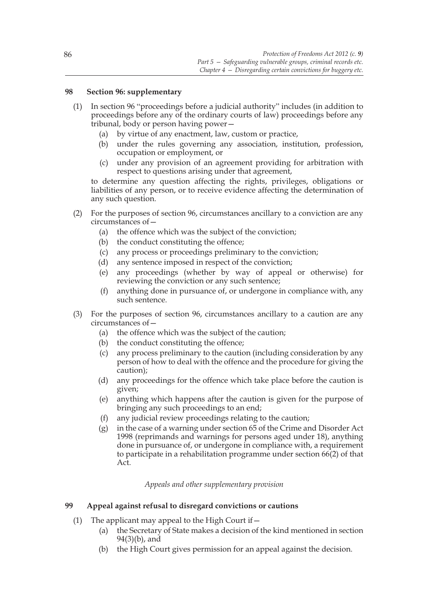# **98 Section 96: supplementary**

- (1) In section 96 "proceedings before a judicial authority" includes (in addition to proceedings before any of the ordinary courts of law) proceedings before any tribunal, body or person having power—
	- (a) by virtue of any enactment, law, custom or practice,
	- (b) under the rules governing any association, institution, profession, occupation or employment, or
	- (c) under any provision of an agreement providing for arbitration with respect to questions arising under that agreement,

to determine any question affecting the rights, privileges, obligations or liabilities of any person, or to receive evidence affecting the determination of any such question.

- (2) For the purposes of section 96, circumstances ancillary to a conviction are any circumstances of—
	- (a) the offence which was the subject of the conviction;
	- (b) the conduct constituting the offence;
	- (c) any process or proceedings preliminary to the conviction;
	- (d) any sentence imposed in respect of the conviction;
	- (e) any proceedings (whether by way of appeal or otherwise) for reviewing the conviction or any such sentence;
	- (f) anything done in pursuance of, or undergone in compliance with, any such sentence.
- (3) For the purposes of section 96, circumstances ancillary to a caution are any circumstances of—
	- (a) the offence which was the subject of the caution;
	- (b) the conduct constituting the offence;
	- (c) any process preliminary to the caution (including consideration by any person of how to deal with the offence and the procedure for giving the caution);
	- (d) any proceedings for the offence which take place before the caution is given;
	- (e) anything which happens after the caution is given for the purpose of bringing any such proceedings to an end;
	- (f) any judicial review proceedings relating to the caution;
	- (g) in the case of a warning under section 65 of the Crime and Disorder Act 1998 (reprimands and warnings for persons aged under 18), anything done in pursuance of, or undergone in compliance with, a requirement to participate in a rehabilitation programme under section 66(2) of that Act.

*Appeals and other supplementary provision*

## **99 Appeal against refusal to disregard convictions or cautions**

- (1) The applicant may appeal to the High Court if  $-$ 
	- (a) the Secretary of State makes a decision of the kind mentioned in section 94(3)(b), and
	- (b) the High Court gives permission for an appeal against the decision.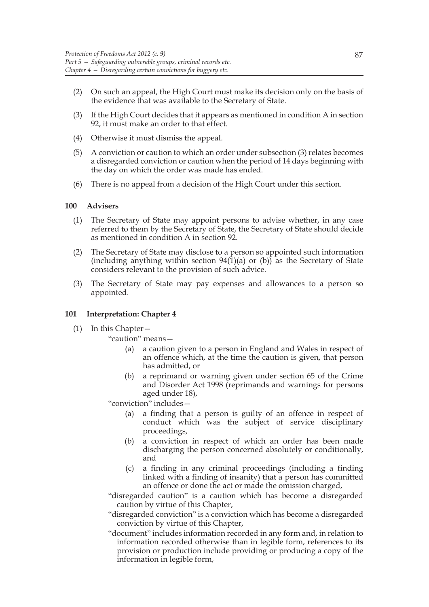- (2) On such an appeal, the High Court must make its decision only on the basis of the evidence that was available to the Secretary of State.
- (3) If the High Court decides that it appears as mentioned in condition A in section 92, it must make an order to that effect.
- (4) Otherwise it must dismiss the appeal.
- (5) A conviction or caution to which an order under subsection (3) relates becomes a disregarded conviction or caution when the period of 14 days beginning with the day on which the order was made has ended.
- (6) There is no appeal from a decision of the High Court under this section.

#### **100 Advisers**

- (1) The Secretary of State may appoint persons to advise whether, in any case referred to them by the Secretary of State, the Secretary of State should decide as mentioned in condition A in section 92.
- (2) The Secretary of State may disclose to a person so appointed such information (including anything within section  $94(1)(a)$  or (b)) as the Secretary of State considers relevant to the provision of such advice.
- (3) The Secretary of State may pay expenses and allowances to a person so appointed.

#### **101 Interpretation: Chapter 4**

- (1) In this Chapter—
	- "caution" means—
		- (a) a caution given to a person in England and Wales in respect of an offence which, at the time the caution is given, that person has admitted, or
		- (b) a reprimand or warning given under section 65 of the Crime and Disorder Act 1998 (reprimands and warnings for persons aged under 18),

"conviction" includes—

- (a) a finding that a person is guilty of an offence in respect of conduct which was the subject of service disciplinary proceedings,
- (b) a conviction in respect of which an order has been made discharging the person concerned absolutely or conditionally, and
- (c) a finding in any criminal proceedings (including a finding linked with a finding of insanity) that a person has committed an offence or done the act or made the omission charged,
- "disregarded caution" is a caution which has become a disregarded caution by virtue of this Chapter,
- "disregarded conviction" is a conviction which has become a disregarded conviction by virtue of this Chapter,
- "document" includes information recorded in any form and, in relation to information recorded otherwise than in legible form, references to its provision or production include providing or producing a copy of the information in legible form,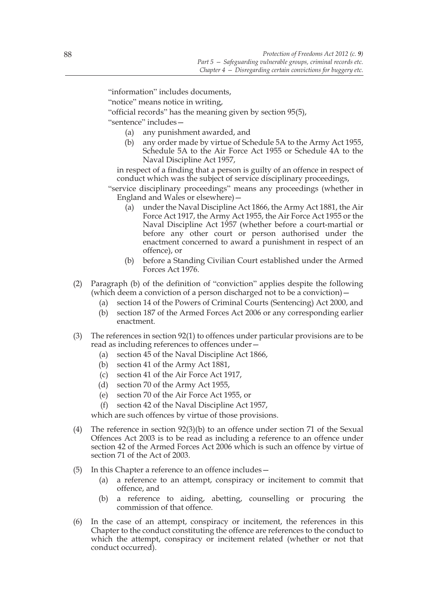"information" includes documents,

"notice" means notice in writing,

"official records" has the meaning given by section 95(5),

"sentence" includes—

- (a) any punishment awarded, and
- (b) any order made by virtue of Schedule 5A to the Army Act 1955, Schedule 5A to the Air Force Act 1955 or Schedule 4A to the Naval Discipline Act 1957,

in respect of a finding that a person is guilty of an offence in respect of conduct which was the subject of service disciplinary proceedings,

"service disciplinary proceedings" means any proceedings (whether in England and Wales or elsewhere)—

- (a) under the Naval Discipline Act 1866, the Army Act 1881, the Air Force Act 1917, the Army Act 1955, the Air Force Act 1955 or the Naval Discipline Act 1957 (whether before a court-martial or before any other court or person authorised under the enactment concerned to award a punishment in respect of an offence), or
- (b) before a Standing Civilian Court established under the Armed Forces Act 1976.
- (2) Paragraph (b) of the definition of "conviction" applies despite the following (which deem a conviction of a person discharged not to be a conviction)—
	- (a) section 14 of the Powers of Criminal Courts (Sentencing) Act 2000, and
	- (b) section 187 of the Armed Forces Act 2006 or any corresponding earlier enactment.
- (3) The references in section 92(1) to offences under particular provisions are to be read as including references to offences under—
	- (a) section 45 of the Naval Discipline Act 1866,
	- (b) section 41 of the Army Act 1881,
	- (c) section 41 of the Air Force Act 1917,
	- (d) section 70 of the Army Act 1955,
	- (e) section 70 of the Air Force Act 1955, or
	- (f) section 42 of the Naval Discipline Act 1957,

which are such offences by virtue of those provisions.

- (4) The reference in section 92(3)(b) to an offence under section 71 of the Sexual Offences Act 2003 is to be read as including a reference to an offence under section 42 of the Armed Forces Act 2006 which is such an offence by virtue of section 71 of the Act of 2003.
- (5) In this Chapter a reference to an offence includes—
	- (a) a reference to an attempt, conspiracy or incitement to commit that offence, and
	- (b) a reference to aiding, abetting, counselling or procuring the commission of that offence.
- (6) In the case of an attempt, conspiracy or incitement, the references in this Chapter to the conduct constituting the offence are references to the conduct to which the attempt, conspiracy or incitement related (whether or not that conduct occurred).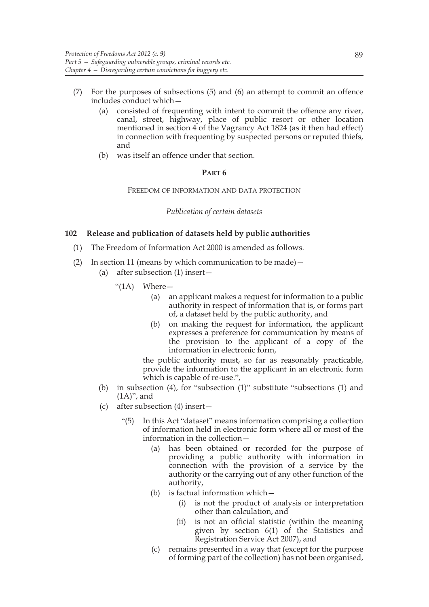- (7) For the purposes of subsections (5) and (6) an attempt to commit an offence includes conduct which—
	- (a) consisted of frequenting with intent to commit the offence any river, canal, street, highway, place of public resort or other location mentioned in section 4 of the Vagrancy Act 1824 (as it then had effect) in connection with frequenting by suspected persons or reputed thiefs, and
	- (b) was itself an offence under that section.

#### **PART 6**

#### FREEDOM OF INFORMATION AND DATA PROTECTION

#### *Publication of certain datasets*

#### **102 Release and publication of datasets held by public authorities**

- (1) The Freedom of Information Act 2000 is amended as follows.
- (2) In section 11 (means by which communication to be made)  $-$ 
	- (a) after subsection (1) insert—
		- "(1A) Where—
			- (a) an applicant makes a request for information to a public authority in respect of information that is, or forms part of, a dataset held by the public authority, and
			- (b) on making the request for information, the applicant expresses a preference for communication by means of the provision to the applicant of a copy of the information in electronic form,

the public authority must, so far as reasonably practicable, provide the information to the applicant in an electronic form which is capable of re-use.",

- (b) in subsection (4), for "subsection (1)" substitute "subsections (1) and  $(1A)$ ", and
- (c) after subsection (4) insert—
	- "(5) In this Act "dataset" means information comprising a collection of information held in electronic form where all or most of the information in the collection—
		- (a) has been obtained or recorded for the purpose of providing a public authority with information in connection with the provision of a service by the authority or the carrying out of any other function of the authority,
		- (b) is factual information which—
			- (i) is not the product of analysis or interpretation other than calculation, and
			- (ii) is not an official statistic (within the meaning given by section 6(1) of the Statistics and Registration Service Act 2007), and
		- (c) remains presented in a way that (except for the purpose of forming part of the collection) has not been organised,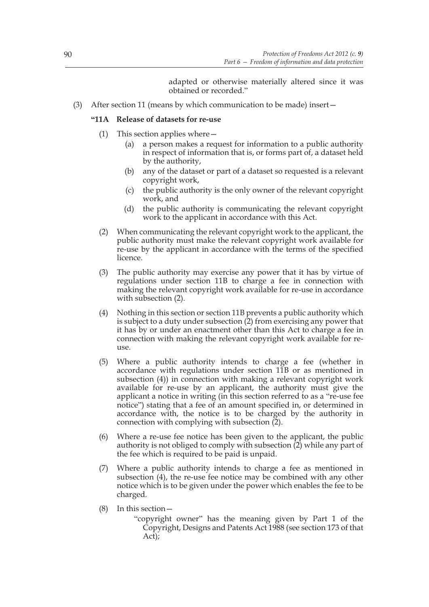adapted or otherwise materially altered since it was obtained or recorded."

(3) After section 11 (means by which communication to be made) insert—

## **"11A Release of datasets for re-use**

- (1) This section applies where—
	- (a) a person makes a request for information to a public authority in respect of information that is, or forms part of, a dataset held by the authority,
	- (b) any of the dataset or part of a dataset so requested is a relevant copyright work,
	- (c) the public authority is the only owner of the relevant copyright work, and
	- (d) the public authority is communicating the relevant copyright work to the applicant in accordance with this Act.
- (2) When communicating the relevant copyright work to the applicant, the public authority must make the relevant copyright work available for re-use by the applicant in accordance with the terms of the specified licence.
- (3) The public authority may exercise any power that it has by virtue of regulations under section 11B to charge a fee in connection with making the relevant copyright work available for re-use in accordance with subsection (2).
- (4) Nothing in this section or section 11B prevents a public authority which is subject to a duty under subsection (2) from exercising any power that it has by or under an enactment other than this Act to charge a fee in connection with making the relevant copyright work available for reuse.
- (5) Where a public authority intends to charge a fee (whether in accordance with regulations under section 11B or as mentioned in subsection (4)) in connection with making a relevant copyright work available for re-use by an applicant, the authority must give the applicant a notice in writing (in this section referred to as a "re-use fee notice") stating that a fee of an amount specified in, or determined in accordance with, the notice is to be charged by the authority in connection with complying with subsection (2).
- (6) Where a re-use fee notice has been given to the applicant, the public authority is not obliged to comply with subsection  $(2)$  while any part of the fee which is required to be paid is unpaid.
- (7) Where a public authority intends to charge a fee as mentioned in subsection (4), the re-use fee notice may be combined with any other notice which is to be given under the power which enables the fee to be charged.
- (8) In this section—
	- "copyright owner" has the meaning given by Part 1 of the Copyright, Designs and Patents Act 1988 (see section 173 of that Act);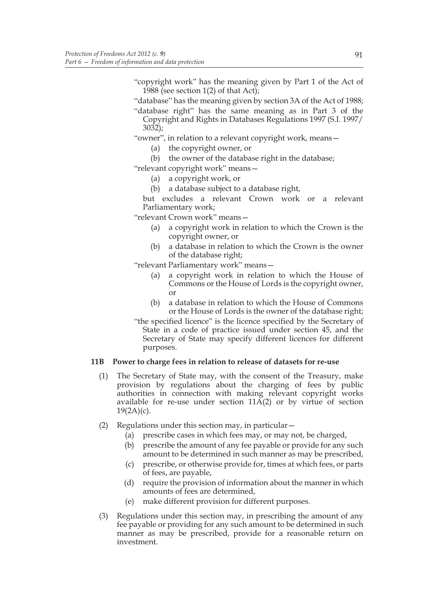"copyright work" has the meaning given by Part 1 of the Act of 1988 (see section 1(2) of that Act);

"database" has the meaning given by section 3A of the Act of 1988;

- "database right" has the same meaning as in Part 3 of the Copyright and Rights in Databases Regulations 1997 (S.I. 1997/ 3032);
- "owner", in relation to a relevant copyright work, means—
	- (a) the copyright owner, or
- (b) the owner of the database right in the database; "relevant copyright work" means—
	- (a) a copyright work, or
	- (b) a database subject to a database right,

but excludes a relevant Crown work or a relevant Parliamentary work;

"relevant Crown work" means—

- (a) a copyright work in relation to which the Crown is the copyright owner, or
- (b) a database in relation to which the Crown is the owner of the database right;

"relevant Parliamentary work" means—

- (a) a copyright work in relation to which the House of Commons or the House of Lords is the copyright owner, or
- (b) a database in relation to which the House of Commons or the House of Lords is the owner of the database right;
- "the specified licence" is the licence specified by the Secretary of State in a code of practice issued under section 45, and the Secretary of State may specify different licences for different purposes.

# **11B Power to charge fees in relation to release of datasets for re-use**

- (1) The Secretary of State may, with the consent of the Treasury, make provision by regulations about the charging of fees by public authorities in connection with making relevant copyright works available for re-use under section 11A(2) or by virtue of section  $19(2A)(c)$ .
- (2) Regulations under this section may, in particular—
	- (a) prescribe cases in which fees may, or may not, be charged,
	- (b) prescribe the amount of any fee payable or provide for any such amount to be determined in such manner as may be prescribed,
	- (c) prescribe, or otherwise provide for, times at which fees, or parts of fees, are payable,
	- (d) require the provision of information about the manner in which amounts of fees are determined,
	- (e) make different provision for different purposes.
- (3) Regulations under this section may, in prescribing the amount of any fee payable or providing for any such amount to be determined in such manner as may be prescribed, provide for a reasonable return on investment.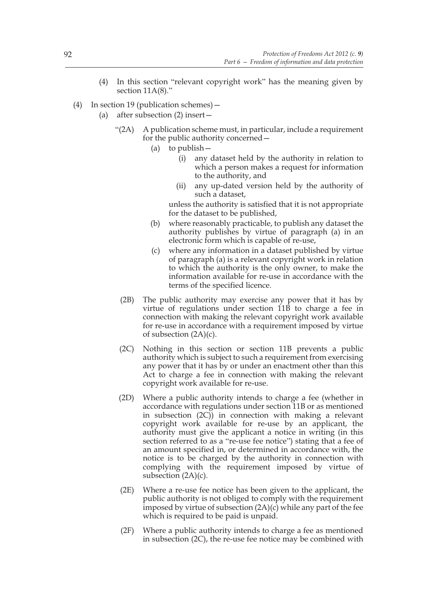- (4) In this section "relevant copyright work" has the meaning given by section 11A(8)."
- (4) In section 19 (publication schemes)—
	- (a) after subsection (2) insert—
		- "(2A) A publication scheme must, in particular, include a requirement for the public authority concerned—
			- (a) to publish—
				- (i) any dataset held by the authority in relation to which a person makes a request for information to the authority, and
				- (ii) any up-dated version held by the authority of such a dataset,

unless the authority is satisfied that it is not appropriate for the dataset to be published,

- (b) where reasonably practicable, to publish any dataset the authority publishes by virtue of paragraph (a) in an electronic form which is capable of re-use,
- (c) where any information in a dataset published by virtue of paragraph (a) is a relevant copyright work in relation to which the authority is the only owner, to make the information available for re-use in accordance with the terms of the specified licence.
- (2B) The public authority may exercise any power that it has by virtue of regulations under section 11B to charge a fee in connection with making the relevant copyright work available for re-use in accordance with a requirement imposed by virtue of subsection (2A)(c).
- (2C) Nothing in this section or section 11B prevents a public authority which is subject to such a requirement from exercising any power that it has by or under an enactment other than this Act to charge a fee in connection with making the relevant copyright work available for re-use.
- (2D) Where a public authority intends to charge a fee (whether in accordance with regulations under section 11B or as mentioned in subsection (2C)) in connection with making a relevant copyright work available for re-use by an applicant, the authority must give the applicant a notice in writing (in this section referred to as a "re-use fee notice") stating that a fee of an amount specified in, or determined in accordance with, the notice is to be charged by the authority in connection with complying with the requirement imposed by virtue of subsection (2A)(c).
- (2E) Where a re-use fee notice has been given to the applicant, the public authority is not obliged to comply with the requirement imposed by virtue of subsection (2A)(c) while any part of the fee which is required to be paid is unpaid.
- (2F) Where a public authority intends to charge a fee as mentioned in subsection (2C), the re-use fee notice may be combined with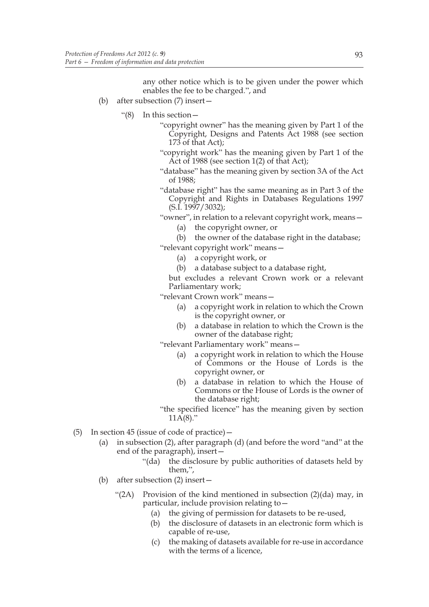any other notice which is to be given under the power which enables the fee to be charged.", and

- (b) after subsection (7) insert—
	- "(8) In this section—
		- "copyright owner" has the meaning given by Part 1 of the Copyright, Designs and Patents Act 1988 (see section 173 of that Act);
		- "copyright work" has the meaning given by Part 1 of the Act of 1988 (see section 1(2) of that Act);
		- "database" has the meaning given by section 3A of the Act of 1988;
		- "database right" has the same meaning as in Part 3 of the Copyright and Rights in Databases Regulations 1997  $(S.\overline{I}. 1997/3032);$

"owner", in relation to a relevant copyright work, means—

- (a) the copyright owner, or
- (b) the owner of the database right in the database; "relevant copyright work" means—
	- (a) a copyright work, or
	- (b) a database subject to a database right,

but excludes a relevant Crown work or a relevant Parliamentary work;

"relevant Crown work" means—

- (a) a copyright work in relation to which the Crown is the copyright owner, or
- (b) a database in relation to which the Crown is the owner of the database right;

"relevant Parliamentary work" means—

- (a) a copyright work in relation to which the House of Commons or the House of Lords is the copyright owner, or
- (b) a database in relation to which the House of Commons or the House of Lords is the owner of the database right;
- "the specified licence" has the meaning given by section  $11A(8)$ ."
- (5) In section 45 (issue of code of practice)—
	- (a) in subsection (2), after paragraph (d) (and before the word "and" at the end of the paragraph), insert—
		- "(da) the disclosure by public authorities of datasets held by them,",
	- (b) after subsection (2) insert—
		- "(2A) Provision of the kind mentioned in subsection (2)(da) may, in particular, include provision relating to—
			- (a) the giving of permission for datasets to be re-used,
			- (b) the disclosure of datasets in an electronic form which is capable of re-use,
			- (c) the making of datasets available for re-use in accordance with the terms of a licence.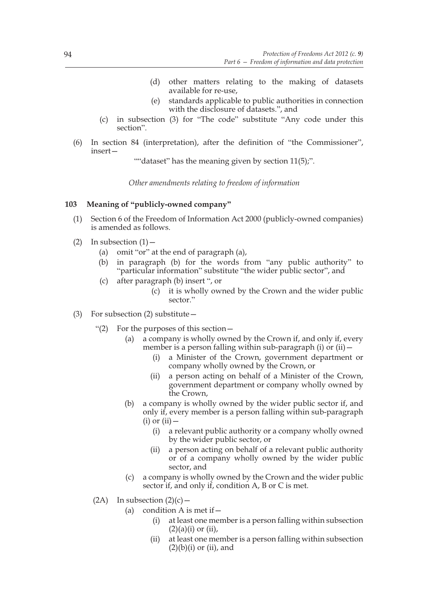- (d) other matters relating to the making of datasets available for re-use,
- (e) standards applicable to public authorities in connection with the disclosure of datasets.", and
- (c) in subsection (3) for "The code" substitute "Any code under this section".
- (6) In section 84 (interpretation), after the definition of "the Commissioner", insert—

""dataset" has the meaning given by section 11(5);".

*Other amendments relating to freedom of information*

#### **103 Meaning of "publicly-owned company"**

- (1) Section 6 of the Freedom of Information Act 2000 (publicly-owned companies) is amended as follows.
- (2) In subsection  $(1)$ 
	- (a) omit "or" at the end of paragraph (a),
	- (b) in paragraph (b) for the words from "any public authority" to "particular information" substitute "the wider public sector", and
	- (c) after paragraph (b) insert ", or
		- (c) it is wholly owned by the Crown and the wider public sector."
- (3) For subsection (2) substitute—
	- "(2) For the purposes of this section—
		- (a) a company is wholly owned by the Crown if, and only if, every member is a person falling within sub-paragraph (i) or  $(ii)$  –
			- (i) a Minister of the Crown, government department or company wholly owned by the Crown, or
			- (ii) a person acting on behalf of a Minister of the Crown, government department or company wholly owned by the Crown,
		- (b) a company is wholly owned by the wider public sector if, and only if, every member is a person falling within sub-paragraph  $(i)$  or  $(ii)$  —
			- (i) a relevant public authority or a company wholly owned by the wider public sector, or
			- (ii) a person acting on behalf of a relevant public authority or of a company wholly owned by the wider public sector, and
		- (c) a company is wholly owned by the Crown and the wider public sector if, and only if, condition A, B or C is met.
	- (2A) In subsection  $(2)(c)$ 
		- (a) condition A is met if  $$ 
			- at least one member is a person falling within subsection  $(2)(a)(i)$  or  $(ii)$ ,
			- (ii) at least one member is a person falling within subsection  $(2)(b)(i)$  or  $(ii)$ , and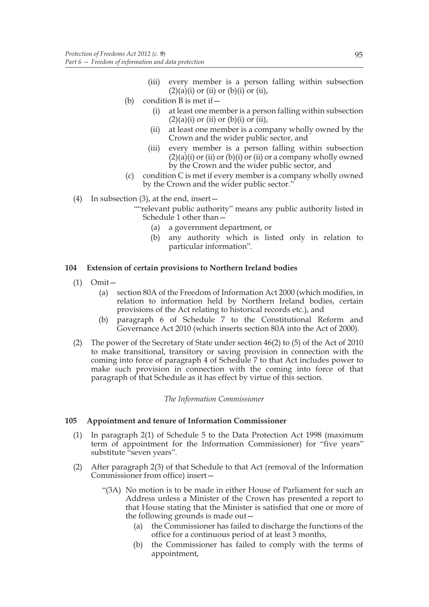- (iii) every member is a person falling within subsection  $(2)(a)(i)$  or  $(ii)$  or  $(b)(i)$  or  $(ii)$ ,
- (b) condition B is met if  $-$ 
	- (i) at least one member is a person falling within subsection  $(2)(a)(i)$  or  $(ii)$  or  $(b)(i)$  or  $(ii)$ ,
	- (ii) at least one member is a company wholly owned by the Crown and the wider public sector, and
	- (iii) every member is a person falling within subsection  $(2)(a)(i)$  or (ii) or  $(b)(i)$  or (ii) or a company wholly owned by the Crown and the wider public sector, and
- (c) condition C is met if every member is a company wholly owned by the Crown and the wider public sector."
- (4) In subsection  $(3)$ , at the end, insert
	- ""relevant public authority" means any public authority listed in Schedule 1 other than—
		- (a) a government department, or
		- (b) any authority which is listed only in relation to particular information".

# **104 Extension of certain provisions to Northern Ireland bodies**

- (1) Omit—
	- (a) section 80A of the Freedom of Information Act 2000 (which modifies, in relation to information held by Northern Ireland bodies, certain provisions of the Act relating to historical records etc.), and
	- (b) paragraph 6 of Schedule 7 to the Constitutional Reform and Governance Act 2010 (which inserts section 80A into the Act of 2000).
- (2) The power of the Secretary of State under section 46(2) to (5) of the Act of 2010 to make transitional, transitory or saving provision in connection with the coming into force of paragraph 4 of Schedule 7 to that Act includes power to make such provision in connection with the coming into force of that paragraph of that Schedule as it has effect by virtue of this section.

## *The Information Commissioner*

## **105 Appointment and tenure of Information Commissioner**

- (1) In paragraph 2(1) of Schedule 5 to the Data Protection Act 1998 (maximum term of appointment for the Information Commissioner) for "five years" substitute "seven years".
- (2) After paragraph 2(3) of that Schedule to that Act (removal of the Information Commissioner from office) insert—
	- "(3A) No motion is to be made in either House of Parliament for such an Address unless a Minister of the Crown has presented a report to that House stating that the Minister is satisfied that one or more of the following grounds is made out—
		- (a) the Commissioner has failed to discharge the functions of the office for a continuous period of at least 3 months,
		- (b) the Commissioner has failed to comply with the terms of appointment,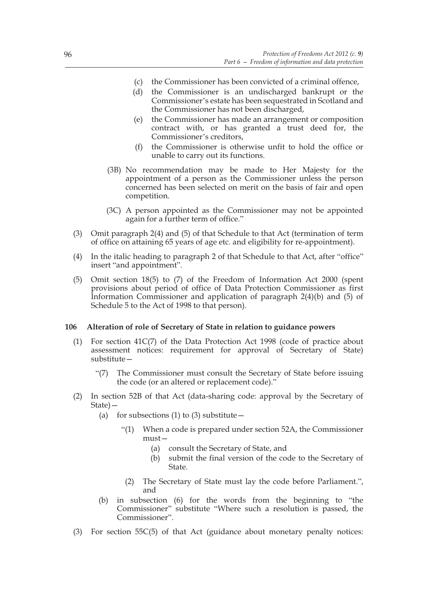- (c) the Commissioner has been convicted of a criminal offence,
- (d) the Commissioner is an undischarged bankrupt or the Commissioner's estate has been sequestrated in Scotland and the Commissioner has not been discharged,
- (e) the Commissioner has made an arrangement or composition contract with, or has granted a trust deed for, the Commissioner's creditors,
- (f) the Commissioner is otherwise unfit to hold the office or unable to carry out its functions.
- (3B) No recommendation may be made to Her Majesty for the appointment of a person as the Commissioner unless the person concerned has been selected on merit on the basis of fair and open competition.
- (3C) A person appointed as the Commissioner may not be appointed again for a further term of office."
- (3) Omit paragraph 2(4) and (5) of that Schedule to that Act (termination of term of office on attaining 65 years of age etc. and eligibility for re-appointment).
- (4) In the italic heading to paragraph 2 of that Schedule to that Act, after "office" insert "and appointment".
- (5) Omit section 18(5) to (7) of the Freedom of Information Act 2000 (spent provisions about period of office of Data Protection Commissioner as first Information Commissioner and application of paragraph 2(4)(b) and (5) of Schedule 5 to the Act of 1998 to that person).

#### **106 Alteration of role of Secretary of State in relation to guidance powers**

- (1) For section 41C(7) of the Data Protection Act 1998 (code of practice about assessment notices: requirement for approval of Secretary of State) substitute—
	- "(7) The Commissioner must consult the Secretary of State before issuing the code (or an altered or replacement code)."
- (2) In section 52B of that Act (data-sharing code: approval by the Secretary of State)—
	- (a) for subsections (1) to (3) substitute  $-$ 
		- "(1) When a code is prepared under section 52A, the Commissioner must—
			- (a) consult the Secretary of State, and
			- (b) submit the final version of the code to the Secretary of State.
		- (2) The Secretary of State must lay the code before Parliament.", and
	- (b) in subsection (6) for the words from the beginning to "the Commissioner" substitute "Where such a resolution is passed, the Commissioner".
- (3) For section 55C(5) of that Act (guidance about monetary penalty notices: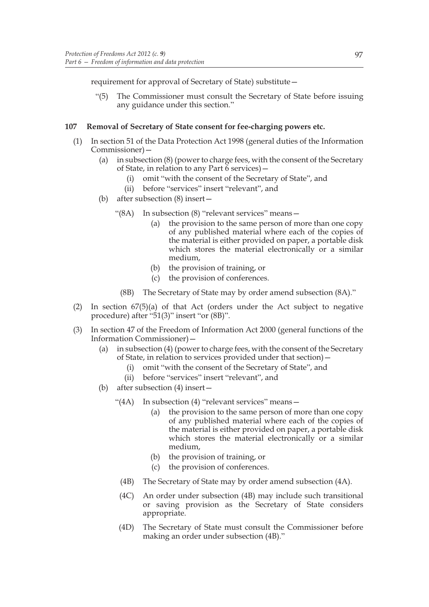requirement for approval of Secretary of State) substitute—

"(5) The Commissioner must consult the Secretary of State before issuing any guidance under this section."

# **107 Removal of Secretary of State consent for fee-charging powers etc.**

- (1) In section 51 of the Data Protection Act 1998 (general duties of the Information Commissioner)—
	- (a) in subsection (8) (power to charge fees, with the consent of the Secretary of State, in relation to any Part 6 services)—
		- (i) omit "with the consent of the Secretary of State", and
		- (ii) before "services" insert "relevant", and
	- (b) after subsection (8) insert—
		- "(8A) In subsection (8) "relevant services" means—
			- (a) the provision to the same person of more than one copy of any published material where each of the copies of the material is either provided on paper, a portable disk which stores the material electronically or a similar medium,
			- (b) the provision of training, or
			- (c) the provision of conferences.
		- (8B) The Secretary of State may by order amend subsection (8A)."
- (2) In section  $67(5)(a)$  of that Act (orders under the Act subject to negative procedure) after "51(3)" insert "or (8B)".
- (3) In section 47 of the Freedom of Information Act 2000 (general functions of the Information Commissioner)—
	- (a) in subsection (4) (power to charge fees, with the consent of the Secretary of State, in relation to services provided under that section)—
		- (i) omit "with the consent of the Secretary of State", and
		- (ii) before "services" insert "relevant", and
	- (b) after subsection (4) insert—
		- "(4A) In subsection (4) "relevant services" means—
			- (a) the provision to the same person of more than one copy of any published material where each of the copies of the material is either provided on paper, a portable disk which stores the material electronically or a similar medium,
			- (b) the provision of training, or
			- (c) the provision of conferences.
		- (4B) The Secretary of State may by order amend subsection (4A).
		- (4C) An order under subsection (4B) may include such transitional or saving provision as the Secretary of State considers appropriate.
		- (4D) The Secretary of State must consult the Commissioner before making an order under subsection (4B)."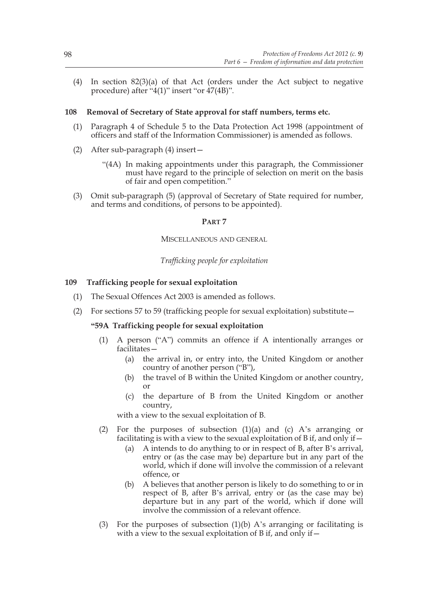(4) In section 82(3)(a) of that Act (orders under the Act subject to negative procedure) after  $4(1)$ " insert "or  $47(4B)$ ".

#### **108 Removal of Secretary of State approval for staff numbers, terms etc.**

- (1) Paragraph 4 of Schedule 5 to the Data Protection Act 1998 (appointment of officers and staff of the Information Commissioner) is amended as follows.
- (2) After sub-paragraph (4) insert—
	- "(4A) In making appointments under this paragraph, the Commissioner must have regard to the principle of selection on merit on the basis of fair and open competition."
- (3) Omit sub-paragraph (5) (approval of Secretary of State required for number, and terms and conditions, of persons to be appointed).

#### **PART 7**

#### MISCELLANEOUS AND GENERAL

#### *Trafficking people for exploitation*

## **109 Trafficking people for sexual exploitation**

- (1) The Sexual Offences Act 2003 is amended as follows.
- (2) For sections 57 to 59 (trafficking people for sexual exploitation) substitute—

#### **"59A Trafficking people for sexual exploitation**

- (1) A person ("A") commits an offence if A intentionally arranges or facilitates—
	- (a) the arrival in, or entry into, the United Kingdom or another country of another person ("B"),
	- (b) the travel of B within the United Kingdom or another country, or
	- (c) the departure of B from the United Kingdom or another country,

with a view to the sexual exploitation of B.

- (2) For the purposes of subsection (1)(a) and (c) A's arranging or facilitating is with a view to the sexual exploitation of B if, and only if  $-$ 
	- (a) A intends to do anything to or in respect of B, after B's arrival, entry or (as the case may be) departure but in any part of the world, which if done will involve the commission of a relevant offence, or
	- (b) A believes that another person is likely to do something to or in respect of B, after B's arrival, entry or (as the case may be) departure but in any part of the world, which if done will involve the commission of a relevant offence.
- (3) For the purposes of subsection (1)(b) A's arranging or facilitating is with a view to the sexual exploitation of B if, and only if  $-$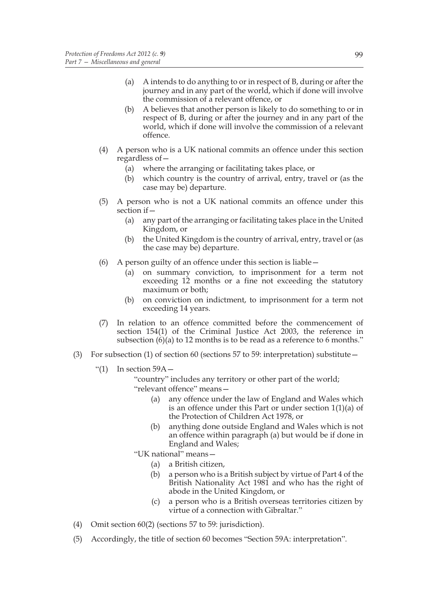- (a) A intends to do anything to or in respect of B, during or after the journey and in any part of the world, which if done will involve the commission of a relevant offence, or
- (b) A believes that another person is likely to do something to or in respect of B, during or after the journey and in any part of the world, which if done will involve the commission of a relevant offence.
- (4) A person who is a UK national commits an offence under this section regardless of—
	- (a) where the arranging or facilitating takes place, or
	- (b) which country is the country of arrival, entry, travel or (as the case may be) departure.
- (5) A person who is not a UK national commits an offence under this section if—
	- (a) any part of the arranging or facilitating takes place in the United Kingdom, or
	- (b) the United Kingdom is the country of arrival, entry, travel or (as the case may be) departure.
- (6) A person guilty of an offence under this section is liable—
	- (a) on summary conviction, to imprisonment for a term not exceeding 12 months or a fine not exceeding the statutory maximum or both;
	- (b) on conviction on indictment, to imprisonment for a term not exceeding 14 years.
- (7) In relation to an offence committed before the commencement of section 154(1) of the Criminal Justice Act 2003, the reference in subsection (6)(a) to 12 months is to be read as a reference to 6 months."
- (3) For subsection (1) of section 60 (sections 57 to 59: interpretation) substitute  $-$ 
	- "(1) In section  $59A -$

"country" includes any territory or other part of the world;

- "relevant offence" means—
	- (a) any offence under the law of England and Wales which is an offence under this Part or under section 1(1)(a) of the Protection of Children Act 1978, or
	- (b) anything done outside England and Wales which is not an offence within paragraph (a) but would be if done in England and Wales;

"UK national" means—

- (a) a British citizen,
- (b) a person who is a British subject by virtue of Part 4 of the British Nationality Act 1981 and who has the right of abode in the United Kingdom, or
- (c) a person who is a British overseas territories citizen by virtue of a connection with Gibraltar."
- (4) Omit section 60(2) (sections 57 to 59: jurisdiction).
- (5) Accordingly, the title of section 60 becomes "Section 59A: interpretation".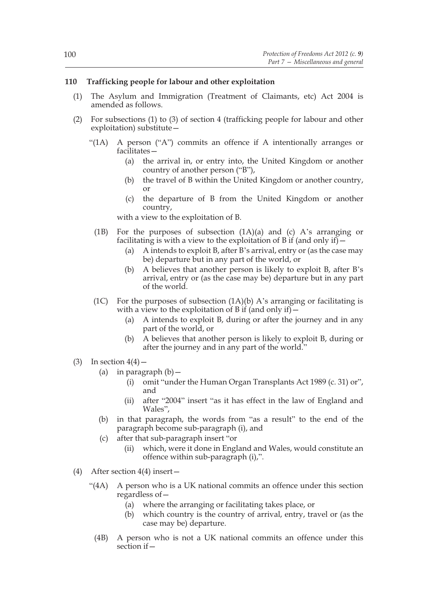### **110 Trafficking people for labour and other exploitation**

- (1) The Asylum and Immigration (Treatment of Claimants, etc) Act 2004 is amended as follows.
- (2) For subsections (1) to (3) of section 4 (trafficking people for labour and other exploitation) substitute—
	- "(1A) A person ("A") commits an offence if A intentionally arranges or facilitates—
		- (a) the arrival in, or entry into, the United Kingdom or another country of another person ("B"),
		- (b) the travel of B within the United Kingdom or another country, or
		- (c) the departure of B from the United Kingdom or another country,

with a view to the exploitation of B.

- (1B) For the purposes of subsection (1A)(a) and (c) A's arranging or facilitating is with a view to the exploitation of B if (and only if)  $-$ 
	- (a) A intends to exploit B, after B's arrival, entry or (as the case may be) departure but in any part of the world, or
	- (b) A believes that another person is likely to exploit B, after B's arrival, entry or (as the case may be) departure but in any part of the world.
- (1C) For the purposes of subsection  $(1A)(b)$  A's arranging or facilitating is with a view to the exploitation of B if (and only if)  $-$ 
	- (a) A intends to exploit B, during or after the journey and in any part of the world, or
	- (b) A believes that another person is likely to exploit B, during or after the journey and in any part of the world."
- (3) In section  $4(4)$ 
	- (a) in paragraph  $(b)$  -
		- (i) omit "under the Human Organ Transplants Act 1989 (c. 31) or", and
		- (ii) after "2004" insert "as it has effect in the law of England and Wales",
	- (b) in that paragraph, the words from "as a result" to the end of the paragraph become sub-paragraph (i), and
	- (c) after that sub-paragraph insert "or
		- (ii) which, were it done in England and Wales, would constitute an offence within sub-paragraph (i),".
- (4) After section 4(4) insert—
	- "(4A) A person who is a UK national commits an offence under this section regardless of—
		- (a) where the arranging or facilitating takes place, or
		- (b) which country is the country of arrival, entry, travel or (as the case may be) departure.
		- (4B) A person who is not a UK national commits an offence under this section if—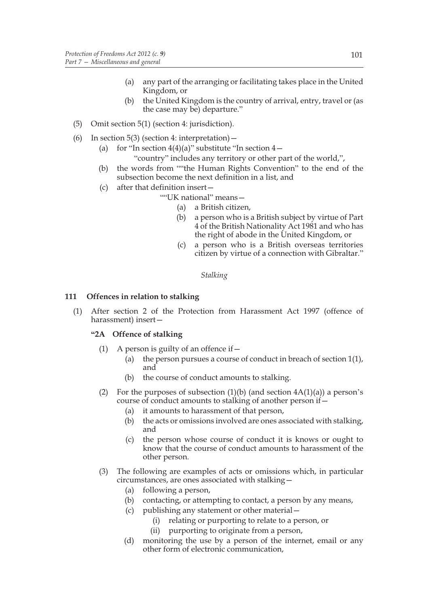- (a) any part of the arranging or facilitating takes place in the United Kingdom, or
- (b) the United Kingdom is the country of arrival, entry, travel or (as the case may be) departure."
- (5) Omit section 5(1) (section 4: jurisdiction).
- (6) In section 5(3) (section 4: interpretation)  $-$ 
	- (a) for "In section  $4(4)(a)$ " substitute "In section  $4-$

"country" includes any territory or other part of the world,",

- (b) the words from ""the Human Rights Convention" to the end of the subsection become the next definition in a list, and
- (c) after that definition insert—
	- ""UK national" means—
		- (a) a British citizen,
		- (b) a person who is a British subject by virtue of Part 4 of the British Nationality Act 1981 and who has the right of abode in the United Kingdom, or
		- (c) a person who is a British overseas territories citizen by virtue of a connection with Gibraltar."

# *Stalking*

# **111 Offences in relation to stalking**

(1) After section 2 of the Protection from Harassment Act 1997 (offence of harassment) insert—

# **"2A Offence of stalking**

- (1) A person is guilty of an offence if  $-$ 
	- (a) the person pursues a course of conduct in breach of section  $1(1)$ , and
	- (b) the course of conduct amounts to stalking.
- (2) For the purposes of subsection  $(1)(b)$  (and section  $4A(1)(a)$ ) a person's course of conduct amounts to stalking of another person if—
	- (a) it amounts to harassment of that person,
	- (b) the acts or omissions involved are ones associated with stalking, and
	- (c) the person whose course of conduct it is knows or ought to know that the course of conduct amounts to harassment of the other person.
- (3) The following are examples of acts or omissions which, in particular circumstances, are ones associated with stalking—
	- (a) following a person,
	- (b) contacting, or attempting to contact, a person by any means,
	- (c) publishing any statement or other material—
		- (i) relating or purporting to relate to a person, or
		- (ii) purporting to originate from a person,
	- (d) monitoring the use by a person of the internet, email or any other form of electronic communication,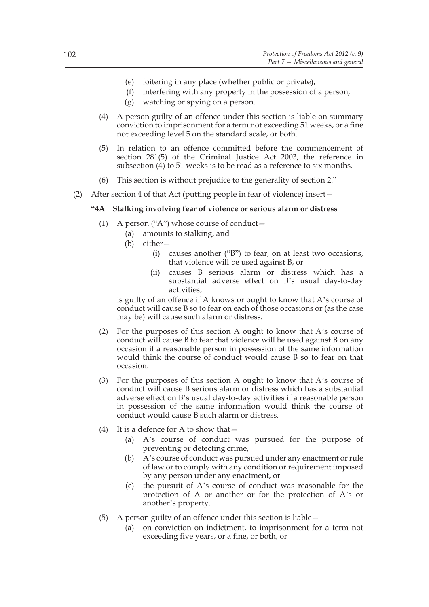- (e) loitering in any place (whether public or private),
- (f) interfering with any property in the possession of a person,
- (g) watching or spying on a person.
- (4) A person guilty of an offence under this section is liable on summary conviction to imprisonment for a term not exceeding 51 weeks, or a fine not exceeding level 5 on the standard scale, or both.
- (5) In relation to an offence committed before the commencement of section 281(5) of the Criminal Justice Act 2003, the reference in subsection (4) to 51 weeks is to be read as a reference to six months.
- (6) This section is without prejudice to the generality of section 2."
- (2) After section 4 of that Act (putting people in fear of violence) insert—

### **"4A Stalking involving fear of violence or serious alarm or distress**

- (1) A person ("A") whose course of conduct—
	- (a) amounts to stalking, and
	- (b) either—
		- (i) causes another ("B") to fear, on at least two occasions, that violence will be used against B, or
		- (ii) causes B serious alarm or distress which has a substantial adverse effect on B's usual day-to-day activities,

is guilty of an offence if A knows or ought to know that A's course of conduct will cause B so to fear on each of those occasions or (as the case may be) will cause such alarm or distress.

- (2) For the purposes of this section A ought to know that A's course of conduct will cause B to fear that violence will be used against B on any occasion if a reasonable person in possession of the same information would think the course of conduct would cause B so to fear on that occasion.
- (3) For the purposes of this section A ought to know that A's course of conduct will cause B serious alarm or distress which has a substantial adverse effect on B's usual day-to-day activities if a reasonable person in possession of the same information would think the course of conduct would cause B such alarm or distress.
- (4) It is a defence for A to show that—
	- (a) A's course of conduct was pursued for the purpose of preventing or detecting crime,
	- (b) A's course of conduct was pursued under any enactment or rule of law or to comply with any condition or requirement imposed by any person under any enactment, or
	- (c) the pursuit of A's course of conduct was reasonable for the protection of A or another or for the protection of A's or another's property.
- (5) A person guilty of an offence under this section is liable—
	- (a) on conviction on indictment, to imprisonment for a term not exceeding five years, or a fine, or both, or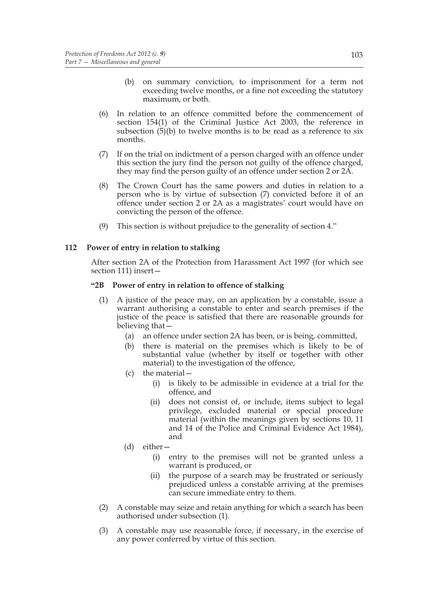- (b) on summary conviction, to imprisonment for a term not exceeding twelve months, or a fine not exceeding the statutory maximum, or both.
- (6) In relation to an offence committed before the commencement of section 154(1) of the Criminal Justice Act 2003, the reference in subsection  $(5)(b)$  to twelve months is to be read as a reference to six months.
- (7) If on the trial on indictment of a person charged with an offence under this section the jury find the person not guilty of the offence charged, they may find the person guilty of an offence under section 2 or 2A.
- (8) The Crown Court has the same powers and duties in relation to a person who is by virtue of subsection (7) convicted before it of an offence under section 2 or 2A as a magistrates' court would have on convicting the person of the offence.
- (9) This section is without prejudice to the generality of section 4."

# **112 Power of entry in relation to stalking**

After section 2A of the Protection from Harassment Act 1997 (for which see section 111) insert—

### **"2B Power of entry in relation to offence of stalking**

- (1) A justice of the peace may, on an application by a constable, issue a warrant authorising a constable to enter and search premises if the justice of the peace is satisfied that there are reasonable grounds for believing that—
	- (a) an offence under section 2A has been, or is being, committed,
	- (b) there is material on the premises which is likely to be of substantial value (whether by itself or together with other material) to the investigation of the offence,
	- (c) the material—
		- (i) is likely to be admissible in evidence at a trial for the offence, and
		- (ii) does not consist of, or include, items subject to legal privilege, excluded material or special procedure material (within the meanings given by sections 10, 11 and 14 of the Police and Criminal Evidence Act 1984), and
	- (d) either—
		- (i) entry to the premises will not be granted unless a warrant is produced, or
		- (ii) the purpose of a search may be frustrated or seriously prejudiced unless a constable arriving at the premises can secure immediate entry to them.
- (2) A constable may seize and retain anything for which a search has been authorised under subsection (1).
- (3) A constable may use reasonable force, if necessary, in the exercise of any power conferred by virtue of this section.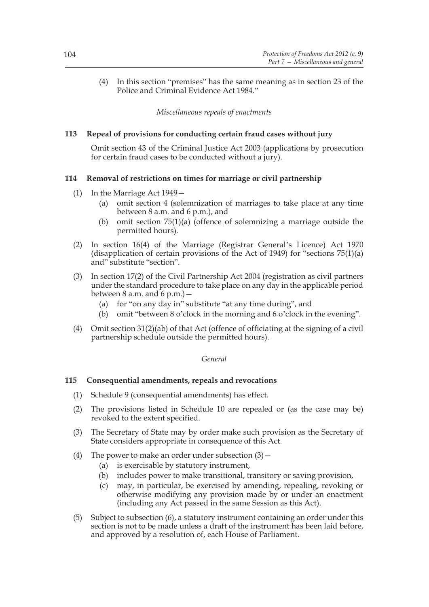(4) In this section "premises" has the same meaning as in section 23 of the Police and Criminal Evidence Act 1984."

*Miscellaneous repeals of enactments*

# **113 Repeal of provisions for conducting certain fraud cases without jury**

Omit section 43 of the Criminal Justice Act 2003 (applications by prosecution for certain fraud cases to be conducted without a jury).

# **114 Removal of restrictions on times for marriage or civil partnership**

- (1) In the Marriage Act 1949—
	- (a) omit section 4 (solemnization of marriages to take place at any time between 8 a.m. and 6 p.m.), and
	- (b) omit section 75(1)(a) (offence of solemnizing a marriage outside the permitted hours).
- (2) In section 16(4) of the Marriage (Registrar General's Licence) Act 1970 (disapplication of certain provisions of the Act of 1949) for "sections  $75(1)(a)$ and" substitute "section".
- (3) In section 17(2) of the Civil Partnership Act 2004 (registration as civil partners under the standard procedure to take place on any day in the applicable period between  $8$  a.m. and  $6$  p.m.)  $-$ 
	- (a) for "on any day in" substitute "at any time during", and
	- (b) omit "between 8 o'clock in the morning and 6 o'clock in the evening".
- (4) Omit section 31(2)(ab) of that Act (offence of officiating at the signing of a civil partnership schedule outside the permitted hours).

# *General*

# **115 Consequential amendments, repeals and revocations**

- (1) Schedule 9 (consequential amendments) has effect.
- (2) The provisions listed in Schedule 10 are repealed or (as the case may be) revoked to the extent specified.
- (3) The Secretary of State may by order make such provision as the Secretary of State considers appropriate in consequence of this Act.
- (4) The power to make an order under subsection  $(3)$  -
	- (a) is exercisable by statutory instrument,
	- (b) includes power to make transitional, transitory or saving provision,
	- (c) may, in particular, be exercised by amending, repealing, revoking or otherwise modifying any provision made by or under an enactment (including any Act passed in the same Session as this Act).
- (5) Subject to subsection (6), a statutory instrument containing an order under this section is not to be made unless a draft of the instrument has been laid before, and approved by a resolution of, each House of Parliament.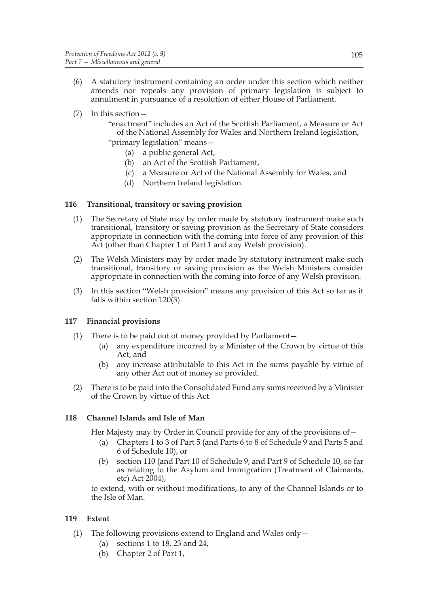- (6) A statutory instrument containing an order under this section which neither amends nor repeals any provision of primary legislation is subject to annulment in pursuance of a resolution of either House of Parliament.
- (7) In this section—
	- "enactment" includes an Act of the Scottish Parliament, a Measure or Act of the National Assembly for Wales and Northern Ireland legislation, "primary legislation" means—
		- (a) a public general Act,
		- (b) an Act of the Scottish Parliament,
		- (c) a Measure or Act of the National Assembly for Wales, and
		- (d) Northern Ireland legislation.

# **116 Transitional, transitory or saving provision**

- (1) The Secretary of State may by order made by statutory instrument make such transitional, transitory or saving provision as the Secretary of State considers appropriate in connection with the coming into force of any provision of this Act (other than Chapter 1 of Part 1 and any Welsh provision).
- (2) The Welsh Ministers may by order made by statutory instrument make such transitional, transitory or saving provision as the Welsh Ministers consider appropriate in connection with the coming into force of any Welsh provision.
- (3) In this section "Welsh provision" means any provision of this Act so far as it falls within section  $120(3)$ .

# **117 Financial provisions**

- (1) There is to be paid out of money provided by Parliament—
	- (a) any expenditure incurred by a Minister of the Crown by virtue of this Act, and
	- (b) any increase attributable to this Act in the sums payable by virtue of any other Act out of money so provided.
- (2) There is to be paid into the Consolidated Fund any sums received by a Minister of the Crown by virtue of this Act.

# **118 Channel Islands and Isle of Man**

Her Majesty may by Order in Council provide for any of the provisions of -

- (a) Chapters 1 to 3 of Part 5 (and Parts 6 to 8 of Schedule 9 and Parts 5 and 6 of Schedule 10), or
- (b) section 110 (and Part 10 of Schedule 9, and Part 9 of Schedule 10, so far as relating to the Asylum and Immigration (Treatment of Claimants, etc) Act 2004),

to extend, with or without modifications, to any of the Channel Islands or to the Isle of Man.

# **119 Extent**

- (1) The following provisions extend to England and Wales only—
	- (a) sections 1 to 18, 23 and 24,
	- (b) Chapter 2 of Part 1,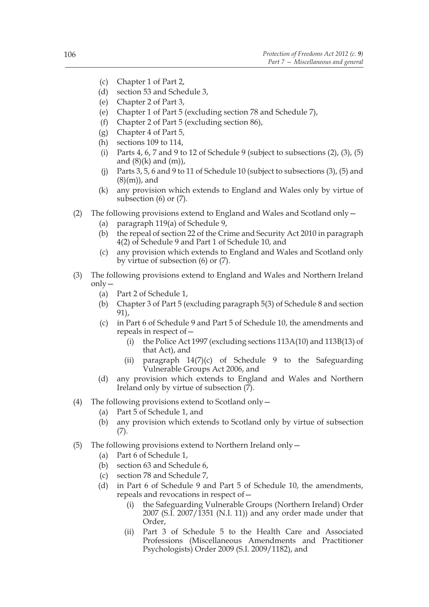- (c) Chapter 1 of Part 2,
- (d) section 53 and Schedule 3,
- (e) Chapter 2 of Part 3,
- (e) Chapter 1 of Part 5 (excluding section 78 and Schedule 7),
- (f) Chapter 2 of Part 5 (excluding section 86),
- (g) Chapter 4 of Part 5,
- (h) sections 109 to 114,
- (i) Parts 4, 6, 7 and 9 to 12 of Schedule 9 (subject to subsections  $(2)$ ,  $(3)$ ,  $(5)$ and  $(8)(k)$  and  $(m)$ ),
- (i) Parts 3, 5, 6 and 9 to 11 of Schedule 10 (subject to subsections  $(3)$ ,  $(5)$  and (8)(m)), and
- (k) any provision which extends to England and Wales only by virtue of subsection (6) or (7).
- (2) The following provisions extend to England and Wales and Scotland only  $-$ 
	- (a) paragraph 119(a) of Schedule 9,
	- (b) the repeal of section 22 of the Crime and Security Act 2010 in paragraph 4(2) of Schedule 9 and Part 1 of Schedule 10, and
	- (c) any provision which extends to England and Wales and Scotland only by virtue of subsection (6) or (7).
- (3) The following provisions extend to England and Wales and Northern Ireland only—
	- (a) Part 2 of Schedule 1,
	- (b) Chapter 3 of Part 5 (excluding paragraph 5(3) of Schedule 8 and section 91),
	- (c) in Part 6 of Schedule 9 and Part 5 of Schedule 10, the amendments and repeals in respect of—
		- (i) the Police Act 1997 (excluding sections 113A(10) and 113B(13) of that Act), and
		- (ii) paragraph 14(7)(c) of Schedule 9 to the Safeguarding Vulnerable Groups Act 2006, and
	- (d) any provision which extends to England and Wales and Northern Ireland only by virtue of subsection  $(\bar{7})$ .
- (4) The following provisions extend to Scotland only—
	- (a) Part 5 of Schedule 1, and
	- (b) any provision which extends to Scotland only by virtue of subsection (7).
- (5) The following provisions extend to Northern Ireland only—
	- (a) Part 6 of Schedule 1,
	- (b) section 63 and Schedule 6,
	- (c) section 78 and Schedule 7,
	- (d) in Part 6 of Schedule 9 and Part 5 of Schedule 10, the amendments, repeals and revocations in respect of—
		- (i) the Safeguarding Vulnerable Groups (Northern Ireland) Order 2007 (S.I. 2007/1351 (N.I. 11)) and any order made under that Order,
		- (ii) Part 3 of Schedule 5 to the Health Care and Associated Professions (Miscellaneous Amendments and Practitioner Psychologists) Order 2009 (S.I. 2009/1182), and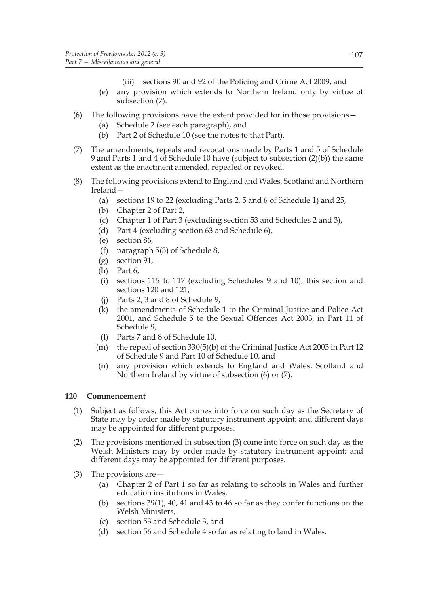- (iii) sections 90 and 92 of the Policing and Crime Act 2009, and
- (e) any provision which extends to Northern Ireland only by virtue of subsection (7).
- (6) The following provisions have the extent provided for in those provisions—
	- (a) Schedule 2 (see each paragraph), and
	- (b) Part 2 of Schedule 10 (see the notes to that Part).
- (7) The amendments, repeals and revocations made by Parts 1 and 5 of Schedule 9 and Parts 1 and 4 of Schedule 10 have (subject to subsection (2)(b)) the same extent as the enactment amended, repealed or revoked.
- (8) The following provisions extend to England and Wales, Scotland and Northern Ireland—
	- (a) sections 19 to 22 (excluding Parts 2, 5 and 6 of Schedule 1) and 25,
	- (b) Chapter 2 of Part 2,
	- (c) Chapter 1 of Part 3 (excluding section 53 and Schedules 2 and 3),
	- (d) Part 4 (excluding section 63 and Schedule 6),
	- (e) section 86,
	- (f) paragraph 5(3) of Schedule 8,
	- (g) section 91,
	- (h) Part 6,
	- (i) sections 115 to 117 (excluding Schedules 9 and 10), this section and sections 120 and 121,
	- (j) Parts 2, 3 and 8 of Schedule 9,
	- (k) the amendments of Schedule 1 to the Criminal Justice and Police Act 2001, and Schedule 5 to the Sexual Offences Act 2003, in Part 11 of Schedule 9,
	- (l) Parts 7 and 8 of Schedule 10,
	- (m) the repeal of section 330(5)(b) of the Criminal Justice Act 2003 in Part 12 of Schedule 9 and Part 10 of Schedule 10, and
	- (n) any provision which extends to England and Wales, Scotland and Northern Ireland by virtue of subsection (6) or (7).

# **120 Commencement**

- (1) Subject as follows, this Act comes into force on such day as the Secretary of State may by order made by statutory instrument appoint; and different days may be appointed for different purposes.
- (2) The provisions mentioned in subsection (3) come into force on such day as the Welsh Ministers may by order made by statutory instrument appoint; and different days may be appointed for different purposes.
- (3) The provisions are—
	- (a) Chapter 2 of Part 1 so far as relating to schools in Wales and further education institutions in Wales,
	- (b) sections 39(1), 40, 41 and 43 to 46 so far as they confer functions on the Welsh Ministers,
	- (c) section 53 and Schedule 3, and
	- (d) section 56 and Schedule 4 so far as relating to land in Wales.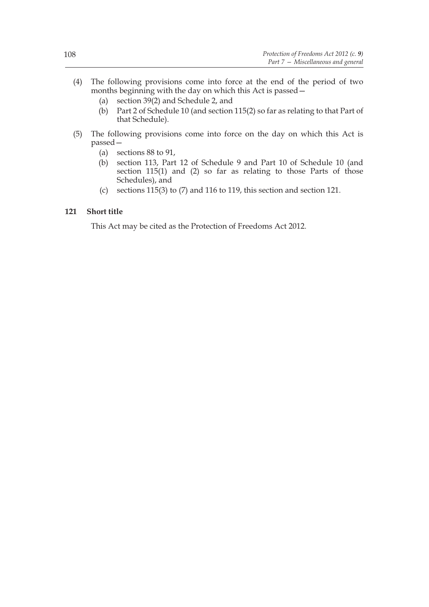- (4) The following provisions come into force at the end of the period of two months beginning with the day on which this Act is passed—
	- (a) section 39(2) and Schedule 2, and
	- (b) Part 2 of Schedule 10 (and section 115(2) so far as relating to that Part of that Schedule).
- (5) The following provisions come into force on the day on which this Act is passed—
	- (a) sections 88 to 91,
	- (b) section 113, Part 12 of Schedule 9 and Part 10 of Schedule 10 (and section 115(1) and (2) so far as relating to those Parts of those Schedules), and
	- (c) sections 115(3) to (7) and 116 to 119, this section and section 121.

# **121 Short title**

This Act may be cited as the Protection of Freedoms Act 2012.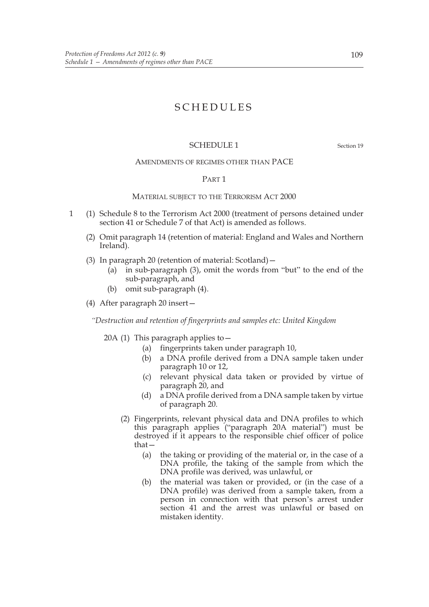# SCHEDULES

# SCHEDULE 1 Section 19

### AMENDMENTS OF REGIMES OTHER THAN PACE

# PART 1

### MATERIAL SUBJECT TO THE TERRORISM ACT 2000

- 1 (1) Schedule 8 to the Terrorism Act 2000 (treatment of persons detained under section 41 or Schedule 7 of that Act) is amended as follows.
	- (2) Omit paragraph 14 (retention of material: England and Wales and Northern Ireland).
	- (3) In paragraph 20 (retention of material: Scotland)—
		- (a) in sub-paragraph (3), omit the words from "but" to the end of the sub-paragraph, and
		- (b) omit sub-paragraph (4).
	- (4) After paragraph 20 insert—

*"Destruction and retention of fingerprints and samples etc: United Kingdom*

20A (1) This paragraph applies to  $-$ 

- (a) fingerprints taken under paragraph 10,
- (b) a DNA profile derived from a DNA sample taken under paragraph 10 or 12,
- (c) relevant physical data taken or provided by virtue of paragraph 20, and
- (d) a DNA profile derived from a DNA sample taken by virtue of paragraph 20.
- (2) Fingerprints, relevant physical data and DNA profiles to which this paragraph applies ("paragraph 20A material") must be destroyed if it appears to the responsible chief officer of police that—
	- (a) the taking or providing of the material or, in the case of a DNA profile, the taking of the sample from which the DNA profile was derived, was unlawful, or
	- (b) the material was taken or provided, or (in the case of a DNA profile) was derived from a sample taken, from a person in connection with that person's arrest under section 41 and the arrest was unlawful or based on mistaken identity.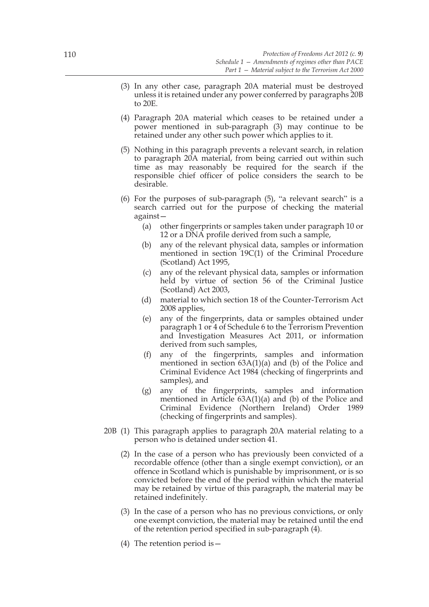- (3) In any other case, paragraph 20A material must be destroyed unless it is retained under any power conferred by paragraphs 20B to 20E.
- (4) Paragraph 20A material which ceases to be retained under a power mentioned in sub-paragraph (3) may continue to be retained under any other such power which applies to it.
- (5) Nothing in this paragraph prevents a relevant search, in relation to paragraph 20A material, from being carried out within such time as may reasonably be required for the search if the responsible chief officer of police considers the search to be desirable.
- (6) For the purposes of sub-paragraph (5), "a relevant search" is a search carried out for the purpose of checking the material against—
	- (a) other fingerprints or samples taken under paragraph 10 or 12 or a DNA profile derived from such a sample,
	- (b) any of the relevant physical data, samples or information mentioned in section 19C(1) of the Criminal Procedure (Scotland) Act 1995,
	- (c) any of the relevant physical data, samples or information held by virtue of section 56 of the Criminal Justice (Scotland) Act 2003,
	- (d) material to which section 18 of the Counter-Terrorism Act 2008 applies,
	- (e) any of the fingerprints, data or samples obtained under paragraph 1 or 4 of Schedule 6 to the Terrorism Prevention and Investigation Measures Act 2011, or information derived from such samples,
	- (f) any of the fingerprints, samples and information mentioned in section 63A(1)(a) and (b) of the Police and Criminal Evidence Act 1984 (checking of fingerprints and samples), and
	- (g) any of the fingerprints, samples and information mentioned in Article 63A(1)(a) and (b) of the Police and Criminal Evidence (Northern Ireland) Order 1989 (checking of fingerprints and samples).
- 20B (1) This paragraph applies to paragraph 20A material relating to a person who is detained under section 41.
	- (2) In the case of a person who has previously been convicted of a recordable offence (other than a single exempt conviction), or an offence in Scotland which is punishable by imprisonment, or is so convicted before the end of the period within which the material may be retained by virtue of this paragraph, the material may be retained indefinitely.
	- (3) In the case of a person who has no previous convictions, or only one exempt conviction, the material may be retained until the end of the retention period specified in sub-paragraph (4).
	- (4) The retention period is  $-$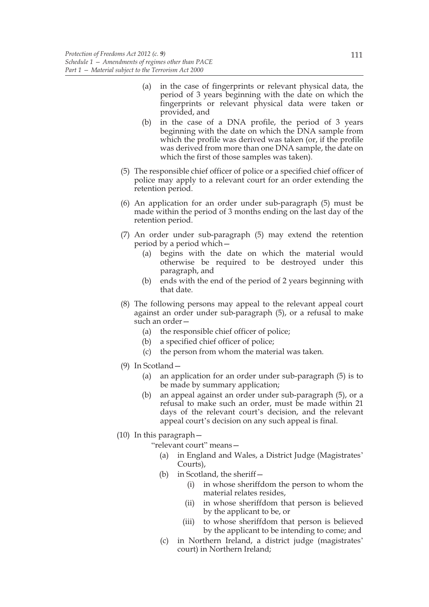- (a) in the case of fingerprints or relevant physical data, the period of 3 years beginning with the date on which the fingerprints or relevant physical data were taken or provided, and
- (b) in the case of a DNA profile, the period of 3 years beginning with the date on which the DNA sample from which the profile was derived was taken (or, if the profile was derived from more than one DNA sample, the date on which the first of those samples was taken).
- (5) The responsible chief officer of police or a specified chief officer of police may apply to a relevant court for an order extending the retention period.
- (6) An application for an order under sub-paragraph (5) must be made within the period of 3 months ending on the last day of the retention period.
- (7) An order under sub-paragraph (5) may extend the retention period by a period which—
	- (a) begins with the date on which the material would otherwise be required to be destroyed under this paragraph, and
	- (b) ends with the end of the period of 2 years beginning with that date.
- (8) The following persons may appeal to the relevant appeal court against an order under sub-paragraph (5), or a refusal to make such an order—
	- (a) the responsible chief officer of police;
	- (b) a specified chief officer of police;
	- (c) the person from whom the material was taken.
- (9) In Scotland—
	- (a) an application for an order under sub-paragraph (5) is to be made by summary application;
	- (b) an appeal against an order under sub-paragraph (5), or a refusal to make such an order, must be made within 21 days of the relevant court's decision, and the relevant appeal court's decision on any such appeal is final.
- (10) In this paragraph—

"relevant court" means—

- (a) in England and Wales, a District Judge (Magistrates' Courts),
- (b) in Scotland, the sheriff—
	- (i) in whose sheriffdom the person to whom the material relates resides,
	- (ii) in whose sheriffdom that person is believed by the applicant to be, or
	- (iii) to whose sheriffdom that person is believed by the applicant to be intending to come; and
- (c) in Northern Ireland, a district judge (magistrates' court) in Northern Ireland;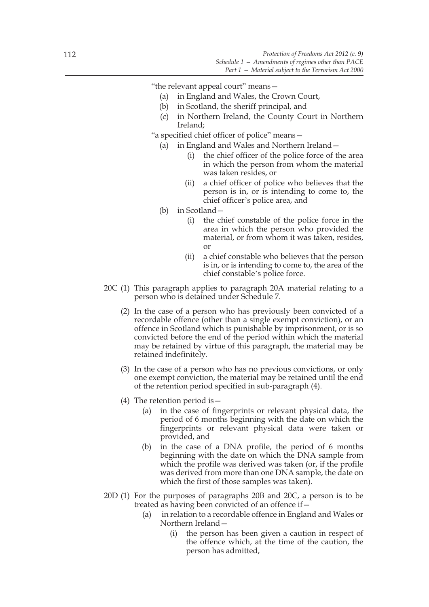"the relevant appeal court" means—

- (a) in England and Wales, the Crown Court,
- (b) in Scotland, the sheriff principal, and
- (c) in Northern Ireland, the County Court in Northern Ireland;

"a specified chief officer of police" means—

- (a) in England and Wales and Northern Ireland
	- the chief officer of the police force of the area in which the person from whom the material was taken resides, or
	- (ii) a chief officer of police who believes that the person is in, or is intending to come to, the chief officer's police area, and
- (b) in Scotland—
	- (i) the chief constable of the police force in the area in which the person who provided the material, or from whom it was taken, resides, or
	- (ii) a chief constable who believes that the person is in, or is intending to come to, the area of the chief constable's police force.
- 20C (1) This paragraph applies to paragraph 20A material relating to a person who is detained under Schedule 7.
	- (2) In the case of a person who has previously been convicted of a recordable offence (other than a single exempt conviction), or an offence in Scotland which is punishable by imprisonment, or is so convicted before the end of the period within which the material may be retained by virtue of this paragraph, the material may be retained indefinitely.
	- (3) In the case of a person who has no previous convictions, or only one exempt conviction, the material may be retained until the end of the retention period specified in sub-paragraph (4).
	- (4) The retention period is  $-$ 
		- (a) in the case of fingerprints or relevant physical data, the period of 6 months beginning with the date on which the fingerprints or relevant physical data were taken or provided, and
		- (b) in the case of a DNA profile, the period of 6 months beginning with the date on which the DNA sample from which the profile was derived was taken (or, if the profile was derived from more than one DNA sample, the date on which the first of those samples was taken).
- 20D (1) For the purposes of paragraphs 20B and 20C, a person is to be treated as having been convicted of an offence if—
	- (a) in relation to a recordable offence in England and Wales or Northern Ireland—
		- (i) the person has been given a caution in respect of the offence which, at the time of the caution, the person has admitted,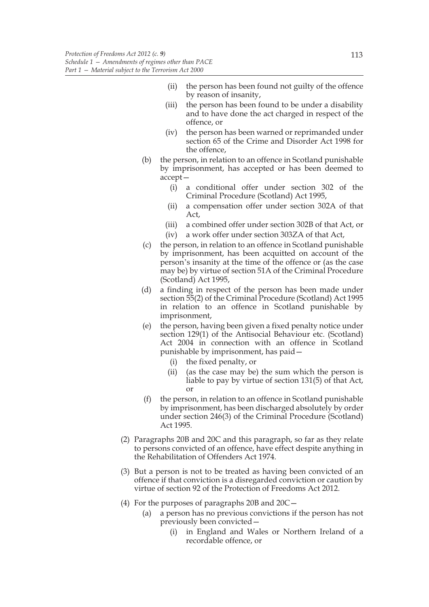- (ii) the person has been found not guilty of the offence by reason of insanity,
- (iii) the person has been found to be under a disability and to have done the act charged in respect of the offence, or
- (iv) the person has been warned or reprimanded under section 65 of the Crime and Disorder Act 1998 for the offence,
- (b) the person, in relation to an offence in Scotland punishable by imprisonment, has accepted or has been deemed to accept—
	- (i) a conditional offer under section 302 of the Criminal Procedure (Scotland) Act 1995,
	- (ii) a compensation offer under section 302A of that Act,
	- (iii) a combined offer under section 302B of that Act, or
	- (iv) a work offer under section 303ZA of that Act,
- (c) the person, in relation to an offence in Scotland punishable by imprisonment, has been acquitted on account of the person's insanity at the time of the offence or (as the case may be) by virtue of section 51A of the Criminal Procedure (Scotland) Act 1995,
- (d) a finding in respect of the person has been made under section 55(2) of the Criminal Procedure (Scotland) Act 1995 in relation to an offence in Scotland punishable by imprisonment,
- (e) the person, having been given a fixed penalty notice under section 129(1) of the Antisocial Behaviour etc. (Scotland) Act 2004 in connection with an offence in Scotland punishable by imprisonment, has paid—
	- (i) the fixed penalty, or
	- (ii) (as the case may be) the sum which the person is liable to pay by virtue of section 131(5) of that Act, or
- (f) the person, in relation to an offence in Scotland punishable by imprisonment, has been discharged absolutely by order under section 246(3) of the Criminal Procedure (Scotland) Act 1995.
- (2) Paragraphs 20B and 20C and this paragraph, so far as they relate to persons convicted of an offence, have effect despite anything in the Rehabilitation of Offenders Act 1974.
- (3) But a person is not to be treated as having been convicted of an offence if that conviction is a disregarded conviction or caution by virtue of section 92 of the Protection of Freedoms Act 2012.
- (4) For the purposes of paragraphs 20B and 20C—
	- (a) a person has no previous convictions if the person has not previously been convicted—
		- (i) in England and Wales or Northern Ireland of a recordable offence, or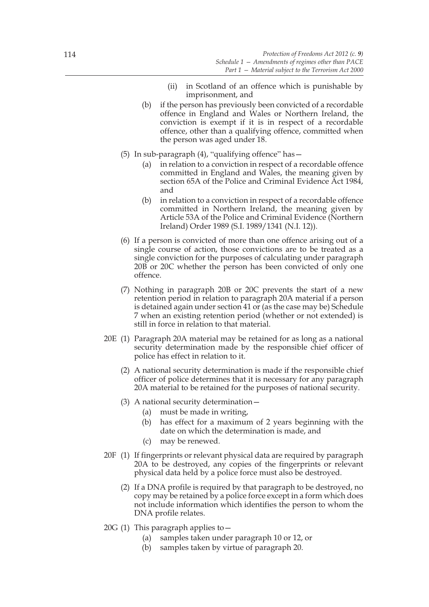- (ii) in Scotland of an offence which is punishable by imprisonment, and
- (b) if the person has previously been convicted of a recordable offence in England and Wales or Northern Ireland, the conviction is exempt if it is in respect of a recordable offence, other than a qualifying offence, committed when the person was aged under 18.
- (5) In sub-paragraph (4), "qualifying offence" has—
	- (a) in relation to a conviction in respect of a recordable offence committed in England and Wales, the meaning given by section 65A of the Police and Criminal Evidence Act 1984, and
	- (b) in relation to a conviction in respect of a recordable offence committed in Northern Ireland, the meaning given by Article 53A of the Police and Criminal Evidence (Northern Ireland) Order 1989 (S.I. 1989/1341 (N.I. 12)).
- (6) If a person is convicted of more than one offence arising out of a single course of action, those convictions are to be treated as a single conviction for the purposes of calculating under paragraph 20B or 20C whether the person has been convicted of only one offence.
- (7) Nothing in paragraph 20B or 20C prevents the start of a new retention period in relation to paragraph 20A material if a person is detained again under section 41 or (as the case may be) Schedule 7 when an existing retention period (whether or not extended) is still in force in relation to that material.
- 20E (1) Paragraph 20A material may be retained for as long as a national security determination made by the responsible chief officer of police has effect in relation to it.
	- (2) A national security determination is made if the responsible chief officer of police determines that it is necessary for any paragraph 20A material to be retained for the purposes of national security.
	- (3) A national security determination—
		- (a) must be made in writing,
		- (b) has effect for a maximum of 2 years beginning with the date on which the determination is made, and
		- (c) may be renewed.
- 20F (1) If fingerprints or relevant physical data are required by paragraph 20A to be destroyed, any copies of the fingerprints or relevant physical data held by a police force must also be destroyed.
	- (2) If a DNA profile is required by that paragraph to be destroyed, no copy may be retained by a police force except in a form which does not include information which identifies the person to whom the DNA profile relates.
- 20G (1) This paragraph applies to  $-$ 
	- (a) samples taken under paragraph 10 or 12, or
	- (b) samples taken by virtue of paragraph 20.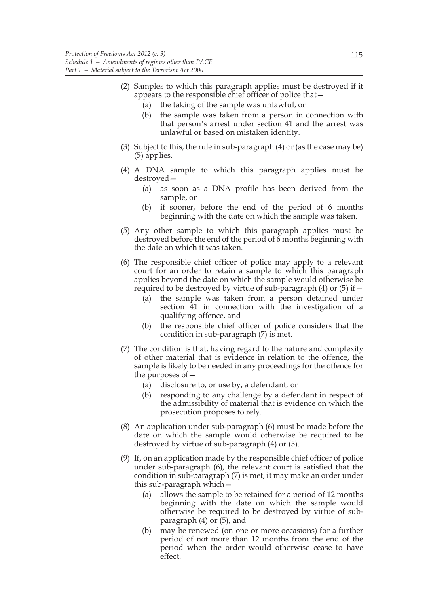- (2) Samples to which this paragraph applies must be destroyed if it appears to the responsible chief officer of police that—
	- (a) the taking of the sample was unlawful, or
	- (b) the sample was taken from a person in connection with that person's arrest under section 41 and the arrest was unlawful or based on mistaken identity.
- (3) Subject to this, the rule in sub-paragraph (4) or (as the case may be) (5) applies.
- (4) A DNA sample to which this paragraph applies must be destroyed—
	- (a) as soon as a DNA profile has been derived from the sample, or
	- (b) if sooner, before the end of the period of 6 months beginning with the date on which the sample was taken.
- (5) Any other sample to which this paragraph applies must be destroyed before the end of the period of 6 months beginning with the date on which it was taken.
- (6) The responsible chief officer of police may apply to a relevant court for an order to retain a sample to which this paragraph applies beyond the date on which the sample would otherwise be required to be destroyed by virtue of sub-paragraph  $(4)$  or  $(5)$  if  $-$ 
	- (a) the sample was taken from a person detained under section 41 in connection with the investigation of a qualifying offence, and
	- (b) the responsible chief officer of police considers that the condition in sub-paragraph (7) is met.
- (7) The condition is that, having regard to the nature and complexity of other material that is evidence in relation to the offence, the sample is likely to be needed in any proceedings for the offence for the purposes of—
	- (a) disclosure to, or use by, a defendant, or
	- (b) responding to any challenge by a defendant in respect of the admissibility of material that is evidence on which the prosecution proposes to rely.
- (8) An application under sub-paragraph (6) must be made before the date on which the sample would otherwise be required to be destroyed by virtue of sub-paragraph (4) or (5).
- (9) If, on an application made by the responsible chief officer of police under sub-paragraph (6), the relevant court is satisfied that the condition in sub-paragraph (7) is met, it may make an order under this sub-paragraph which—
	- (a) allows the sample to be retained for a period of 12 months beginning with the date on which the sample would otherwise be required to be destroyed by virtue of subparagraph (4) or (5), and
	- (b) may be renewed (on one or more occasions) for a further period of not more than 12 months from the end of the period when the order would otherwise cease to have effect.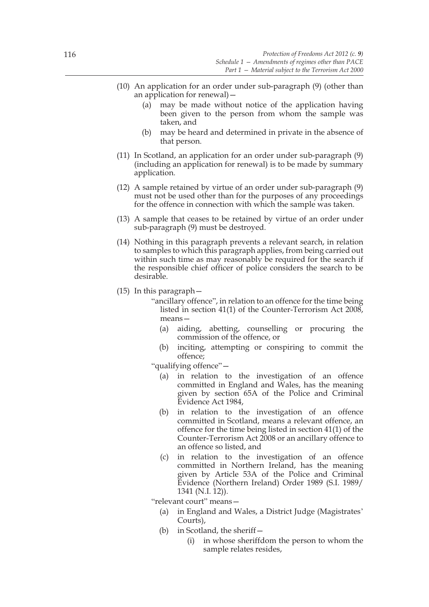- (10) An application for an order under sub-paragraph (9) (other than an application for renewal)—
	- (a) may be made without notice of the application having been given to the person from whom the sample was taken, and
	- (b) may be heard and determined in private in the absence of that person.
- (11) In Scotland, an application for an order under sub-paragraph (9) (including an application for renewal) is to be made by summary application.
- (12) A sample retained by virtue of an order under sub-paragraph (9) must not be used other than for the purposes of any proceedings for the offence in connection with which the sample was taken.
- (13) A sample that ceases to be retained by virtue of an order under sub-paragraph (9) must be destroyed.
- (14) Nothing in this paragraph prevents a relevant search, in relation to samples to which this paragraph applies, from being carried out within such time as may reasonably be required for the search if the responsible chief officer of police considers the search to be desirable.
- (15) In this paragraph—
	- "ancillary offence", in relation to an offence for the time being listed in section 41(1) of the Counter-Terrorism Act 2008, means—
		- (a) aiding, abetting, counselling or procuring the commission of the offence, or
		- (b) inciting, attempting or conspiring to commit the offence;

"qualifying offence"—

- (a) in relation to the investigation of an offence committed in England and Wales, has the meaning given by section 65A of the Police and Criminal Evidence Act 1984,
- (b) in relation to the investigation of an offence committed in Scotland, means a relevant offence, an offence for the time being listed in section 41(1) of the Counter-Terrorism Act 2008 or an ancillary offence to an offence so listed, and
- (c) in relation to the investigation of an offence committed in Northern Ireland, has the meaning given by Article 53A of the Police and Criminal Evidence (Northern Ireland) Order 1989 (S.I. 1989/ 1341 (N.I. 12)).

"relevant court" means—

- (a) in England and Wales, a District Judge (Magistrates' Courts),
- (b) in Scotland, the sheriff—
	- (i) in whose sheriffdom the person to whom the sample relates resides,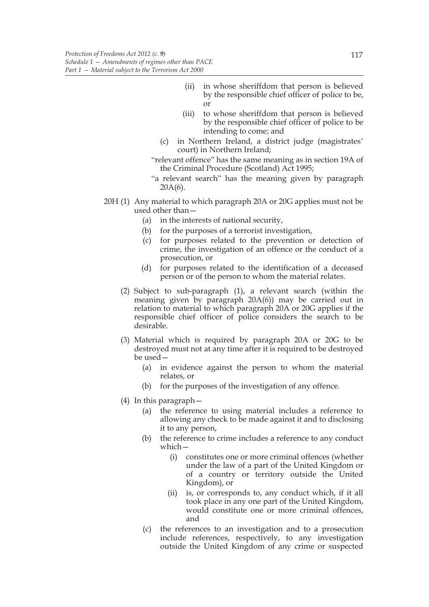- (ii) in whose sheriffdom that person is believed by the responsible chief officer of police to be, or
- (iii) to whose sheriffdom that person is believed by the responsible chief officer of police to be intending to come; and
- (c) in Northern Ireland, a district judge (magistrates' court) in Northern Ireland;
- "relevant offence" has the same meaning as in section 19A of the Criminal Procedure (Scotland) Act 1995;
- "a relevant search" has the meaning given by paragraph 20A(6).
- 20H (1) Any material to which paragraph 20A or 20G applies must not be used other than—
	- (a) in the interests of national security,
	- (b) for the purposes of a terrorist investigation,
	- (c) for purposes related to the prevention or detection of crime, the investigation of an offence or the conduct of a prosecution, or
	- (d) for purposes related to the identification of a deceased person or of the person to whom the material relates.
	- (2) Subject to sub-paragraph (1), a relevant search (within the meaning given by paragraph 20A(6)) may be carried out in relation to material to which paragraph 20A or 20G applies if the responsible chief officer of police considers the search to be desirable.
	- (3) Material which is required by paragraph 20A or 20G to be destroyed must not at any time after it is required to be destroyed be used—
		- (a) in evidence against the person to whom the material relates, or
		- (b) for the purposes of the investigation of any offence.
	- (4) In this paragraph—
		- (a) the reference to using material includes a reference to allowing any check to be made against it and to disclosing it to any person,
		- (b) the reference to crime includes a reference to any conduct which—
			- (i) constitutes one or more criminal offences (whether under the law of a part of the United Kingdom or of a country or territory outside the United Kingdom), or
			- (ii) is, or corresponds to, any conduct which, if it all took place in any one part of the United Kingdom, would constitute one or more criminal offences, and
		- (c) the references to an investigation and to a prosecution include references, respectively, to any investigation outside the United Kingdom of any crime or suspected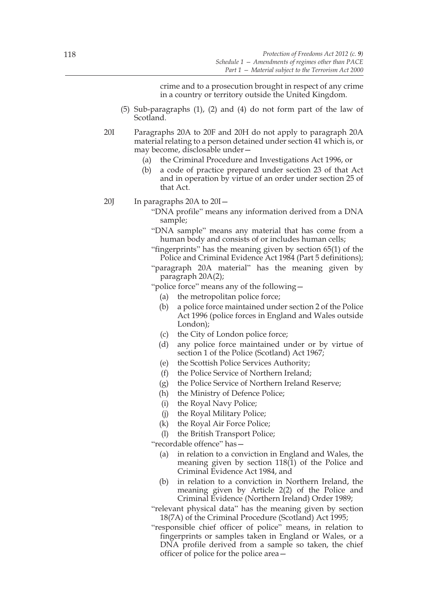crime and to a prosecution brought in respect of any crime in a country or territory outside the United Kingdom.

- (5) Sub-paragraphs (1), (2) and (4) do not form part of the law of Scotland.
- 20I Paragraphs 20A to 20F and 20H do not apply to paragraph 20A material relating to a person detained under section 41 which is, or may become, disclosable under—
	- (a) the Criminal Procedure and Investigations Act 1996, or
	- (b) a code of practice prepared under section 23 of that Act and in operation by virtue of an order under section 25 of that Act.
- 20J In paragraphs 20A to 20I-
	- "DNA profile" means any information derived from a DNA sample;
	- "DNA sample" means any material that has come from a human body and consists of or includes human cells;
	- "fingerprints" has the meaning given by section 65(1) of the Police and Criminal Evidence Act 1984 (Part 5 definitions);
	- "paragraph 20A material" has the meaning given by paragraph 20A(2);

"police force" means any of the following—

- (a) the metropolitan police force;
- (b) a police force maintained under section 2 of the Police Act 1996 (police forces in England and Wales outside London);
- (c) the City of London police force;
- (d) any police force maintained under or by virtue of section 1 of the Police (Scotland) Act 1967;
- (e) the Scottish Police Services Authority;
- (f) the Police Service of Northern Ireland;
- (g) the Police Service of Northern Ireland Reserve;
- (h) the Ministry of Defence Police;
- (i) the Royal Navy Police;
- (j) the Royal Military Police;
- (k) the Royal Air Force Police;
- (l) the British Transport Police;

"recordable offence" has—

- (a) in relation to a conviction in England and Wales, the meaning given by section 118(1) of the Police and Criminal Evidence Act 1984, and
- (b) in relation to a conviction in Northern Ireland, the meaning given by Article 2(2) of the Police and Criminal Evidence (Northern Ireland) Order 1989;
- "relevant physical data" has the meaning given by section 18(7A) of the Criminal Procedure (Scotland) Act 1995;
- "responsible chief officer of police" means, in relation to fingerprints or samples taken in England or Wales, or a DNA profile derived from a sample so taken, the chief officer of police for the police area—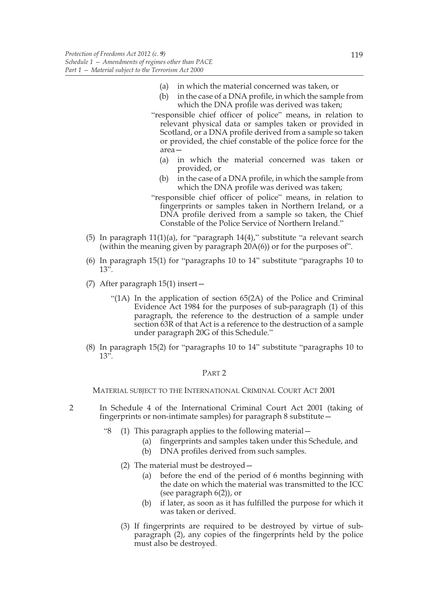- (a) in which the material concerned was taken, or
- (b) in the case of a DNA profile, in which the sample from which the DNA profile was derived was taken;
- "responsible chief officer of police" means, in relation to relevant physical data or samples taken or provided in Scotland, or a DNA profile derived from a sample so taken or provided, the chief constable of the police force for the area—
	- (a) in which the material concerned was taken or provided, or
	- (b) in the case of a DNA profile, in which the sample from which the DNA profile was derived was taken;
- "responsible chief officer of police" means, in relation to fingerprints or samples taken in Northern Ireland, or a DNA profile derived from a sample so taken, the Chief Constable of the Police Service of Northern Ireland."
- (5) In paragraph  $11(1)(a)$ , for "paragraph  $14(4)$ ," substitute "a relevant search (within the meaning given by paragraph 20A(6)) or for the purposes of".
- (6) In paragraph 15(1) for "paragraphs 10 to 14" substitute "paragraphs 10 to  $13^{15}$
- (7) After paragraph 15(1) insert—
	- "(1A) In the application of section 65(2A) of the Police and Criminal Evidence Act 1984 for the purposes of sub-paragraph (1) of this paragraph, the reference to the destruction of a sample under section 63R of that Act is a reference to the destruction of a sample under paragraph 20G of this Schedule."
- (8) In paragraph 15(2) for "paragraphs 10 to 14" substitute "paragraphs 10 to 13".

MATERIAL SUBJECT TO THE INTERNATIONAL CRIMINAL COURT ACT 2001

2 In Schedule 4 of the International Criminal Court Act 2001 (taking of fingerprints or non-intimate samples) for paragraph 8 substitute—

- "8 (1) This paragraph applies to the following material—
	- (a) fingerprints and samples taken under this Schedule, and
	- (b) DNA profiles derived from such samples.
	- (2) The material must be destroyed—
		- (a) before the end of the period of 6 months beginning with the date on which the material was transmitted to the ICC (see paragraph 6(2)), or
		- (b) if later, as soon as it has fulfilled the purpose for which it was taken or derived.
	- (3) If fingerprints are required to be destroyed by virtue of subparagraph (2), any copies of the fingerprints held by the police must also be destroyed.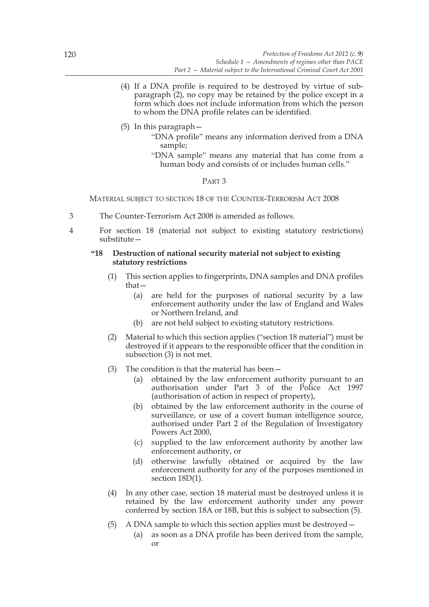- (4) If a DNA profile is required to be destroyed by virtue of subparagraph (2), no copy may be retained by the police except in a form which does not include information from which the person to whom the DNA profile relates can be identified.
- (5) In this paragraph—
	- "DNA profile" means any information derived from a DNA sample;
	- "DNA sample" means any material that has come from a human body and consists of or includes human cells."

MATERIAL SUBJECT TO SECTION 18 OF THE COUNTER-TERRORISM ACT 2008

- 3 The Counter-Terrorism Act 2008 is amended as follows.
- 4 For section 18 (material not subject to existing statutory restrictions) substitute—

#### **"18 Destruction of national security material not subject to existing statutory restrictions**

- (1) This section applies to fingerprints, DNA samples and DNA profiles that—
	- (a) are held for the purposes of national security by a law enforcement authority under the law of England and Wales or Northern Ireland, and
	- (b) are not held subject to existing statutory restrictions.
- (2) Material to which this section applies ("section 18 material") must be destroyed if it appears to the responsible officer that the condition in subsection (3) is not met.
- (3) The condition is that the material has been—
	- (a) obtained by the law enforcement authority pursuant to an authorisation under Part 3 of the Police Act 1997 (authorisation of action in respect of property),
	- (b) obtained by the law enforcement authority in the course of surveillance, or use of a covert human intelligence source, authorised under Part 2 of the Regulation of Investigatory Powers Act 2000,
	- (c) supplied to the law enforcement authority by another law enforcement authority, or
	- (d) otherwise lawfully obtained or acquired by the law enforcement authority for any of the purposes mentioned in section 18D(1).
- (4) In any other case, section 18 material must be destroyed unless it is retained by the law enforcement authority under any power conferred by section 18A or 18B, but this is subject to subsection (5).
- (5) A DNA sample to which this section applies must be destroyed—
	- (a) as soon as a DNA profile has been derived from the sample, or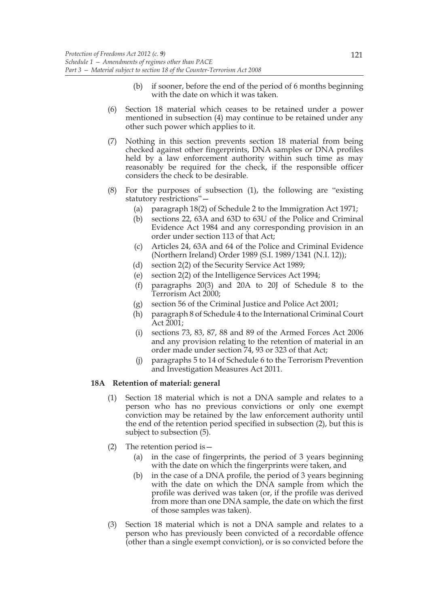- (b) if sooner, before the end of the period of 6 months beginning with the date on which it was taken.
- (6) Section 18 material which ceases to be retained under a power mentioned in subsection (4) may continue to be retained under any other such power which applies to it.
- (7) Nothing in this section prevents section 18 material from being checked against other fingerprints, DNA samples or DNA profiles held by a law enforcement authority within such time as may reasonably be required for the check, if the responsible officer considers the check to be desirable.
- (8) For the purposes of subsection (1), the following are "existing statutory restrictions"—
	- (a) paragraph 18(2) of Schedule 2 to the Immigration Act 1971;
	- (b) sections 22, 63A and 63D to 63U of the Police and Criminal Evidence Act 1984 and any corresponding provision in an order under section 113 of that Act;
	- (c) Articles 24, 63A and 64 of the Police and Criminal Evidence (Northern Ireland) Order 1989 (S.I. 1989/1341 (N.I. 12));
	- (d) section 2(2) of the Security Service Act 1989;
	- (e) section 2(2) of the Intelligence Services Act 1994;
	- (f) paragraphs 20(3) and 20A to 20J of Schedule 8 to the Terrorism Act 2000;
	- (g) section 56 of the Criminal Justice and Police Act 2001;
	- (h) paragraph 8 of Schedule 4 to the International Criminal Court Act 2001;
	- (i) sections 73, 83, 87, 88 and 89 of the Armed Forces Act 2006 and any provision relating to the retention of material in an order made under section 74, 93 or 323 of that Act;
	- (j) paragraphs 5 to 14 of Schedule 6 to the Terrorism Prevention and Investigation Measures Act 2011.

# **18A Retention of material: general**

- (1) Section 18 material which is not a DNA sample and relates to a person who has no previous convictions or only one exempt conviction may be retained by the law enforcement authority until the end of the retention period specified in subsection (2), but this is subject to subsection (5).
- (2) The retention period is—
	- (a) in the case of fingerprints, the period of 3 years beginning with the date on which the fingerprints were taken, and
	- (b) in the case of a DNA profile, the period of 3 years beginning with the date on which the DNA sample from which the profile was derived was taken (or, if the profile was derived from more than one DNA sample, the date on which the first of those samples was taken).
- (3) Section 18 material which is not a DNA sample and relates to a person who has previously been convicted of a recordable offence (other than a single exempt conviction), or is so convicted before the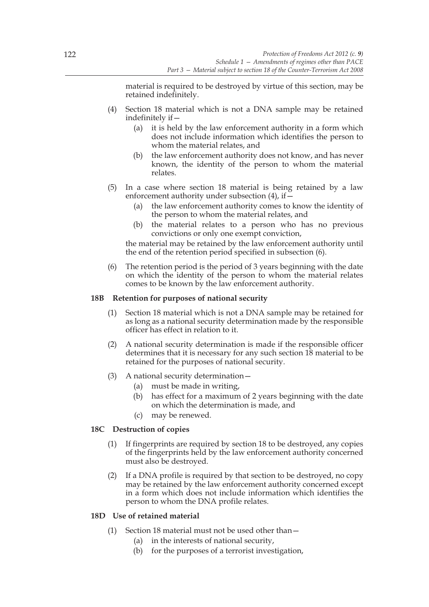material is required to be destroyed by virtue of this section, may be retained indefinitely.

- (4) Section 18 material which is not a DNA sample may be retained indefinitely if—
	- (a) it is held by the law enforcement authority in a form which does not include information which identifies the person to whom the material relates, and
	- (b) the law enforcement authority does not know, and has never known, the identity of the person to whom the material relates.
- (5) In a case where section 18 material is being retained by a law enforcement authority under subsection  $(4)$ , if  $-$ 
	- (a) the law enforcement authority comes to know the identity of the person to whom the material relates, and
	- (b) the material relates to a person who has no previous convictions or only one exempt conviction,

the material may be retained by the law enforcement authority until the end of the retention period specified in subsection (6).

(6) The retention period is the period of 3 years beginning with the date on which the identity of the person to whom the material relates comes to be known by the law enforcement authority.

# **18B Retention for purposes of national security**

- (1) Section 18 material which is not a DNA sample may be retained for as long as a national security determination made by the responsible officer has effect in relation to it.
- (2) A national security determination is made if the responsible officer determines that it is necessary for any such section 18 material to be retained for the purposes of national security.
- (3) A national security determination—
	- (a) must be made in writing,
	- (b) has effect for a maximum of 2 years beginning with the date on which the determination is made, and
	- (c) may be renewed.

# **18C Destruction of copies**

- (1) If fingerprints are required by section 18 to be destroyed, any copies of the fingerprints held by the law enforcement authority concerned must also be destroyed.
- (2) If a DNA profile is required by that section to be destroyed, no copy may be retained by the law enforcement authority concerned except in a form which does not include information which identifies the person to whom the DNA profile relates.

# **18D Use of retained material**

- (1) Section 18 material must not be used other than—
	- (a) in the interests of national security,
	- (b) for the purposes of a terrorist investigation,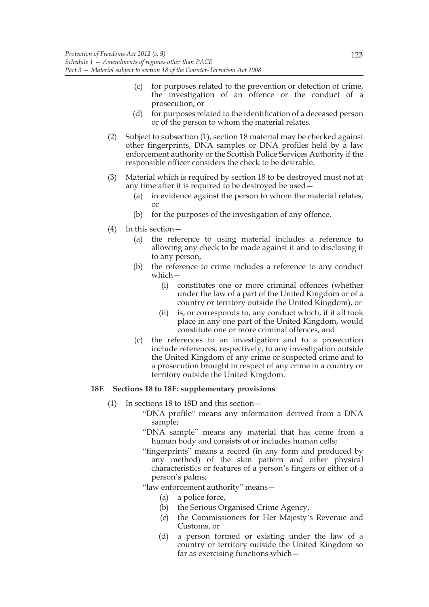- (c) for purposes related to the prevention or detection of crime, the investigation of an offence or the conduct of a prosecution, or
- (d) for purposes related to the identification of a deceased person or of the person to whom the material relates.
- (2) Subject to subsection (1), section 18 material may be checked against other fingerprints, DNA samples or DNA profiles held by a law enforcement authority or the Scottish Police Services Authority if the responsible officer considers the check to be desirable.
- (3) Material which is required by section 18 to be destroyed must not at any time after it is required to be destroyed be used—
	- (a) in evidence against the person to whom the material relates, or
	- (b) for the purposes of the investigation of any offence.
- (4) In this section—
	- (a) the reference to using material includes a reference to allowing any check to be made against it and to disclosing it to any person,
	- (b) the reference to crime includes a reference to any conduct which—
		- (i) constitutes one or more criminal offences (whether under the law of a part of the United Kingdom or of a country or territory outside the United Kingdom), or
		- (ii) is, or corresponds to, any conduct which, if it all took place in any one part of the United Kingdom, would constitute one or more criminal offences, and
	- (c) the references to an investigation and to a prosecution include references, respectively, to any investigation outside the United Kingdom of any crime or suspected crime and to a prosecution brought in respect of any crime in a country or territory outside the United Kingdom.

# **18E Sections 18 to 18E: supplementary provisions**

- (1) In sections 18 to 18D and this section—
	- "DNA profile" means any information derived from a DNA sample;
	- "DNA sample" means any material that has come from a human body and consists of or includes human cells;
	- "fingerprints" means a record (in any form and produced by any method) of the skin pattern and other physical characteristics or features of a person's fingers or either of a person's palms;

"law enforcement authority" means—

- (a) a police force,
- (b) the Serious Organised Crime Agency,
- (c) the Commissioners for Her Majesty's Revenue and Customs, or
- (d) a person formed or existing under the law of a country or territory outside the United Kingdom so far as exercising functions which—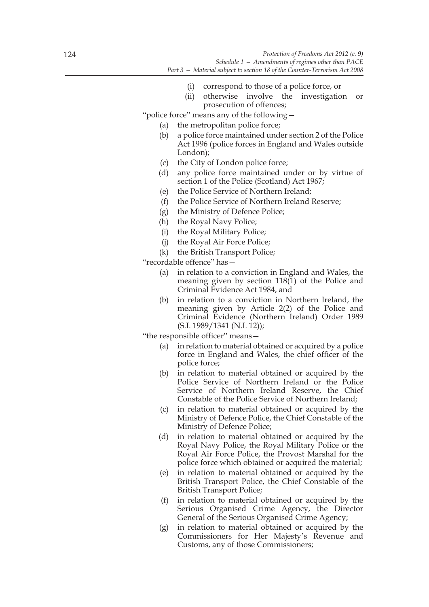- (i) correspond to those of a police force, or
- (ii) otherwise involve the investigation or prosecution of offences;

"police force" means any of the following—

- (a) the metropolitan police force;
- (b) a police force maintained under section 2 of the Police Act 1996 (police forces in England and Wales outside London);
- (c) the City of London police force;
- (d) any police force maintained under or by virtue of section 1 of the Police (Scotland) Act 1967;
- (e) the Police Service of Northern Ireland;
- (f) the Police Service of Northern Ireland Reserve;
- (g) the Ministry of Defence Police;
- (h) the Royal Navy Police;
- (i) the Royal Military Police;
- (j) the Royal Air Force Police;
- (k) the British Transport Police;
- "recordable offence" has—
	- (a) in relation to a conviction in England and Wales, the meaning given by section 118(1) of the Police and Criminal Evidence Act 1984, and
	- (b) in relation to a conviction in Northern Ireland, the meaning given by Article 2(2) of the Police and Criminal Evidence (Northern Ireland) Order 1989 (S.I. 1989/1341 (N.I. 12));

"the responsible officer" means—

- (a) in relation to material obtained or acquired by a police force in England and Wales, the chief officer of the police force;
- (b) in relation to material obtained or acquired by the Police Service of Northern Ireland or the Police Service of Northern Ireland Reserve, the Chief Constable of the Police Service of Northern Ireland;
- (c) in relation to material obtained or acquired by the Ministry of Defence Police, the Chief Constable of the Ministry of Defence Police;
- (d) in relation to material obtained or acquired by the Royal Navy Police, the Royal Military Police or the Royal Air Force Police, the Provost Marshal for the police force which obtained or acquired the material;
- (e) in relation to material obtained or acquired by the British Transport Police, the Chief Constable of the British Transport Police;
- (f) in relation to material obtained or acquired by the Serious Organised Crime Agency, the Director General of the Serious Organised Crime Agency;
- (g) in relation to material obtained or acquired by the Commissioners for Her Majesty's Revenue and Customs, any of those Commissioners;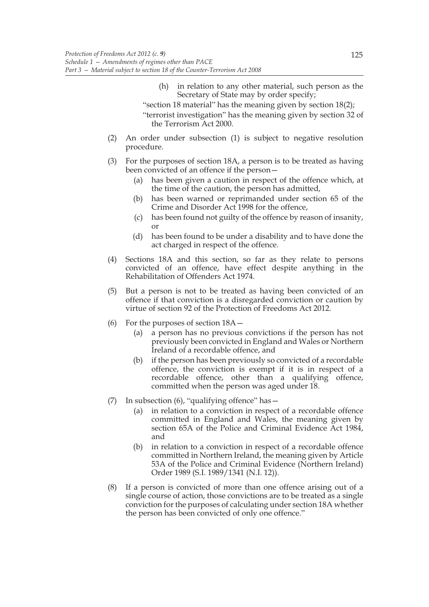- (h) in relation to any other material, such person as the Secretary of State may by order specify;
- "section 18 material" has the meaning given by section 18(2);
- "terrorist investigation" has the meaning given by section 32 of the Terrorism Act 2000.
- (2) An order under subsection (1) is subject to negative resolution procedure.
- (3) For the purposes of section 18A, a person is to be treated as having been convicted of an offence if the person—
	- (a) has been given a caution in respect of the offence which, at the time of the caution, the person has admitted,
	- (b) has been warned or reprimanded under section 65 of the Crime and Disorder Act 1998 for the offence,
	- (c) has been found not guilty of the offence by reason of insanity, or
	- (d) has been found to be under a disability and to have done the act charged in respect of the offence.
- (4) Sections 18A and this section, so far as they relate to persons convicted of an offence, have effect despite anything in the Rehabilitation of Offenders Act 1974.
- (5) But a person is not to be treated as having been convicted of an offence if that conviction is a disregarded conviction or caution by virtue of section 92 of the Protection of Freedoms Act 2012.
- (6) For the purposes of section 18A—
	- (a) a person has no previous convictions if the person has not previously been convicted in England and Wales or Northern Ireland of a recordable offence, and
	- (b) if the person has been previously so convicted of a recordable offence, the conviction is exempt if it is in respect of a recordable offence, other than a qualifying offence, committed when the person was aged under 18.
- (7) In subsection (6), "qualifying offence" has—
	- (a) in relation to a conviction in respect of a recordable offence committed in England and Wales, the meaning given by section 65A of the Police and Criminal Evidence Act 1984, and
	- (b) in relation to a conviction in respect of a recordable offence committed in Northern Ireland, the meaning given by Article 53A of the Police and Criminal Evidence (Northern Ireland) Order 1989 (S.I. 1989/1341 (N.I. 12)).
- (8) If a person is convicted of more than one offence arising out of a single course of action, those convictions are to be treated as a single conviction for the purposes of calculating under section 18A whether the person has been convicted of only one offence."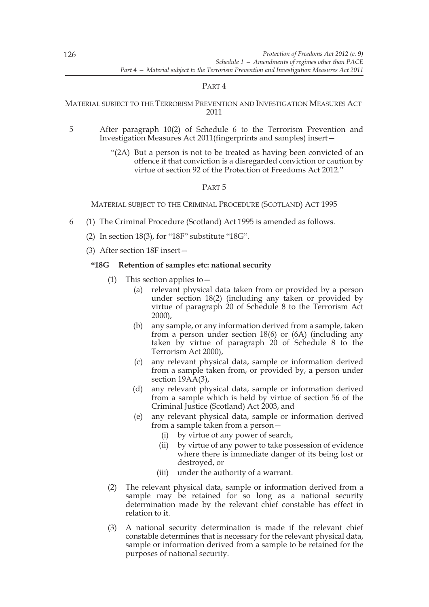# MATERIAL SUBJECT TO THE TERRORISM PREVENTION AND INVESTIGATION MEASURES ACT 2011

- 5 After paragraph 10(2) of Schedule 6 to the Terrorism Prevention and Investigation Measures Act 2011(fingerprints and samples) insert—
	- "(2A) But a person is not to be treated as having been convicted of an offence if that conviction is a disregarded conviction or caution by virtue of section 92 of the Protection of Freedoms Act 2012."

# PART 5

MATERIAL SUBJECT TO THE CRIMINAL PROCEDURE (SCOTLAND) ACT 1995

- 6 (1) The Criminal Procedure (Scotland) Act 1995 is amended as follows.
	- (2) In section 18(3), for "18F" substitute "18G".
	- (3) After section 18F insert—

# **"18G Retention of samples etc: national security**

- (1) This section applies to—
	- (a) relevant physical data taken from or provided by a person under section 18(2) (including any taken or provided by virtue of paragraph 20 of Schedule 8 to the Terrorism Act 2000),
	- (b) any sample, or any information derived from a sample, taken from a person under section 18(6) or (6A) (including any taken by virtue of paragraph 20 of Schedule 8 to the Terrorism Act 2000),
	- (c) any relevant physical data, sample or information derived from a sample taken from, or provided by, a person under section  $19A\overline{A}(3)$ ,
	- (d) any relevant physical data, sample or information derived from a sample which is held by virtue of section 56 of the Criminal Justice (Scotland) Act 2003, and
	- (e) any relevant physical data, sample or information derived from a sample taken from a person—
		- (i) by virtue of any power of search,
		- (ii) by virtue of any power to take possession of evidence where there is immediate danger of its being lost or destroyed, or
		- (iii) under the authority of a warrant.
- (2) The relevant physical data, sample or information derived from a sample may be retained for so long as a national security determination made by the relevant chief constable has effect in relation to it.
- (3) A national security determination is made if the relevant chief constable determines that is necessary for the relevant physical data, sample or information derived from a sample to be retained for the purposes of national security.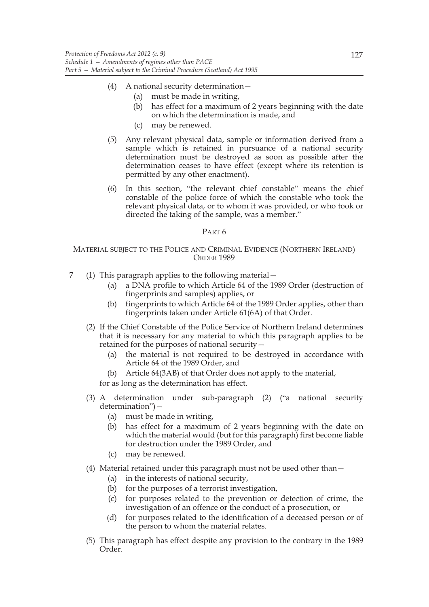- (4) A national security determination—
	- (a) must be made in writing,
	- (b) has effect for a maximum of 2 years beginning with the date on which the determination is made, and
	- (c) may be renewed.
- (5) Any relevant physical data, sample or information derived from a sample which is retained in pursuance of a national security determination must be destroyed as soon as possible after the determination ceases to have effect (except where its retention is permitted by any other enactment).
- (6) In this section, "the relevant chief constable" means the chief constable of the police force of which the constable who took the relevant physical data, or to whom it was provided, or who took or directed the taking of the sample, was a member."

### MATERIAL SUBJECT TO THE POLICE AND CRIMINAL EVIDENCE (NORTHERN IRELAND) ORDER 1989

- 7 (1) This paragraph applies to the following material—
	- (a) a DNA profile to which Article 64 of the 1989 Order (destruction of fingerprints and samples) applies, or
	- (b) fingerprints to which Article 64 of the 1989 Order applies, other than fingerprints taken under Article 61(6A) of that Order.
	- (2) If the Chief Constable of the Police Service of Northern Ireland determines that it is necessary for any material to which this paragraph applies to be retained for the purposes of national security—
		- (a) the material is not required to be destroyed in accordance with Article 64 of the 1989 Order, and
		- (b) Article 64(3AB) of that Order does not apply to the material,

for as long as the determination has effect.

- (3) A determination under sub-paragraph (2) ("a national security determination")—
	- (a) must be made in writing,
	- (b) has effect for a maximum of 2 years beginning with the date on which the material would (but for this paragraph) first become liable for destruction under the 1989 Order, and
	- (c) may be renewed.
- (4) Material retained under this paragraph must not be used other than—
	- (a) in the interests of national security,
	- (b) for the purposes of a terrorist investigation,
	- (c) for purposes related to the prevention or detection of crime, the investigation of an offence or the conduct of a prosecution, or
	- (d) for purposes related to the identification of a deceased person or of the person to whom the material relates.
- (5) This paragraph has effect despite any provision to the contrary in the 1989 Order.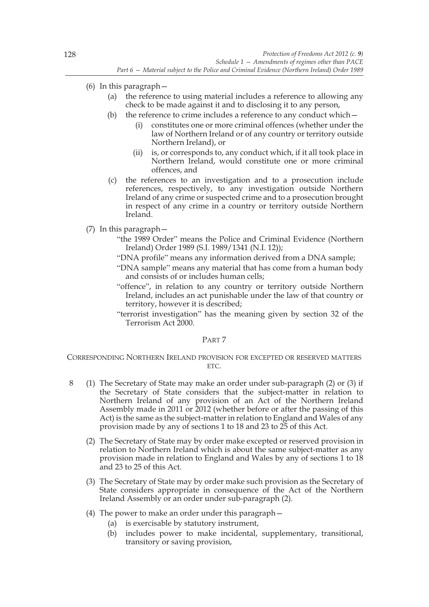- (6) In this paragraph—
	- (a) the reference to using material includes a reference to allowing any check to be made against it and to disclosing it to any person,
	- (b) the reference to crime includes a reference to any conduct which  $-$ 
		- (i) constitutes one or more criminal offences (whether under the law of Northern Ireland or of any country or territory outside Northern Ireland), or
		- (ii) is, or corresponds to, any conduct which, if it all took place in Northern Ireland, would constitute one or more criminal offences, and
	- (c) the references to an investigation and to a prosecution include references, respectively, to any investigation outside Northern Ireland of any crime or suspected crime and to a prosecution brought in respect of any crime in a country or territory outside Northern Ireland.
- (7) In this paragraph—
	- "the 1989 Order" means the Police and Criminal Evidence (Northern Ireland) Order 1989 (S.I. 1989/1341 (N.I. 12));
	- "DNA profile" means any information derived from a DNA sample;
	- "DNA sample" means any material that has come from a human body and consists of or includes human cells;
	- "offence", in relation to any country or territory outside Northern Ireland, includes an act punishable under the law of that country or territory, however it is described;
	- "terrorist investigation" has the meaning given by section 32 of the Terrorism Act 2000.

CORRESPONDING NORTHERN IRELAND PROVISION FOR EXCEPTED OR RESERVED MATTERS ETC.

- 8 (1) The Secretary of State may make an order under sub-paragraph (2) or (3) if the Secretary of State considers that the subject-matter in relation to Northern Ireland of any provision of an Act of the Northern Ireland Assembly made in 2011 or 2012 (whether before or after the passing of this Act) is the same as the subject-matter in relation to England and Wales of any provision made by any of sections 1 to 18 and 23 to 25 of this Act.
	- (2) The Secretary of State may by order make excepted or reserved provision in relation to Northern Ireland which is about the same subject-matter as any provision made in relation to England and Wales by any of sections 1 to 18 and 23 to 25 of this Act.
	- (3) The Secretary of State may by order make such provision as the Secretary of State considers appropriate in consequence of the Act of the Northern Ireland Assembly or an order under sub-paragraph (2).
	- (4) The power to make an order under this paragraph—
		- (a) is exercisable by statutory instrument,
		- (b) includes power to make incidental, supplementary, transitional, transitory or saving provision,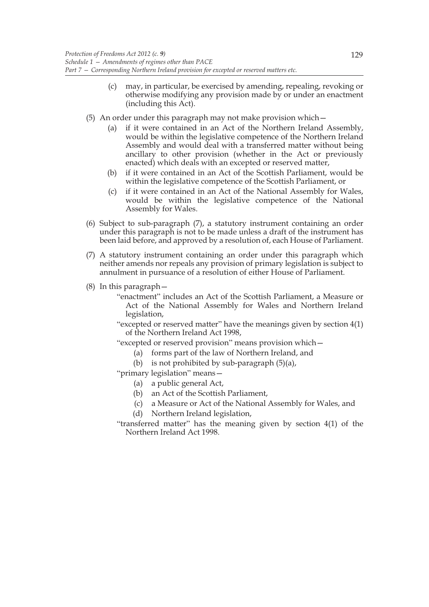- (c) may, in particular, be exercised by amending, repealing, revoking or otherwise modifying any provision made by or under an enactment (including this Act).
- (5) An order under this paragraph may not make provision which—
	- (a) if it were contained in an Act of the Northern Ireland Assembly, would be within the legislative competence of the Northern Ireland Assembly and would deal with a transferred matter without being ancillary to other provision (whether in the Act or previously enacted) which deals with an excepted or reserved matter,
	- (b) if it were contained in an Act of the Scottish Parliament, would be within the legislative competence of the Scottish Parliament, or
	- (c) if it were contained in an Act of the National Assembly for Wales, would be within the legislative competence of the National Assembly for Wales.
- (6) Subject to sub-paragraph (7), a statutory instrument containing an order under this paragraph is not to be made unless a draft of the instrument has been laid before, and approved by a resolution of, each House of Parliament.
- (7) A statutory instrument containing an order under this paragraph which neither amends nor repeals any provision of primary legislation is subject to annulment in pursuance of a resolution of either House of Parliament.
- (8) In this paragraph—
	- "enactment" includes an Act of the Scottish Parliament, a Measure or Act of the National Assembly for Wales and Northern Ireland legislation,
	- "excepted or reserved matter" have the meanings given by section 4(1) of the Northern Ireland Act 1998,

"excepted or reserved provision" means provision which—

- (a) forms part of the law of Northern Ireland, and
- (b) is not prohibited by sub-paragraph (5)(a),

"primary legislation" means—

- (a) a public general Act,
- (b) an Act of the Scottish Parliament,
- (c) a Measure or Act of the National Assembly for Wales, and
- (d) Northern Ireland legislation,
- "transferred matter" has the meaning given by section 4(1) of the Northern Ireland Act 1998.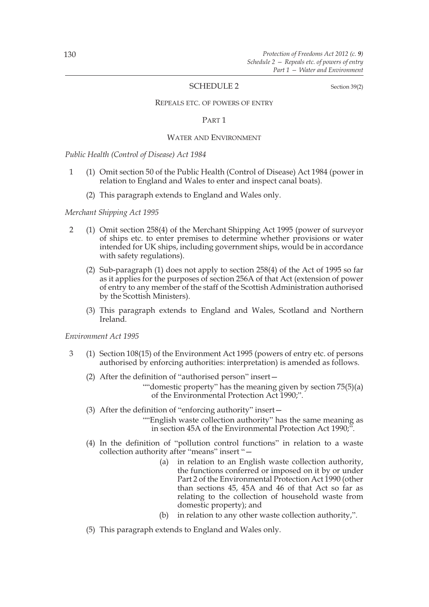### SCHEDULE 2 Section 39(2)

#### REPEALS ETC. OF POWERS OF ENTRY

#### PART 1

#### WATER AND ENVIRONMENT

*Public Health (Control of Disease) Act 1984*

- 1 (1) Omit section 50 of the Public Health (Control of Disease) Act 1984 (power in relation to England and Wales to enter and inspect canal boats).
	- (2) This paragraph extends to England and Wales only.

#### *Merchant Shipping Act 1995*

- 2 (1) Omit section 258(4) of the Merchant Shipping Act 1995 (power of surveyor of ships etc. to enter premises to determine whether provisions or water intended for UK ships, including government ships, would be in accordance with safety regulations).
	- (2) Sub-paragraph (1) does not apply to section 258(4) of the Act of 1995 so far as it applies for the purposes of section 256A of that Act (extension of power of entry to any member of the staff of the Scottish Administration authorised by the Scottish Ministers).
	- (3) This paragraph extends to England and Wales, Scotland and Northern Ireland.

*Environment Act 1995*

- 3 (1) Section 108(15) of the Environment Act 1995 (powers of entry etc. of persons authorised by enforcing authorities: interpretation) is amended as follows.
	- (2) After the definition of "authorised person" insert—

""domestic property" has the meaning given by section  $75(5)(a)$ of the Environmental Protection Act 1990;".

(3) After the definition of "enforcing authority" insert—

""English waste collection authority" has the same meaning as in section 45A of the Environmental Protection Act 1990;".

- (4) In the definition of "pollution control functions" in relation to a waste collection authority after "means" insert "—
	- (a) in relation to an English waste collection authority, the functions conferred or imposed on it by or under Part 2 of the Environmental Protection Act 1990 (other than sections 45, 45A and 46 of that Act so far as relating to the collection of household waste from domestic property); and
	- (b) in relation to any other waste collection authority,".
- (5) This paragraph extends to England and Wales only.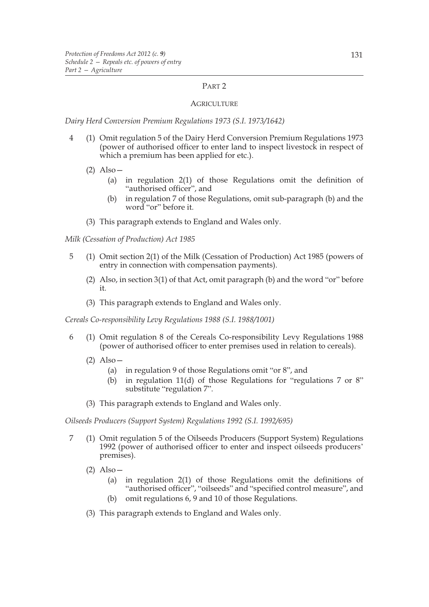### **AGRICULTURE**

*Dairy Herd Conversion Premium Regulations 1973 (S.I. 1973/1642)*

- 4 (1) Omit regulation 5 of the Dairy Herd Conversion Premium Regulations 1973 (power of authorised officer to enter land to inspect livestock in respect of which a premium has been applied for etc.).
	- $(2)$  Also
		- (a) in regulation 2(1) of those Regulations omit the definition of "authorised officer", and
		- (b) in regulation 7 of those Regulations, omit sub-paragraph (b) and the word "or" before it.
	- (3) This paragraph extends to England and Wales only.

### *Milk (Cessation of Production) Act 1985*

- 5 (1) Omit section 2(1) of the Milk (Cessation of Production) Act 1985 (powers of entry in connection with compensation payments).
	- (2) Also, in section 3(1) of that Act, omit paragraph (b) and the word "or" before it.
	- (3) This paragraph extends to England and Wales only.

*Cereals Co-responsibility Levy Regulations 1988 (S.I. 1988/1001)*

- 6 (1) Omit regulation 8 of the Cereals Co-responsibility Levy Regulations 1988 (power of authorised officer to enter premises used in relation to cereals).
	- $(2)$  Also
		- (a) in regulation 9 of those Regulations omit "or 8", and
		- (b) in regulation 11(d) of those Regulations for "regulations 7 or 8" substitute "regulation 7".
	- (3) This paragraph extends to England and Wales only.

*Oilseeds Producers (Support System) Regulations 1992 (S.I. 1992/695)*

- 7 (1) Omit regulation 5 of the Oilseeds Producers (Support System) Regulations 1992 (power of authorised officer to enter and inspect oilseeds producers' premises).
	- $(2)$  Also
		- (a) in regulation 2(1) of those Regulations omit the definitions of "authorised officer", "oilseeds" and "specified control measure", and
		- (b) omit regulations 6, 9 and 10 of those Regulations.
	- (3) This paragraph extends to England and Wales only.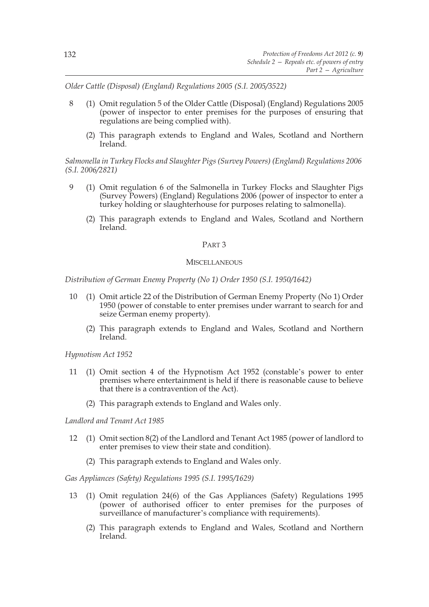*Older Cattle (Disposal) (England) Regulations 2005 (S.I. 2005/3522)*

- 8 (1) Omit regulation 5 of the Older Cattle (Disposal) (England) Regulations 2005 (power of inspector to enter premises for the purposes of ensuring that regulations are being complied with).
	- (2) This paragraph extends to England and Wales, Scotland and Northern Ireland.

*Salmonella in Turkey Flocks and Slaughter Pigs (Survey Powers) (England) Regulations 2006 (S.I. 2006/2821)*

- 9 (1) Omit regulation 6 of the Salmonella in Turkey Flocks and Slaughter Pigs (Survey Powers) (England) Regulations 2006 (power of inspector to enter a turkey holding or slaughterhouse for purposes relating to salmonella).
	- (2) This paragraph extends to England and Wales, Scotland and Northern Ireland.

### PART 3

### **MISCELLANEOUS**

*Distribution of German Enemy Property (No 1) Order 1950 (S.I. 1950/1642)*

- 10 (1) Omit article 22 of the Distribution of German Enemy Property (No 1) Order 1950 (power of constable to enter premises under warrant to search for and seize German enemy property).
	- (2) This paragraph extends to England and Wales, Scotland and Northern Ireland.

*Hypnotism Act 1952*

- 11 (1) Omit section 4 of the Hypnotism Act 1952 (constable's power to enter premises where entertainment is held if there is reasonable cause to believe that there is a contravention of the Act).
	- (2) This paragraph extends to England and Wales only.

*Landlord and Tenant Act 1985*

- 12 (1) Omit section 8(2) of the Landlord and Tenant Act 1985 (power of landlord to enter premises to view their state and condition).
	- (2) This paragraph extends to England and Wales only.

*Gas Appliances (Safety) Regulations 1995 (S.I. 1995/1629)*

- 13 (1) Omit regulation 24(6) of the Gas Appliances (Safety) Regulations 1995 (power of authorised officer to enter premises for the purposes of surveillance of manufacturer's compliance with requirements).
	- (2) This paragraph extends to England and Wales, Scotland and Northern Ireland.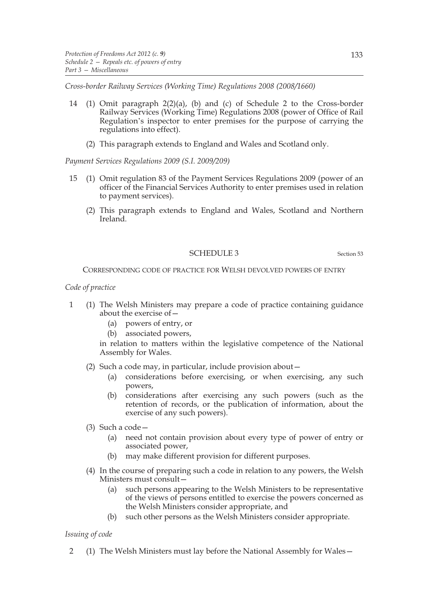*Cross-border Railway Services (Working Time) Regulations 2008 (2008/1660)*

- 14 (1) Omit paragraph 2(2)(a), (b) and (c) of Schedule 2 to the Cross-border Railway Services (Working Time) Regulations 2008 (power of Office of Rail Regulation's inspector to enter premises for the purpose of carrying the regulations into effect).
	- (2) This paragraph extends to England and Wales and Scotland only.

*Payment Services Regulations 2009 (S.I. 2009/209)*

- 15 (1) Omit regulation 83 of the Payment Services Regulations 2009 (power of an officer of the Financial Services Authority to enter premises used in relation to payment services).
	- (2) This paragraph extends to England and Wales, Scotland and Northern Ireland.

### SCHEDULE 3 Section 53

CORRESPONDING CODE OF PRACTICE FOR WELSH DEVOLVED POWERS OF ENTRY

*Code of practice*

- 1 (1) The Welsh Ministers may prepare a code of practice containing guidance about the exercise of—
	- (a) powers of entry, or
	- (b) associated powers,

in relation to matters within the legislative competence of the National Assembly for Wales.

- (2) Such a code may, in particular, include provision about—
	- (a) considerations before exercising, or when exercising, any such powers,
	- (b) considerations after exercising any such powers (such as the retention of records, or the publication of information, about the exercise of any such powers).
- (3) Such a code—
	- (a) need not contain provision about every type of power of entry or associated power,
	- (b) may make different provision for different purposes.
- (4) In the course of preparing such a code in relation to any powers, the Welsh Ministers must consult—
	- (a) such persons appearing to the Welsh Ministers to be representative of the views of persons entitled to exercise the powers concerned as the Welsh Ministers consider appropriate, and
	- (b) such other persons as the Welsh Ministers consider appropriate.

*Issuing of code*

2 (1) The Welsh Ministers must lay before the National Assembly for Wales—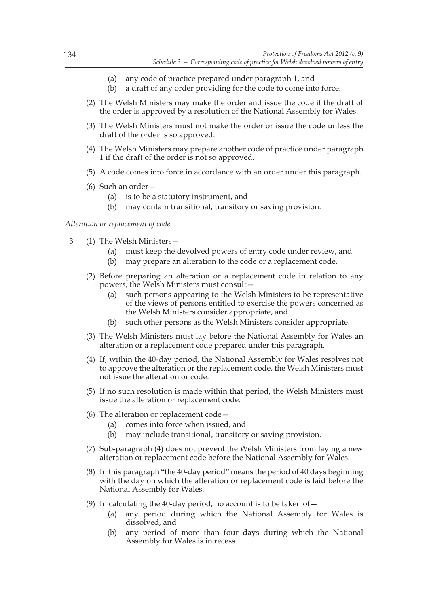- (a) any code of practice prepared under paragraph 1, and
- (b) a draft of any order providing for the code to come into force.
- (2) The Welsh Ministers may make the order and issue the code if the draft of the order is approved by a resolution of the National Assembly for Wales.
- (3) The Welsh Ministers must not make the order or issue the code unless the draft of the order is so approved.
- (4) The Welsh Ministers may prepare another code of practice under paragraph 1 if the draft of the order is not so approved.
- (5) A code comes into force in accordance with an order under this paragraph.
- (6) Such an order—
	- (a) is to be a statutory instrument, and
	- (b) may contain transitional, transitory or saving provision.

# *Alteration or replacement of code*

- 3 (1) The Welsh Ministers—
	- (a) must keep the devolved powers of entry code under review, and
		- (b) may prepare an alteration to the code or a replacement code.
	- (2) Before preparing an alteration or a replacement code in relation to any powers, the Welsh Ministers must consult—
		- (a) such persons appearing to the Welsh Ministers to be representative of the views of persons entitled to exercise the powers concerned as the Welsh Ministers consider appropriate, and
		- (b) such other persons as the Welsh Ministers consider appropriate.
	- (3) The Welsh Ministers must lay before the National Assembly for Wales an alteration or a replacement code prepared under this paragraph.
	- (4) If, within the 40-day period, the National Assembly for Wales resolves not to approve the alteration or the replacement code, the Welsh Ministers must not issue the alteration or code.
	- (5) If no such resolution is made within that period, the Welsh Ministers must issue the alteration or replacement code.
	- (6) The alteration or replacement code—
		- (a) comes into force when issued, and
		- (b) may include transitional, transitory or saving provision.
	- (7) Sub-paragraph (4) does not prevent the Welsh Ministers from laying a new alteration or replacement code before the National Assembly for Wales.
	- (8) In this paragraph "the 40-day period" means the period of 40 days beginning with the day on which the alteration or replacement code is laid before the National Assembly for Wales.
	- (9) In calculating the 40-day period, no account is to be taken of  $-$ 
		- (a) any period during which the National Assembly for Wales is dissolved, and
		- (b) any period of more than four days during which the National Assembly for Wales is in recess.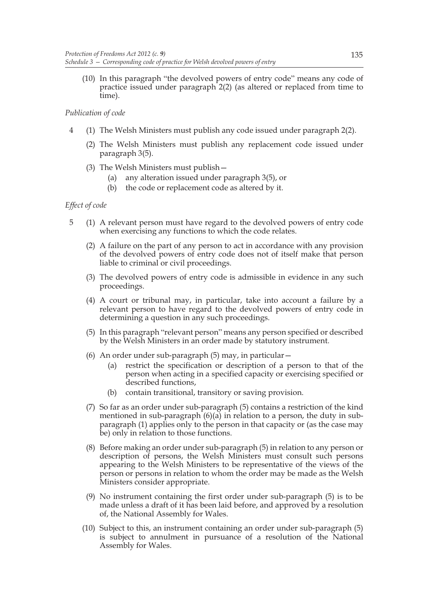(10) In this paragraph "the devolved powers of entry code" means any code of practice issued under paragraph 2(2) (as altered or replaced from time to time).

# *Publication of code*

- 4 (1) The Welsh Ministers must publish any code issued under paragraph 2(2).
	- (2) The Welsh Ministers must publish any replacement code issued under paragraph 3(5).
	- (3) The Welsh Ministers must publish—
		- (a) any alteration issued under paragraph 3(5), or
		- (b) the code or replacement code as altered by it.

# *Effect of code*

- 5 (1) A relevant person must have regard to the devolved powers of entry code when exercising any functions to which the code relates.
	- (2) A failure on the part of any person to act in accordance with any provision of the devolved powers of entry code does not of itself make that person liable to criminal or civil proceedings.
	- (3) The devolved powers of entry code is admissible in evidence in any such proceedings.
	- (4) A court or tribunal may, in particular, take into account a failure by a relevant person to have regard to the devolved powers of entry code in determining a question in any such proceedings.
	- (5) In this paragraph "relevant person" means any person specified or described by the Welsh Ministers in an order made by statutory instrument.
	- (6) An order under sub-paragraph (5) may, in particular—
		- (a) restrict the specification or description of a person to that of the person when acting in a specified capacity or exercising specified or described functions,
		- (b) contain transitional, transitory or saving provision.
	- (7) So far as an order under sub-paragraph (5) contains a restriction of the kind mentioned in sub-paragraph  $(6)(a)$  in relation to a person, the duty in subparagraph (1) applies only to the person in that capacity or (as the case may be) only in relation to those functions.
	- (8) Before making an order under sub-paragraph (5) in relation to any person or description of persons, the Welsh Ministers must consult such persons appearing to the Welsh Ministers to be representative of the views of the person or persons in relation to whom the order may be made as the Welsh Ministers consider appropriate.
	- (9) No instrument containing the first order under sub-paragraph (5) is to be made unless a draft of it has been laid before, and approved by a resolution of, the National Assembly for Wales.
	- (10) Subject to this, an instrument containing an order under sub-paragraph (5) is subject to annulment in pursuance of a resolution of the National Assembly for Wales.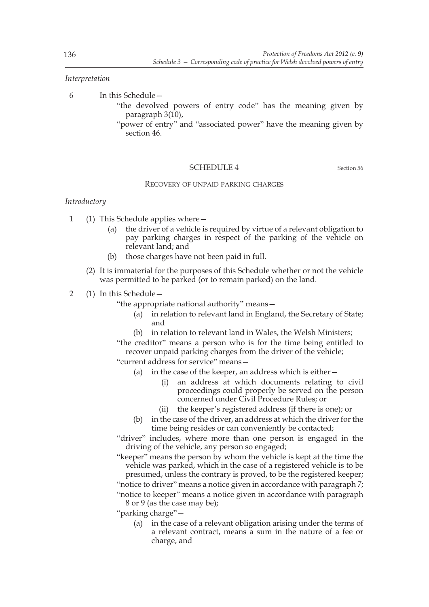#### *Interpretation*

6 In this Schedule—

- "the devolved powers of entry code" has the meaning given by paragraph  $3(10)$ ,
- "power of entry" and "associated power" have the meaning given by section 46.

#### SCHEDULE 4 Section 56

#### RECOVERY OF UNPAID PARKING CHARGES

*Introductory*

- 1 (1) This Schedule applies where—
	- (a) the driver of a vehicle is required by virtue of a relevant obligation to pay parking charges in respect of the parking of the vehicle on relevant land; and
	- those charges have not been paid in full.
	- (2) It is immaterial for the purposes of this Schedule whether or not the vehicle was permitted to be parked (or to remain parked) on the land.

2 (1) In this Schedule—

"the appropriate national authority" means—

- (a) in relation to relevant land in England, the Secretary of State; and
- (b) in relation to relevant land in Wales, the Welsh Ministers;

"the creditor" means a person who is for the time being entitled to recover unpaid parking charges from the driver of the vehicle;

"current address for service" means—

- (a) in the case of the keeper, an address which is either
	- an address at which documents relating to civil proceedings could properly be served on the person concerned under Civil Procedure Rules; or
	- (ii) the keeper's registered address (if there is one); or
- (b) in the case of the driver, an address at which the driver for the time being resides or can conveniently be contacted;

"driver" includes, where more than one person is engaged in the driving of the vehicle, any person so engaged;

"keeper" means the person by whom the vehicle is kept at the time the vehicle was parked, which in the case of a registered vehicle is to be presumed, unless the contrary is proved, to be the registered keeper; "notice to driver" means a notice given in accordance with paragraph 7;

"notice to keeper" means a notice given in accordance with paragraph 8 or 9 (as the case may be);

"parking charge"—

(a) in the case of a relevant obligation arising under the terms of a relevant contract, means a sum in the nature of a fee or charge, and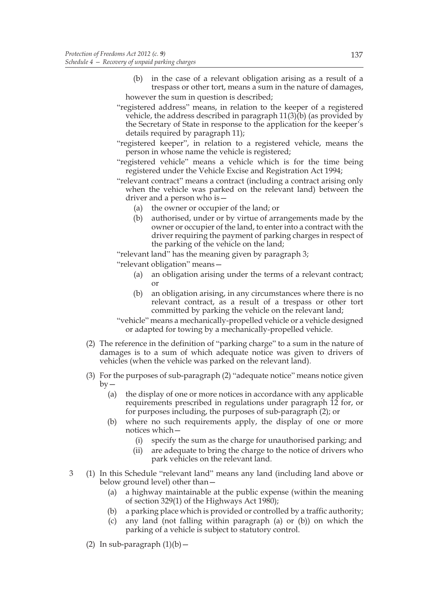- (b) in the case of a relevant obligation arising as a result of a trespass or other tort, means a sum in the nature of damages, however the sum in question is described;
- "registered address" means, in relation to the keeper of a registered vehicle, the address described in paragraph  $11(3)$ (b) (as provided by the Secretary of State in response to the application for the keeper's details required by paragraph 11);
- "registered keeper", in relation to a registered vehicle, means the person in whose name the vehicle is registered;
- "registered vehicle" means a vehicle which is for the time being registered under the Vehicle Excise and Registration Act 1994;
- "relevant contract" means a contract (including a contract arising only when the vehicle was parked on the relevant land) between the driver and a person who is—
	- (a) the owner or occupier of the land; or
	- (b) authorised, under or by virtue of arrangements made by the owner or occupier of the land, to enter into a contract with the driver requiring the payment of parking charges in respect of the parking of the vehicle on the land;

"relevant land" has the meaning given by paragraph 3;

"relevant obligation" means—

- (a) an obligation arising under the terms of a relevant contract; or
- (b) an obligation arising, in any circumstances where there is no relevant contract, as a result of a trespass or other tort committed by parking the vehicle on the relevant land;

"vehicle" means a mechanically-propelled vehicle or a vehicle designed or adapted for towing by a mechanically-propelled vehicle.

- (2) The reference in the definition of "parking charge" to a sum in the nature of damages is to a sum of which adequate notice was given to drivers of vehicles (when the vehicle was parked on the relevant land).
- (3) For the purposes of sub-paragraph (2) "adequate notice" means notice given  $bv -$ 
	- (a) the display of one or more notices in accordance with any applicable requirements prescribed in regulations under paragraph 12 for, or for purposes including, the purposes of sub-paragraph (2); or
	- (b) where no such requirements apply, the display of one or more notices which—
		- (i) specify the sum as the charge for unauthorised parking; and
		- (ii) are adequate to bring the charge to the notice of drivers who park vehicles on the relevant land.
- 3 (1) In this Schedule "relevant land" means any land (including land above or below ground level) other than—
	- (a) a highway maintainable at the public expense (within the meaning of section 329(1) of the Highways Act 1980);
	- (b) a parking place which is provided or controlled by a traffic authority;
	- (c) any land (not falling within paragraph (a) or (b)) on which the parking of a vehicle is subject to statutory control.
	- (2) In sub-paragraph  $(1)(b)$  —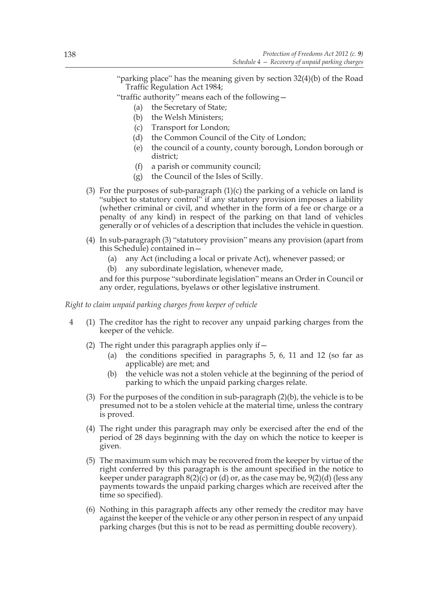"parking place" has the meaning given by section 32(4)(b) of the Road Traffic Regulation Act 1984;

"traffic authority" means each of the following—

- (a) the Secretary of State;
- (b) the Welsh Ministers;
- (c) Transport for London;
- (d) the Common Council of the City of London;
- (e) the council of a county, county borough, London borough or district;
- (f) a parish or community council;
- (g) the Council of the Isles of Scilly.
- (3) For the purposes of sub-paragraph  $(1)(c)$  the parking of a vehicle on land is "subject to statutory control" if any statutory provision imposes a liability (whether criminal or civil, and whether in the form of a fee or charge or a penalty of any kind) in respect of the parking on that land of vehicles generally or of vehicles of a description that includes the vehicle in question.
- (4) In sub-paragraph (3) "statutory provision" means any provision (apart from this Schedule) contained in—
	- (a) any Act (including a local or private Act), whenever passed; or
	- (b) any subordinate legislation, whenever made,

and for this purpose "subordinate legislation" means an Order in Council or any order, regulations, byelaws or other legislative instrument.

*Right to claim unpaid parking charges from keeper of vehicle*

- 4 (1) The creditor has the right to recover any unpaid parking charges from the keeper of the vehicle.
	- (2) The right under this paragraph applies only if  $-$ 
		- (a) the conditions specified in paragraphs 5, 6, 11 and 12 (so far as applicable) are met; and
		- (b) the vehicle was not a stolen vehicle at the beginning of the period of parking to which the unpaid parking charges relate.
	- (3) For the purposes of the condition in sub-paragraph  $(2)(b)$ , the vehicle is to be presumed not to be a stolen vehicle at the material time, unless the contrary is proved.
	- (4) The right under this paragraph may only be exercised after the end of the period of 28 days beginning with the day on which the notice to keeper is given.
	- (5) The maximum sum which may be recovered from the keeper by virtue of the right conferred by this paragraph is the amount specified in the notice to keeper under paragraph  $8(2)(c)$  or (d) or, as the case may be,  $9(2)(d)$  (less any payments towards the unpaid parking charges which are received after the time so specified).
	- (6) Nothing in this paragraph affects any other remedy the creditor may have against the keeper of the vehicle or any other person in respect of any unpaid parking charges (but this is not to be read as permitting double recovery).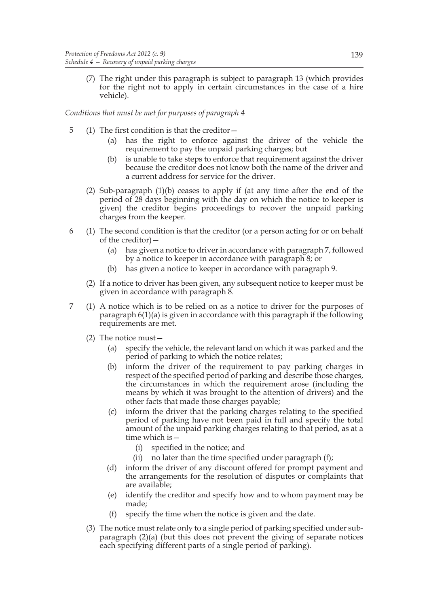(7) The right under this paragraph is subject to paragraph 13 (which provides for the right not to apply in certain circumstances in the case of a hire vehicle).

# *Conditions that must be met for purposes of paragraph 4*

- 5 (1) The first condition is that the creditor—
	- (a) has the right to enforce against the driver of the vehicle the requirement to pay the unpaid parking charges; but
	- (b) is unable to take steps to enforce that requirement against the driver because the creditor does not know both the name of the driver and a current address for service for the driver.
	- (2) Sub-paragraph (1)(b) ceases to apply if (at any time after the end of the period of 28 days beginning with the day on which the notice to keeper is given) the creditor begins proceedings to recover the unpaid parking charges from the keeper.
- 6 (1) The second condition is that the creditor (or a person acting for or on behalf of the creditor)—
	- (a) has given a notice to driver in accordance with paragraph 7, followed by a notice to keeper in accordance with paragraph 8; or
	- (b) has given a notice to keeper in accordance with paragraph 9.
	- (2) If a notice to driver has been given, any subsequent notice to keeper must be given in accordance with paragraph 8.
- 7 (1) A notice which is to be relied on as a notice to driver for the purposes of paragraph  $6(1)(a)$  is given in accordance with this paragraph if the following requirements are met.
	- (2) The notice must—
		- (a) specify the vehicle, the relevant land on which it was parked and the period of parking to which the notice relates;
		- (b) inform the driver of the requirement to pay parking charges in respect of the specified period of parking and describe those charges, the circumstances in which the requirement arose (including the means by which it was brought to the attention of drivers) and the other facts that made those charges payable;
		- (c) inform the driver that the parking charges relating to the specified period of parking have not been paid in full and specify the total amount of the unpaid parking charges relating to that period, as at a time which is—
			- (i) specified in the notice; and
			- (ii) no later than the time specified under paragraph (f);
		- (d) inform the driver of any discount offered for prompt payment and the arrangements for the resolution of disputes or complaints that are available;
		- (e) identify the creditor and specify how and to whom payment may be made;
		- (f) specify the time when the notice is given and the date.
	- (3) The notice must relate only to a single period of parking specified under subparagraph (2)(a) (but this does not prevent the giving of separate notices each specifying different parts of a single period of parking).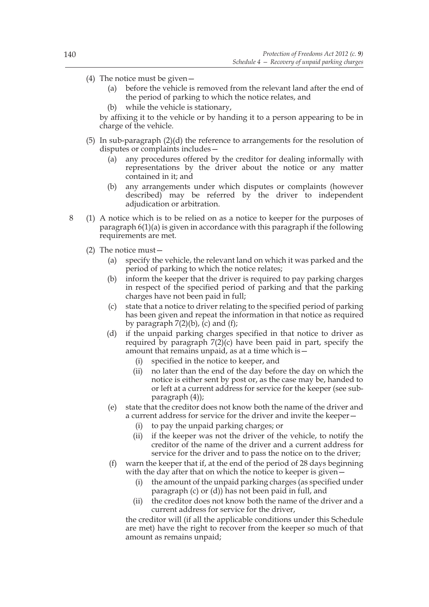- (4) The notice must be given—
	- (a) before the vehicle is removed from the relevant land after the end of the period of parking to which the notice relates, and
	- (b) while the vehicle is stationary,

by affixing it to the vehicle or by handing it to a person appearing to be in charge of the vehicle.

- (5) In sub-paragraph (2)(d) the reference to arrangements for the resolution of disputes or complaints includes—
	- (a) any procedures offered by the creditor for dealing informally with representations by the driver about the notice or any matter contained in it; and
	- (b) any arrangements under which disputes or complaints (however described) may be referred by the driver to independent adjudication or arbitration.
- 8 (1) A notice which is to be relied on as a notice to keeper for the purposes of paragraph 6(1)(a) is given in accordance with this paragraph if the following requirements are met.
	- (2) The notice must—
		- (a) specify the vehicle, the relevant land on which it was parked and the period of parking to which the notice relates;
		- (b) inform the keeper that the driver is required to pay parking charges in respect of the specified period of parking and that the parking charges have not been paid in full;
		- (c) state that a notice to driver relating to the specified period of parking has been given and repeat the information in that notice as required by paragraph  $7(2)(b)$ , (c) and (f);
		- (d) if the unpaid parking charges specified in that notice to driver as required by paragraph  $7(2)(c)$  have been paid in part, specify the amount that remains unpaid, as at a time which is—
			- (i) specified in the notice to keeper, and
			- (ii) no later than the end of the day before the day on which the notice is either sent by post or, as the case may be, handed to or left at a current address for service for the keeper (see subparagraph (4));
		- (e) state that the creditor does not know both the name of the driver and a current address for service for the driver and invite the keeper
			- to pay the unpaid parking charges; or
			- (ii) if the keeper was not the driver of the vehicle, to notify the creditor of the name of the driver and a current address for service for the driver and to pass the notice on to the driver;
		- (f) warn the keeper that if, at the end of the period of 28 days beginning with the day after that on which the notice to keeper is given-
			- (i) the amount of the unpaid parking charges (as specified under paragraph (c) or (d)) has not been paid in full, and
			- (ii) the creditor does not know both the name of the driver and a current address for service for the driver,

the creditor will (if all the applicable conditions under this Schedule are met) have the right to recover from the keeper so much of that amount as remains unpaid;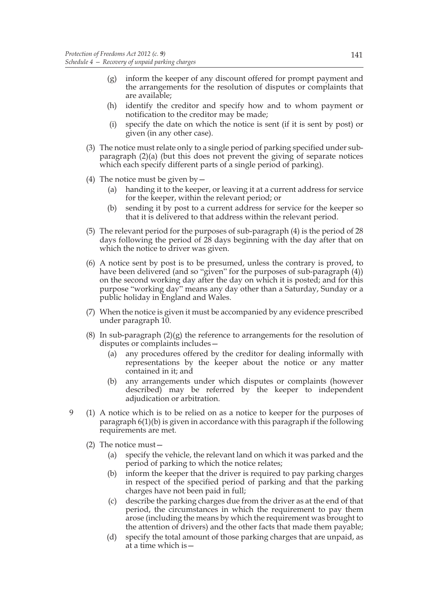- (g) inform the keeper of any discount offered for prompt payment and the arrangements for the resolution of disputes or complaints that are available;
- (h) identify the creditor and specify how and to whom payment or notification to the creditor may be made;
- (i) specify the date on which the notice is sent (if it is sent by post) or given (in any other case).
- (3) The notice must relate only to a single period of parking specified under subparagraph (2)(a) (but this does not prevent the giving of separate notices which each specify different parts of a single period of parking).
- (4) The notice must be given by  $-$ 
	- (a) handing it to the keeper, or leaving it at a current address for service for the keeper, within the relevant period; or
	- (b) sending it by post to a current address for service for the keeper so that it is delivered to that address within the relevant period.
- (5) The relevant period for the purposes of sub-paragraph (4) is the period of 28 days following the period of 28 days beginning with the day after that on which the notice to driver was given.
- (6) A notice sent by post is to be presumed, unless the contrary is proved, to have been delivered (and so "given" for the purposes of sub-paragraph (4)) on the second working day after the day on which it is posted; and for this purpose "working day" means any day other than a Saturday, Sunday or a public holiday in England and Wales.
- (7) When the notice is given it must be accompanied by any evidence prescribed under paragraph 10.
- (8) In sub-paragraph  $(2)(g)$  the reference to arrangements for the resolution of disputes or complaints includes—
	- (a) any procedures offered by the creditor for dealing informally with representations by the keeper about the notice or any matter contained in it; and
	- (b) any arrangements under which disputes or complaints (however described) may be referred by the keeper to independent adjudication or arbitration.
- 9 (1) A notice which is to be relied on as a notice to keeper for the purposes of paragraph 6(1)(b) is given in accordance with this paragraph if the following requirements are met.
	- (2) The notice must—
		- (a) specify the vehicle, the relevant land on which it was parked and the period of parking to which the notice relates;
		- (b) inform the keeper that the driver is required to pay parking charges in respect of the specified period of parking and that the parking charges have not been paid in full;
		- (c) describe the parking charges due from the driver as at the end of that period, the circumstances in which the requirement to pay them arose (including the means by which the requirement was brought to the attention of drivers) and the other facts that made them payable;
		- (d) specify the total amount of those parking charges that are unpaid, as at a time which is—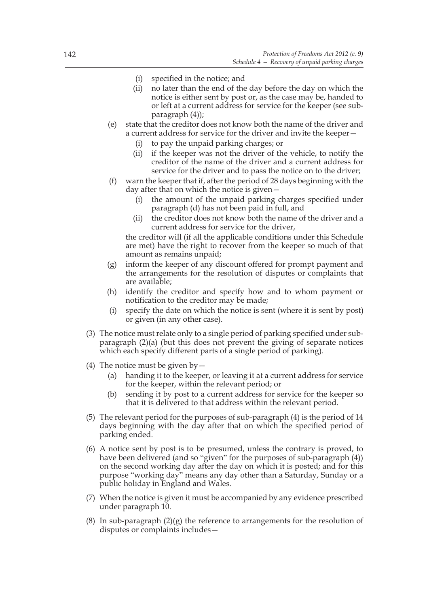- (i) specified in the notice; and
- (ii) no later than the end of the day before the day on which the notice is either sent by post or, as the case may be, handed to or left at a current address for service for the keeper (see subparagraph (4));
- (e) state that the creditor does not know both the name of the driver and a current address for service for the driver and invite the keeper
	- to pay the unpaid parking charges; or
	- (ii) if the keeper was not the driver of the vehicle, to notify the creditor of the name of the driver and a current address for service for the driver and to pass the notice on to the driver;
- (f) warn the keeper that if, after the period of 28 days beginning with the day after that on which the notice is given
	- the amount of the unpaid parking charges specified under paragraph (d) has not been paid in full, and
	- (ii) the creditor does not know both the name of the driver and a current address for service for the driver,

the creditor will (if all the applicable conditions under this Schedule are met) have the right to recover from the keeper so much of that amount as remains unpaid;

- (g) inform the keeper of any discount offered for prompt payment and the arrangements for the resolution of disputes or complaints that are available;
- (h) identify the creditor and specify how and to whom payment or notification to the creditor may be made;
- (i) specify the date on which the notice is sent (where it is sent by post) or given (in any other case).
- (3) The notice must relate only to a single period of parking specified under subparagraph (2)(a) (but this does not prevent the giving of separate notices which each specify different parts of a single period of parking).
- (4) The notice must be given by  $-$ 
	- (a) handing it to the keeper, or leaving it at a current address for service for the keeper, within the relevant period; or
	- (b) sending it by post to a current address for service for the keeper so that it is delivered to that address within the relevant period.
- (5) The relevant period for the purposes of sub-paragraph (4) is the period of 14 days beginning with the day after that on which the specified period of parking ended.
- (6) A notice sent by post is to be presumed, unless the contrary is proved, to have been delivered (and so "given" for the purposes of sub-paragraph (4)) on the second working day after the day on which it is posted; and for this purpose "working day" means any day other than a Saturday, Sunday or a public holiday in England and Wales.
- (7) When the notice is given it must be accompanied by any evidence prescribed under paragraph 10.
- (8) In sub-paragraph  $(2)(g)$  the reference to arrangements for the resolution of disputes or complaints includes—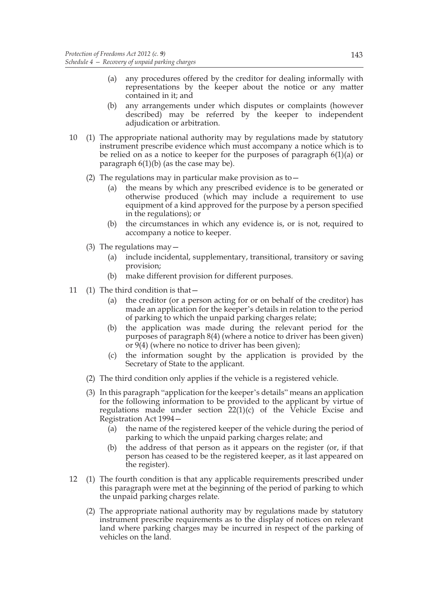- (a) any procedures offered by the creditor for dealing informally with representations by the keeper about the notice or any matter contained in it; and
- (b) any arrangements under which disputes or complaints (however described) may be referred by the keeper to independent adjudication or arbitration.
- 10 (1) The appropriate national authority may by regulations made by statutory instrument prescribe evidence which must accompany a notice which is to be relied on as a notice to keeper for the purposes of paragraph 6(1)(a) or paragraph  $6(1)(b)$  (as the case may be).
	- (2) The regulations may in particular make provision as to  $-$ 
		- (a) the means by which any prescribed evidence is to be generated or otherwise produced (which may include a requirement to use equipment of a kind approved for the purpose by a person specified in the regulations); or
		- (b) the circumstances in which any evidence is, or is not, required to accompany a notice to keeper.
	- (3) The regulations may  $-$ 
		- (a) include incidental, supplementary, transitional, transitory or saving provision;
		- (b) make different provision for different purposes.
- 11 (1) The third condition is that—
	- (a) the creditor (or a person acting for or on behalf of the creditor) has made an application for the keeper's details in relation to the period of parking to which the unpaid parking charges relate;
	- (b) the application was made during the relevant period for the purposes of paragraph 8(4) (where a notice to driver has been given) or  $9(4)$  (where no notice to driver has been given);
	- (c) the information sought by the application is provided by the Secretary of State to the applicant.
	- (2) The third condition only applies if the vehicle is a registered vehicle.
	- (3) In this paragraph "application for the keeper's details" means an application for the following information to be provided to the applicant by virtue of regulations made under section  $22(1)(c)$  of the Vehicle Excise and Registration Act 1994—
		- (a) the name of the registered keeper of the vehicle during the period of parking to which the unpaid parking charges relate; and
		- (b) the address of that person as it appears on the register (or, if that person has ceased to be the registered keeper, as it last appeared on the register).
- 12 (1) The fourth condition is that any applicable requirements prescribed under this paragraph were met at the beginning of the period of parking to which the unpaid parking charges relate.
	- (2) The appropriate national authority may by regulations made by statutory instrument prescribe requirements as to the display of notices on relevant land where parking charges may be incurred in respect of the parking of vehicles on the land.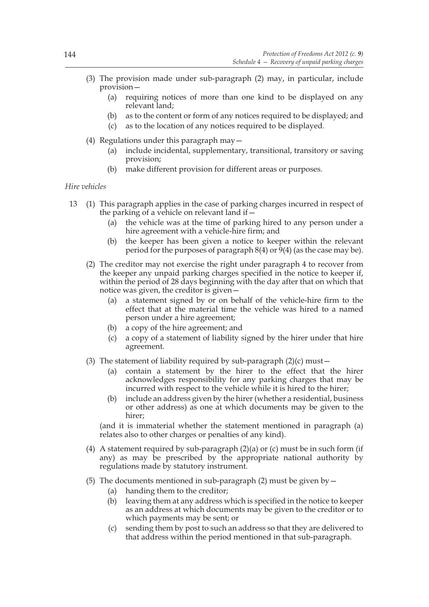- (3) The provision made under sub-paragraph (2) may, in particular, include provision—
	- (a) requiring notices of more than one kind to be displayed on any relevant land;
	- (b) as to the content or form of any notices required to be displayed; and
	- (c) as to the location of any notices required to be displayed.
- (4) Regulations under this paragraph may—
	- (a) include incidental, supplementary, transitional, transitory or saving provision;
	- (b) make different provision for different areas or purposes.

## *Hire vehicles*

- 13 (1) This paragraph applies in the case of parking charges incurred in respect of the parking of a vehicle on relevant land if—
	- (a) the vehicle was at the time of parking hired to any person under a hire agreement with a vehicle-hire firm; and
	- (b) the keeper has been given a notice to keeper within the relevant period for the purposes of paragraph  $8(4)$  or  $9(4)$  (as the case may be).
	- (2) The creditor may not exercise the right under paragraph 4 to recover from the keeper any unpaid parking charges specified in the notice to keeper if, within the period of 28 days beginning with the day after that on which that notice was given, the creditor is given—
		- (a) a statement signed by or on behalf of the vehicle-hire firm to the effect that at the material time the vehicle was hired to a named person under a hire agreement;
		- (b) a copy of the hire agreement; and
		- (c) a copy of a statement of liability signed by the hirer under that hire agreement.
	- (3) The statement of liability required by sub-paragraph  $(2)(c)$  must -
		- (a) contain a statement by the hirer to the effect that the hirer acknowledges responsibility for any parking charges that may be incurred with respect to the vehicle while it is hired to the hirer;
		- (b) include an address given by the hirer (whether a residential, business or other address) as one at which documents may be given to the hirer;

(and it is immaterial whether the statement mentioned in paragraph (a) relates also to other charges or penalties of any kind).

- (4) A statement required by sub-paragraph (2)(a) or (c) must be in such form (if any) as may be prescribed by the appropriate national authority by regulations made by statutory instrument.
- (5) The documents mentioned in sub-paragraph (2) must be given by  $-$ 
	- (a) handing them to the creditor;
	- (b) leaving them at any address which is specified in the notice to keeper as an address at which documents may be given to the creditor or to which payments may be sent; or
	- (c) sending them by post to such an address so that they are delivered to that address within the period mentioned in that sub-paragraph.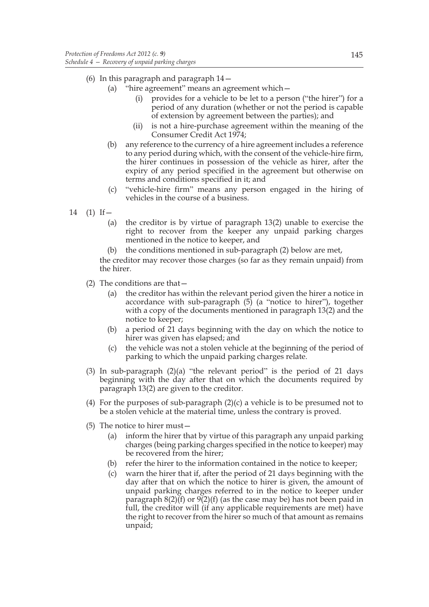- (6) In this paragraph and paragraph 14—
	- (a) "hire agreement" means an agreement which
		- provides for a vehicle to be let to a person ("the hirer") for a period of any duration (whether or not the period is capable of extension by agreement between the parties); and
		- (ii) is not a hire-purchase agreement within the meaning of the Consumer Credit Act 1974;
	- (b) any reference to the currency of a hire agreement includes a reference to any period during which, with the consent of the vehicle-hire firm, the hirer continues in possession of the vehicle as hirer, after the expiry of any period specified in the agreement but otherwise on terms and conditions specified in it; and
	- (c) "vehicle-hire firm" means any person engaged in the hiring of vehicles in the course of a business.
- 14  $(1)$  If  $-$ 
	- (a) the creditor is by virtue of paragraph 13(2) unable to exercise the right to recover from the keeper any unpaid parking charges mentioned in the notice to keeper, and
	- (b) the conditions mentioned in sub-paragraph (2) below are met,

the creditor may recover those charges (so far as they remain unpaid) from the hirer.

- (2) The conditions are that—
	- (a) the creditor has within the relevant period given the hirer a notice in accordance with sub-paragraph  $(5)$  (a "notice to hirer"), together with a copy of the documents mentioned in paragraph 13(2) and the notice to keeper;
	- (b) a period of 21 days beginning with the day on which the notice to hirer was given has elapsed; and
	- (c) the vehicle was not a stolen vehicle at the beginning of the period of parking to which the unpaid parking charges relate.
- (3) In sub-paragraph  $(2)(a)$  "the relevant period" is the period of 21 days beginning with the day after that on which the documents required by paragraph 13(2) are given to the creditor.
- (4) For the purposes of sub-paragraph  $(2)(c)$  a vehicle is to be presumed not to be a stolen vehicle at the material time, unless the contrary is proved.
- (5) The notice to hirer must—
	- (a) inform the hirer that by virtue of this paragraph any unpaid parking charges (being parking charges specified in the notice to keeper) may be recovered from the hirer;
	- (b) refer the hirer to the information contained in the notice to keeper;
	- (c) warn the hirer that if, after the period of 21 days beginning with the day after that on which the notice to hirer is given, the amount of unpaid parking charges referred to in the notice to keeper under paragraph  $8(2)(f)$  or  $9(2)(f)$  (as the case may be) has not been paid in full, the creditor will (if any applicable requirements are met) have the right to recover from the hirer so much of that amount as remains unpaid;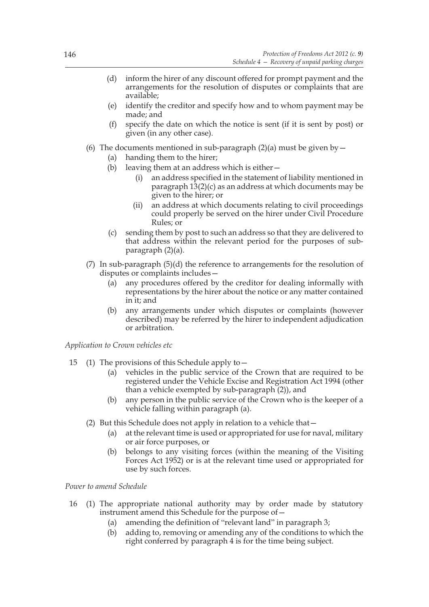- (d) inform the hirer of any discount offered for prompt payment and the arrangements for the resolution of disputes or complaints that are available;
- (e) identify the creditor and specify how and to whom payment may be made; and
- (f) specify the date on which the notice is sent (if it is sent by post) or given (in any other case).
- (6) The documents mentioned in sub-paragraph  $(2)(a)$  must be given by  $-$ 
	- (a) handing them to the hirer;
	- (b) leaving them at an address which is either—
		- (i) an address specified in the statement of liability mentioned in paragraph  $13(2)(c)$  as an address at which documents may be given to the hirer; or
		- (ii) an address at which documents relating to civil proceedings could properly be served on the hirer under Civil Procedure Rules; or
	- (c) sending them by post to such an address so that they are delivered to that address within the relevant period for the purposes of subparagraph (2)(a).
- (7) In sub-paragraph (5)(d) the reference to arrangements for the resolution of disputes or complaints includes—
	- (a) any procedures offered by the creditor for dealing informally with representations by the hirer about the notice or any matter contained in it; and
	- (b) any arrangements under which disputes or complaints (however described) may be referred by the hirer to independent adjudication or arbitration.

*Application to Crown vehicles etc*

- 15 (1) The provisions of this Schedule apply to—
	- (a) vehicles in the public service of the Crown that are required to be registered under the Vehicle Excise and Registration Act 1994 (other than a vehicle exempted by sub-paragraph (2)), and
	- (b) any person in the public service of the Crown who is the keeper of a vehicle falling within paragraph (a).
	- (2) But this Schedule does not apply in relation to a vehicle that—
		- (a) at the relevant time is used or appropriated for use for naval, military or air force purposes, or
		- (b) belongs to any visiting forces (within the meaning of the Visiting Forces Act 1952) or is at the relevant time used or appropriated for use by such forces.

*Power to amend Schedule*

- 16 (1) The appropriate national authority may by order made by statutory instrument amend this Schedule for the purpose of—
	- (a) amending the definition of "relevant land" in paragraph 3;
	- (b) adding to, removing or amending any of the conditions to which the right conferred by paragraph 4 is for the time being subject.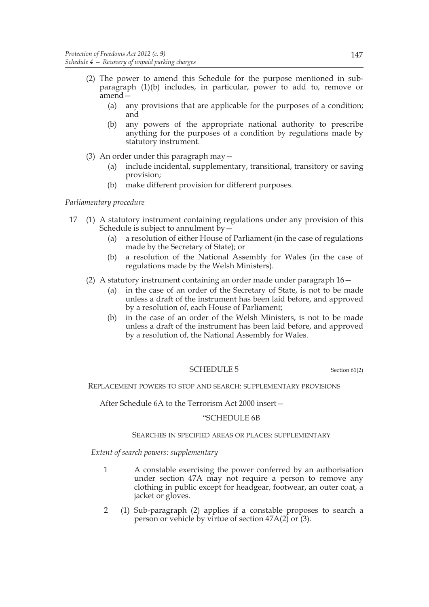- (2) The power to amend this Schedule for the purpose mentioned in subparagraph (1)(b) includes, in particular, power to add to, remove or amend—
	- (a) any provisions that are applicable for the purposes of a condition; and
	- (b) any powers of the appropriate national authority to prescribe anything for the purposes of a condition by regulations made by statutory instrument.
- (3) An order under this paragraph may  $-$ 
	- (a) include incidental, supplementary, transitional, transitory or saving provision;
	- (b) make different provision for different purposes.

# *Parliamentary procedure*

- 17 (1) A statutory instrument containing regulations under any provision of this Schedule is subject to annulment by  $-$ 
	- (a) a resolution of either House of Parliament (in the case of regulations made by the Secretary of State); or
	- (b) a resolution of the National Assembly for Wales (in the case of regulations made by the Welsh Ministers).
	- (2) A statutory instrument containing an order made under paragraph 16—
		- (a) in the case of an order of the Secretary of State, is not to be made unless a draft of the instrument has been laid before, and approved by a resolution of, each House of Parliament;
		- (b) in the case of an order of the Welsh Ministers, is not to be made unless a draft of the instrument has been laid before, and approved by a resolution of, the National Assembly for Wales.

## SCHEDULE 5 Section 61(2)

## REPLACEMENT POWERS TO STOP AND SEARCH: SUPPLEMENTARY PROVISIONS

After Schedule 6A to the Terrorism Act 2000 insert—

## "SCHEDULE 6B

## SEARCHES IN SPECIFIED AREAS OR PLACES: SUPPLEMENTARY

*Extent of search powers: supplementary*

- 1 A constable exercising the power conferred by an authorisation under section 47A may not require a person to remove any clothing in public except for headgear, footwear, an outer coat, a jacket or gloves.
- 2 (1) Sub-paragraph (2) applies if a constable proposes to search a person or vehicle by virtue of section 47A(2) or (3).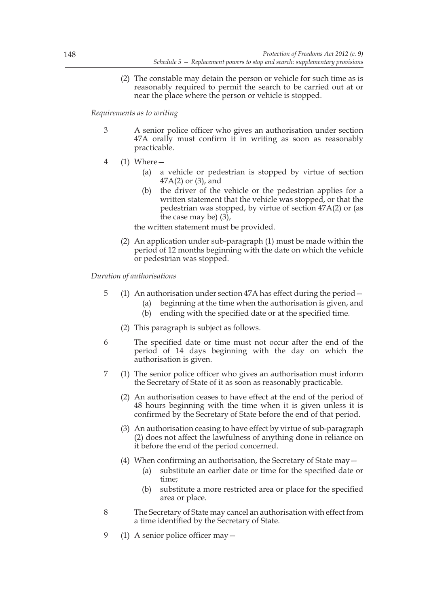(2) The constable may detain the person or vehicle for such time as is reasonably required to permit the search to be carried out at or near the place where the person or vehicle is stopped.

*Requirements as to writing*

- 3 A senior police officer who gives an authorisation under section 47A orally must confirm it in writing as soon as reasonably practicable.
- 4 (1) Where—
	- (a) a vehicle or pedestrian is stopped by virtue of section 47A(2) or (3), and
	- (b) the driver of the vehicle or the pedestrian applies for a written statement that the vehicle was stopped, or that the pedestrian was stopped, by virtue of section 47A(2) or (as the case may be) (3),

the written statement must be provided.

(2) An application under sub-paragraph (1) must be made within the period of 12 months beginning with the date on which the vehicle or pedestrian was stopped.

## *Duration of authorisations*

- 5 (1) An authorisation under section 47A has effect during the period—
	- (a) beginning at the time when the authorisation is given, and
	- (b) ending with the specified date or at the specified time.
	- (2) This paragraph is subject as follows.
- 6 The specified date or time must not occur after the end of the period of 14 days beginning with the day on which the authorisation is given.
- 7 (1) The senior police officer who gives an authorisation must inform the Secretary of State of it as soon as reasonably practicable.
	- (2) An authorisation ceases to have effect at the end of the period of 48 hours beginning with the time when it is given unless it is confirmed by the Secretary of State before the end of that period.
	- (3) An authorisation ceasing to have effect by virtue of sub-paragraph (2) does not affect the lawfulness of anything done in reliance on it before the end of the period concerned.
	- (4) When confirming an authorisation, the Secretary of State may—
		- (a) substitute an earlier date or time for the specified date or time;
		- (b) substitute a more restricted area or place for the specified area or place.
- 8 The Secretary of State may cancel an authorisation with effect from a time identified by the Secretary of State.
- 9 (1) A senior police officer may—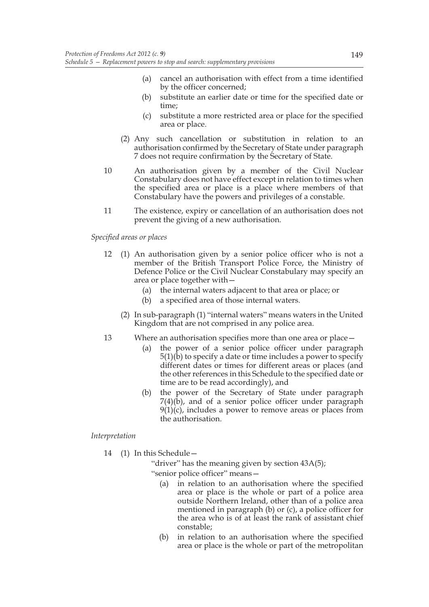- (a) cancel an authorisation with effect from a time identified by the officer concerned;
- (b) substitute an earlier date or time for the specified date or time;
- (c) substitute a more restricted area or place for the specified area or place.
- (2) Any such cancellation or substitution in relation to an authorisation confirmed by the Secretary of State under paragraph 7 does not require confirmation by the Secretary of State.
- 10 An authorisation given by a member of the Civil Nuclear Constabulary does not have effect except in relation to times when the specified area or place is a place where members of that Constabulary have the powers and privileges of a constable.
- 11 The existence, expiry or cancellation of an authorisation does not prevent the giving of a new authorisation.

## *Specified areas or places*

- 12 (1) An authorisation given by a senior police officer who is not a member of the British Transport Police Force, the Ministry of Defence Police or the Civil Nuclear Constabulary may specify an area or place together with—
	- (a) the internal waters adjacent to that area or place; or
	- (b) a specified area of those internal waters.
	- (2) In sub-paragraph (1) "internal waters" means waters in the United Kingdom that are not comprised in any police area.
- 13 Where an authorisation specifies more than one area or place—
	- (a) the power of a senior police officer under paragraph 5(1)(b) to specify a date or time includes a power to specify different dates or times for different areas or places (and the other references in this Schedule to the specified date or time are to be read accordingly), and
	- (b) the power of the Secretary of State under paragraph  $7(4)(\dot{b})$ , and of a senior police officer under paragraph  $9(1)(c)$ , includes a power to remove areas or places from the authorisation.

## *Interpretation*

14 (1) In this Schedule—

"driver" has the meaning given by section 43A(5);

"senior police officer" means—

- (a) in relation to an authorisation where the specified area or place is the whole or part of a police area outside Northern Ireland, other than of a police area mentioned in paragraph (b) or (c), a police officer for the area who is of at least the rank of assistant chief constable;
- (b) in relation to an authorisation where the specified area or place is the whole or part of the metropolitan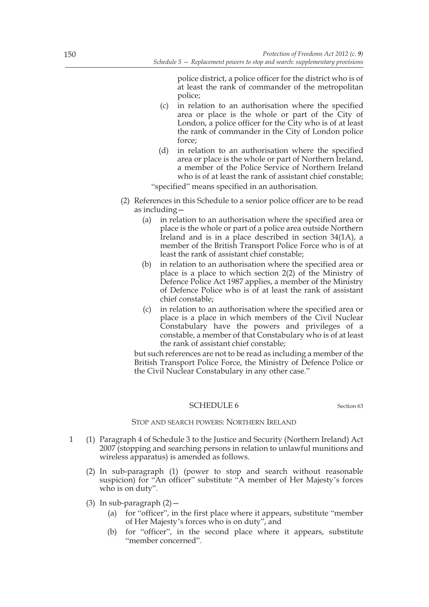police district, a police officer for the district who is of at least the rank of commander of the metropolitan police;

- (c) in relation to an authorisation where the specified area or place is the whole or part of the City of London, a police officer for the City who is of at least the rank of commander in the City of London police force;
- (d) in relation to an authorisation where the specified area or place is the whole or part of Northern Ireland, a member of the Police Service of Northern Ireland who is of at least the rank of assistant chief constable;

"specified" means specified in an authorisation.

- (2) References in this Schedule to a senior police officer are to be read as including—
	- (a) in relation to an authorisation where the specified area or place is the whole or part of a police area outside Northern Ireland and is in a place described in section 34(1A), a member of the British Transport Police Force who is of at least the rank of assistant chief constable;
	- (b) in relation to an authorisation where the specified area or place is a place to which section 2(2) of the Ministry of Defence Police Act 1987 applies, a member of the Ministry of Defence Police who is of at least the rank of assistant chief constable;
	- (c) in relation to an authorisation where the specified area or place is a place in which members of the Civil Nuclear Constabulary have the powers and privileges of a constable, a member of that Constabulary who is of at least the rank of assistant chief constable;

but such references are not to be read as including a member of the British Transport Police Force, the Ministry of Defence Police or the Civil Nuclear Constabulary in any other case."

## SCHEDULE 6 Section 63

#### STOP AND SEARCH POWERS: NORTHERN IRELAND

- 1 (1) Paragraph 4 of Schedule 3 to the Justice and Security (Northern Ireland) Act 2007 (stopping and searching persons in relation to unlawful munitions and wireless apparatus) is amended as follows.
	- (2) In sub-paragraph (1) (power to stop and search without reasonable suspicion) for "An officer" substitute "A member of Her Majesty's forces who is on duty".
	- (3) In sub-paragraph  $(2)$  -
		- (a) for "officer", in the first place where it appears, substitute "member of Her Majesty's forces who is on duty", and
		- (b) for "officer", in the second place where it appears, substitute "member concerned".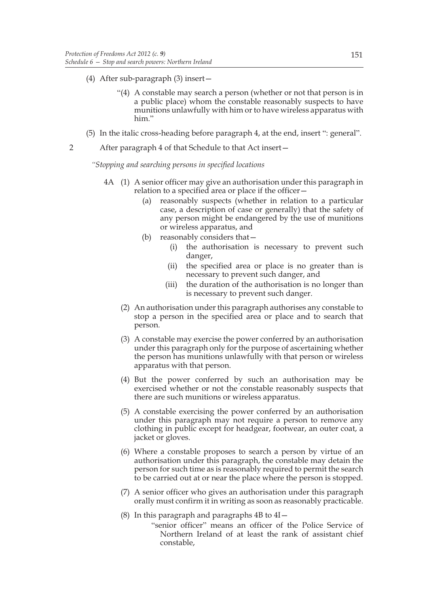- (4) After sub-paragraph (3) insert—
	- "(4) A constable may search a person (whether or not that person is in a public place) whom the constable reasonably suspects to have munitions unlawfully with him or to have wireless apparatus with him."
- (5) In the italic cross-heading before paragraph 4, at the end, insert ": general".

2 After paragraph 4 of that Schedule to that Act insert—

*"Stopping and searching persons in specified locations*

- 4A (1) A senior officer may give an authorisation under this paragraph in relation to a specified area or place if the officer—
	- (a) reasonably suspects (whether in relation to a particular case, a description of case or generally) that the safety of any person might be endangered by the use of munitions or wireless apparatus, and
	- (b) reasonably considers that—
		- (i) the authorisation is necessary to prevent such danger,
		- (ii) the specified area or place is no greater than is necessary to prevent such danger, and
		- (iii) the duration of the authorisation is no longer than is necessary to prevent such danger.
	- (2) An authorisation under this paragraph authorises any constable to stop a person in the specified area or place and to search that person.
	- (3) A constable may exercise the power conferred by an authorisation under this paragraph only for the purpose of ascertaining whether the person has munitions unlawfully with that person or wireless apparatus with that person.
	- (4) But the power conferred by such an authorisation may be exercised whether or not the constable reasonably suspects that there are such munitions or wireless apparatus.
	- (5) A constable exercising the power conferred by an authorisation under this paragraph may not require a person to remove any clothing in public except for headgear, footwear, an outer coat, a jacket or gloves.
	- (6) Where a constable proposes to search a person by virtue of an authorisation under this paragraph, the constable may detain the person for such time as is reasonably required to permit the search to be carried out at or near the place where the person is stopped.
	- (7) A senior officer who gives an authorisation under this paragraph orally must confirm it in writing as soon as reasonably practicable.
	- (8) In this paragraph and paragraphs 4B to 4I—
		- "senior officer" means an officer of the Police Service of Northern Ireland of at least the rank of assistant chief constable,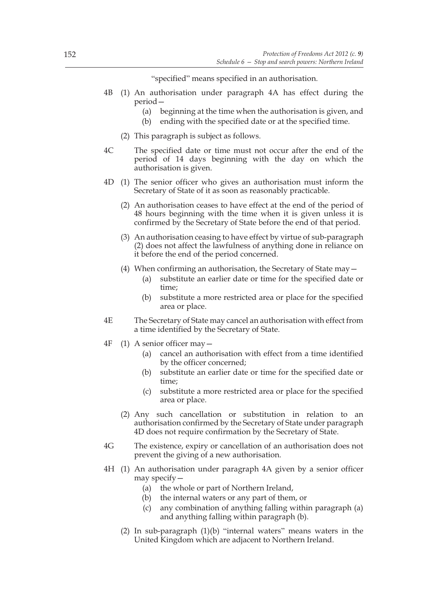"specified" means specified in an authorisation.

- 4B (1) An authorisation under paragraph 4A has effect during the period—
	- (a) beginning at the time when the authorisation is given, and
	- (b) ending with the specified date or at the specified time.
	- (2) This paragraph is subject as follows.
- 4C The specified date or time must not occur after the end of the period of 14 days beginning with the day on which the authorisation is given.
- 4D (1) The senior officer who gives an authorisation must inform the Secretary of State of it as soon as reasonably practicable.
	- (2) An authorisation ceases to have effect at the end of the period of 48 hours beginning with the time when it is given unless it is confirmed by the Secretary of State before the end of that period.
	- (3) An authorisation ceasing to have effect by virtue of sub-paragraph (2) does not affect the lawfulness of anything done in reliance on it before the end of the period concerned.
	- (4) When confirming an authorisation, the Secretary of State may—
		- (a) substitute an earlier date or time for the specified date or time;
		- (b) substitute a more restricted area or place for the specified area or place.
- 4E The Secretary of State may cancel an authorisation with effect from a time identified by the Secretary of State.
- 4F (1) A senior officer may—
	- (a) cancel an authorisation with effect from a time identified by the officer concerned;
	- (b) substitute an earlier date or time for the specified date or time;
	- (c) substitute a more restricted area or place for the specified area or place.
	- (2) Any such cancellation or substitution in relation to an authorisation confirmed by the Secretary of State under paragraph 4D does not require confirmation by the Secretary of State.
- 4G The existence, expiry or cancellation of an authorisation does not prevent the giving of a new authorisation.
- 4H (1) An authorisation under paragraph 4A given by a senior officer may specify—
	- (a) the whole or part of Northern Ireland,
	- (b) the internal waters or any part of them, or
	- (c) any combination of anything falling within paragraph (a) and anything falling within paragraph (b).
	- (2) In sub-paragraph (1)(b) "internal waters" means waters in the United Kingdom which are adjacent to Northern Ireland.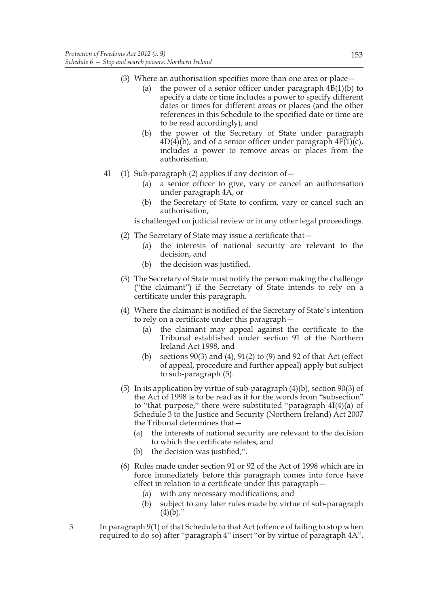- (3) Where an authorisation specifies more than one area or place—
	- (a) the power of a senior officer under paragraph  $4B(1)(b)$  to specify a date or time includes a power to specify different dates or times for different areas or places (and the other references in this Schedule to the specified date or time are to be read accordingly), and
	- (b) the power of the Secretary of State under paragraph  $4D(4)(b)$ , and of a senior officer under paragraph  $4F(1)(c)$ , includes a power to remove areas or places from the authorisation.
- 4I (1) Sub-paragraph (2) applies if any decision of—
	- (a) a senior officer to give, vary or cancel an authorisation under paragraph 4A, or
	- (b) the Secretary of State to confirm, vary or cancel such an authorisation,

is challenged on judicial review or in any other legal proceedings.

- (2) The Secretary of State may issue a certificate that—
	- (a) the interests of national security are relevant to the decision, and
	- (b) the decision was justified.
- (3) The Secretary of State must notify the person making the challenge ("the claimant") if the Secretary of State intends to rely on a certificate under this paragraph.
- (4) Where the claimant is notified of the Secretary of State's intention to rely on a certificate under this paragraph—
	- (a) the claimant may appeal against the certificate to the Tribunal established under section 91 of the Northern Ireland Act 1998, and
	- (b) sections  $90(3)$  and  $(4)$ ,  $91(2)$  to  $(9)$  and  $92$  of that Act (effect of appeal, procedure and further appeal) apply but subject to sub-paragraph (5).
- (5) In its application by virtue of sub-paragraph (4)(b), section 90(3) of the Act of 1998 is to be read as if for the words from "subsection" to "that purpose," there were substituted "paragraph 4I(4)(a) of Schedule 3 to the Justice and Security (Northern Ireland) Act 2007 the Tribunal determines that—
	- (a) the interests of national security are relevant to the decision to which the certificate relates, and
	- (b) the decision was justified,".
- (6) Rules made under section 91 or 92 of the Act of 1998 which are in force immediately before this paragraph comes into force have effect in relation to a certificate under this paragraph—
	- (a) with any necessary modifications, and
	- (b) subject to any later rules made by virtue of sub-paragraph  $(4)(b)$ ."
- 3 In paragraph 9(1) of that Schedule to that Act (offence of failing to stop when required to do so) after "paragraph 4" insert "or by virtue of paragraph 4A".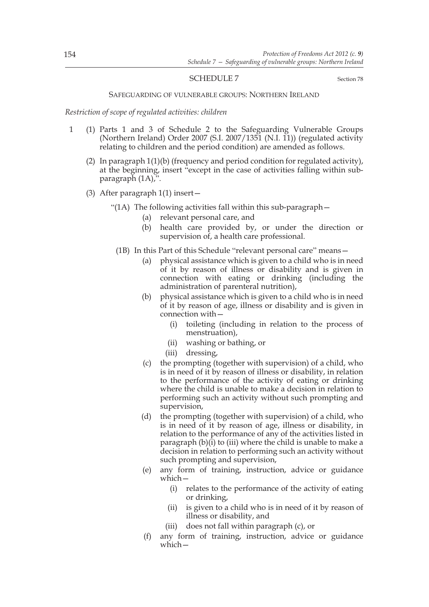#### SCHEDULE 7 Section 78

#### SAFEGUARDING OF VULNERABLE GROUPS: NORTHERN IRELAND

#### *Restriction of scope of regulated activities: children*

- 1 (1) Parts 1 and 3 of Schedule 2 to the Safeguarding Vulnerable Groups (Northern Ireland) Order 2007 (S.I. 2007/1351 (N.I. 11)) (regulated activity relating to children and the period condition) are amended as follows.
	- (2) In paragraph 1(1)(b) (frequency and period condition for regulated activity), at the beginning, insert "except in the case of activities falling within subparagraph  $(1A)$ .
	- (3) After paragraph 1(1) insert—
		- "(1A) The following activities fall within this sub-paragraph—
			- (a) relevant personal care, and
			- (b) health care provided by, or under the direction or supervision of, a health care professional.
			- (1B) In this Part of this Schedule "relevant personal care" means—
				- (a) physical assistance which is given to a child who is in need of it by reason of illness or disability and is given in connection with eating or drinking (including the administration of parenteral nutrition),
				- (b) physical assistance which is given to a child who is in need of it by reason of age, illness or disability and is given in connection with—
					- (i) toileting (including in relation to the process of menstruation),
					- (ii) washing or bathing, or
					- (iii) dressing,
				- (c) the prompting (together with supervision) of a child, who is in need of it by reason of illness or disability, in relation to the performance of the activity of eating or drinking where the child is unable to make a decision in relation to performing such an activity without such prompting and supervision,
				- (d) the prompting (together with supervision) of a child, who is in need of it by reason of age, illness or disability, in relation to the performance of any of the activities listed in paragraph  $(b)(i)$  to (iii) where the child is unable to make a decision in relation to performing such an activity without such prompting and supervision,
				- (e) any form of training, instruction, advice or guidance which—
					- (i) relates to the performance of the activity of eating or drinking,
					- (ii) is given to a child who is in need of it by reason of illness or disability, and
					- (iii) does not fall within paragraph (c), or
				- (f) any form of training, instruction, advice or guidance which—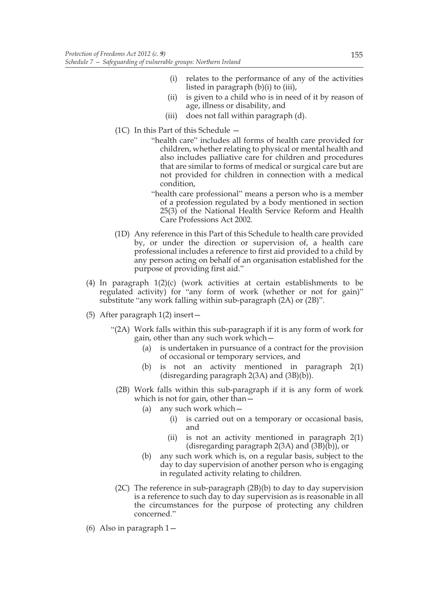- (i) relates to the performance of any of the activities listed in paragraph (b)(i) to (iii),
- (ii) is given to a child who is in need of it by reason of age, illness or disability, and
- (iii) does not fall within paragraph (d).
- (1C) In this Part of this Schedule
	- "health care" includes all forms of health care provided for children, whether relating to physical or mental health and also includes palliative care for children and procedures that are similar to forms of medical or surgical care but are not provided for children in connection with a medical condition,
	- "health care professional" means a person who is a member of a profession regulated by a body mentioned in section 25(3) of the National Health Service Reform and Health Care Professions Act 2002.
- (1D) Any reference in this Part of this Schedule to health care provided by, or under the direction or supervision of, a health care professional includes a reference to first aid provided to a child by any person acting on behalf of an organisation established for the purpose of providing first aid."
- (4) In paragraph 1(2)(c) (work activities at certain establishments to be regulated activity) for "any form of work (whether or not for gain)" substitute "any work falling within sub-paragraph (2A) or (2B)".
- (5) After paragraph 1(2) insert—
	- "(2A) Work falls within this sub-paragraph if it is any form of work for gain, other than any such work which—
		- (a) is undertaken in pursuance of a contract for the provision of occasional or temporary services, and
		- (b) is not an activity mentioned in paragraph 2(1) (disregarding paragraph  $2(3A)$  and  $(3B)(b)$ ).
		- (2B) Work falls within this sub-paragraph if it is any form of work which is not for gain, other than—
			- (a) any such work which—
				- (i) is carried out on a temporary or occasional basis, and
				- (ii) is not an activity mentioned in paragraph 2(1) (disregarding paragraph  $2(3A)$  and  $(3B)(b)$ ), or
			- (b) any such work which is, on a regular basis, subject to the day to day supervision of another person who is engaging in regulated activity relating to children.
	- (2C) The reference in sub-paragraph (2B)(b) to day to day supervision is a reference to such day to day supervision as is reasonable in all the circumstances for the purpose of protecting any children concerned."
- (6) Also in paragraph 1—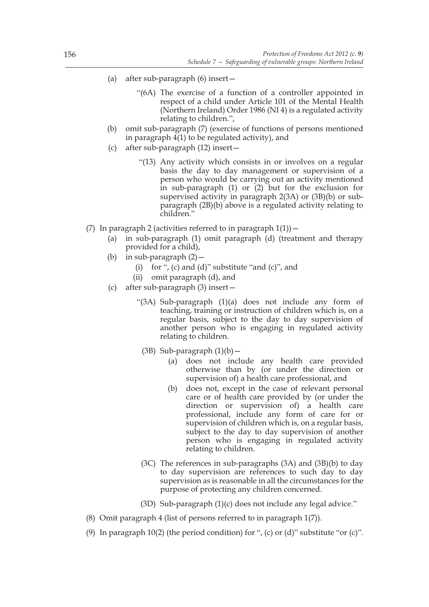- (a) after sub-paragraph (6) insert—
	- "(6A) The exercise of a function of a controller appointed in respect of a child under Article 101 of the Mental Health (Northern Ireland) Order 1986 (NI 4) is a regulated activity relating to children.",
- (b) omit sub-paragraph (7) (exercise of functions of persons mentioned in paragraph  $\overline{4(1)}$  to be regulated activity), and
- (c) after sub-paragraph (12) insert—
	- "(13) Any activity which consists in or involves on a regular basis the day to day management or supervision of a person who would be carrying out an activity mentioned in sub-paragraph (1) or (2) but for the exclusion for supervised activity in paragraph 2(3A) or (3B)(b) or subparagraph (2B)(b) above is a regulated activity relating to children."
- (7) In paragraph 2 (activities referred to in paragraph  $1(1)$ )
	- (a) in sub-paragraph (1) omit paragraph (d) (treatment and therapy provided for a child),
	- (b) in sub-paragraph (2)—
		- (i) for ", (c) and (d)" substitute "and (c)", and
		- (ii) omit paragraph (d), and
	- (c) after sub-paragraph (3) insert—
		- "(3A) Sub-paragraph (1)(a) does not include any form of teaching, training or instruction of children which is, on a regular basis, subject to the day to day supervision of another person who is engaging in regulated activity relating to children.
		- (3B) Sub-paragraph  $(1)(b)$  -
			- (a) does not include any health care provided otherwise than by (or under the direction or supervision of) a health care professional, and
			- (b) does not, except in the case of relevant personal care or of health care provided by (or under the direction or supervision of) a health care professional, include any form of care for or supervision of children which is, on a regular basis, subject to the day to day supervision of another person who is engaging in regulated activity relating to children.
		- (3C) The references in sub-paragraphs (3A) and (3B)(b) to day to day supervision are references to such day to day supervision as is reasonable in all the circumstances for the purpose of protecting any children concerned.
		- (3D) Sub-paragraph (1)(c) does not include any legal advice."
- (8) Omit paragraph 4 (list of persons referred to in paragraph 1(7)).
- (9) In paragraph 10(2) (the period condition) for ", (c) or (d)" substitute "or (c)".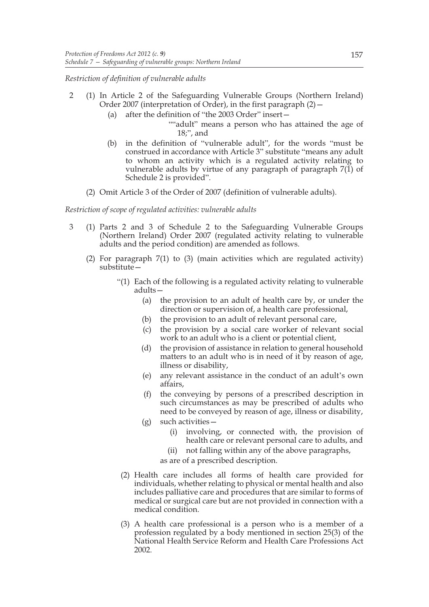*Restriction of definition of vulnerable adults*

- 2 (1) In Article 2 of the Safeguarding Vulnerable Groups (Northern Ireland) Order 2007 (interpretation of Order), in the first paragraph (2)—
	- (a) after the definition of "the 2003 Order" insert—
		- ""adult" means a person who has attained the age of 18;", and
	- (b) in the definition of "vulnerable adult", for the words "must be construed in accordance with Article 3" substitute "means any adult to whom an activity which is a regulated activity relating to vulnerable adults by virtue of any paragraph of paragraph  $7(1)$  of Schedule 2 is provided".
	- (2) Omit Article 3 of the Order of 2007 (definition of vulnerable adults).

## *Restriction of scope of regulated activities: vulnerable adults*

- 3 (1) Parts 2 and 3 of Schedule 2 to the Safeguarding Vulnerable Groups (Northern Ireland) Order 2007 (regulated activity relating to vulnerable adults and the period condition) are amended as follows.
	- (2) For paragraph 7(1) to (3) (main activities which are regulated activity) substitute—
		- "(1) Each of the following is a regulated activity relating to vulnerable adults—
			- (a) the provision to an adult of health care by, or under the direction or supervision of, a health care professional,
			- (b) the provision to an adult of relevant personal care,
			- (c) the provision by a social care worker of relevant social work to an adult who is a client or potential client,
			- (d) the provision of assistance in relation to general household matters to an adult who is in need of it by reason of age, illness or disability,
			- (e) any relevant assistance in the conduct of an adult's own affairs,
			- (f) the conveying by persons of a prescribed description in such circumstances as may be prescribed of adults who need to be conveyed by reason of age, illness or disability,
			- (g) such activities—
				- (i) involving, or connected with, the provision of health care or relevant personal care to adults, and
				- (ii) not falling within any of the above paragraphs,
				- as are of a prescribed description.
		- (2) Health care includes all forms of health care provided for individuals, whether relating to physical or mental health and also includes palliative care and procedures that are similar to forms of medical or surgical care but are not provided in connection with a medical condition.
		- (3) A health care professional is a person who is a member of a profession regulated by a body mentioned in section 25(3) of the National Health Service Reform and Health Care Professions Act 2002.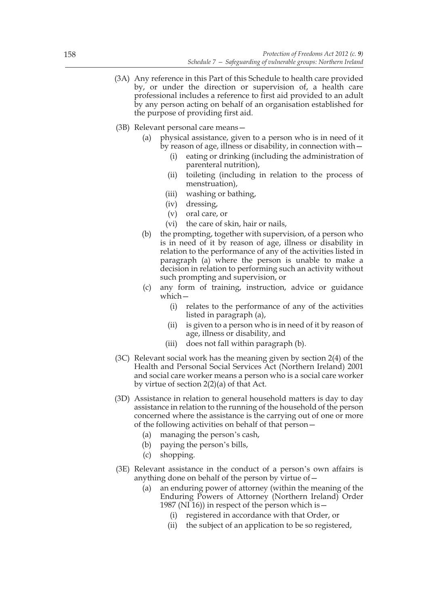- (3A) Any reference in this Part of this Schedule to health care provided by, or under the direction or supervision of, a health care professional includes a reference to first aid provided to an adult by any person acting on behalf of an organisation established for the purpose of providing first aid.
- (3B) Relevant personal care means—
	- (a) physical assistance, given to a person who is in need of it by reason of age, illness or disability, in connection with
		- eating or drinking (including the administration of parenteral nutrition),
		- (ii) toileting (including in relation to the process of menstruation),
		- (iii) washing or bathing,
		- (iv) dressing,
		- (v) oral care, or
		- (vi) the care of skin, hair or nails,
	- (b) the prompting, together with supervision, of a person who is in need of it by reason of age, illness or disability in relation to the performance of any of the activities listed in paragraph (a) where the person is unable to make a decision in relation to performing such an activity without such prompting and supervision, or
	- (c) any form of training, instruction, advice or guidance which—
		- (i) relates to the performance of any of the activities listed in paragraph (a),
		- (ii) is given to a person who is in need of it by reason of age, illness or disability, and
		- (iii) does not fall within paragraph (b).
- (3C) Relevant social work has the meaning given by section 2(4) of the Health and Personal Social Services Act (Northern Ireland) 2001 and social care worker means a person who is a social care worker by virtue of section 2(2)(a) of that Act.
- (3D) Assistance in relation to general household matters is day to day assistance in relation to the running of the household of the person concerned where the assistance is the carrying out of one or more of the following activities on behalf of that person—
	- (a) managing the person's cash,
	- (b) paying the person's bills,
	- (c) shopping.
- (3E) Relevant assistance in the conduct of a person's own affairs is anything done on behalf of the person by virtue of—
	- (a) an enduring power of attorney (within the meaning of the Enduring Powers of Attorney (Northern Ireland) Order 1987 (NI 16)) in respect of the person which is  $-$ 
		- (i) registered in accordance with that Order, or
		- (ii) the subject of an application to be so registered,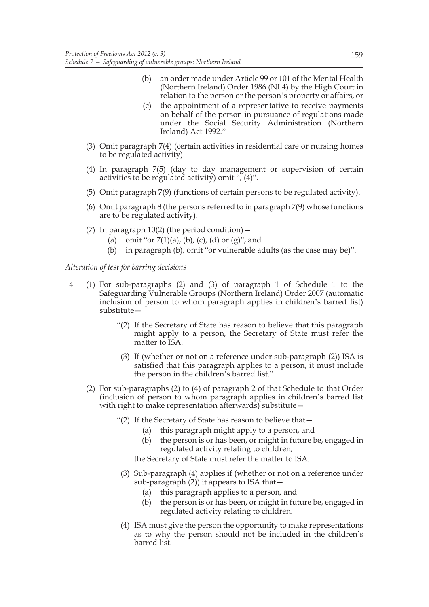- (b) an order made under Article 99 or 101 of the Mental Health (Northern Ireland) Order 1986 (NI 4) by the High Court in relation to the person or the person's property or affairs, or
- (c) the appointment of a representative to receive payments on behalf of the person in pursuance of regulations made under the Social Security Administration (Northern Ireland) Act 1992."
- (3) Omit paragraph 7(4) (certain activities in residential care or nursing homes to be regulated activity).
- (4) In paragraph 7(5) (day to day management or supervision of certain activities to be regulated activity) omit ",  $(4)$ ".
- (5) Omit paragraph 7(9) (functions of certain persons to be regulated activity).
- (6) Omit paragraph 8 (the persons referred to in paragraph 7(9) whose functions are to be regulated activity).
- (7) In paragraph  $10(2)$  (the period condition)
	- (a) omit "or  $7(1)(a)$ , (b), (c), (d) or (g)", and
	- (b) in paragraph (b), omit "or vulnerable adults (as the case may be)".

*Alteration of test for barring decisions*

- 4 (1) For sub-paragraphs (2) and (3) of paragraph 1 of Schedule 1 to the Safeguarding Vulnerable Groups (Northern Ireland) Order 2007 (automatic inclusion of person to whom paragraph applies in children's barred list) substitute—
	- "(2) If the Secretary of State has reason to believe that this paragraph might apply to a person, the Secretary of State must refer the matter to ISA.
	- (3) If (whether or not on a reference under sub-paragraph (2)) ISA is satisfied that this paragraph applies to a person, it must include the person in the children's barred list."
	- (2) For sub-paragraphs (2) to (4) of paragraph 2 of that Schedule to that Order (inclusion of person to whom paragraph applies in children's barred list with right to make representation afterwards) substitute -
		- "(2) If the Secretary of State has reason to believe that—
			- (a) this paragraph might apply to a person, and
			- (b) the person is or has been, or might in future be, engaged in regulated activity relating to children,

the Secretary of State must refer the matter to ISA.

- (3) Sub-paragraph (4) applies if (whether or not on a reference under sub-paragraph (2)) it appears to ISA that—
	- (a) this paragraph applies to a person, and
	- (b) the person is or has been, or might in future be, engaged in regulated activity relating to children.
- (4) ISA must give the person the opportunity to make representations as to why the person should not be included in the children's barred list.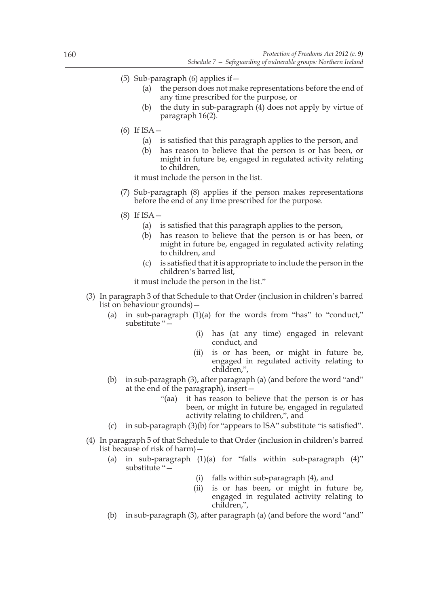- (5) Sub-paragraph (6) applies if—
	- (a) the person does not make representations before the end of any time prescribed for the purpose, or
	- (b) the duty in sub-paragraph (4) does not apply by virtue of paragraph 16(2).
- $(6)$  If ISA
	- (a) is satisfied that this paragraph applies to the person, and
	- (b) has reason to believe that the person is or has been, or might in future be, engaged in regulated activity relating to children,

it must include the person in the list.

- (7) Sub-paragraph (8) applies if the person makes representations before the end of any time prescribed for the purpose.
- (8) If ISA—
	- (a) is satisfied that this paragraph applies to the person,
	- (b) has reason to believe that the person is or has been, or might in future be, engaged in regulated activity relating to children, and
	- (c) is satisfied that it is appropriate to include the person in the children's barred list,

it must include the person in the list."

- (3) In paragraph 3 of that Schedule to that Order (inclusion in children's barred list on behaviour grounds)—
	- (a) in sub-paragraph (1)(a) for the words from "has" to "conduct," substitute "—
		- (i) has (at any time) engaged in relevant conduct, and
		- (ii) is or has been, or might in future be, engaged in regulated activity relating to children,",
	- (b) in sub-paragraph (3), after paragraph (a) (and before the word "and" at the end of the paragraph), insert—
		- "(aa) it has reason to believe that the person is or has been, or might in future be, engaged in regulated activity relating to children,", and
	- (c) in sub-paragraph (3)(b) for "appears to ISA" substitute "is satisfied".
- (4) In paragraph 5 of that Schedule to that Order (inclusion in children's barred list because of risk of harm)—
	- (a) in sub-paragraph  $(1)(a)$  for "falls within sub-paragraph  $(4)$ " substitute "—
		- (i) falls within sub-paragraph (4), and
		- (ii) is or has been, or might in future be, engaged in regulated activity relating to children,",
	- (b) in sub-paragraph (3), after paragraph (a) (and before the word "and"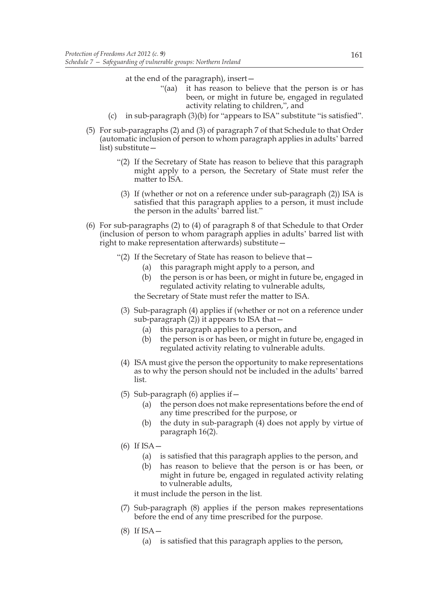at the end of the paragraph), insert—

- "(aa) it has reason to believe that the person is or has been, or might in future be, engaged in regulated activity relating to children,", and
- (c) in sub-paragraph (3)(b) for "appears to ISA" substitute "is satisfied".
- (5) For sub-paragraphs (2) and (3) of paragraph 7 of that Schedule to that Order (automatic inclusion of person to whom paragraph applies in adults' barred list) substitute—
	- "(2) If the Secretary of State has reason to believe that this paragraph might apply to a person, the Secretary of State must refer the matter to ISA.
	- (3) If (whether or not on a reference under sub-paragraph (2)) ISA is satisfied that this paragraph applies to a person, it must include the person in the adults' barred list."
- (6) For sub-paragraphs (2) to (4) of paragraph 8 of that Schedule to that Order (inclusion of person to whom paragraph applies in adults' barred list with right to make representation afterwards) substitute—
	- "(2) If the Secretary of State has reason to believe that—
		- (a) this paragraph might apply to a person, and
		- (b) the person is or has been, or might in future be, engaged in regulated activity relating to vulnerable adults,

the Secretary of State must refer the matter to ISA.

- (3) Sub-paragraph (4) applies if (whether or not on a reference under sub-paragraph  $(2)$ ) it appears to ISA that  $-$ 
	- (a) this paragraph applies to a person, and
	- (b) the person is or has been, or might in future be, engaged in regulated activity relating to vulnerable adults.
- (4) ISA must give the person the opportunity to make representations as to why the person should not be included in the adults' barred list.
- (5) Sub-paragraph (6) applies if—
	- (a) the person does not make representations before the end of any time prescribed for the purpose, or
	- (b) the duty in sub-paragraph (4) does not apply by virtue of paragraph 16(2).
- $(6)$  If ISA
	- (a) is satisfied that this paragraph applies to the person, and
	- (b) has reason to believe that the person is or has been, or might in future be, engaged in regulated activity relating to vulnerable adults,

it must include the person in the list.

- (7) Sub-paragraph (8) applies if the person makes representations before the end of any time prescribed for the purpose.
- $(8)$  If ISA
	- (a) is satisfied that this paragraph applies to the person,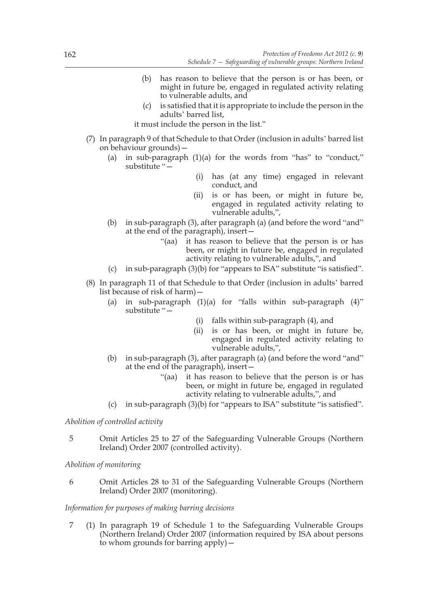- (b) has reason to believe that the person is or has been, or might in future be, engaged in regulated activity relating to vulnerable adults, and
- (c) is satisfied that it is appropriate to include the person in the adults' barred list,

it must include the person in the list."

- (7) In paragraph 9 of that Schedule to that Order (inclusion in adults' barred list on behaviour grounds)—
	- (a) in sub-paragraph  $(1)(a)$  for the words from "has" to "conduct," substitute "—
		- (i) has (at any time) engaged in relevant conduct, and
		- (ii) is or has been, or might in future be, engaged in regulated activity relating to vulnerable adults,",
	- (b) in sub-paragraph (3), after paragraph (a) (and before the word "and" at the end of the paragraph), insert—
		- "(aa) it has reason to believe that the person is or has been, or might in future be, engaged in regulated activity relating to vulnerable adults,", and
	- (c) in sub-paragraph (3)(b) for "appears to ISA" substitute "is satisfied".
- (8) In paragraph 11 of that Schedule to that Order (inclusion in adults' barred list because of risk of harm)—
	- (a) in sub-paragraph  $(1)(a)$  for "falls within sub-paragraph  $(4)$ " substitute "—
		- (i) falls within sub-paragraph (4), and
		- (ii) is or has been, or might in future be, engaged in regulated activity relating to vulnerable adults,",
	- (b) in sub-paragraph (3), after paragraph (a) (and before the word "and" at the end of the paragraph), insert—
		- "(aa) it has reason to believe that the person is or has been, or might in future be, engaged in regulated activity relating to vulnerable adults,", and
	- (c) in sub-paragraph (3)(b) for "appears to ISA" substitute "is satisfied".

*Abolition of controlled activity*

5 Omit Articles 25 to 27 of the Safeguarding Vulnerable Groups (Northern Ireland) Order 2007 (controlled activity).

*Abolition of monitoring*

6 Omit Articles 28 to 31 of the Safeguarding Vulnerable Groups (Northern Ireland) Order 2007 (monitoring).

#### *Information for purposes of making barring decisions*

7 (1) In paragraph 19 of Schedule 1 to the Safeguarding Vulnerable Groups (Northern Ireland) Order 2007 (information required by ISA about persons to whom grounds for barring apply)—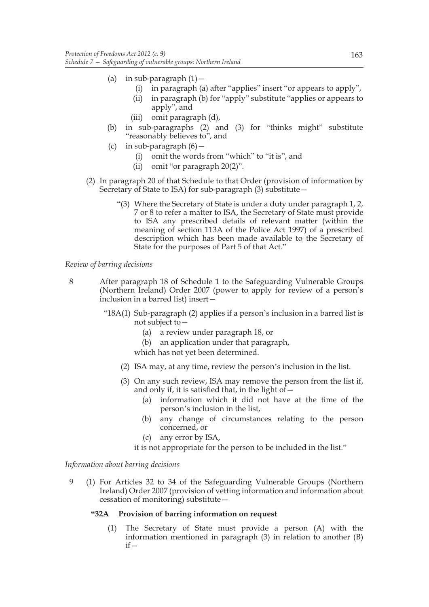- (a) in sub-paragraph  $(1)$  -
	- (i) in paragraph (a) after "applies" insert "or appears to apply",
	- (ii) in paragraph (b) for "apply" substitute "applies or appears to apply", and
	- (iii) omit paragraph (d),
- (b) in sub-paragraphs (2) and (3) for "thinks might" substitute "reasonably believes to", and
- (c) in sub-paragraph  $(6)$  -
	- (i) omit the words from "which" to "it is", and
	- (ii) omit "or paragraph 20(2)".
- (2) In paragraph 20 of that Schedule to that Order (provision of information by Secretary of State to ISA) for sub-paragraph (3) substitute—
	- "(3) Where the Secretary of State is under a duty under paragraph 1, 2, 7 or 8 to refer a matter to ISA, the Secretary of State must provide to ISA any prescribed details of relevant matter (within the meaning of section 113A of the Police Act 1997) of a prescribed description which has been made available to the Secretary of State for the purposes of Part 5 of that Act."

## *Review of barring decisions*

- 8 After paragraph 18 of Schedule 1 to the Safeguarding Vulnerable Groups (Northern Ireland) Order 2007 (power to apply for review of a person's inclusion in a barred list) insert—
	- "18A(1) Sub-paragraph (2) applies if a person's inclusion in a barred list is not subject to—
		- (a) a review under paragraph 18, or
		- (b) an application under that paragraph,
		- which has not yet been determined.
		- (2) ISA may, at any time, review the person's inclusion in the list.
		- (3) On any such review, ISA may remove the person from the list if, and only if, it is satisfied that, in the light of  $-$ 
			- (a) information which it did not have at the time of the person's inclusion in the list,
			- (b) any change of circumstances relating to the person concerned, or
			- (c) any error by ISA,

it is not appropriate for the person to be included in the list."

*Information about barring decisions*

9 (1) For Articles 32 to 34 of the Safeguarding Vulnerable Groups (Northern Ireland) Order 2007 (provision of vetting information and information about cessation of monitoring) substitute—

## **"32A Provision of barring information on request**

(1) The Secretary of State must provide a person (A) with the information mentioned in paragraph (3) in relation to another (B)  $if -$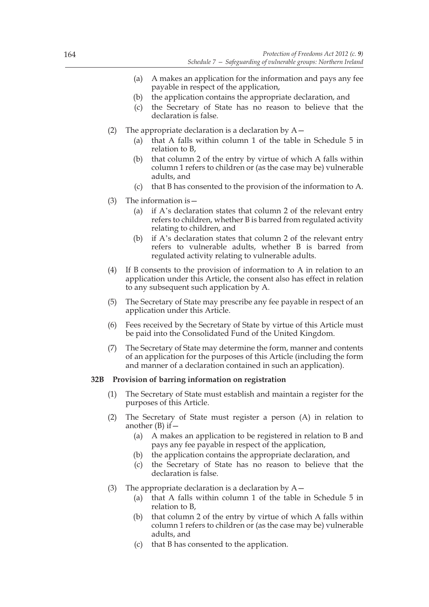- (a) A makes an application for the information and pays any fee payable in respect of the application,
- (b) the application contains the appropriate declaration, and
- (c) the Secretary of State has no reason to believe that the declaration is false.
- (2) The appropriate declaration is a declaration by  $A-$ 
	- (a) that A falls within column 1 of the table in Schedule 5 in relation to B,
	- (b) that column 2 of the entry by virtue of which A falls within column 1 refers to children or (as the case may be) vulnerable adults, and
	- (c) that B has consented to the provision of the information to A.
- (3) The information is—
	- (a) if A's declaration states that column 2 of the relevant entry refers to children, whether B is barred from regulated activity relating to children, and
	- (b) if A's declaration states that column 2 of the relevant entry refers to vulnerable adults, whether B is barred from regulated activity relating to vulnerable adults.
- (4) If B consents to the provision of information to A in relation to an application under this Article, the consent also has effect in relation to any subsequent such application by A.
- (5) The Secretary of State may prescribe any fee payable in respect of an application under this Article.
- (6) Fees received by the Secretary of State by virtue of this Article must be paid into the Consolidated Fund of the United Kingdom.
- (7) The Secretary of State may determine the form, manner and contents of an application for the purposes of this Article (including the form and manner of a declaration contained in such an application).

#### **32B Provision of barring information on registration**

- (1) The Secretary of State must establish and maintain a register for the purposes of this Article.
- (2) The Secretary of State must register a person (A) in relation to another  $(B)$  if  $-$ 
	- (a) A makes an application to be registered in relation to B and pays any fee payable in respect of the application,
	- (b) the application contains the appropriate declaration, and
	- (c) the Secretary of State has no reason to believe that the declaration is false.
- (3) The appropriate declaration is a declaration by  $A-$ 
	- (a) that A falls within column 1 of the table in Schedule 5 in relation to B,
	- (b) that column 2 of the entry by virtue of which A falls within column 1 refers to children or (as the case may be) vulnerable adults, and
	- (c) that B has consented to the application.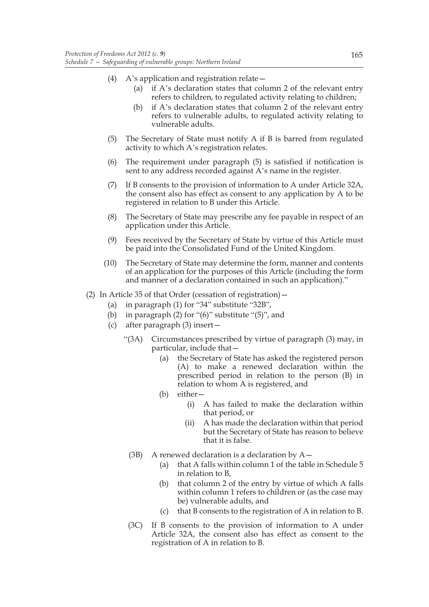- (4) A's application and registration relate—
	- (a) if A's declaration states that column 2 of the relevant entry refers to children, to regulated activity relating to children;
	- (b) if A's declaration states that column 2 of the relevant entry refers to vulnerable adults, to regulated activity relating to vulnerable adults.
- (5) The Secretary of State must notify A if B is barred from regulated activity to which A's registration relates.
- (6) The requirement under paragraph (5) is satisfied if notification is sent to any address recorded against A's name in the register.
- (7) If B consents to the provision of information to A under Article 32A, the consent also has effect as consent to any application by A to be registered in relation to B under this Article.
- (8) The Secretary of State may prescribe any fee payable in respect of an application under this Article.
- (9) Fees received by the Secretary of State by virtue of this Article must be paid into the Consolidated Fund of the United Kingdom.
- (10) The Secretary of State may determine the form, manner and contents of an application for the purposes of this Article (including the form and manner of a declaration contained in such an application)."
- (2) In Article 35 of that Order (cessation of registration)—
	- (a) in paragraph (1) for "34" substitute "32B",
	- (b) in paragraph (2) for "(6)" substitute "(5)", and
	- (c) after paragraph (3) insert—
		- "(3A) Circumstances prescribed by virtue of paragraph (3) may, in particular, include that—
			- (a) the Secretary of State has asked the registered person (A) to make a renewed declaration within the prescribed period in relation to the person (B) in relation to whom A is registered, and
			- (b) either—
				- (i) A has failed to make the declaration within that period, or
				- (ii) A has made the declaration within that period but the Secretary of State has reason to believe that it is false.
			- (3B) A renewed declaration is a declaration by  $A-$ 
				- (a) that A falls within column 1 of the table in Schedule 5 in relation to B,
				- (b) that column 2 of the entry by virtue of which A falls within column 1 refers to children or (as the case may be) vulnerable adults, and
				- (c) that B consents to the registration of A in relation to B.
			- (3C) If B consents to the provision of information to A under Article 32A, the consent also has effect as consent to the registration of A in relation to B.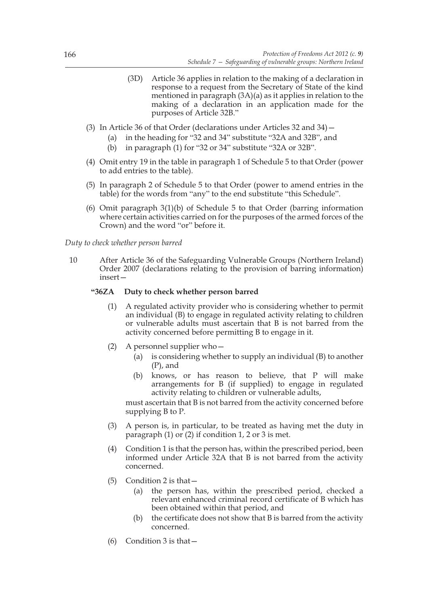- (3D) Article 36 applies in relation to the making of a declaration in response to a request from the Secretary of State of the kind mentioned in paragraph (3A)(a) as it applies in relation to the making of a declaration in an application made for the purposes of Article 32B."
- (3) In Article 36 of that Order (declarations under Articles 32 and 34)—
	- (a) in the heading for "32 and 34" substitute "32A and 32B", and
	- (b) in paragraph (1) for "32 or 34" substitute "32A or 32B".
- (4) Omit entry 19 in the table in paragraph 1 of Schedule 5 to that Order (power to add entries to the table).
- (5) In paragraph 2 of Schedule 5 to that Order (power to amend entries in the table) for the words from "any" to the end substitute "this Schedule".
- (6) Omit paragraph 3(1)(b) of Schedule 5 to that Order (barring information where certain activities carried on for the purposes of the armed forces of the Crown) and the word "or" before it.

*Duty to check whether person barred*

10 After Article 36 of the Safeguarding Vulnerable Groups (Northern Ireland) Order 2007 (declarations relating to the provision of barring information) insert—

# **"36ZA Duty to check whether person barred**

- (1) A regulated activity provider who is considering whether to permit an individual (B) to engage in regulated activity relating to children or vulnerable adults must ascertain that B is not barred from the activity concerned before permitting B to engage in it.
- (2) A personnel supplier who—
	- (a) is considering whether to supply an individual (B) to another (P), and
	- (b) knows, or has reason to believe, that P will make arrangements for B (if supplied) to engage in regulated activity relating to children or vulnerable adults,

must ascertain that B is not barred from the activity concerned before supplying B to P.

- (3) A person is, in particular, to be treated as having met the duty in paragraph (1) or (2) if condition 1, 2 or 3 is met.
- (4) Condition 1 is that the person has, within the prescribed period, been informed under Article 32A that B is not barred from the activity concerned.
- (5) Condition 2 is that—
	- (a) the person has, within the prescribed period, checked a relevant enhanced criminal record certificate of B which has been obtained within that period, and
	- (b) the certificate does not show that B is barred from the activity concerned.
- (6) Condition 3 is that—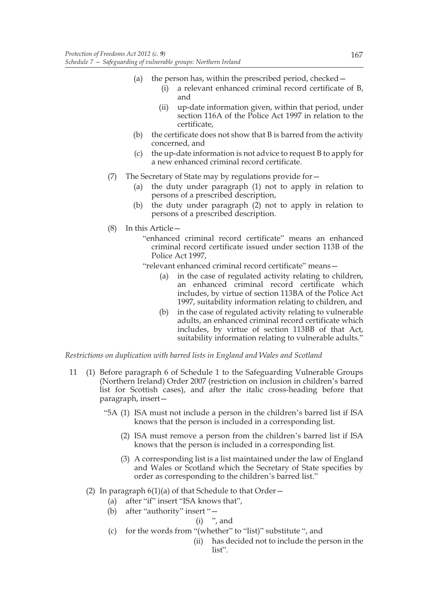- (a) the person has, within the prescribed period, checked  $-$ 
	- (i) a relevant enhanced criminal record certificate of B, and
	- (ii) up-date information given, within that period, under section 116A of the Police Act 1997 in relation to the certificate,
- (b) the certificate does not show that B is barred from the activity concerned, and
- (c) the up-date information is not advice to request B to apply for a new enhanced criminal record certificate.
- (7) The Secretary of State may by regulations provide for—
	- (a) the duty under paragraph (1) not to apply in relation to persons of a prescribed description,
	- (b) the duty under paragraph (2) not to apply in relation to persons of a prescribed description.
- (8) In this Article—
	- "enhanced criminal record certificate" means an enhanced criminal record certificate issued under section 113B of the Police Act 1997,
	- "relevant enhanced criminal record certificate" means—
		- (a) in the case of regulated activity relating to children, an enhanced criminal record certificate which includes, by virtue of section 113BA of the Police Act 1997, suitability information relating to children, and
		- (b) in the case of regulated activity relating to vulnerable adults, an enhanced criminal record certificate which includes, by virtue of section 113BB of that Act, suitability information relating to vulnerable adults."

*Restrictions on duplication with barred lists in England and Wales and Scotland*

- 11 (1) Before paragraph 6 of Schedule 1 to the Safeguarding Vulnerable Groups (Northern Ireland) Order 2007 (restriction on inclusion in children's barred list for Scottish cases), and after the italic cross-heading before that paragraph, insert—
	- "5A (1) ISA must not include a person in the children's barred list if ISA knows that the person is included in a corresponding list.
		- (2) ISA must remove a person from the children's barred list if ISA knows that the person is included in a corresponding list.
		- (3) A corresponding list is a list maintained under the law of England and Wales or Scotland which the Secretary of State specifies by order as corresponding to the children's barred list."
	- (2) In paragraph  $6(1)(a)$  of that Schedule to that Order  $-$ 
		- (a) after "if" insert "ISA knows that",
		- (b) after "authority" insert "—

# $(i)$  ", and

- (c) for the words from "(whether" to "list)" substitute ", and
	- (ii) has decided not to include the person in the list".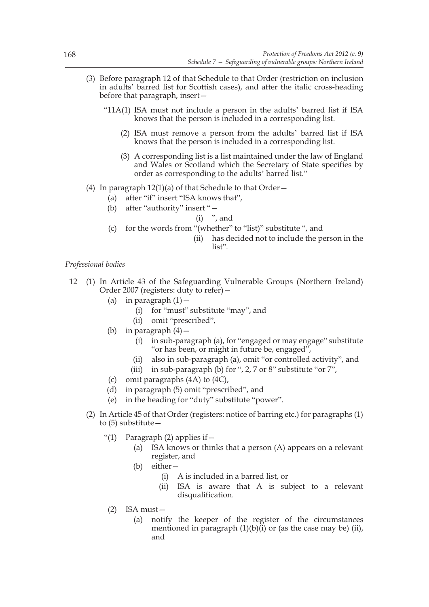- (3) Before paragraph 12 of that Schedule to that Order (restriction on inclusion in adults' barred list for Scottish cases), and after the italic cross-heading before that paragraph, insert—
	- "11A(1) ISA must not include a person in the adults' barred list if ISA knows that the person is included in a corresponding list.
		- (2) ISA must remove a person from the adults' barred list if ISA knows that the person is included in a corresponding list.
		- (3) A corresponding list is a list maintained under the law of England and Wales or Scotland which the Secretary of State specifies by order as corresponding to the adults' barred list."
- (4) In paragraph  $12(1)(a)$  of that Schedule to that Order
	- (a) after "if" insert "ISA knows that",
	- (b) after "authority" insert "—

 $(i)$  ", and

- (c) for the words from "(whether" to "list)" substitute ", and
	- (ii) has decided not to include the person in the list".

*Professional bodies*

- 12 (1) In Article 43 of the Safeguarding Vulnerable Groups (Northern Ireland) Order 2007 (registers: duty to refer)—
	- (a) in paragraph  $(1)$  -
		- (i) for "must" substitute "may", and
		- (ii) omit "prescribed",
	- (b) in paragraph  $(4)$ 
		- (i) in sub-paragraph (a), for "engaged or may engage" substitute "or has been, or might in future be, engaged",
		- (ii) also in sub-paragraph (a), omit "or controlled activity", and
		- (iii) in sub-paragraph (b) for ", 2, 7 or 8" substitute "or 7",
	- (c) omit paragraphs (4A) to (4C),
	- (d) in paragraph (5) omit "prescribed", and
	- (e) in the heading for "duty" substitute "power".
	- (2) In Article 45 of that Order (registers: notice of barring etc.) for paragraphs (1) to (5) substitute—
		- "(1) Paragraph (2) applies if—
			- (a) ISA knows or thinks that a person (A) appears on a relevant register, and
			- (b) either—
				- (i) A is included in a barred list, or
				- (ii) ISA is aware that A is subject to a relevant disqualification.
		- (2) ISA must—
			- (a) notify the keeper of the register of the circumstances mentioned in paragraph  $(1)(b)(i)$  or (as the case may be) (ii), and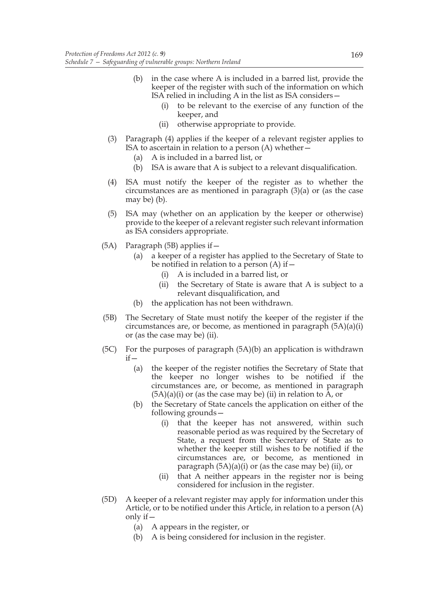- (b) in the case where A is included in a barred list, provide the keeper of the register with such of the information on which ISA relied in including A in the list as ISA considers—
	- (i) to be relevant to the exercise of any function of the keeper, and
	- (ii) otherwise appropriate to provide.
- (3) Paragraph (4) applies if the keeper of a relevant register applies to ISA to ascertain in relation to a person  $(A)$  whether  $-$ 
	- (a) A is included in a barred list, or
	- (b) ISA is aware that A is subject to a relevant disqualification.
- (4) ISA must notify the keeper of the register as to whether the circumstances are as mentioned in paragraph (3)(a) or (as the case may be) (b).
- (5) ISA may (whether on an application by the keeper or otherwise) provide to the keeper of a relevant register such relevant information as ISA considers appropriate.
- (5A) Paragraph (5B) applies if—
	- (a) a keeper of a register has applied to the Secretary of State to be notified in relation to a person  $(A)$  if  $-$ 
		- (i) A is included in a barred list, or
		- (ii) the Secretary of State is aware that A is subject to a relevant disqualification, and
	- (b) the application has not been withdrawn.
- (5B) The Secretary of State must notify the keeper of the register if the circumstances are, or become, as mentioned in paragraph (5A)(a)(i) or (as the case may be) (ii).
- (5C) For the purposes of paragraph (5A)(b) an application is withdrawn  $if -$ 
	- (a) the keeper of the register notifies the Secretary of State that the keeper no longer wishes to be notified if the circumstances are, or become, as mentioned in paragraph  $(5A)(a)(i)$  or (as the case may be) (ii) in relation to A, or
	- (b) the Secretary of State cancels the application on either of the following grounds—
		- (i) that the keeper has not answered, within such reasonable period as was required by the Secretary of State, a request from the Secretary of State as to whether the keeper still wishes to be notified if the circumstances are, or become, as mentioned in paragraph  $(5A)(a)(i)$  or (as the case may be) (ii), or
		- (ii) that A neither appears in the register nor is being considered for inclusion in the register.
- (5D) A keeper of a relevant register may apply for information under this Article, or to be notified under this Article, in relation to a person (A) only if—
	- (a) A appears in the register, or
	- (b) A is being considered for inclusion in the register.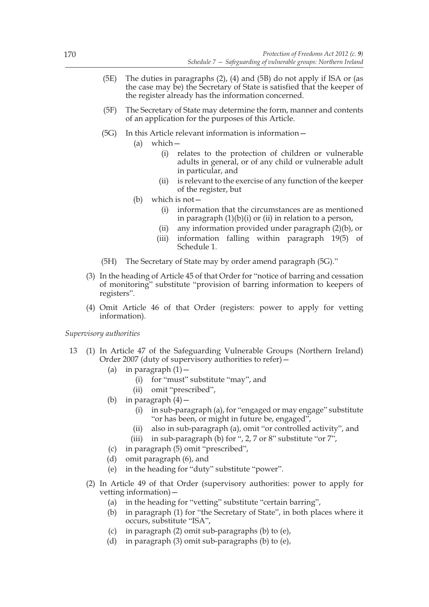- (5E) The duties in paragraphs (2), (4) and (5B) do not apply if ISA or (as the case may be) the Secretary of State is satisfied that the keeper of the register already has the information concerned.
- (5F) The Secretary of State may determine the form, manner and contents of an application for the purposes of this Article.
- (5G) In this Article relevant information is information—
	- (a) which—
		- (i) relates to the protection of children or vulnerable adults in general, or of any child or vulnerable adult in particular, and
		- (ii) is relevant to the exercise of any function of the keeper of the register, but
	- (b) which is not—
		- (i) information that the circumstances are as mentioned in paragraph  $(1)(b)(i)$  or  $(ii)$  in relation to a person,
		- (ii) any information provided under paragraph (2)(b), or
		- (iii) information falling within paragraph 19(5) of Schedule 1.
- (5H) The Secretary of State may by order amend paragraph (5G)."
- (3) In the heading of Article 45 of that Order for "notice of barring and cessation of monitoring" substitute "provision of barring information to keepers of registers".
- (4) Omit Article 46 of that Order (registers: power to apply for vetting information).

*Supervisory authorities*

- 13 (1) In Article 47 of the Safeguarding Vulnerable Groups (Northern Ireland) Order 2007 (duty of supervisory authorities to refer)—
	- (a) in paragraph  $(1)$  -
		- (i) for "must" substitute "may", and
		- (ii) omit "prescribed",
	- (b) in paragraph  $(4)$  -
		- (i) in sub-paragraph (a), for "engaged or may engage" substitute "or has been, or might in future be, engaged",
		- (ii) also in sub-paragraph (a), omit "or controlled activity", and
		- (iii) in sub-paragraph (b) for ", 2, 7 or 8" substitute "or 7",
	- (c) in paragraph (5) omit "prescribed",
	- (d) omit paragraph (6), and
	- (e) in the heading for "duty" substitute "power".
	- (2) In Article 49 of that Order (supervisory authorities: power to apply for vetting information)—
		- (a) in the heading for "vetting" substitute "certain barring",
		- (b) in paragraph (1) for "the Secretary of State", in both places where it occurs, substitute "ISA",
		- (c) in paragraph (2) omit sub-paragraphs (b) to (e),
		- (d) in paragraph (3) omit sub-paragraphs (b) to (e),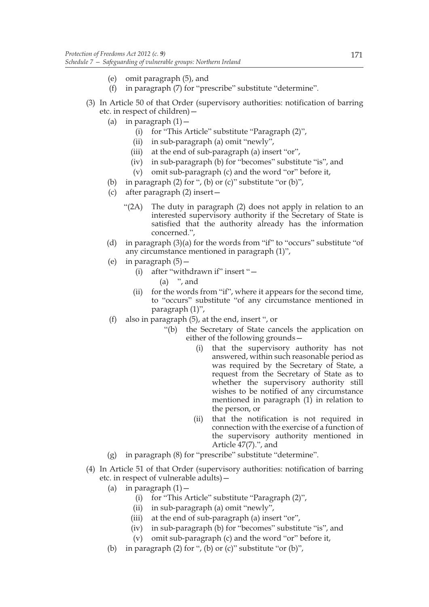- (e) omit paragraph (5), and
- (f) in paragraph (7) for "prescribe" substitute "determine".
- (3) In Article 50 of that Order (supervisory authorities: notification of barring etc. in respect of children)—
	- (a) in paragraph  $(1)$  -
		- (i) for "This Article" substitute "Paragraph (2)",
		- (ii) in sub-paragraph (a) omit "newly",
		- (iii) at the end of sub-paragraph (a) insert "or",
		- (iv) in sub-paragraph (b) for "becomes" substitute "is", and
		- (v) omit sub-paragraph (c) and the word "or" before it,
	- (b) in paragraph  $(2)$  for ",  $(b)$  or  $(c)$ " substitute "or  $(b)$ ",
	- (c) after paragraph (2) insert—
		- "(2A) The duty in paragraph (2) does not apply in relation to an interested supervisory authority if the Secretary of State is satisfied that the authority already has the information concerned.",
	- (d) in paragraph (3)(a) for the words from "if" to "occurs" substitute "of any circumstance mentioned in paragraph (1)",
	- (e) in paragraph  $(5)$  -
		- (i) after "withdrawn if" insert "—
			- $(a)$  ", and
		- (ii) for the words from "if", where it appears for the second time, to "occurs" substitute "of any circumstance mentioned in paragraph (1)",
	- (f) also in paragraph (5), at the end, insert ", or
		- "(b) the Secretary of State cancels the application on either of the following grounds—
			- (i) that the supervisory authority has not answered, within such reasonable period as was required by the Secretary of State, a request from the Secretary of State as to whether the supervisory authority still wishes to be notified of any circumstance mentioned in paragraph (1) in relation to the person, or
			- (ii) that the notification is not required in connection with the exercise of a function of the supervisory authority mentioned in Article 47(7).", and
	- (g) in paragraph (8) for "prescribe" substitute "determine".
- (4) In Article 51 of that Order (supervisory authorities: notification of barring etc. in respect of vulnerable adults)—
	- (a) in paragraph  $(1)$  -
		- (i) for "This Article" substitute "Paragraph (2)",
		- (ii) in sub-paragraph (a) omit "newly",
		- (iii) at the end of sub-paragraph (a) insert "or",
		- (iv) in sub-paragraph (b) for "becomes" substitute "is", and
		- (v) omit sub-paragraph (c) and the word "or" before it,
	- (b) in paragraph (2) for ", (b) or  $(c)$ " substitute "or  $(b)$ ",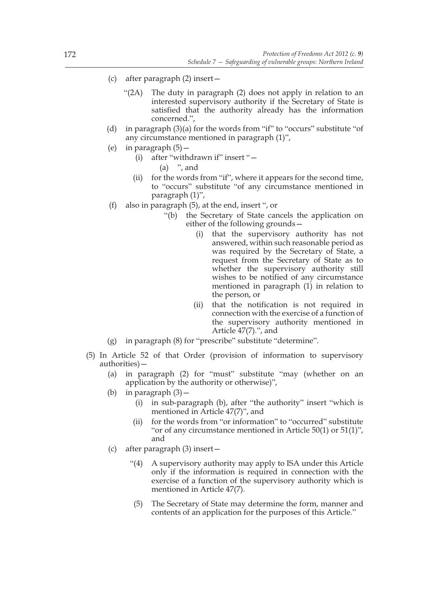- (c) after paragraph (2) insert—
	- "(2A) The duty in paragraph (2) does not apply in relation to an interested supervisory authority if the Secretary of State is satisfied that the authority already has the information concerned.",
- (d) in paragraph  $(3)(a)$  for the words from "if" to "occurs" substitute "of any circumstance mentioned in paragraph (1)",
- (e) in paragraph  $(5)$  -
	- (i) after "withdrawn if" insert "—
		- $(a)$  ", and
	- (ii) for the words from "if", where it appears for the second time, to "occurs" substitute "of any circumstance mentioned in paragraph (1)",
- (f) also in paragraph (5), at the end, insert ", or
	- "(b) the Secretary of State cancels the application on either of the following grounds—
		- (i) that the supervisory authority has not answered, within such reasonable period as was required by the Secretary of State, a request from the Secretary of State as to whether the supervisory authority still wishes to be notified of any circumstance mentioned in paragraph (1) in relation to the person, or
		- (ii) that the notification is not required in connection with the exercise of a function of the supervisory authority mentioned in Article 47(7).", and
- (g) in paragraph (8) for "prescribe" substitute "determine".
- (5) In Article 52 of that Order (provision of information to supervisory authorities)—
	- (a) in paragraph (2) for "must" substitute "may (whether on an application by the authority or otherwise)",
	- (b) in paragraph  $(3)$  -
		- (i) in sub-paragraph (b), after "the authority" insert "which is mentioned in Article 47(7)", and
		- (ii) for the words from "or information" to "occurred" substitute "or of any circumstance mentioned in Article 50(1) or 51(1)", and
	- (c) after paragraph (3) insert—
		- "(4) A supervisory authority may apply to ISA under this Article only if the information is required in connection with the exercise of a function of the supervisory authority which is mentioned in Article 47(7).
		- (5) The Secretary of State may determine the form, manner and contents of an application for the purposes of this Article."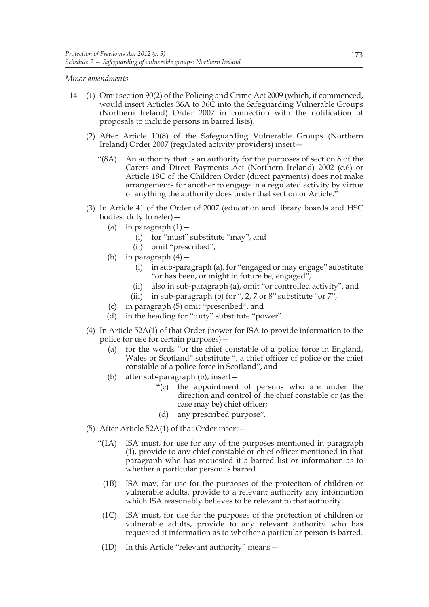### *Minor amendments*

- 14 (1) Omit section 90(2) of the Policing and Crime Act 2009 (which, if commenced, would insert Articles 36A to 36C into the Safeguarding Vulnerable Groups (Northern Ireland) Order 2007 in connection with the notification of proposals to include persons in barred lists).
	- (2) After Article 10(8) of the Safeguarding Vulnerable Groups (Northern Ireland) Order 2007 (regulated activity providers) insert—
		- "(8A) An authority that is an authority for the purposes of section 8 of the Carers and Direct Payments Act (Northern Ireland) 2002 (c.6) or Article 18C of the Children Order (direct payments) does not make arrangements for another to engage in a regulated activity by virtue of anything the authority does under that section or Article."
	- (3) In Article 41 of the Order of 2007 (education and library boards and HSC bodies: duty to refer)—
		- (a) in paragraph  $(1)$  -
			- (i) for "must" substitute "may", and
			- (ii) omit "prescribed",
		- (b) in paragraph  $(4)$  -
			- (i) in sub-paragraph (a), for "engaged or may engage" substitute "or has been, or might in future be, engaged",
			- (ii) also in sub-paragraph (a), omit "or controlled activity", and
			- (iii) in sub-paragraph (b) for ", 2, 7 or 8" substitute "or 7",
		- (c) in paragraph (5) omit "prescribed", and
		- (d) in the heading for "duty" substitute "power".
	- (4) In Article 52A(1) of that Order (power for ISA to provide information to the police for use for certain purposes)—
		- (a) for the words "or the chief constable of a police force in England, Wales or Scotland" substitute ", a chief officer of police or the chief constable of a police force in Scotland", and
		- (b) after sub-paragraph (b), insert—
			- "(c) the appointment of persons who are under the direction and control of the chief constable or (as the case may be) chief officer;
			- (d) any prescribed purpose".
	- (5) After Article 52A(1) of that Order insert—
		- "(1A) ISA must, for use for any of the purposes mentioned in paragraph (1), provide to any chief constable or chief officer mentioned in that paragraph who has requested it a barred list or information as to whether a particular person is barred.
		- (1B) ISA may, for use for the purposes of the protection of children or vulnerable adults, provide to a relevant authority any information which ISA reasonably believes to be relevant to that authority.
		- (1C) ISA must, for use for the purposes of the protection of children or vulnerable adults, provide to any relevant authority who has requested it information as to whether a particular person is barred.
		- (1D) In this Article "relevant authority" means—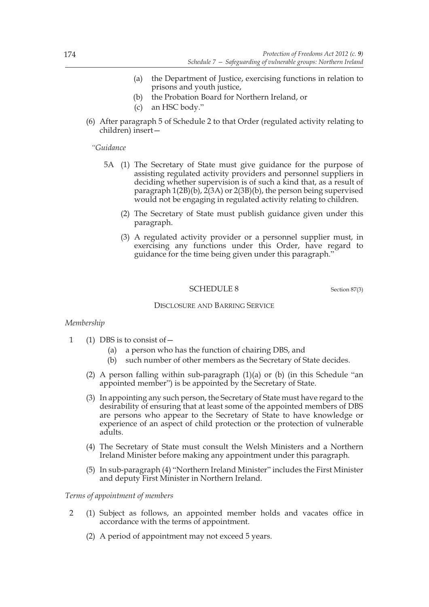- (a) the Department of Justice, exercising functions in relation to prisons and youth justice,
- (b) the Probation Board for Northern Ireland, or
- (c) an HSC body."
- (6) After paragraph 5 of Schedule 2 to that Order (regulated activity relating to children) insert—

#### *"Guidance*

- 5A (1) The Secretary of State must give guidance for the purpose of assisting regulated activity providers and personnel suppliers in deciding whether supervision is of such a kind that, as a result of paragraph 1(2B)(b), 2(3A) or 2(3B)(b), the person being supervised would not be engaging in regulated activity relating to children.
	- (2) The Secretary of State must publish guidance given under this paragraph.
	- (3) A regulated activity provider or a personnel supplier must, in exercising any functions under this Order, have regard to guidance for the time being given under this paragraph."

# SCHEDULE 8 Section 87(3)

#### DISCLOSURE AND BARRING SERVICE

#### *Membership*

- 1 (1) DBS is to consist of  $-$ 
	- (a) a person who has the function of chairing DBS, and
	- (b) such number of other members as the Secretary of State decides.
	- (2) A person falling within sub-paragraph (1)(a) or (b) (in this Schedule "an appointed member") is be appointed by the Secretary of State.
	- (3) In appointing any such person, the Secretary of State must have regard to the desirability of ensuring that at least some of the appointed members of DBS are persons who appear to the Secretary of State to have knowledge or experience of an aspect of child protection or the protection of vulnerable adults.
	- (4) The Secretary of State must consult the Welsh Ministers and a Northern Ireland Minister before making any appointment under this paragraph.
	- (5) In sub-paragraph (4) "Northern Ireland Minister" includes the First Minister and deputy First Minister in Northern Ireland.

#### *Terms of appointment of members*

- 2 (1) Subject as follows, an appointed member holds and vacates office in accordance with the terms of appointment.
	- (2) A period of appointment may not exceed 5 years.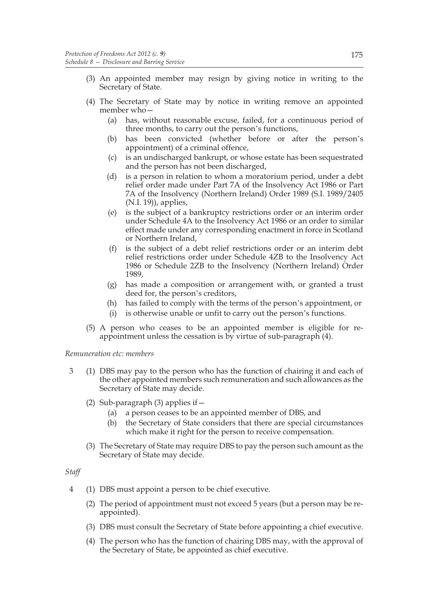- (3) An appointed member may resign by giving notice in writing to the Secretary of State.
- (4) The Secretary of State may by notice in writing remove an appointed member who—
	- (a) has, without reasonable excuse, failed, for a continuous period of three months, to carry out the person's functions,
	- (b) has been convicted (whether before or after the person's appointment) of a criminal offence,
	- (c) is an undischarged bankrupt, or whose estate has been sequestrated and the person has not been discharged,
	- (d) is a person in relation to whom a moratorium period, under a debt relief order made under Part 7A of the Insolvency Act 1986 or Part 7A of the Insolvency (Northern Ireland) Order 1989 (S.I. 1989/2405 (N.I. 19)), applies,
	- (e) is the subject of a bankruptcy restrictions order or an interim order under Schedule 4A to the Insolvency Act 1986 or an order to similar effect made under any corresponding enactment in force in Scotland or Northern Ireland,
	- (f) is the subject of a debt relief restrictions order or an interim debt relief restrictions order under Schedule 4ZB to the Insolvency Act 1986 or Schedule 2ZB to the Insolvency (Northern Ireland) Order 1989,
	- (g) has made a composition or arrangement with, or granted a trust deed for, the person's creditors,
	- (h) has failed to comply with the terms of the person's appointment, or
	- (i) is otherwise unable or unfit to carry out the person's functions.
- (5) A person who ceases to be an appointed member is eligible for reappointment unless the cessation is by virtue of sub-paragraph (4).

#### *Remuneration etc: members*

- 3 (1) DBS may pay to the person who has the function of chairing it and each of the other appointed members such remuneration and such allowances as the Secretary of State may decide.
	- (2) Sub-paragraph (3) applies if—
		- (a) a person ceases to be an appointed member of DBS, and
		- (b) the Secretary of State considers that there are special circumstances which make it right for the person to receive compensation.
	- (3) The Secretary of State may require DBS to pay the person such amount as the Secretary of State may decide.

### *Staff*

- 4 (1) DBS must appoint a person to be chief executive.
	- (2) The period of appointment must not exceed 5 years (but a person may be reappointed).
	- (3) DBS must consult the Secretary of State before appointing a chief executive.
	- (4) The person who has the function of chairing DBS may, with the approval of the Secretary of State, be appointed as chief executive.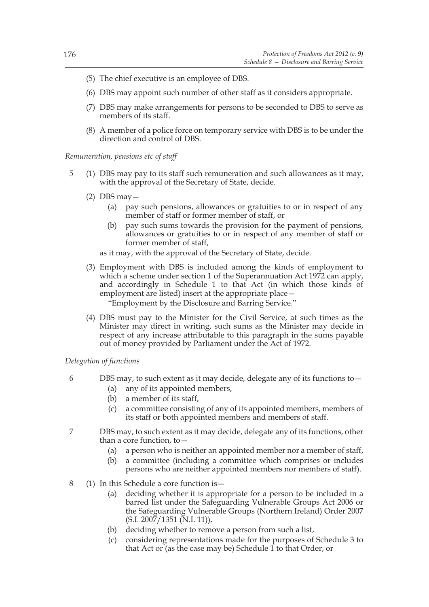- (5) The chief executive is an employee of DBS.
- (6) DBS may appoint such number of other staff as it considers appropriate.
- (7) DBS may make arrangements for persons to be seconded to DBS to serve as members of its staff.
- (8) A member of a police force on temporary service with DBS is to be under the direction and control of DBS.

*Remuneration, pensions etc of staff*

- 5 (1) DBS may pay to its staff such remuneration and such allowances as it may, with the approval of the Secretary of State, decide.
	- (2) DBS may  $-$ 
		- (a) pay such pensions, allowances or gratuities to or in respect of any member of staff or former member of staff, or
		- (b) pay such sums towards the provision for the payment of pensions, allowances or gratuities to or in respect of any member of staff or former member of staff,

as it may, with the approval of the Secretary of State, decide.

(3) Employment with DBS is included among the kinds of employment to which a scheme under section 1 of the Superannuation Act 1972 can apply, and accordingly in Schedule 1 to that Act (in which those kinds of employment are listed) insert at the appropriate place—

"Employment by the Disclosure and Barring Service."

(4) DBS must pay to the Minister for the Civil Service, at such times as the Minister may direct in writing, such sums as the Minister may decide in respect of any increase attributable to this paragraph in the sums payable out of money provided by Parliament under the Act of 1972.

# *Delegation of functions*

- 6 DBS may, to such extent as it may decide, delegate any of its functions to—
	- (a) any of its appointed members,
	- (b) a member of its staff,
	- (c) a committee consisting of any of its appointed members, members of its staff or both appointed members and members of staff.
- 7 DBS may, to such extent as it may decide, delegate any of its functions, other than a core function, to—
	- (a) a person who is neither an appointed member nor a member of staff,
	- (b) a committee (including a committee which comprises or includes persons who are neither appointed members nor members of staff).
- 8 (1) In this Schedule a core function is—
	- (a) deciding whether it is appropriate for a person to be included in a barred list under the Safeguarding Vulnerable Groups Act 2006 or the Safeguarding Vulnerable Groups (Northern Ireland) Order 2007  $(S.I. 2007/1351 (N.I. 11)),$
	- (b) deciding whether to remove a person from such a list,
	- (c) considering representations made for the purposes of Schedule 3 to that Act or (as the case may be) Schedule  $\overline{1}$  to that Order, or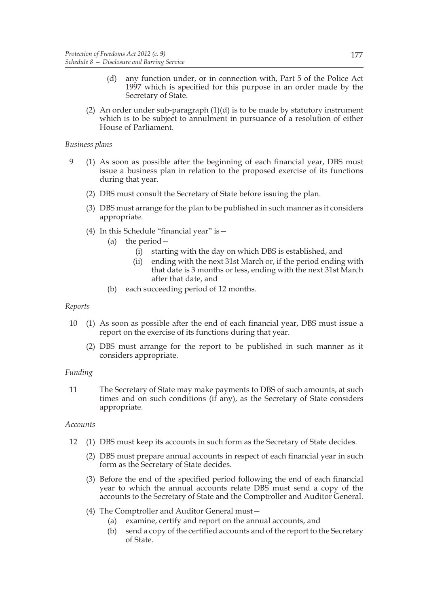- (d) any function under, or in connection with, Part 5 of the Police Act 1997 which is specified for this purpose in an order made by the Secretary of State.
- (2) An order under sub-paragraph (1)(d) is to be made by statutory instrument which is to be subject to annulment in pursuance of a resolution of either House of Parliament.

### *Business plans*

- 9 (1) As soon as possible after the beginning of each financial year, DBS must issue a business plan in relation to the proposed exercise of its functions during that year.
	- (2) DBS must consult the Secretary of State before issuing the plan.
	- (3) DBS must arrange for the plan to be published in such manner as it considers appropriate.
	- (4) In this Schedule "financial year" is  $-$ 
		- (a) the period—
			- (i) starting with the day on which DBS is established, and
			- (ii) ending with the next 31st March or, if the period ending with that date is 3 months or less, ending with the next 31st March after that date, and
		- (b) each succeeding period of 12 months.

#### *Reports*

- 10 (1) As soon as possible after the end of each financial year, DBS must issue a report on the exercise of its functions during that year.
	- (2) DBS must arrange for the report to be published in such manner as it considers appropriate.

#### *Funding*

11 The Secretary of State may make payments to DBS of such amounts, at such times and on such conditions (if any), as the Secretary of State considers appropriate.

# *Accounts*

- 12 (1) DBS must keep its accounts in such form as the Secretary of State decides.
	- (2) DBS must prepare annual accounts in respect of each financial year in such form as the Secretary of State decides.
	- (3) Before the end of the specified period following the end of each financial year to which the annual accounts relate DBS must send a copy of the accounts to the Secretary of State and the Comptroller and Auditor General.
	- (4) The Comptroller and Auditor General must—
		- (a) examine, certify and report on the annual accounts, and
		- (b) send a copy of the certified accounts and of the report to the Secretary of State.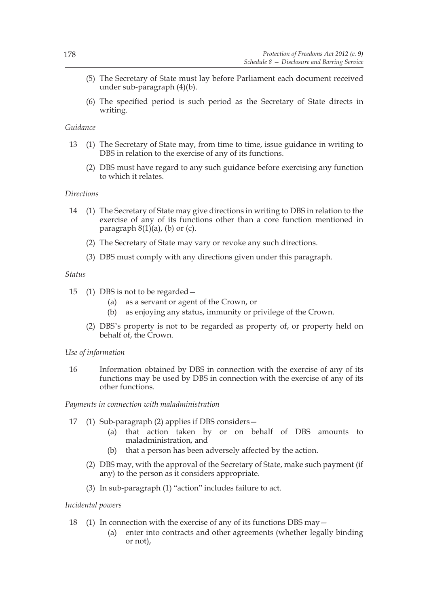- (5) The Secretary of State must lay before Parliament each document received under sub-paragraph (4)(b).
- (6) The specified period is such period as the Secretary of State directs in writing.

#### *Guidance*

- 13 (1) The Secretary of State may, from time to time, issue guidance in writing to DBS in relation to the exercise of any of its functions.
	- (2) DBS must have regard to any such guidance before exercising any function to which it relates.

### *Directions*

- 14 (1) The Secretary of State may give directions in writing to DBS in relation to the exercise of any of its functions other than a core function mentioned in paragraph  $8(1)(a)$ , (b) or (c).
	- (2) The Secretary of State may vary or revoke any such directions.
	- (3) DBS must comply with any directions given under this paragraph.

#### *Status*

- 15 (1) DBS is not to be regarded—
	- (a) as a servant or agent of the Crown, or
	- (b) as enjoying any status, immunity or privilege of the Crown.
	- (2) DBS's property is not to be regarded as property of, or property held on behalf of, the Crown.

#### *Use of information*

16 Information obtained by DBS in connection with the exercise of any of its functions may be used by DBS in connection with the exercise of any of its other functions.

*Payments in connection with maladministration*

- 17 (1) Sub-paragraph (2) applies if DBS considers—
	- (a) that action taken by or on behalf of DBS amounts to maladministration, and
	- (b) that a person has been adversely affected by the action.
	- (2) DBS may, with the approval of the Secretary of State, make such payment (if any) to the person as it considers appropriate.
	- (3) In sub-paragraph (1) "action" includes failure to act.

### *Incidental powers*

- 18 (1) In connection with the exercise of any of its functions DBS may—
	- (a) enter into contracts and other agreements (whether legally binding or not),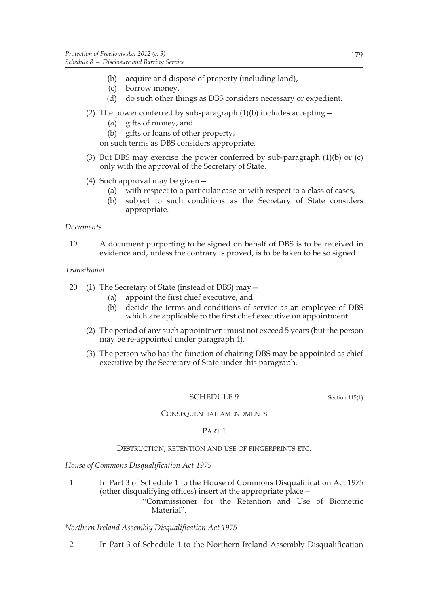- (b) acquire and dispose of property (including land),
- (c) borrow money,
- (d) do such other things as DBS considers necessary or expedient.
- (2) The power conferred by sub-paragraph  $(1)(b)$  includes accepting  $-$ 
	- (a) gifts of money, and
	- (b) gifts or loans of other property,

on such terms as DBS considers appropriate.

- (3) But DBS may exercise the power conferred by sub-paragraph (1)(b) or (c) only with the approval of the Secretary of State.
- (4) Such approval may be given—
	- (a) with respect to a particular case or with respect to a class of cases,
	- (b) subject to such conditions as the Secretary of State considers appropriate.

# *Documents*

19 A document purporting to be signed on behalf of DBS is to be received in evidence and, unless the contrary is proved, is to be taken to be so signed.

# *Transitional*

- 20 (1) The Secretary of State (instead of DBS) may—
	- (a) appoint the first chief executive, and
	- (b) decide the terms and conditions of service as an employee of DBS which are applicable to the first chief executive on appointment.
	- (2) The period of any such appointment must not exceed 5 years (but the person may be re-appointed under paragraph 4).
	- (3) The person who has the function of chairing DBS may be appointed as chief executive by the Secretary of State under this paragraph.

# SCHEDULE 9 Section 115(1)

# CONSEQUENTIAL AMENDMENTS

# PART 1

# DESTRUCTION, RETENTION AND USE OF FINGERPRINTS ETC.

*House of Commons Disqualification Act 1975*

- 1 In Part 3 of Schedule 1 to the House of Commons Disqualification Act 1975 (other disqualifying offices) insert at the appropriate place—
	- "Commissioner for the Retention and Use of Biometric Material".

# *Northern Ireland Assembly Disqualification Act 1975*

2 In Part 3 of Schedule 1 to the Northern Ireland Assembly Disqualification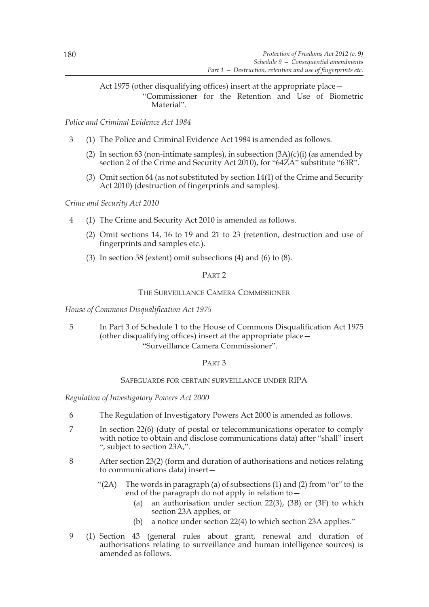Act 1975 (other disqualifying offices) insert at the appropriate place— "Commissioner for the Retention and Use of Biometric Material".

*Police and Criminal Evidence Act 1984*

- 3 (1) The Police and Criminal Evidence Act 1984 is amended as follows.
	- (2) In section 63 (non-intimate samples), in subsection  $(3A)(c)(i)$  (as amended by section 2 of the Crime and Security Act 2010), for "64ZA" substitute "63R".
	- (3) Omit section 64 (as not substituted by section 14(1) of the Crime and Security Act 2010) (destruction of fingerprints and samples).

*Crime and Security Act 2010*

- 4 (1) The Crime and Security Act 2010 is amended as follows.
	- (2) Omit sections 14, 16 to 19 and 21 to 23 (retention, destruction and use of fingerprints and samples etc.).
	- (3) In section 58 (extent) omit subsections (4) and (6) to (8).

### PART 2

# THE SURVEILLANCE CAMERA COMMISSIONER

#### *House of Commons Disqualification Act 1975*

5 In Part 3 of Schedule 1 to the House of Commons Disqualification Act 1975 (other disqualifying offices) insert at the appropriate place— "Surveillance Camera Commissioner".

#### PART 3

### SAFEGUARDS FOR CERTAIN SURVEILLANCE UNDER RIPA

# *Regulation of Investigatory Powers Act 2000*

- 6 The Regulation of Investigatory Powers Act 2000 is amended as follows.
- 7 In section 22(6) (duty of postal or telecommunications operator to comply with notice to obtain and disclose communications data) after "shall" insert ", subject to section 23A,".
- 8 After section 23(2) (form and duration of authorisations and notices relating to communications data) insert—
	- "(2A) The words in paragraph (a) of subsections (1) and (2) from "or" to the end of the paragraph do not apply in relation to—
		- (a) an authorisation under section 22(3), (3B) or (3F) to which section 23A applies, or
		- (b) a notice under section 22(4) to which section 23A applies."
- 9 (1) Section 43 (general rules about grant, renewal and duration of authorisations relating to surveillance and human intelligence sources) is amended as follows.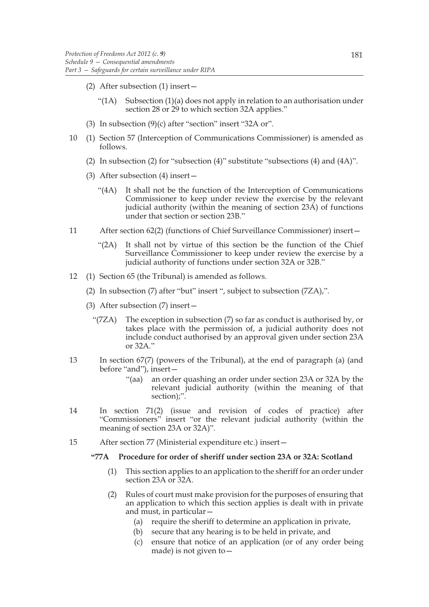- (2) After subsection (1) insert—
	- " $(1)$  Subsection  $(1)(a)$  does not apply in relation to an authorisation under section 28 or 29 to which section 32A applies."
- (3) In subsection  $(9)(c)$  after "section" insert "32A or".
- 10 (1) Section 57 (Interception of Communications Commissioner) is amended as follows.
	- (2) In subsection (2) for "subsection (4)" substitute "subsections (4) and (4A)".
	- (3) After subsection (4) insert—
		- "(4A) It shall not be the function of the Interception of Communications Commissioner to keep under review the exercise by the relevant judicial authority (within the meaning of section 23A) of functions under that section or section 23B."
- 11 After section 62(2) (functions of Chief Surveillance Commissioner) insert—
	- "(2A) It shall not by virtue of this section be the function of the Chief Surveillance Commissioner to keep under review the exercise by a judicial authority of functions under section 32A or 32B."
- 12 (1) Section 65 (the Tribunal) is amended as follows.
	- (2) In subsection (7) after "but" insert ", subject to subsection (7ZA),".
	- (3) After subsection (7) insert—
		- "(7ZA) The exception in subsection (7) so far as conduct is authorised by, or takes place with the permission of, a judicial authority does not include conduct authorised by an approval given under section 23A or 32A."
- 13 In section 67(7) (powers of the Tribunal), at the end of paragraph (a) (and before "and"), insert—
	- "(aa) an order quashing an order under section 23A or 32A by the relevant judicial authority (within the meaning of that section);".
- 14 In section 71(2) (issue and revision of codes of practice) after "Commissioners" insert "or the relevant judicial authority (within the meaning of section 23A or 32A)".
- 15 After section 77 (Ministerial expenditure etc.) insert—

### **"77A Procedure for order of sheriff under section 23A or 32A: Scotland**

- (1) This section applies to an application to the sheriff for an order under section 23A or 32A.
- (2) Rules of court must make provision for the purposes of ensuring that an application to which this section applies is dealt with in private and must, in particular—
	- (a) require the sheriff to determine an application in private,
	- (b) secure that any hearing is to be held in private, and
	- (c) ensure that notice of an application (or of any order being made) is not given to—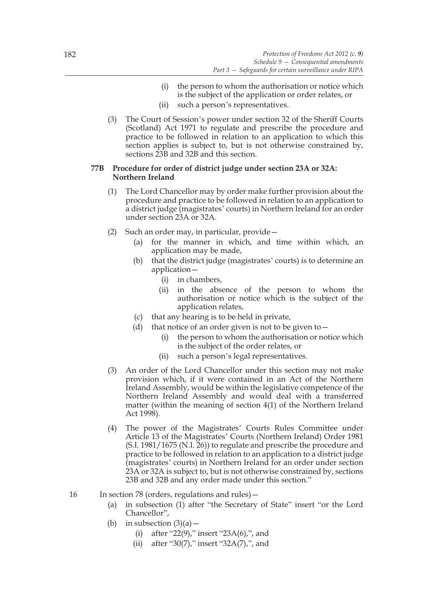- (i) the person to whom the authorisation or notice which is the subject of the application or order relates, or
- (ii) such a person's representatives.
- (3) The Court of Session's power under section 32 of the Sheriff Courts (Scotland) Act 1971 to regulate and prescribe the procedure and practice to be followed in relation to an application to which this section applies is subject to, but is not otherwise constrained by, sections  $\overline{23B}$  and  $32B$  and this section.

# **77B Procedure for order of district judge under section 23A or 32A: Northern Ireland**

- (1) The Lord Chancellor may by order make further provision about the procedure and practice to be followed in relation to an application to a district judge (magistrates' courts) in Northern Ireland for an order under section 23A or 32A.
- (2) Such an order may, in particular, provide—
	- (a) for the manner in which, and time within which, an application may be made,
	- (b) that the district judge (magistrates' courts) is to determine an application—
		- (i) in chambers,
		- (ii) in the absence of the person to whom the authorisation or notice which is the subject of the application relates,
	- (c) that any hearing is to be held in private,
	- (d) that notice of an order given is not to be given to  $-$ 
		- (i) the person to whom the authorisation or notice which is the subject of the order relates, or
		- (ii) such a person's legal representatives.
- (3) An order of the Lord Chancellor under this section may not make provision which, if it were contained in an Act of the Northern Ireland Assembly, would be within the legislative competence of the Northern Ireland Assembly and would deal with a transferred matter (within the meaning of section 4(1) of the Northern Ireland Act 1998).
- (4) The power of the Magistrates' Courts Rules Committee under Article 13 of the Magistrates' Courts (Northern Ireland) Order 1981 (S.I. 1981/1675 (N.I. 26)) to regulate and prescribe the procedure and practice to be followed in relation to an application to a district judge (magistrates' courts) in Northern Ireland for an order under section 23A or 32A is subject to, but is not otherwise constrained by, sections 23B and 32B and any order made under this section."

16 In section 78 (orders, regulations and rules) –

- (a) in subsection (1) after "the Secretary of State" insert "or the Lord Chancellor",
- (b) in subsection  $(3)(a)$ 
	- (i) after "22(9)," insert "23A(6),", and
	- (ii) after "30(7)," insert "32A(7),", and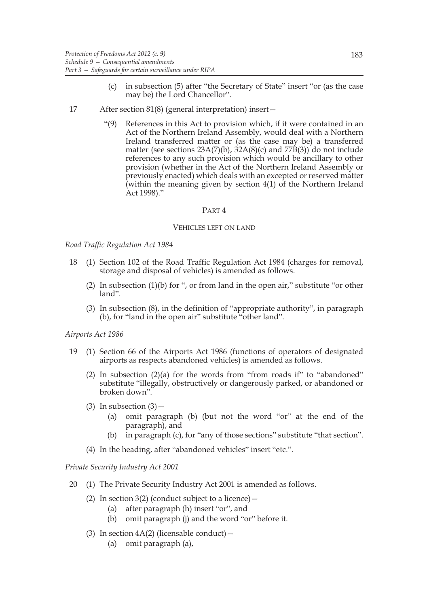- (c) in subsection (5) after "the Secretary of State" insert "or (as the case may be) the Lord Chancellor".
- 17 After section 81(8) (general interpretation) insert—
	- "(9) References in this Act to provision which, if it were contained in an Act of the Northern Ireland Assembly, would deal with a Northern Ireland transferred matter or (as the case may be) a transferred matter (see sections  $23A(7)(b)$ ,  $32A(8)(c)$  and  $77B(3)(c)$  do not include references to any such provision which would be ancillary to other provision (whether in the Act of the Northern Ireland Assembly or previously enacted) which deals with an excepted or reserved matter (within the meaning given by section 4(1) of the Northern Ireland Act 1998)."

#### VEHICLES LEFT ON LAND

*Road Traffic Regulation Act 1984*

- 18 (1) Section 102 of the Road Traffic Regulation Act 1984 (charges for removal, storage and disposal of vehicles) is amended as follows.
	- (2) In subsection  $(1)(b)$  for ", or from land in the open air," substitute "or other land".
	- (3) In subsection (8), in the definition of "appropriate authority", in paragraph (b), for "land in the open air" substitute "other land".

*Airports Act 1986*

- 19 (1) Section 66 of the Airports Act 1986 (functions of operators of designated airports as respects abandoned vehicles) is amended as follows.
	- (2) In subsection (2)(a) for the words from "from roads if" to "abandoned" substitute "illegally, obstructively or dangerously parked, or abandoned or broken down".
	- (3) In subsection  $(3)$ 
		- (a) omit paragraph (b) (but not the word "or" at the end of the paragraph), and
		- (b) in paragraph (c), for "any of those sections" substitute "that section".
	- (4) In the heading, after "abandoned vehicles" insert "etc.".

*Private Security Industry Act 2001*

- 20 (1) The Private Security Industry Act 2001 is amended as follows.
	- (2) In section  $3(2)$  (conduct subject to a licence)
		- (a) after paragraph (h) insert "or", and
		- (b) omit paragraph (j) and the word "or" before it.
	- (3) In section  $4A(2)$  (licensable conduct) -
		- (a) omit paragraph (a),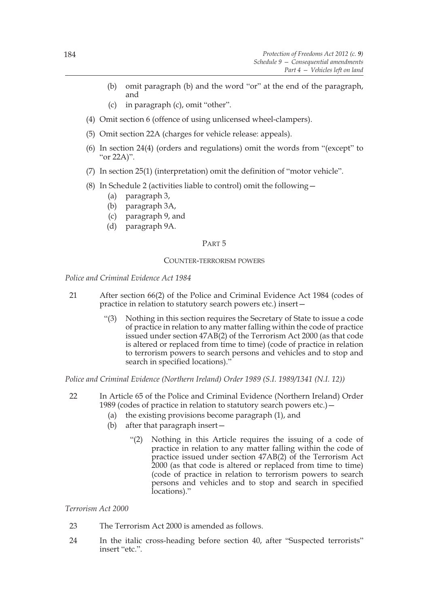- (b) omit paragraph (b) and the word "or" at the end of the paragraph, and
- (c) in paragraph (c), omit "other".
- (4) Omit section 6 (offence of using unlicensed wheel-clampers).
- (5) Omit section 22A (charges for vehicle release: appeals).
- (6) In section 24(4) (orders and regulations) omit the words from "(except" to "or 22A)".
- (7) In section 25(1) (interpretation) omit the definition of "motor vehicle".
- (8) In Schedule 2 (activities liable to control) omit the following—
	- (a) paragraph 3,
	- (b) paragraph 3A,
	- (c) paragraph 9, and
	- (d) paragraph 9A.

# COUNTER-TERRORISM POWERS

*Police and Criminal Evidence Act 1984*

- 21 After section 66(2) of the Police and Criminal Evidence Act 1984 (codes of practice in relation to statutory search powers etc.) insert—
	- "(3) Nothing in this section requires the Secretary of State to issue a code of practice in relation to any matter falling within the code of practice issued under section 47AB(2) of the Terrorism Act 2000 (as that code is altered or replaced from time to time) (code of practice in relation to terrorism powers to search persons and vehicles and to stop and search in specified locations)."

*Police and Criminal Evidence (Northern Ireland) Order 1989 (S.I. 1989/1341 (N.I. 12))*

- 22 In Article 65 of the Police and Criminal Evidence (Northern Ireland) Order 1989 (codes of practice in relation to statutory search powers etc.)—
	- (a) the existing provisions become paragraph (1), and
	- (b) after that paragraph insert—
		- "(2) Nothing in this Article requires the issuing of a code of practice in relation to any matter falling within the code of practice issued under section 47AB(2) of the Terrorism Act 2000 (as that code is altered or replaced from time to time) (code of practice in relation to terrorism powers to search persons and vehicles and to stop and search in specified locations)."

# *Terrorism Act 2000*

- 23 The Terrorism Act 2000 is amended as follows.
- 24 In the italic cross-heading before section 40, after "Suspected terrorists" insert "etc.".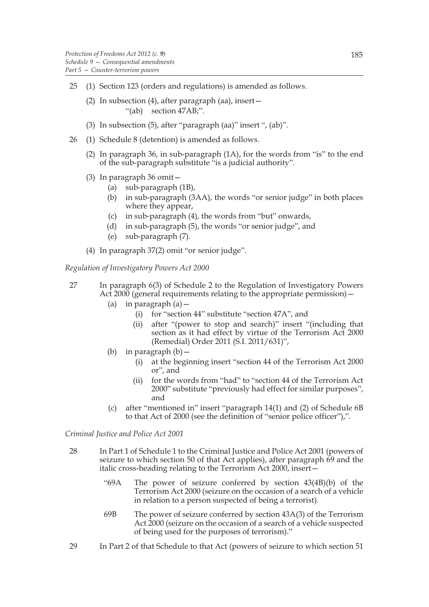- 25 (1) Section 123 (orders and regulations) is amended as follows.
	- (2) In subsection (4), after paragraph (aa), insert— "(ab) section 47AB;".
	- (3) In subsection (5), after "paragraph (aa)" insert ", (ab)".
- 26 (1) Schedule 8 (detention) is amended as follows.
	- (2) In paragraph 36, in sub-paragraph (1A), for the words from "is" to the end of the sub-paragraph substitute "is a judicial authority".
	- (3) In paragraph 36 omit—
		- (a) sub-paragraph (1B),
		- (b) in sub-paragraph (3AA), the words "or senior judge" in both places where they appear,
		- (c) in sub-paragraph (4), the words from "but" onwards,
		- (d) in sub-paragraph (5), the words "or senior judge", and
		- (e) sub-paragraph (7).
	- (4) In paragraph 37(2) omit "or senior judge".

*Regulation of Investigatory Powers Act 2000*

- 27 In paragraph 6(3) of Schedule 2 to the Regulation of Investigatory Powers Act 2000 (general requirements relating to the appropriate permission)—
	- (a) in paragraph  $(a)$  -
		- (i) for "section 44" substitute "section 47A", and
		- (ii) after "(power to stop and search)" insert "(including that section as it had effect by virtue of the Terrorism Act 2000 (Remedial) Order 2011 (S.I. 2011/631)",
	- (b) in paragraph (b)—
		- (i) at the beginning insert "section 44 of the Terrorism Act 2000 or", and
		- (ii) for the words from "had" to "section 44 of the Terrorism Act 2000" substitute "previously had effect for similar purposes", and
	- (c) after "mentioned in" insert "paragraph 14(1) and (2) of Schedule 6B to that Act of 2000 (see the definition of "senior police officer"),".

*Criminal Justice and Police Act 2001*

- 28 In Part 1 of Schedule 1 to the Criminal Justice and Police Act 2001 (powers of seizure to which section 50 of that Act applies), after paragraph 69 and the italic cross-heading relating to the Terrorism Act 2000, insert—
	- "69A The power of seizure conferred by section 43(4B)(b) of the Terrorism Act 2000 (seizure on the occasion of a search of a vehicle in relation to a person suspected of being a terrorist).
	- 69B The power of seizure conferred by section 43A(3) of the Terrorism Act 2000 (seizure on the occasion of a search of a vehicle suspected of being used for the purposes of terrorism)."
- 29 In Part 2 of that Schedule to that Act (powers of seizure to which section 51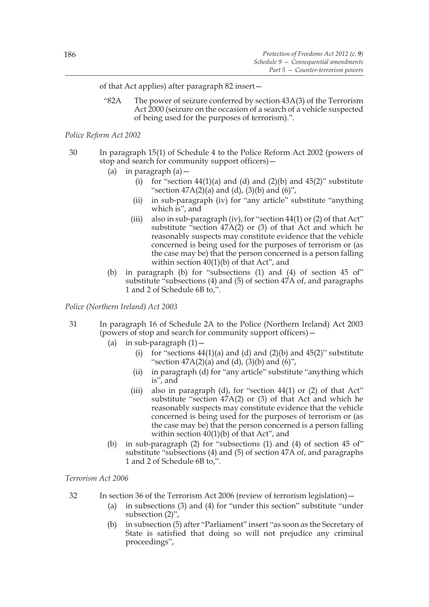of that Act applies) after paragraph 82 insert—

"82A The power of seizure conferred by section 43A(3) of the Terrorism Act 2000 (seizure on the occasion of a search of a vehicle suspected of being used for the purposes of terrorism).".

### *Police Reform Act 2002*

- 30 In paragraph 15(1) of Schedule 4 to the Police Reform Act 2002 (powers of stop and search for community support officers)—
	- (a) in paragraph  $(a)$  -
		- (i) for "section  $44(1)(a)$  and  $(d)$  and  $(2)(b)$  and  $45(2)$ " substitute "section  $47A(2)(a)$  and  $(d)$ ,  $(3)(b)$  and  $(6)$ ",
		- (ii) in sub-paragraph (iv) for "any article" substitute "anything which is", and
		- (iii) also in sub-paragraph (iv), for "section 44(1) or (2) of that Act" substitute "section 47A(2) or (3) of that Act and which he reasonably suspects may constitute evidence that the vehicle concerned is being used for the purposes of terrorism or (as the case may be) that the person concerned is a person falling within section  $40(1)(b)$  of that Act", and
	- (b) in paragraph (b) for "subsections (1) and (4) of section 45 of" substitute "subsections (4) and (5) of section 47A of, and paragraphs 1 and 2 of Schedule 6B to,".

*Police (Northern Ireland) Act 2003*

- 31 In paragraph 16 of Schedule 2A to the Police (Northern Ireland) Act 2003 (powers of stop and search for community support officers)—
	- (a) in sub-paragraph  $(1)$  -
		- (i) for "sections  $44(1)(a)$  and  $(d)$  and  $(2)(b)$  and  $45(2)$ " substitute "section  $47A(2)(a)$  and  $(d)$ ,  $(3)(b)$  and  $(6)$ ",
		- (ii) in paragraph (d) for "any article" substitute "anything which is", and
		- (iii) also in paragraph (d), for "section 44(1) or (2) of that Act" substitute "section 47A(2) or (3) of that Act and which he reasonably suspects may constitute evidence that the vehicle concerned is being used for the purposes of terrorism or (as the case may be) that the person concerned is a person falling within section  $40(1)(b)$  of that Act", and
	- (b) in sub-paragraph (2) for "subsections (1) and (4) of section 45 of" substitute "subsections (4) and (5) of section 47A of, and paragraphs 1 and 2 of Schedule 6B to,".

# *Terrorism Act 2006*

- 32 In section 36 of the Terrorism Act 2006 (review of terrorism legislation)—
	- (a) in subsections (3) and (4) for "under this section" substitute "under subsection (2)",
	- (b) in subsection (5) after "Parliament" insert "as soon as the Secretary of State is satisfied that doing so will not prejudice any criminal proceedings",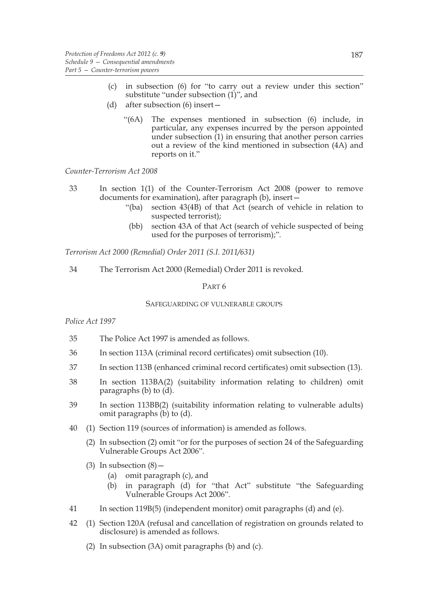- (c) in subsection (6) for "to carry out a review under this section" substitute "under subsection (1)", and
- (d) after subsection (6) insert—
	- "(6A) The expenses mentioned in subsection (6) include, in particular, any expenses incurred by the person appointed under subsection  $(1)$  in ensuring that another person carries out a review of the kind mentioned in subsection (4A) and reports on it."

#### *Counter-Terrorism Act 2008*

- 33 In section 1(1) of the Counter-Terrorism Act 2008 (power to remove documents for examination), after paragraph (b), insert—
	- "(ba) section 43(4B) of that Act (search of vehicle in relation to suspected terrorist);
	- (bb) section 43A of that Act (search of vehicle suspected of being used for the purposes of terrorism);".

*Terrorism Act 2000 (Remedial) Order 2011 (S.I. 2011/631)*

34 The Terrorism Act 2000 (Remedial) Order 2011 is revoked.

#### PART 6

#### SAFEGUARDING OF VULNERABLE GROUPS

#### *Police Act 1997*

- 35 The Police Act 1997 is amended as follows.
- 36 In section 113A (criminal record certificates) omit subsection (10).
- 37 In section 113B (enhanced criminal record certificates) omit subsection (13).
- 38 In section 113BA(2) (suitability information relating to children) omit paragraphs (b) to  $\ddot{d}$ .
- 39 In section 113BB(2) (suitability information relating to vulnerable adults) omit paragraphs  $(b)$  to  $(d)$ .
- 40 (1) Section 119 (sources of information) is amended as follows.
	- (2) In subsection (2) omit "or for the purposes of section 24 of the Safeguarding Vulnerable Groups Act 2006".
	- (3) In subsection  $(8)$  -
		- (a) omit paragraph (c), and
		- (b) in paragraph (d) for "that Act" substitute "the Safeguarding Vulnerable Groups Act 2006".
- 41 In section 119B(5) (independent monitor) omit paragraphs (d) and (e).
- 42 (1) Section 120A (refusal and cancellation of registration on grounds related to disclosure) is amended as follows.
	- (2) In subsection (3A) omit paragraphs (b) and (c).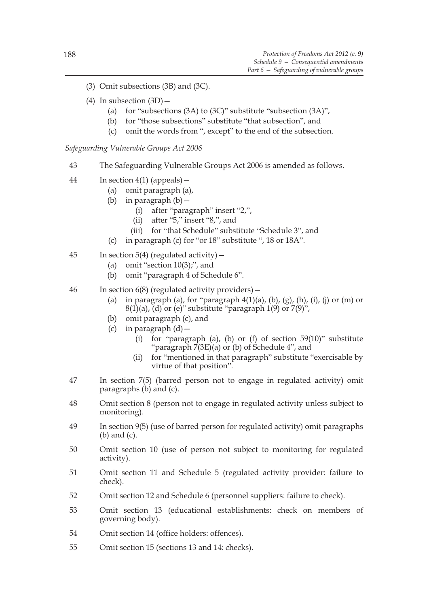- (3) Omit subsections (3B) and (3C).
- (4) In subsection  $(3D)$  -
	- (a) for "subsections (3A) to (3C)" substitute "subsection (3A)",
	- (b) for "those subsections" substitute "that subsection", and
	- (c) omit the words from ", except" to the end of the subsection.

*Safeguarding Vulnerable Groups Act 2006*

- 43 The Safeguarding Vulnerable Groups Act 2006 is amended as follows.
- 44 In section 4(1) (appeals)—
	- (a) omit paragraph (a),
	- (b) in paragraph  $(b)$  -
		- (i) after "paragraph" insert "2,",
		- (ii) after "5," insert "8,", and
		- (iii) for "that Schedule" substitute "Schedule 3", and
	- (c) in paragraph (c) for "or 18" substitute ", 18 or 18A".
- 45 In section 5(4) (regulated activity)—
	- (a) omit "section 10(3);", and
	- (b) omit "paragraph 4 of Schedule 6".
- 46 In section 6(8) (regulated activity providers)—
	- (a) in paragraph (a), for "paragraph  $4(1)(a)$ , (b), (g), (h), (j), (j) or (m) or 8(1)(a), (d) or (e)" substitute "paragraph 1(9) or 7(9)",
	- (b) omit paragraph (c), and
	- (c) in paragraph  $(d)$ 
		- (i) for "paragraph (a), (b) or (f) of section  $59(10)$ " substitute "paragraph 7(3E)(a) or (b) of Schedule 4", and
		- (ii) for "mentioned in that paragraph" substitute "exercisable by virtue of that position".
- 47 In section 7(5) (barred person not to engage in regulated activity) omit paragraphs (b) and (c).
- 48 Omit section 8 (person not to engage in regulated activity unless subject to monitoring).
- 49 In section 9(5) (use of barred person for regulated activity) omit paragraphs (b) and (c).
- 50 Omit section 10 (use of person not subject to monitoring for regulated activity).
- 51 Omit section 11 and Schedule 5 (regulated activity provider: failure to check).
- 52 Omit section 12 and Schedule 6 (personnel suppliers: failure to check).
- 53 Omit section 13 (educational establishments: check on members of governing body).
- 54 Omit section 14 (office holders: offences).
- 55 Omit section 15 (sections 13 and 14: checks).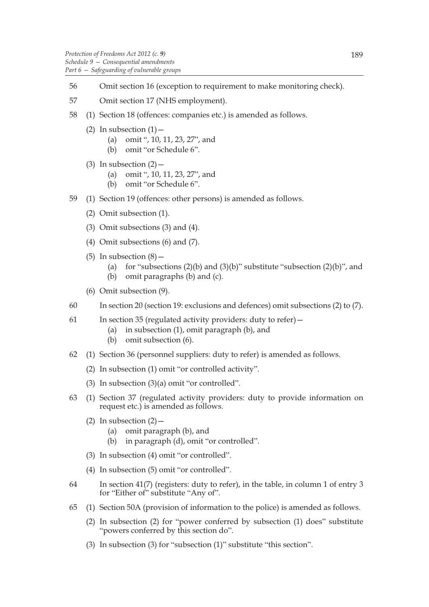- 56 Omit section 16 (exception to requirement to make monitoring check).
- 57 Omit section 17 (NHS employment).
- 58 (1) Section 18 (offences: companies etc.) is amended as follows.
	- (2) In subsection  $(1)$  -
		- (a) omit ", 10, 11, 23, 27", and
		- (b) omit "or Schedule 6".
	- (3) In subsection  $(2)$ 
		- (a) omit ", 10, 11, 23, 27", and
		- (b) omit "or Schedule 6".
- 59 (1) Section 19 (offences: other persons) is amended as follows.
	- (2) Omit subsection (1).
	- (3) Omit subsections (3) and (4).
	- (4) Omit subsections (6) and (7).
	- (5) In subsection  $(8)$ 
		- (a) for "subsections  $(2)(b)$  and  $(3)(b)$ " substitute "subsection  $(2)(b)$ ", and
		- (b) omit paragraphs (b) and (c).
	- (6) Omit subsection (9).
- 60 In section 20 (section 19: exclusions and defences) omit subsections (2) to (7).
- 61 In section 35 (regulated activity providers: duty to refer)—
	- (a) in subsection (1), omit paragraph (b), and
	- (b) omit subsection (6).
- 62 (1) Section 36 (personnel suppliers: duty to refer) is amended as follows.
	- (2) In subsection (1) omit "or controlled activity".
	- (3) In subsection (3)(a) omit "or controlled".
- 63 (1) Section 37 (regulated activity providers: duty to provide information on request etc.) is amended as follows.
	- (2) In subsection  $(2)$ 
		- (a) omit paragraph (b), and
		- (b) in paragraph (d), omit "or controlled".
	- (3) In subsection (4) omit "or controlled".
	- (4) In subsection (5) omit "or controlled".
- 64 In section 41(7) (registers: duty to refer), in the table, in column 1 of entry 3 for "Either of" substitute "Any of".
- 65 (1) Section 50A (provision of information to the police) is amended as follows.
	- (2) In subsection (2) for "power conferred by subsection (1) does" substitute "powers conferred by this section do".
	- (3) In subsection (3) for "subsection (1)" substitute "this section".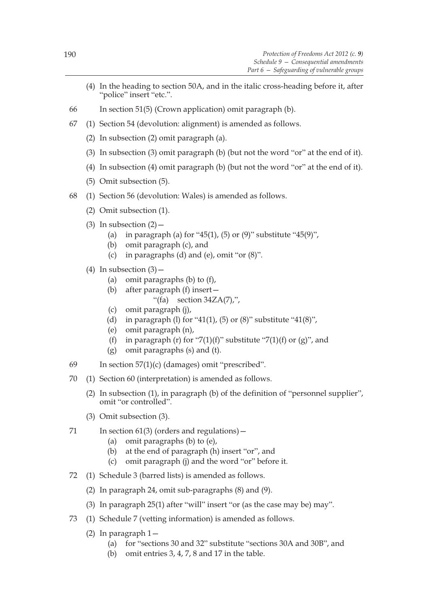- (4) In the heading to section 50A, and in the italic cross-heading before it, after "police" insert "etc.".
- 66 In section 51(5) (Crown application) omit paragraph (b).
- 67 (1) Section 54 (devolution: alignment) is amended as follows.
	- (2) In subsection (2) omit paragraph (a).
	- (3) In subsection (3) omit paragraph (b) (but not the word "or" at the end of it).
	- (4) In subsection (4) omit paragraph (b) (but not the word "or" at the end of it).
	- (5) Omit subsection (5).
- 68 (1) Section 56 (devolution: Wales) is amended as follows.
	- (2) Omit subsection (1).
	- (3) In subsection  $(2)$ 
		- (a) in paragraph (a) for "45(1), (5) or (9)" substitute "45(9)",
		- (b) omit paragraph (c), and
		- (c) in paragraphs (d) and (e), omit "or (8)".
	- (4) In subsection  $(3)$ 
		- (a) omit paragraphs (b) to (f),
		- (b) after paragraph (f) insert—
			- "(fa) section  $34ZA(7)$ ,",
		- (c) omit paragraph (j),
		- (d) in paragraph (l) for "41(1), (5) or (8)" substitute "41(8)",
		- (e) omit paragraph (n),
		- (f) in paragraph (r) for "7(1)(f)" substitute "7(1)(f) or (g)", and
		- (g) omit paragraphs (s) and (t).
- 69 In section 57(1)(c) (damages) omit "prescribed".
- 70 (1) Section 60 (interpretation) is amended as follows.
	- (2) In subsection (1), in paragraph (b) of the definition of "personnel supplier", omit "or controlled".
	- (3) Omit subsection (3).
- 71 In section 61(3) (orders and regulations)—
	- (a) omit paragraphs (b) to (e),
	- (b) at the end of paragraph (h) insert "or", and
	- (c) omit paragraph (j) and the word "or" before it.
- 72 (1) Schedule 3 (barred lists) is amended as follows.
	- (2) In paragraph 24, omit sub-paragraphs (8) and (9).
	- (3) In paragraph 25(1) after "will" insert "or (as the case may be) may".
- 73 (1) Schedule 7 (vetting information) is amended as follows.
	- (2) In paragraph 1—
		- (a) for "sections 30 and 32" substitute "sections 30A and 30B", and
		- (b) omit entries 3, 4, 7, 8 and 17 in the table.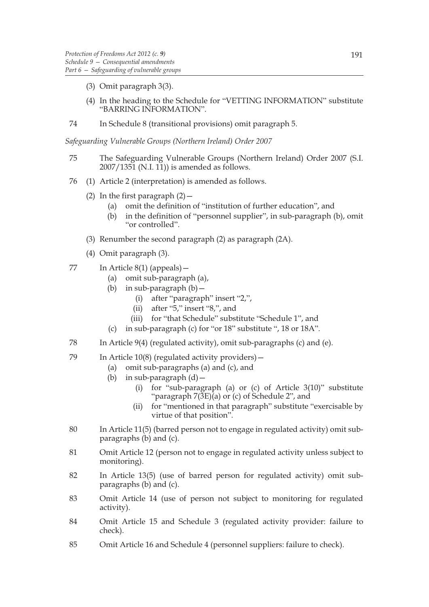- (3) Omit paragraph 3(3).
- (4) In the heading to the Schedule for "VETTING INFORMATION" substitute "BARRING INFORMATION".
- 74 In Schedule 8 (transitional provisions) omit paragraph 5.

*Safeguarding Vulnerable Groups (Northern Ireland) Order 2007*

- 75 The Safeguarding Vulnerable Groups (Northern Ireland) Order 2007 (S.I.  $2007/1351$  (N.I. 11)) is amended as follows.
- 76 (1) Article 2 (interpretation) is amended as follows.
	- (2) In the first paragraph  $(2)$  -
		- (a) omit the definition of "institution of further education", and
		- (b) in the definition of "personnel supplier", in sub-paragraph (b), omit "or controlled".
	- (3) Renumber the second paragraph (2) as paragraph (2A).
	- (4) Omit paragraph (3).
- 77 In Article 8(1) (appeals)—
	- (a) omit sub-paragraph (a),
	- (b) in sub-paragraph  $(b)$  -
		- (i) after "paragraph" insert "2,",
		- (ii) after "5," insert "8,", and
		- (iii) for "that Schedule" substitute "Schedule 1", and
	- (c) in sub-paragraph (c) for "or 18" substitute ", 18 or 18A".
- 78 In Article 9(4) (regulated activity), omit sub-paragraphs (c) and (e).
- 79 In Article 10(8) (regulated activity providers)—
	- (a) omit sub-paragraphs (a) and (c), and
	- (b) in sub-paragraph  $(d)$  -
		- (i) for "sub-paragraph (a) or (c) of Article 3(10)" substitute "paragraph 7(3E)(a) or (c) of Schedule 2", and
		- (ii) for "mentioned in that paragraph" substitute "exercisable by virtue of that position".
- 80 In Article 11(5) (barred person not to engage in regulated activity) omit subparagraphs  $(b)$  and  $(c)$ .
- 81 Omit Article 12 (person not to engage in regulated activity unless subject to monitoring).
- 82 In Article 13(5) (use of barred person for regulated activity) omit subparagraphs (b) and (c).
- 83 Omit Article 14 (use of person not subject to monitoring for regulated activity).
- 84 Omit Article 15 and Schedule 3 (regulated activity provider: failure to check).
- 85 Omit Article 16 and Schedule 4 (personnel suppliers: failure to check).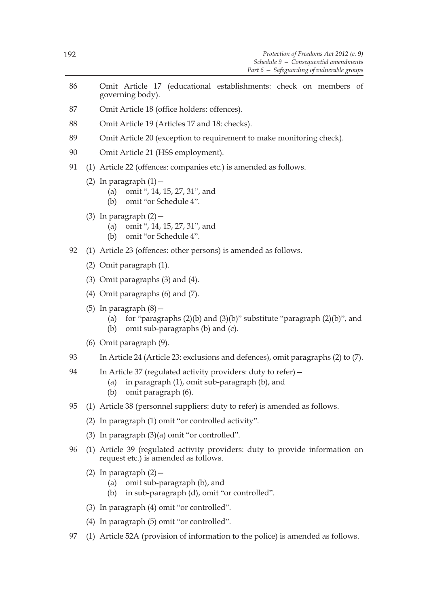- 86 Omit Article 17 (educational establishments: check on members of governing body).
- 87 Omit Article 18 (office holders: offences).
- 88 Omit Article 19 (Articles 17 and 18: checks).
- 89 Omit Article 20 (exception to requirement to make monitoring check).
- 90 Omit Article 21 (HSS employment).
- 91 (1) Article 22 (offences: companies etc.) is amended as follows.
	- (2) In paragraph  $(1)$  -
		- (a) omit ", 14, 15, 27, 31", and
		- (b) omit "or Schedule 4".
	- (3) In paragraph  $(2)$  -
		- (a) omit ", 14, 15, 27, 31", and
		- (b) omit "or Schedule 4".
- 92 (1) Article 23 (offences: other persons) is amended as follows.
	- (2) Omit paragraph (1).
	- (3) Omit paragraphs (3) and (4).
	- (4) Omit paragraphs (6) and (7).
	- (5) In paragraph  $(8)$  -
		- (a) for "paragraphs  $(2)(b)$  and  $(3)(b)$ " substitute "paragraph  $(2)(b)$ ", and
		- (b) omit sub-paragraphs (b) and (c).
	- (6) Omit paragraph (9).
- 93 In Article 24 (Article 23: exclusions and defences), omit paragraphs (2) to (7).
- 94 In Article 37 (regulated activity providers: duty to refer)—
	- (a) in paragraph (1), omit sub-paragraph (b), and
	- (b) omit paragraph (6).
- 95 (1) Article 38 (personnel suppliers: duty to refer) is amended as follows.
	- (2) In paragraph (1) omit "or controlled activity".
	- (3) In paragraph (3)(a) omit "or controlled".
- 96 (1) Article 39 (regulated activity providers: duty to provide information on request etc.) is amended as follows.
	- (2) In paragraph  $(2)$  -
		- (a) omit sub-paragraph (b), and
		- (b) in sub-paragraph (d), omit "or controlled".
	- (3) In paragraph (4) omit "or controlled".
	- (4) In paragraph (5) omit "or controlled".
- 97 (1) Article 52A (provision of information to the police) is amended as follows.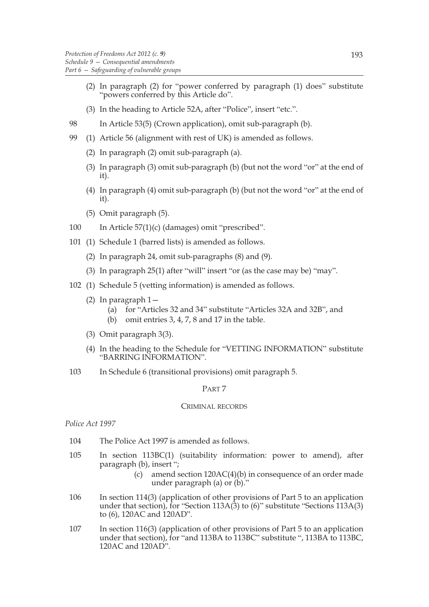- (2) In paragraph (2) for "power conferred by paragraph (1) does" substitute "powers conferred by this Article do".
- (3) In the heading to Article 52A, after "Police", insert "etc.".
- 98 In Article 53(5) (Crown application), omit sub-paragraph (b).
- 99 (1) Article 56 (alignment with rest of UK) is amended as follows.
	- (2) In paragraph (2) omit sub-paragraph (a).
	- (3) In paragraph (3) omit sub-paragraph (b) (but not the word "or" at the end of it).
	- (4) In paragraph (4) omit sub-paragraph (b) (but not the word "or" at the end of it).
	- (5) Omit paragraph (5).
- 100 In Article 57(1)(c) (damages) omit "prescribed".
- 101 (1) Schedule 1 (barred lists) is amended as follows.
	- (2) In paragraph 24, omit sub-paragraphs (8) and (9).
	- (3) In paragraph 25(1) after "will" insert "or (as the case may be) "may".
- 102 (1) Schedule 5 (vetting information) is amended as follows.
	- (2) In paragraph 1—
		- (a) for "Articles 32 and 34" substitute "Articles 32A and 32B", and
		- (b) omit entries 3, 4, 7, 8 and 17 in the table.
	- (3) Omit paragraph 3(3).
	- (4) In the heading to the Schedule for "VETTING INFORMATION" substitute "BARRING INFORMATION".
- 103 In Schedule 6 (transitional provisions) omit paragraph 5.

#### CRIMINAL RECORDS

# *Police Act 1997*

- 104 The Police Act 1997 is amended as follows.
- 105 In section 113BC(1) (suitability information: power to amend), after paragraph (b), insert ";
	- (c) amend section 120AC(4)(b) in consequence of an order made under paragraph (a) or (b)."
- 106 In section 114(3) (application of other provisions of Part 5 to an application under that section), for "Section 113A(3) to (6)" substitute "Sections 113A(3) to (6), 120AC and 120AD".
- 107 In section 116(3) (application of other provisions of Part 5 to an application under that section), for "and 113BA to 113BC" substitute ", 113BA to 113BC, 120AC and 120AD".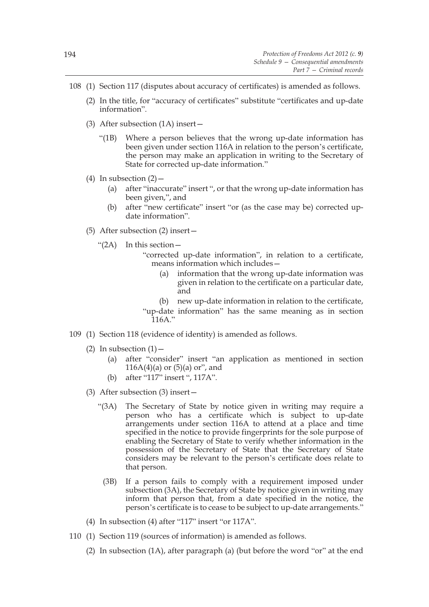- 108 (1) Section 117 (disputes about accuracy of certificates) is amended as follows.
	- (2) In the title, for "accuracy of certificates" substitute "certificates and up-date information".
	- (3) After subsection (1A) insert—
		- "(1B) Where a person believes that the wrong up-date information has been given under section 116A in relation to the person's certificate, the person may make an application in writing to the Secretary of State for corrected up-date information."
	- (4) In subsection  $(2)$ 
		- (a) after "inaccurate" insert ", or that the wrong up-date information has been given,", and
		- (b) after "new certificate" insert "or (as the case may be) corrected update information".
	- (5) After subsection (2) insert—
		- "(2A) In this section—
			- "corrected up-date information", in relation to a certificate, means information which includes—
				- (a) information that the wrong up-date information was given in relation to the certificate on a particular date, and
				- (b) new up-date information in relation to the certificate,
			- "up-date information" has the same meaning as in section 116A."
- 109 (1) Section 118 (evidence of identity) is amended as follows.
	- (2) In subsection  $(1)$ 
		- (a) after "consider" insert "an application as mentioned in section 116A(4)(a) or  $(5)$ (a) or", and
		- (b) after "117" insert ", 117A".
	- (3) After subsection (3) insert—
		- "(3A) The Secretary of State by notice given in writing may require a person who has a certificate which is subject to up-date arrangements under section 116A to attend at a place and time specified in the notice to provide fingerprints for the sole purpose of enabling the Secretary of State to verify whether information in the possession of the Secretary of State that the Secretary of State considers may be relevant to the person's certificate does relate to that person.
			- (3B) If a person fails to comply with a requirement imposed under subsection (3A), the Secretary of State by notice given in writing may inform that person that, from a date specified in the notice, the person's certificate is to cease to be subject to up-date arrangements."
	- (4) In subsection (4) after "117" insert "or 117A".
- 110 (1) Section 119 (sources of information) is amended as follows.
	- (2) In subsection (1A), after paragraph (a) (but before the word "or" at the end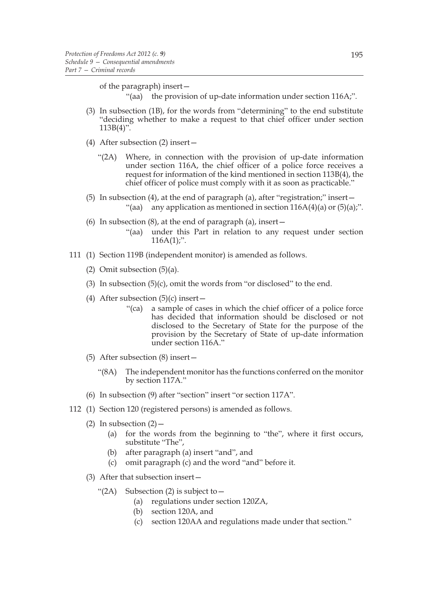of the paragraph) insert—

"(aa) the provision of up-date information under section 116A;".

- (3) In subsection (1B), for the words from "determining" to the end substitute "deciding whether to make a request to that chief officer under section 113B(4)".
- (4) After subsection (2) insert—
	- "(2A) Where, in connection with the provision of up-date information under section 116A, the chief officer of a police force receives a request for information of the kind mentioned in section 113B(4), the chief officer of police must comply with it as soon as practicable."
- (5) In subsection (4), at the end of paragraph (a), after "registration;" insert— "(aa) any application as mentioned in section  $116A(4)(a)$  or  $(5)(a)$ ;".
- (6) In subsection  $(8)$ , at the end of paragraph  $(a)$ , insert
	- "(aa) under this Part in relation to any request under section  $116A(1)$ ;".
- 111 (1) Section 119B (independent monitor) is amended as follows.
	- (2) Omit subsection (5)(a).
	- (3) In subsection  $(5)(c)$ , omit the words from "or disclosed" to the end.
	- (4) After subsection  $(5)(c)$  insert
		- "(ca) a sample of cases in which the chief officer of a police force has decided that information should be disclosed or not disclosed to the Secretary of State for the purpose of the provision by the Secretary of State of up-date information under section 116A."
	- (5) After subsection (8) insert—
		- "(8A) The independent monitor has the functions conferred on the monitor by section 117A."
	- (6) In subsection (9) after "section" insert "or section 117A".
- 112 (1) Section 120 (registered persons) is amended as follows.
	- (2) In subsection  $(2)$ 
		- (a) for the words from the beginning to "the", where it first occurs, substitute "The",
		- (b) after paragraph (a) insert "and", and
		- (c) omit paragraph (c) and the word "and" before it.
	- (3) After that subsection insert—
		- "(2A) Subsection (2) is subject to  $-$ 
			- (a) regulations under section 120ZA,
			- (b) section 120A, and
			- (c) section 120AA and regulations made under that section."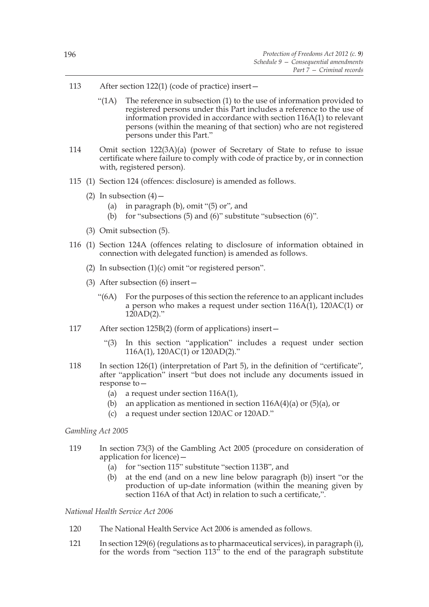- 113 After section 122(1) (code of practice) insert—
	- "(1A) The reference in subsection (1) to the use of information provided to registered persons under this Part includes a reference to the use of information provided in accordance with section 116A(1) to relevant persons (within the meaning of that section) who are not registered persons under this Part."
- 114 Omit section 122(3A)(a) (power of Secretary of State to refuse to issue certificate where failure to comply with code of practice by, or in connection with, registered person).
- 115 (1) Section 124 (offences: disclosure) is amended as follows.
	- (2) In subsection  $(4)$ 
		- (a) in paragraph (b), omit "(5) or", and
		- (b) for "subsections  $(5)$  and  $(6)$ " substitute "subsection  $(6)$ ".
	- (3) Omit subsection (5).
- 116 (1) Section 124A (offences relating to disclosure of information obtained in connection with delegated function) is amended as follows.
	- (2) In subsection  $(1)(c)$  omit "or registered person".
	- (3) After subsection (6) insert—
		- "(6A) For the purposes of this section the reference to an applicant includes a person who makes a request under section  $116\overline{A(1)}$ ,  $120\overline{A(C(1)}$  or 120AD(2)."
- 117 After section 125B(2) (form of applications) insert—
	- "(3) In this section "application" includes a request under section 116A(1), 120AC(1) or 120AD(2)."
- 118 In section 126(1) (interpretation of Part 5), in the definition of "certificate", after "application" insert "but does not include any documents issued in response to—
	- (a) a request under section 116A(1),
	- (b) an application as mentioned in section  $116A(4)(a)$  or  $(5)(a)$ , or
	- (c) a request under section 120AC or 120AD."

#### *Gambling Act 2005*

- 119 In section 73(3) of the Gambling Act 2005 (procedure on consideration of application for licence)—
	- (a) for "section 115" substitute "section 113B", and
	- (b) at the end (and on a new line below paragraph (b)) insert "or the production of up-date information (within the meaning given by section 116A of that Act) in relation to such a certificate,".

#### *National Health Service Act 2006*

- 120 The National Health Service Act 2006 is amended as follows.
- 121 In section 129(6) (regulations as to pharmaceutical services), in paragraph (i), for the words from "section 113" to the end of the paragraph substitute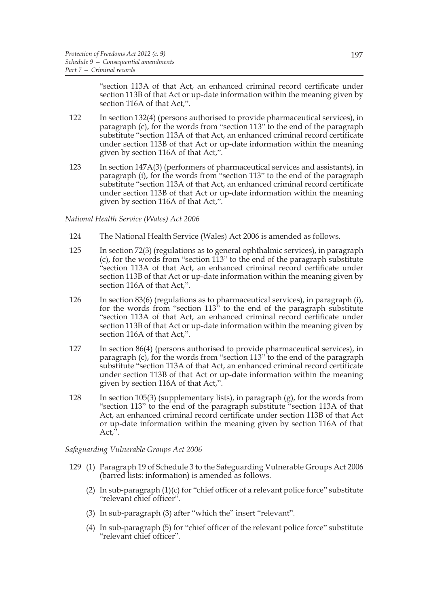"section 113A of that Act, an enhanced criminal record certificate under section 113B of that Act or up-date information within the meaning given by section 116A of that Act,".

- 122 In section 132(4) (persons authorised to provide pharmaceutical services), in paragraph (c), for the words from "section 113" to the end of the paragraph substitute "section 113A of that Act, an enhanced criminal record certificate under section 113B of that Act or up-date information within the meaning given by section 116A of that Act,".
- 123 In section 147A(3) (performers of pharmaceutical services and assistants), in paragraph (i), for the words from "section 113" to the end of the paragraph substitute "section 113A of that Act, an enhanced criminal record certificate under section 113B of that Act or up-date information within the meaning given by section 116A of that Act,".

*National Health Service (Wales) Act 2006*

- 124 The National Health Service (Wales) Act 2006 is amended as follows.
- 125 In section 72(3) (regulations as to general ophthalmic services), in paragraph (c), for the words from "section 113" to the end of the paragraph substitute "section 113A of that Act, an enhanced criminal record certificate under section 113B of that Act or up-date information within the meaning given by section 116A of that Act,".
- 126 In section 83(6) (regulations as to pharmaceutical services), in paragraph (i), for the words from "section 113" to the end of the paragraph substitute "section 113A of that Act, an enhanced criminal record certificate under section 113B of that Act or up-date information within the meaning given by section 116A of that Act,".
- 127 In section 86(4) (persons authorised to provide pharmaceutical services), in paragraph (c), for the words from "section 113" to the end of the paragraph substitute "section 113A of that Act, an enhanced criminal record certificate under section 113B of that Act or up-date information within the meaning given by section 116A of that Act,".
- 128 In section 105(3) (supplementary lists), in paragraph (g), for the words from "section 113" to the end of the paragraph substitute "section 113A of that Act, an enhanced criminal record certificate under section 113B of that Act or up-date information within the meaning given by section 116A of that  $Act<sub>1</sub>$ <sup>7</sup>.

*Safeguarding Vulnerable Groups Act 2006*

- 129 (1) Paragraph 19 of Schedule 3 to the Safeguarding Vulnerable Groups Act 2006 (barred lists: information) is amended as follows.
	- (2) In sub-paragraph (1)(c) for "chief officer of a relevant police force" substitute "relevant chief officer".
	- (3) In sub-paragraph (3) after "which the" insert "relevant".
	- (4) In sub-paragraph (5) for "chief officer of the relevant police force" substitute "relevant chief officer".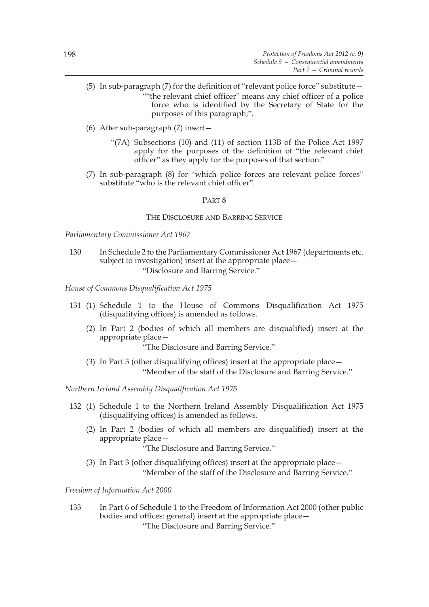- (5) In sub-paragraph (7) for the definition of "relevant police force" substitute— ""the relevant chief officer" means any chief officer of a police force who is identified by the Secretary of State for the purposes of this paragraph;".
- (6) After sub-paragraph (7) insert—
	- "(7A) Subsections (10) and (11) of section 113B of the Police Act 1997 apply for the purposes of the definition of "the relevant chief officer" as they apply for the purposes of that section."
- (7) In sub-paragraph (8) for "which police forces are relevant police forces" substitute "who is the relevant chief officer".

#### THE DISCLOSURE AND BARRING SERVICE

*Parliamentary Commissioner Act 1967*

130 In Schedule 2 to the Parliamentary Commissioner Act 1967 (departments etc. subject to investigation) insert at the appropriate place— "Disclosure and Barring Service."

*House of Commons Disqualification Act 1975*

- 131 (1) Schedule 1 to the House of Commons Disqualification Act 1975 (disqualifying offices) is amended as follows.
	- (2) In Part 2 (bodies of which all members are disqualified) insert at the appropriate place—

"The Disclosure and Barring Service."

(3) In Part 3 (other disqualifying offices) insert at the appropriate place— "Member of the staff of the Disclosure and Barring Service."

*Northern Ireland Assembly Disqualification Act 1975*

- 132 (1) Schedule 1 to the Northern Ireland Assembly Disqualification Act 1975 (disqualifying offices) is amended as follows.
	- (2) In Part 2 (bodies of which all members are disqualified) insert at the appropriate place—

"The Disclosure and Barring Service."

(3) In Part 3 (other disqualifying offices) insert at the appropriate place— "Member of the staff of the Disclosure and Barring Service."

*Freedom of Information Act 2000*

133 In Part 6 of Schedule 1 to the Freedom of Information Act 2000 (other public bodies and offices: general) insert at the appropriate place— "The Disclosure and Barring Service."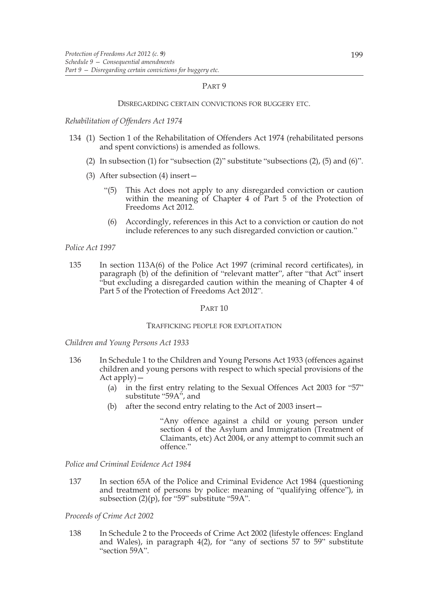#### DISREGARDING CERTAIN CONVICTIONS FOR BUGGERY ETC.

### *Rehabilitation of Offenders Act 1974*

- 134 (1) Section 1 of the Rehabilitation of Offenders Act 1974 (rehabilitated persons and spent convictions) is amended as follows.
	- (2) In subsection (1) for "subsection (2)" substitute "subsections (2), (5) and (6)".
	- (3) After subsection (4) insert—
		- "(5) This Act does not apply to any disregarded conviction or caution within the meaning of Chapter 4 of Part 5 of the Protection of Freedoms Act 2012.
		- (6) Accordingly, references in this Act to a conviction or caution do not include references to any such disregarded conviction or caution."

# *Police Act 1997*

135 In section 113A(6) of the Police Act 1997 (criminal record certificates), in paragraph (b) of the definition of "relevant matter", after "that Act" insert "but excluding a disregarded caution within the meaning of Chapter 4 of Part 5 of the Protection of Freedoms Act 2012".

### PART 10

#### TRAFFICKING PEOPLE FOR EXPLOITATION

*Children and Young Persons Act 1933*

- 136 In Schedule 1 to the Children and Young Persons Act 1933 (offences against children and young persons with respect to which special provisions of the Act apply)—
	- (a) in the first entry relating to the Sexual Offences Act 2003 for "57" substitute "59A", and
	- (b) after the second entry relating to the Act of 2003 insert—

"Any offence against a child or young person under section 4 of the Asylum and Immigration (Treatment of Claimants, etc) Act 2004, or any attempt to commit such an offence."

*Police and Criminal Evidence Act 1984*

137 In section 65A of the Police and Criminal Evidence Act 1984 (questioning and treatment of persons by police: meaning of "qualifying offence"), in subsection (2)(p), for "59" substitute "59A".

### *Proceeds of Crime Act 2002*

138 In Schedule 2 to the Proceeds of Crime Act 2002 (lifestyle offences: England and Wales), in paragraph 4(2), for "any of sections 57 to 59" substitute "section 59A".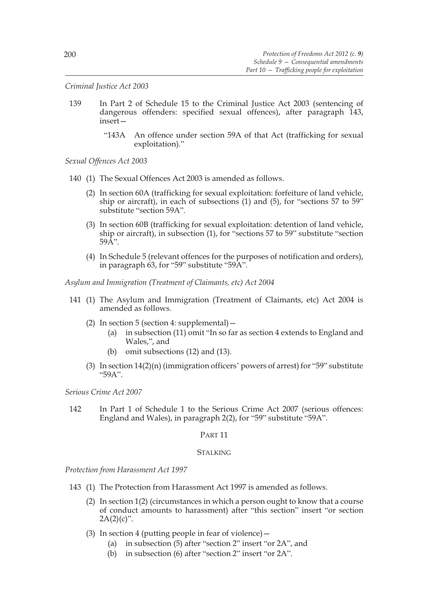#### *Criminal Justice Act 2003*

- 139 In Part 2 of Schedule 15 to the Criminal Justice Act 2003 (sentencing of dangerous offenders: specified sexual offences), after paragraph 143, insert—
	- "143A An offence under section 59A of that Act (trafficking for sexual exploitation)."

*Sexual Offences Act 2003*

- 140 (1) The Sexual Offences Act 2003 is amended as follows.
	- (2) In section 60A (trafficking for sexual exploitation: forfeiture of land vehicle, ship or aircraft), in each of subsections (1) and (5), for "sections 57 to 59" substitute "section 59A".
	- (3) In section 60B (trafficking for sexual exploitation: detention of land vehicle, ship or aircraft), in subsection (1), for "sections 57 to 59" substitute "section  $59\bar{A}$ ".
	- (4) In Schedule 5 (relevant offences for the purposes of notification and orders), in paragraph 63, for "59" substitute "59A".

*Asylum and Immigration (Treatment of Claimants, etc) Act 2004*

- 141 (1) The Asylum and Immigration (Treatment of Claimants, etc) Act 2004 is amended as follows.
	- (2) In section 5 (section 4: supplemental)  $-$ 
		- (a) in subsection (11) omit "In so far as section 4 extends to England and Wales,", and
		- (b) omit subsections (12) and (13).
	- (3) In section 14(2)(n) (immigration officers' powers of arrest) for "59" substitute "59A".

*Serious Crime Act 2007*

142 In Part 1 of Schedule 1 to the Serious Crime Act 2007 (serious offences: England and Wales), in paragraph 2(2), for "59" substitute "59A".

# PART 11

#### **STALKING**

*Protection from Harassment Act 1997*

- 143 (1) The Protection from Harassment Act 1997 is amended as follows.
	- (2) In section  $1(2)$  (circumstances in which a person ought to know that a course of conduct amounts to harassment) after "this section" insert "or section  $2A(2)(c)$ ".
	- (3) In section 4 (putting people in fear of violence)—
		- (a) in subsection (5) after "section 2" insert "or 2A", and
		- (b) in subsection (6) after "section 2" insert "or 2A".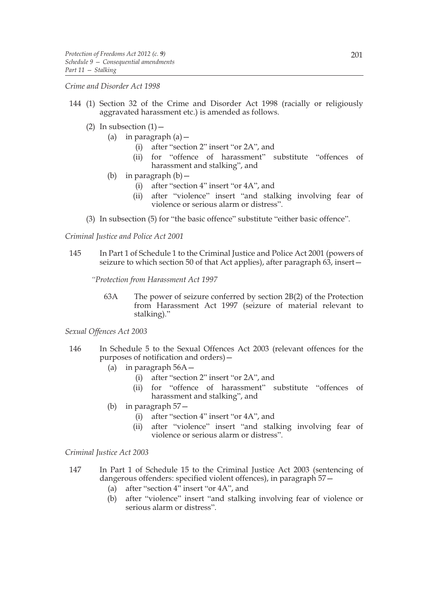*Crime and Disorder Act 1998*

- 144 (1) Section 32 of the Crime and Disorder Act 1998 (racially or religiously aggravated harassment etc.) is amended as follows.
	- (2) In subsection  $(1)$  -
		- (a) in paragraph  $(a)$  -
			- (i) after "section 2" insert "or 2A", and
			- (ii) for "offence of harassment" substitute "offences of harassment and stalking", and
		- (b) in paragraph  $(b)$  -
			- (i) after "section 4" insert "or 4A", and
			- (ii) after "violence" insert "and stalking involving fear of violence or serious alarm or distress".
	- (3) In subsection (5) for "the basic offence" substitute "either basic offence".

*Criminal Justice and Police Act 2001*

145 In Part 1 of Schedule 1 to the Criminal Justice and Police Act 2001 (powers of seizure to which section 50 of that Act applies), after paragraph  $6\overline{3}$ , insert —

*"Protection from Harassment Act 1997*

63A The power of seizure conferred by section 2B(2) of the Protection from Harassment Act 1997 (seizure of material relevant to stalking)."

*Sexual Offences Act 2003*

- 146 In Schedule 5 to the Sexual Offences Act 2003 (relevant offences for the purposes of notification and orders)—
	- (a) in paragraph 56A—
		- (i) after "section 2" insert "or 2A", and
		- (ii) for "offence of harassment" substitute "offences of harassment and stalking", and
	- (b) in paragraph 57—
		- (i) after "section 4" insert "or 4A", and
		- (ii) after "violence" insert "and stalking involving fear of violence or serious alarm or distress".

*Criminal Justice Act 2003*

- 147 In Part 1 of Schedule 15 to the Criminal Justice Act 2003 (sentencing of dangerous offenders: specified violent offences), in paragraph 57—
	- (a) after "section 4" insert "or 4A", and
	- (b) after "violence" insert "and stalking involving fear of violence or serious alarm or distress".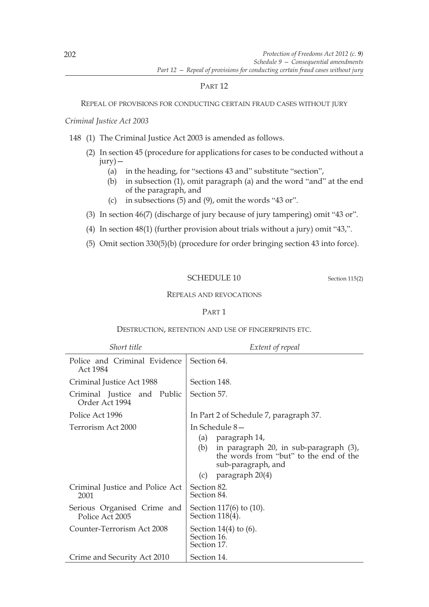REPEAL OF PROVISIONS FOR CONDUCTING CERTAIN FRAUD CASES WITHOUT JURY

### *Criminal Justice Act 2003*

- 148 (1) The Criminal Justice Act 2003 is amended as follows.
	- (2) In section 45 (procedure for applications for cases to be conducted without a jury)—
		- (a) in the heading, for "sections 43 and" substitute "section",
		- (b) in subsection (1), omit paragraph (a) and the word "and" at the end of the paragraph, and
		- (c) in subsections (5) and (9), omit the words "43 or".
	- (3) In section 46(7) (discharge of jury because of jury tampering) omit "43 or".
	- (4) In section 48(1) (further provision about trials without a jury) omit "43,".
	- (5) Omit section 330(5)(b) (procedure for order bringing section 43 into force).

# SCHEDULE 10 Section 115(2)

#### REPEALS AND REVOCATIONS

# PART 1

#### DESTRUCTION, RETENTION AND USE OF FINGERPRINTS ETC.

| Short title                                    | Extent of repeal                                                                                                                                                                  |
|------------------------------------------------|-----------------------------------------------------------------------------------------------------------------------------------------------------------------------------------|
| Police and Criminal Evidence<br>Act 1984       | Section 64.                                                                                                                                                                       |
| Criminal Justice Act 1988                      | Section 148.                                                                                                                                                                      |
| Criminal Justice and Public<br>Order Act 1994  | Section 57.                                                                                                                                                                       |
| Police Act 1996                                | In Part 2 of Schedule 7, paragraph 37.                                                                                                                                            |
| Terrorism Act 2000                             | In Schedule 8-<br>paragraph 14,<br>(a)<br>in paragraph 20, in sub-paragraph (3),<br>(b)<br>the words from "but" to the end of the<br>sub-paragraph, and<br>paragraph 20(4)<br>(c) |
| Criminal Justice and Police Act<br>2001        | Section 82.<br>Section 84.                                                                                                                                                        |
| Serious Organised Crime and<br>Police Act 2005 | Section $117(6)$ to $(10)$ .<br>Section 118(4).                                                                                                                                   |
| Counter-Terrorism Act 2008                     | Section $14(4)$ to $(6)$ .<br>Section 16.<br>Section 17.                                                                                                                          |
| Crime and Security Act 2010                    | Section 14.                                                                                                                                                                       |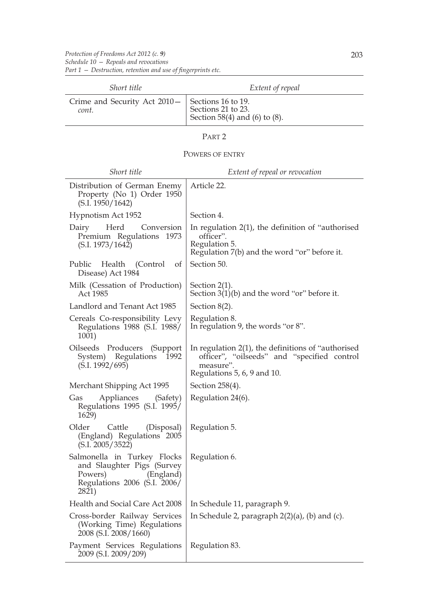| Short title                                                                       | Extent of repeal                                                                                                                                 |
|-----------------------------------------------------------------------------------|--------------------------------------------------------------------------------------------------------------------------------------------------|
| Crime and Security Act 2010-<br>cont.                                             | Sections 16 to 19.<br>Sections 21 to 23.<br>Section $58(4)$ and $(6)$ to $(8)$ .                                                                 |
| PART <sub>2</sub>                                                                 |                                                                                                                                                  |
| POWERS OF ENTRY                                                                   |                                                                                                                                                  |
| Short title                                                                       | Extent of repeal or revocation                                                                                                                   |
| Distribution of German Enemy<br>Property (No 1) Order 1950<br>(S.I. 1950/1642)    | Article 22.                                                                                                                                      |
| Hypnotism Act 1952                                                                | Section 4.                                                                                                                                       |
| Herd<br>Conversion<br>Dairy<br>Premium Regulations 1973<br>(S.I. 1973/1642)       | In regulation $2(1)$ , the definition of "authorised"<br>officer".<br>Regulation 5.<br>Regulation 7(b) and the word "or" before it.              |
| Public<br>Health<br>(Control)<br>of<br>Disease) Act 1984                          | Section 50.                                                                                                                                      |
| Milk (Cessation of Production)<br>Act 1985                                        | Section $2(1)$ .<br>Section $3(1)(b)$ and the word "or" before it.                                                                               |
| Landlord and Tenant Act 1985                                                      | Section 8(2).                                                                                                                                    |
| Cereals Co-responsibility Levy<br>Regulations 1988 (S.I. 1988/<br>1001)           | Regulation 8.<br>In regulation 9, the words "or 8".                                                                                              |
| Oilseeds Producers<br>(Support)<br>System) Regulations<br>1992<br>(S.I. 1992/695) | In regulation $2(1)$ , the definitions of "authorised<br>officer", "oilseeds" and "specified control<br>measure".<br>Regulations 5, 6, 9 and 10. |
| Merchant Shipping Act 1995                                                        | Section 258(4).                                                                                                                                  |
| Appliances<br>(Safety)<br>Gas<br>Regulations 1995 (S.I. 1995/<br>1629)            | Regulation 24(6).                                                                                                                                |
| Older<br>Cattle<br>(Disposal)                                                     | Regulation 5.                                                                                                                                    |

| (England) Regulations 2005<br>(S.I. 2005/3522)                                                                             |                                                   |
|----------------------------------------------------------------------------------------------------------------------------|---------------------------------------------------|
| Salmonella in Turkey Flocks<br>and Slaughter Pigs (Survey<br>(England)<br>Powers)<br>Regulations 2006 (S.I. 2006/<br>2821) | Regulation 6.                                     |
| Health and Social Care Act 2008                                                                                            | In Schedule 11, paragraph 9.                      |
| Cross-border Railway Services<br>(Working Time) Regulations<br>2008 (S.I. 2008/1660)                                       | In Schedule 2, paragraph $2(2)(a)$ , (b) and (c). |
| Payment Services Regulations<br>2009 (S.I. 2009/209)                                                                       | Regulation 83.                                    |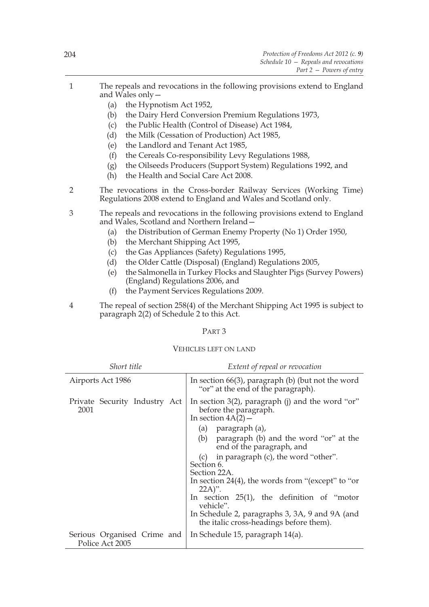- 1 The repeals and revocations in the following provisions extend to England and Wales only—
	- (a) the Hypnotism Act 1952,
	- (b) the Dairy Herd Conversion Premium Regulations 1973,
	- (c) the Public Health (Control of Disease) Act 1984,
	- (d) the Milk (Cessation of Production) Act 1985,
	- (e) the Landlord and Tenant Act 1985,
	- (f) the Cereals Co-responsibility Levy Regulations 1988,
	- (g) the Oilseeds Producers (Support System) Regulations 1992, and
	- (h) the Health and Social Care Act 2008.
- 2 The revocations in the Cross-border Railway Services (Working Time) Regulations 2008 extend to England and Wales and Scotland only.
- 3 The repeals and revocations in the following provisions extend to England and Wales, Scotland and Northern Ireland—
	- (a) the Distribution of German Enemy Property (No 1) Order 1950,
	- (b) the Merchant Shipping Act 1995,
	- (c) the Gas Appliances (Safety) Regulations 1995,
	- (d) the Older Cattle (Disposal) (England) Regulations 2005,
	- (e) the Salmonella in Turkey Flocks and Slaughter Pigs (Survey Powers) (England) Regulations 2006, and
	- (f) the Payment Services Regulations 2009.
- 4 The repeal of section 258(4) of the Merchant Shipping Act 1995 is subject to paragraph 2(2) of Schedule 2 to this Act.

# VEHICLES LEFT ON LAND

| Short title                                    | Extent of repeal or revocation                                                                                                                                                                                                                                                                                                                                                                                                                                                                               |
|------------------------------------------------|--------------------------------------------------------------------------------------------------------------------------------------------------------------------------------------------------------------------------------------------------------------------------------------------------------------------------------------------------------------------------------------------------------------------------------------------------------------------------------------------------------------|
| Airports Act 1986                              | In section $66(3)$ , paragraph (b) (but not the word<br>"or" at the end of the paragraph).                                                                                                                                                                                                                                                                                                                                                                                                                   |
| Private Security Industry Act<br>2001          | In section $3(2)$ , paragraph (j) and the word "or"<br>before the paragraph.<br>In section $4A(2)$ –<br>(a) paragraph (a),<br>(b) paragraph (b) and the word "or" at the<br>end of the paragraph, and<br>(c) in paragraph (c), the word "other".<br>Section 6.<br>Section 22A.<br>In section 24(4), the words from "(except" to "or<br>$22A)$ ".<br>In section $25(1)$ , the definition of "motor"<br>vehicle".<br>In Schedule 2, paragraphs 3, 3A, 9 and 9A (and<br>the italic cross-headings before them). |
| Serious Organised Crime and<br>Police Act 2005 | In Schedule 15, paragraph $14(a)$ .                                                                                                                                                                                                                                                                                                                                                                                                                                                                          |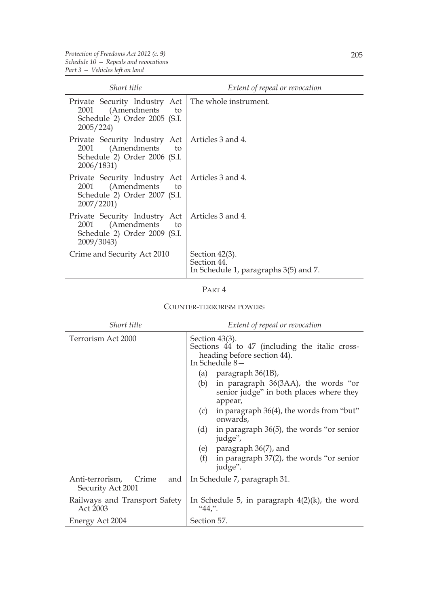| Short title                                                                                                                  | Extent of repeal or revocation                                            |
|------------------------------------------------------------------------------------------------------------------------------|---------------------------------------------------------------------------|
| Private Security Industry Act   The whole instrument.<br>2001 (Amendments<br>to<br>Schedule 2) Order 2005 (S.I.<br>2005/224  |                                                                           |
| Private Security Industry Act<br>(Amendments<br>2001<br>to<br>Schedule 2) Order 2006 (S.I.<br>2006/1831)                     | Articles 3 and 4.                                                         |
| Private Security Industry Act   Articles 3 and 4.<br>(Amendments<br>2001<br>to<br>Schedule 2) Order 2007 (S.I.<br>2007/2201) |                                                                           |
| Private Security Industry Act   Articles 3 and 4.<br>(Amendments<br>2001<br>to<br>Schedule 2) Order 2009 (S.I.<br>2009/3043) |                                                                           |
| Crime and Security Act 2010                                                                                                  | Section $42(3)$ .<br>Section 44.<br>In Schedule 1, paragraphs 3(5) and 7. |

# COUNTER-TERRORISM POWERS

| Short title                                          | Extent of repeal or revocation                                                                                               |
|------------------------------------------------------|------------------------------------------------------------------------------------------------------------------------------|
| Terrorism Act 2000                                   | Section $43(3)$ .<br>Sections 44 to 47 (including the italic cross-<br>heading before section 44).<br>In Schedule 8-         |
|                                                      | (a) paragraph $36(1B)$ ,<br>in paragraph 36(3AA), the words "or<br>(b)<br>senior judge" in both places where they<br>appear, |
|                                                      | in paragraph 36(4), the words from "but"<br>(c)<br>onwards,                                                                  |
|                                                      | (d)<br>in paragraph $36(5)$ , the words "or senior<br>judge",                                                                |
|                                                      | paragraph 36(7), and<br>(e)                                                                                                  |
|                                                      | in paragraph $37(2)$ , the words "or senior<br>(f)<br>judge".                                                                |
| Anti-terrorism,<br>and<br>Crime<br>Security Act 2001 | In Schedule 7, paragraph 31.                                                                                                 |
| Railways and Transport Safety<br>Act 2003            | In Schedule 5, in paragraph $4(2)(k)$ , the word<br>"44."                                                                    |
| Energy Act 2004                                      | Section 57.                                                                                                                  |

 $\overline{\phantom{a}}$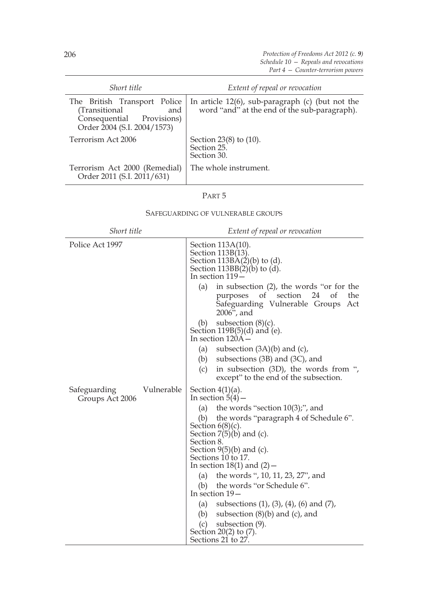| Short title                                                                                                      | Extent of repeal or revocation                                                                      |
|------------------------------------------------------------------------------------------------------------------|-----------------------------------------------------------------------------------------------------|
| The British Transport Police<br>(Transitional<br>and<br>Consequential Provisions)<br>Order 2004 (S.I. 2004/1573) | In article $12(6)$ , sub-paragraph (c) (but not the<br>word "and" at the end of the sub-paragraph). |
| Terrorism Act 2006                                                                                               | Section $23(8)$ to $(10)$ .<br>Section 25.<br>Section 30.                                           |
| Terrorism Act 2000 (Remedial)<br>Order 2011 (S.I. 2011/631)                                                      | The whole instrument.                                                                               |

# SAFEGUARDING OF VULNERABLE GROUPS

| Short title                                   | Extent of repeal or revocation                                                                                                                                    |
|-----------------------------------------------|-------------------------------------------------------------------------------------------------------------------------------------------------------------------|
| Police Act 1997                               | Section 113A(10).<br>Section 113B(13).<br>Section $113BA(2)(b)$ to (d).<br>Section $113BB(2)(b)$ to $(d)$ .<br>In section $119-$                                  |
|                                               | (a)<br>in subsection $(2)$ , the words "or for the<br><sub>of</sub><br>section<br>24<br>of<br>the<br>purposes<br>Safeguarding Vulnerable Groups Act<br>2006", and |
|                                               | subsection $(8)(c)$ .<br>(b)<br>Section $119B(5)(d)$ and (e).<br>In section $120A -$                                                                              |
|                                               | subsection $(3A)(b)$ and $(c)$ ,<br>(a)                                                                                                                           |
|                                               | (b)<br>subsections (3B) and (3C), and<br>in subsection (3D), the words from ",<br>(c)                                                                             |
|                                               | except" to the end of the subsection.                                                                                                                             |
| Vulnerable<br>Safeguarding<br>Groups Act 2006 | Section $4(1)(a)$ .<br>In section $5(4)$ –                                                                                                                        |
|                                               | the words "section $10(3)$ ;", and<br>(a)                                                                                                                         |
|                                               | the words "paragraph 4 of Schedule 6".<br>(b)<br>Section $6(8)(c)$ .                                                                                              |
|                                               | Section $7(5)(b)$ and (c).                                                                                                                                        |
|                                               | Section 8.<br>Section $9(5)(b)$ and (c).                                                                                                                          |
|                                               | Sections 10 to 17.                                                                                                                                                |
|                                               | In section 18(1) and $(2)$ –<br>the words ", 10, 11, 23, 27", and                                                                                                 |
|                                               | (a)<br>the words "or Schedule 6".<br>(b)                                                                                                                          |
|                                               | In section 19-                                                                                                                                                    |
|                                               | subsections $(1)$ , $(3)$ , $(4)$ , $(6)$ and $(7)$ ,<br>(a)                                                                                                      |
|                                               | subsection $(8)(b)$ and $(c)$ , and<br>(b)                                                                                                                        |
|                                               | (c)<br>subsection (9).<br>Section $20(2)$ to $(7)$ .                                                                                                              |
|                                               | Sections 21 to 27.                                                                                                                                                |

206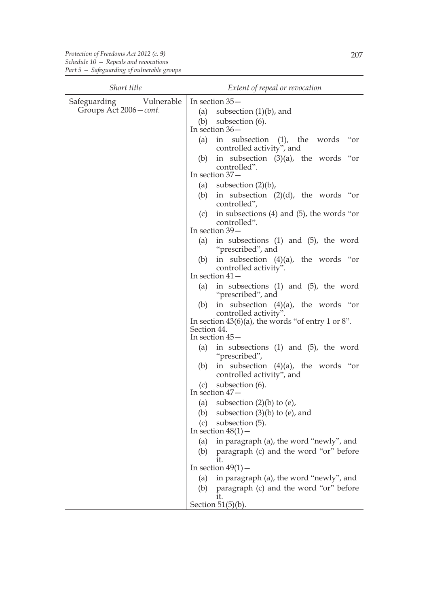*Protection of Freedoms Act 2012 (c. 9) Schedule 10 — Repeals and revocations Part 5 — Safeguarding of vulnerable groups*

| Short title                | Extent of repeal or revocation                                             |
|----------------------------|----------------------------------------------------------------------------|
| Vulnerable<br>Safeguarding | In section $35-$                                                           |
| Groups Act 2006 – cont.    | (a)<br>subsection $(1)(b)$ , and                                           |
|                            | (b) subsection $(6)$ .<br>In section $36-$                                 |
|                            | (a)<br>in subsection (1), the words "or<br>controlled activity", and       |
|                            | in subsection $(3)(a)$ , the words "or<br>(b)<br>controlled".              |
|                            | In section $37-$                                                           |
|                            | subsection $(2)(b)$ ,<br>(a)                                               |
|                            | (b)<br>in subsection $(2)(d)$ , the words "or<br>controlled",              |
|                            | in subsections $(4)$ and $(5)$ , the words "or<br>(c)<br>controlled".      |
|                            | In section 39-                                                             |
|                            | in subsections $(1)$ and $(5)$ , the word<br>(a)<br>"prescribed", and      |
|                            | in subsection $(4)(a)$ , the words "or<br>(b)<br>controlled activity".     |
|                            | In section $41-$                                                           |
|                            | (a) in subsections $(1)$ and $(5)$ , the word<br>"prescribed", and         |
|                            | in subsection $(4)(a)$ , the words "or<br>(b)<br>controlled activity".     |
|                            | In section $43(6)(a)$ , the words "of entry 1 or 8".<br>Section 44.        |
|                            | In section $45-$                                                           |
|                            | in subsections (1) and (5), the word<br>(a)<br>"prescribed",               |
|                            | in subsection $(4)(a)$ , the words "or<br>(b)<br>controlled activity", and |
|                            | (c) subsection $(6)$ .<br>In section $47-$                                 |
|                            | (a) subsection $(2)(b)$ to $(e)$ ,                                         |
|                            | subsection $(3)(b)$ to $(e)$ , and<br>(b)                                  |
|                            | subsection (5).<br>(c)<br>In section $48(1)$ –                             |
|                            | in paragraph (a), the word "newly", and<br>(a)                             |
|                            | paragraph (c) and the word "or" before<br>(b)<br>it.                       |
|                            | In section $49(1)$ –                                                       |
|                            | in paragraph (a), the word "newly", and<br>(a)                             |
|                            | paragraph (c) and the word "or" before<br>(b)<br>it.                       |
|                            | Section $51(5)(b)$ .                                                       |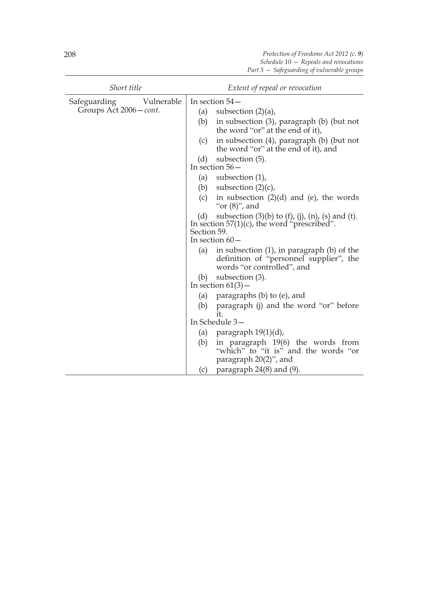| Short title                | Extent of repeal or revocation                                                                                                  |
|----------------------------|---------------------------------------------------------------------------------------------------------------------------------|
| Vulnerable<br>Safeguarding | In section $54-$                                                                                                                |
| Groups Act 2006 - cont.    | subsection $(2)(a)$ ,<br>(a)                                                                                                    |
|                            | in subsection $(3)$ , paragraph $(b)$ (but not<br>(b)<br>the word "or" at the end of it),                                       |
|                            | in subsection $(4)$ , paragraph $(b)$ (but not<br>(c)<br>the word "or" at the end of it), and                                   |
|                            | (d)<br>subsection (5).<br>In section $56-$                                                                                      |
|                            | subsection $(1)$ ,<br>(a)                                                                                                       |
|                            | subsection $(2)(c)$ ,<br>(b)                                                                                                    |
|                            | in subsection $(2)(d)$ and $(e)$ , the words<br>(c)<br>"or $(8)$ ", and                                                         |
|                            | subsection $(3)(b)$ to $(f)$ , $(j)$ , $(n)$ , $(s)$ and $(t)$ .<br>(d)<br>In section $57(1)(c)$ , the word "prescribed".       |
|                            | Section 59.<br>In section $60-$                                                                                                 |
|                            | in subsection $(1)$ , in paragraph $(b)$ of the<br>(a)<br>definition of "personnel supplier", the<br>words "or controlled", and |
|                            | subsection (3).<br>(b)<br>In section $61(3)$ –                                                                                  |
|                            | paragraphs (b) to (e), and<br>(a)                                                                                               |
|                            | paragraph (j) and the word "or" before<br>(b)<br>it.                                                                            |
|                            | In Schedule 3-                                                                                                                  |
|                            | paragraph $19(1)(d)$ ,<br>(a)                                                                                                   |
|                            | in paragraph 19(6) the words from<br>(b)<br>"which" to "it is" and the words "or                                                |
|                            | paragraph 20(2)", and<br>paragraph $24(8)$ and $(9)$ .<br>(c)                                                                   |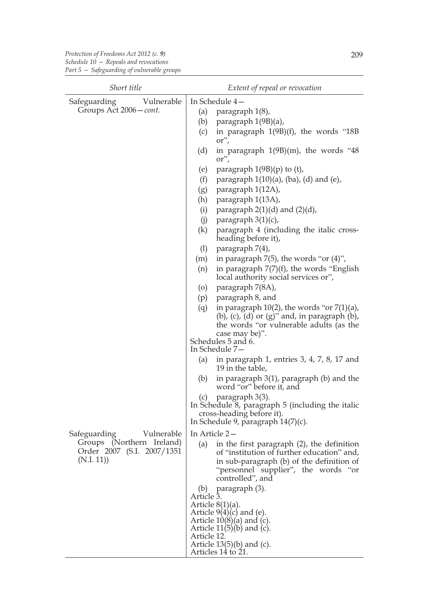*Protection of Freedoms Act 2012 (c. 9) Schedule 10 — Repeals and revocations Part 5 — Safeguarding of vulnerable groups*

| Short title                                                           | Extent of repeal or revocation                                                                                                                                                                                             |
|-----------------------------------------------------------------------|----------------------------------------------------------------------------------------------------------------------------------------------------------------------------------------------------------------------------|
| Safeguarding<br>Vulnerable                                            | In Schedule 4-                                                                                                                                                                                                             |
| Groups Act 2006 - cont.                                               | (a)<br>paragraph 1(8),                                                                                                                                                                                                     |
|                                                                       | (b)<br>paragraph 1(9B)(a),                                                                                                                                                                                                 |
|                                                                       | in paragraph $1(9B)(f)$ , the words "18B<br>(c)<br>$\mathbf{or}$ ",                                                                                                                                                        |
|                                                                       | (d)<br>in paragraph $1(9B)(m)$ , the words "48<br>or",                                                                                                                                                                     |
|                                                                       | paragraph $1(9B)(p)$ to (t),<br>(e)                                                                                                                                                                                        |
|                                                                       | (f)<br>paragraph $1(10)(a)$ , (ba), (d) and (e),                                                                                                                                                                           |
|                                                                       | paragraph 1(12A),<br>(g)                                                                                                                                                                                                   |
|                                                                       | paragraph 1(13A),<br>(h)                                                                                                                                                                                                   |
|                                                                       | (i)<br>paragraph $2(1)(d)$ and $(2)(d)$ ,                                                                                                                                                                                  |
|                                                                       | paragraph 3(1)(c),<br>(j)                                                                                                                                                                                                  |
|                                                                       | (k)<br>paragraph 4 (including the italic cross-<br>heading before it),                                                                                                                                                     |
|                                                                       | (1)<br>paragraph 7(4),                                                                                                                                                                                                     |
|                                                                       | in paragraph $7(5)$ , the words "or $(4)$ ",<br>(m)                                                                                                                                                                        |
|                                                                       | in paragraph $7(7)(f)$ , the words "English"<br>(n)<br>local authority social services or",                                                                                                                                |
|                                                                       | $\circ$<br>paragraph 7(8A),                                                                                                                                                                                                |
|                                                                       | paragraph 8, and<br>(p)                                                                                                                                                                                                    |
|                                                                       | in paragraph $10(2)$ , the words "or $7(1)(a)$ ,<br>(q)<br>$(b)$ , $(c)$ , $(d)$ or $(g)$ " and, in paragraph $(b)$ ,<br>the words "or vulnerable adults (as the                                                           |
|                                                                       | case may be)".<br>Schedules 5 and 6.<br>In Schedule 7-                                                                                                                                                                     |
|                                                                       | (a)<br>in paragraph 1, entries $3, 4, 7, 8, 17$ and<br>19 in the table,                                                                                                                                                    |
|                                                                       | in paragraph $3(1)$ , paragraph (b) and the<br>(b)<br>word "or" before it, and                                                                                                                                             |
|                                                                       | paragraph 3(3).<br>(c)<br>In Schedule 8, paragraph 5 (including the italic<br>cross-heading before it).<br>In Schedule 9, paragraph 14(7)(c).                                                                              |
| Safeguarding<br>Vulnerable                                            | In Article 2-                                                                                                                                                                                                              |
| Groups (Northern Ireland)<br>Order 2007 (S.I. 2007/1351<br>(N.I. 11)) | in the first paragraph (2), the definition<br>(a)<br>of "institution of further education" and,<br>in sub-paragraph (b) of the definition of<br>"personnel supplier", the words "or<br>controlled", and                    |
|                                                                       | paragraph (3).<br>(b)<br>Article 3.<br>Article $8(1)(a)$ .<br>Article $9(4)(c)$ and (e).<br>Article $10(8)(a)$ and (c).<br>Article $11(5)(b)$ and (c).<br>Article 12.<br>Article $13(5)(b)$ and (c).<br>Articles 14 to 21. |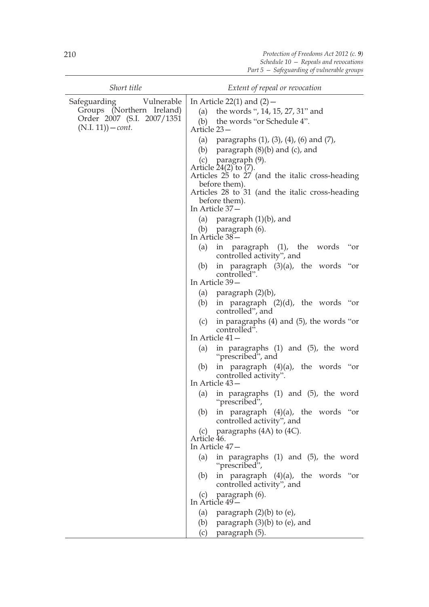| Short title                                                                                                    | Extent of repeal or revocation                                                                                                                         |
|----------------------------------------------------------------------------------------------------------------|--------------------------------------------------------------------------------------------------------------------------------------------------------|
| Safeguarding<br>Vulnerable<br>Groups (Northern Ireland)<br>Order 2007 (S.I. 2007/1351<br>$(N.I. 11)$ ) – cont. | In Article 22(1) and $(2)$ –<br>the words ", 14, 15, 27, 31" and<br>(a)<br>(b) the words "or Schedule 4".<br>Article 23-                               |
|                                                                                                                | (a) paragraphs $(1)$ , $(3)$ , $(4)$ , $(6)$ and $(7)$ ,<br>(b) paragraph $(8)(b)$ and $(c)$ , and<br>(c) paragraph (9).<br>Article $24(2)$ to $(7)$ . |
|                                                                                                                | Articles 25 to 27 (and the italic cross-heading<br>before them).<br>Articles 28 to 31 (and the italic cross-heading<br>before them).<br>In Article 37- |
|                                                                                                                | (a) paragraph $(1)(b)$ , and<br>(b) paragraph (6).<br>In Article 38-                                                                                   |
|                                                                                                                | in paragraph (1), the words<br>"or<br>(a)<br>controlled activity", and                                                                                 |
|                                                                                                                | in paragraph (3)(a), the words "or<br>(b)<br>controlled".                                                                                              |
|                                                                                                                | In Article 39-                                                                                                                                         |
|                                                                                                                | (a) paragraph $(2)(b)$ ,<br>in paragraph $(2)(d)$ , the words "or<br>(b)<br>controlled", and                                                           |
|                                                                                                                | in paragraphs (4) and (5), the words "or<br>(c)<br>controlled".                                                                                        |
|                                                                                                                | In Article 41-<br>in paragraphs $(1)$ and $(5)$ , the word<br>(a)                                                                                      |
|                                                                                                                | "prescribed", and<br>in paragraph $(4)(a)$ , the words "or<br>(b)                                                                                      |
|                                                                                                                | controlled activity".<br>In Article 43-                                                                                                                |
|                                                                                                                | in paragraphs (1) and (5), the word<br>(a)<br>"prescribed",                                                                                            |
|                                                                                                                | in paragraph $(4)(a)$ , the words "or<br>(b)<br>controlled activity", and                                                                              |
|                                                                                                                | paragraphs $(4A)$ to $(4C)$ .<br>(c)<br>Article 46.<br>In Article 47-                                                                                  |
|                                                                                                                | (a)<br>in paragraphs $(1)$ and $(5)$ , the word<br>"prescribed",                                                                                       |
|                                                                                                                | in paragraph $(4)(a)$ , the words "or<br>(b)<br>controlled activity", and                                                                              |
|                                                                                                                | paragraph (6).<br>(c)<br>In Article 49-                                                                                                                |
|                                                                                                                | paragraph (2)(b) to (e),<br>(a)                                                                                                                        |
|                                                                                                                | paragraph (3)(b) to (e), and<br>(b)                                                                                                                    |
|                                                                                                                | (c) paragraph (5).                                                                                                                                     |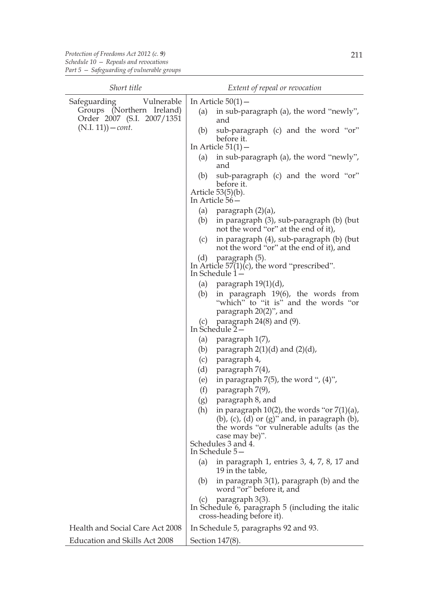*Protection of Freedoms Act 2012 (c. 9) Schedule 10 — Repeals and revocations Part 5 — Safeguarding of vulnerable groups*

| Short title                                              | Extent of repeal or revocation                                                                                                                     |
|----------------------------------------------------------|----------------------------------------------------------------------------------------------------------------------------------------------------|
| Safeguarding<br>Vulnerable                               | In Article $50(1)$ –                                                                                                                               |
| Groups (Northern Ireland)<br>Order 2007 (S.I. 2007/1351) | in sub-paragraph (a), the word "newly",<br>(a)<br>and                                                                                              |
| $(N.I. 11)) - cont.$                                     | sub-paragraph (c) and the word "or"<br>(b)<br>before it.                                                                                           |
|                                                          | In Article $51(1)$ –                                                                                                                               |
|                                                          | in sub-paragraph (a), the word "newly",<br>(a)<br>and                                                                                              |
|                                                          | sub-paragraph (c) and the word "or"<br>(b)<br>before it.                                                                                           |
|                                                          | Article 53(5)(b).<br>In Article $56-$                                                                                                              |
|                                                          | (a) paragraph $(2)(a)$ ,                                                                                                                           |
|                                                          | (b)<br>in paragraph (3), sub-paragraph (b) (but<br>not the word "or" at the end of it),                                                            |
|                                                          | in paragraph (4), sub-paragraph (b) (but<br>(c)<br>not the word "or" at the end of it), and                                                        |
|                                                          | (d)<br>paragraph (5).<br>In Article $57(1)(c)$ , the word "prescribed".<br>In Schedule 1-                                                          |
|                                                          | (a) paragraph $19(1)(d)$ ,                                                                                                                         |
|                                                          | in paragraph 19(6), the words from<br>(b)<br>"which" to "it is" and the words "or<br>paragraph 20(2)", and                                         |
|                                                          | (c) paragraph 24(8) and (9).<br>In Schedule 2-                                                                                                     |
|                                                          | paragraph 1(7),<br>(a)                                                                                                                             |
|                                                          | paragraph $2(1)(d)$ and $(2)(d)$ ,<br>(b)                                                                                                          |
|                                                          | paragraph 4,<br>(c)                                                                                                                                |
|                                                          | (d) paragraph $7(4)$ ,                                                                                                                             |
|                                                          | in paragraph $7(5)$ , the word ", $(4)$ ",<br>(e)                                                                                                  |
|                                                          | (f)<br>paragraph 7(9),                                                                                                                             |
|                                                          | (g) paragraph 8, and                                                                                                                               |
|                                                          | (h)<br>in paragraph $10(2)$ , the words "or $7(1)(a)$ ,<br>(b), (c), (d) or (g)" and, in paragraph (b),<br>the words "or vulnerable adults (as the |
|                                                          | case may be)".<br>Schedules 3 and 4.<br>In Schedule 5-                                                                                             |
|                                                          | (a)<br>in paragraph 1, entries $3, 4, 7, 8, 17$ and<br>19 in the table,                                                                            |
|                                                          | in paragraph $3(1)$ , paragraph (b) and the<br>(b)<br>word "or" before it, and                                                                     |
|                                                          | (c)<br>paragraph 3(3).<br>In Schedule 6, paragraph 5 (including the italic<br>cross-heading before it).                                            |
| Health and Social Care Act 2008                          | In Schedule 5, paragraphs 92 and 93.                                                                                                               |
| Education and Skills Act 2008                            | Section 147(8).                                                                                                                                    |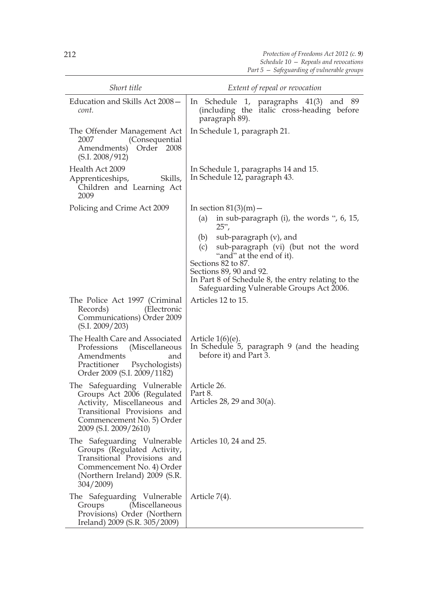| Short title                                                                                                                                                                   | Extent of repeal or revocation                                                                                                                                                                                                                              |
|-------------------------------------------------------------------------------------------------------------------------------------------------------------------------------|-------------------------------------------------------------------------------------------------------------------------------------------------------------------------------------------------------------------------------------------------------------|
| Education and Skills Act 2008-<br>cont.                                                                                                                                       | In Schedule 1, paragraphs 41(3) and 89<br>(including the italic cross-heading before<br>paragraph 89).                                                                                                                                                      |
| The Offender Management Act<br>2007<br>(Consequential<br>Order 2008<br>Amendments)<br>(S.I. 2008/912)                                                                         | In Schedule 1, paragraph 21.                                                                                                                                                                                                                                |
| Health Act 2009<br>Skills,<br>Apprenticeships,<br>Children and Learning Act<br>2009                                                                                           | In Schedule 1, paragraphs 14 and 15.<br>In Schedule 12, paragraph 43.                                                                                                                                                                                       |
| Policing and Crime Act 2009                                                                                                                                                   | In section $81(3)(m)$ –<br>in sub-paragraph (i), the words ", 6, 15,<br>(a)<br>25"                                                                                                                                                                          |
|                                                                                                                                                                               | sub-paragraph (v), and<br>(b)<br>sub-paragraph (vi) (but not the word<br>(c)<br>"and" at the end of it).<br>Sections 82 to 87.<br>Sections 89, 90 and 92.<br>In Part 8 of Schedule 8, the entry relating to the<br>Safeguarding Vulnerable Groups Act 2006. |
| The Police Act 1997 (Criminal<br>Records)<br>(Electronic<br>Communications) Order 2009<br>(S.I. 2009/203)                                                                     | Articles 12 to 15.                                                                                                                                                                                                                                          |
| The Health Care and Associated<br>Professions<br>(Miscellaneous<br>Amendments<br>and<br>Psychologists)<br>Practitioner<br>Order 2009 (S.I. 2009/1182)                         | Article $1(6)(e)$ .<br>In Schedule 5, paragraph 9 (and the heading<br>before it) and Part 3.                                                                                                                                                                |
| The Safeguarding Vulnerable<br>Groups Act 2006 (Regulated<br>Activity, Miscellaneous and<br>Transitional Provisions and<br>Commencement No. 5) Order<br>2009 (S.I. 2009/2610) | Article 26.<br>Part 8.<br>Articles 28, 29 and 30(a).                                                                                                                                                                                                        |
| The Safeguarding Vulnerable<br>Groups (Regulated Activity,<br>Transitional Provisions and<br>Commencement No. 4) Order<br>(Northern Ireland) 2009 (S.R.<br>304/2009)          | Articles 10, 24 and 25.                                                                                                                                                                                                                                     |
| The Safeguarding Vulnerable<br>(Miscellaneous<br>Groups<br>Provisions) Order (Northern<br>Ireland) 2009 (S.R. 305/2009)                                                       | Article $7(4)$ .                                                                                                                                                                                                                                            |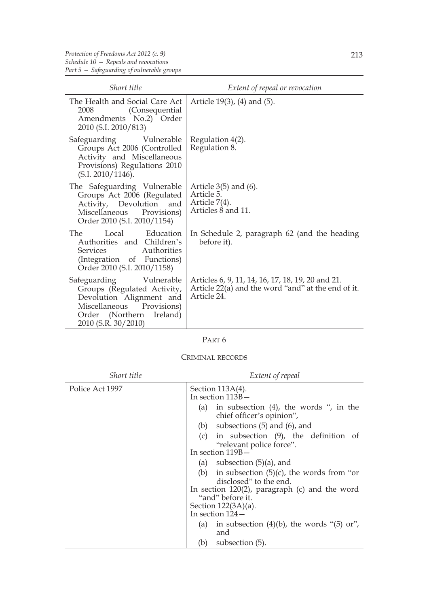| Short title                                                                                                                                                            | Extent of repeal or revocation                                                                                         |
|------------------------------------------------------------------------------------------------------------------------------------------------------------------------|------------------------------------------------------------------------------------------------------------------------|
| The Health and Social Care Act<br>2008<br>(Consequential)<br>Amendments No.2) Order<br>2010 (S.I. 2010/813)                                                            | Article 19(3), (4) and (5).                                                                                            |
| Safeguarding Vulnerable<br>Groups Act 2006 (Controlled<br>Activity and Miscellaneous<br>Provisions) Regulations 2010<br>(S.I. 2010/1146).                              | Regulation 4(2).<br>Regulation 8.                                                                                      |
| The Safeguarding Vulnerable<br>Groups Act 2006 (Regulated<br>Activity, Devolution and<br>Miscellaneous Provisions)<br>Order 2010 (S.I. 2010/1154)                      | Article $3(5)$ and $(6)$ .<br>Article 5.<br>Article $7(4)$ .<br>Articles 8 and 11.                                     |
| The<br>Local Education<br>Authorities and Children's<br>Services Authorities<br>(Integration of Functions)<br>Order 2010 (S.I. 2010/1158)                              | In Schedule 2, paragraph 62 (and the heading<br>before it).                                                            |
| Safeguarding Vulnerable<br>Groups (Regulated Activity,<br>Devolution Alignment and<br>Miscellaneous Provisions)<br>Order (Northern)<br>Ireland)<br>2010 (S.R. 30/2010) | Articles 6, 9, 11, 14, 16, 17, 18, 19, 20 and 21.<br>Article 22(a) and the word "and" at the end of it.<br>Article 24. |

# PART 6

## CRIMINAL RECORDS

| Short title     | Extent of repeal                                                                                                                                                                                                    |
|-----------------|---------------------------------------------------------------------------------------------------------------------------------------------------------------------------------------------------------------------|
| Police Act 1997 | Section $113A(4)$ .<br>In section $113B -$<br>in subsection $(4)$ , the words ", in the<br>(a)<br>chief officer's opinion",<br>(b) subsections $(5)$ and $(6)$ , and<br>in subsection (9), the definition of<br>(c) |
|                 | "relevant police force".<br>In section $119B -$<br>(a) subsection $(5)(a)$ , and<br>(b) in subsection $(5)(c)$ , the words from "or<br>disclosed" to the end.                                                       |
|                 | In section $120(2)$ , paragraph (c) and the word<br>"and" before it.<br>Section 122(3A)(a).<br>In section $124-$                                                                                                    |
|                 | in subsection $(4)(b)$ , the words " $(5)$ or",<br>(a)<br>and                                                                                                                                                       |
|                 | subsection (5).<br>(b)                                                                                                                                                                                              |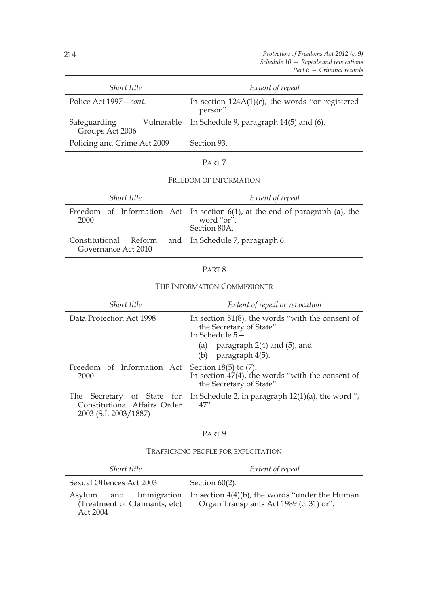| Short title                     |            | Extent of repeal                                               |
|---------------------------------|------------|----------------------------------------------------------------|
| Police Act 1997 – cont.         |            | In section $124A(1)(c)$ , the words "or registered<br>person". |
| Safeguarding<br>Groups Act 2006 | Vulnerable | In Schedule 9, paragraph $14(5)$ and $(6)$ .                   |
| Policing and Crime Act 2009     |            | Section 93.                                                    |

# PART 7

#### FREEDOM OF INFORMATION

| Short title                                     | Extent of repeal                                                                                                |
|-------------------------------------------------|-----------------------------------------------------------------------------------------------------------------|
| 2000                                            | Freedom of Information Act   In section $6(1)$ , at the end of paragraph (a), the<br>word "or".<br>Section 80A. |
| Constitutional<br>Reform<br>Governance Act 2010 | and   In Schedule 7, paragraph 6.                                                                               |

## PART 8

## THE INFORMATION COMMISSIONER

| Short title                                                                         | Extent of repeal or revocation                                                                                |
|-------------------------------------------------------------------------------------|---------------------------------------------------------------------------------------------------------------|
| Data Protection Act 1998                                                            | In section $51(8)$ , the words "with the consent of<br>the Secretary of State".<br>In Schedule $5-$           |
|                                                                                     | (a) paragraph $2(4)$ and $(5)$ , and<br>(b) paragraph $4(5)$ .                                                |
| Freedom of Information Act<br>2000                                                  | Section $18(5)$ to $(7)$ .<br>In section $47(4)$ , the words "with the consent of<br>the Secretary of State". |
| The Secretary of State for<br>Constitutional Affairs Order<br>2003 (S.I. 2003/1887) | In Schedule 2, in paragraph $12(1)(a)$ , the word ",<br>$47"$ .                                               |

## PART 9

## TRAFFICKING PEOPLE FOR EXPLOITATION

| Short title                                   | Extent of repeal                                                                                                      |
|-----------------------------------------------|-----------------------------------------------------------------------------------------------------------------------|
| Sexual Offences Act 2003                      | Section $60(2)$ .                                                                                                     |
| (Treatment of Claimants, etc) $ $<br>Act 2004 | Asylum and Immigration   In section $4(4)(b)$ , the words "under the Human<br>Organ Transplants Act 1989 (c. 31) or". |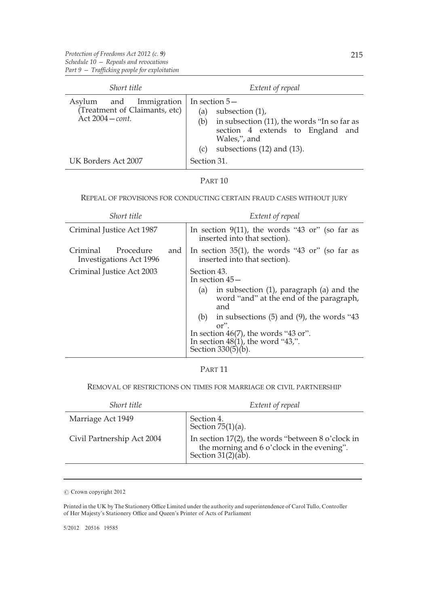| Short title                                                                    | Extent of repeal                                                                                                                                                                              |
|--------------------------------------------------------------------------------|-----------------------------------------------------------------------------------------------------------------------------------------------------------------------------------------------|
| and Immigration<br>Asylum<br>(Treatment of Claimants, etc)<br>Act 2004 - cont. | In section $5-$<br>subsection (1),<br>(a)<br>in subsection (11), the words "In so far as<br>(b)<br>section 4 extends to England and<br>Wales,", and<br>subsections $(12)$ and $(13)$ .<br>(c) |
| UK Borders Act 2007                                                            | Section 31.                                                                                                                                                                                   |



REPEAL OF PROVISIONS FOR CONDUCTING CERTAIN FRAUD CASES WITHOUT JURY

| Short title                                      |     | Extent of repeal                                                                                         |
|--------------------------------------------------|-----|----------------------------------------------------------------------------------------------------------|
| Criminal Justice Act 1987                        |     | In section 9(11), the words "43 or" (so far as<br>inserted into that section).                           |
| Criminal<br>Procedure<br>Investigations Act 1996 | and | In section $35(1)$ , the words "43 or" (so far as<br>inserted into that section).                        |
| Criminal Justice Act 2003                        |     | Section 43.<br>In section $45-$                                                                          |
|                                                  |     | in subsection $(1)$ , paragraph $(a)$ and the<br>(a)<br>word "and" at the end of the paragraph,<br>and   |
|                                                  |     | in subsections $(5)$ and $(9)$ , the words "43<br>(b)<br>$or$ .                                          |
|                                                  |     | In section $46(7)$ , the words "43 or".<br>In section $48(1)$ , the word "43,".<br>Section $330(5)(b)$ . |



REMOVAL OF RESTRICTIONS ON TIMES FOR MARRIAGE OR CIVIL PARTNERSHIP

| Short title                | Extent of repeal                                                                                                            |
|----------------------------|-----------------------------------------------------------------------------------------------------------------------------|
| Marriage Act 1949          | Section 4.<br>Section $75(1)(a)$ .                                                                                          |
| Civil Partnership Act 2004 | In section $17(2)$ , the words "between 8 o'clock in<br>the morning and 6 o'clock in the evening".<br>Section $31(2)(ab)$ . |

? Crown copyright 2012

Printed in the UK by The Stationery Office Limited under the authority and superintendence of Carol Tullo, Controller of Her Majesty's Stationery Office and Queen's Printer of Acts of Parliament